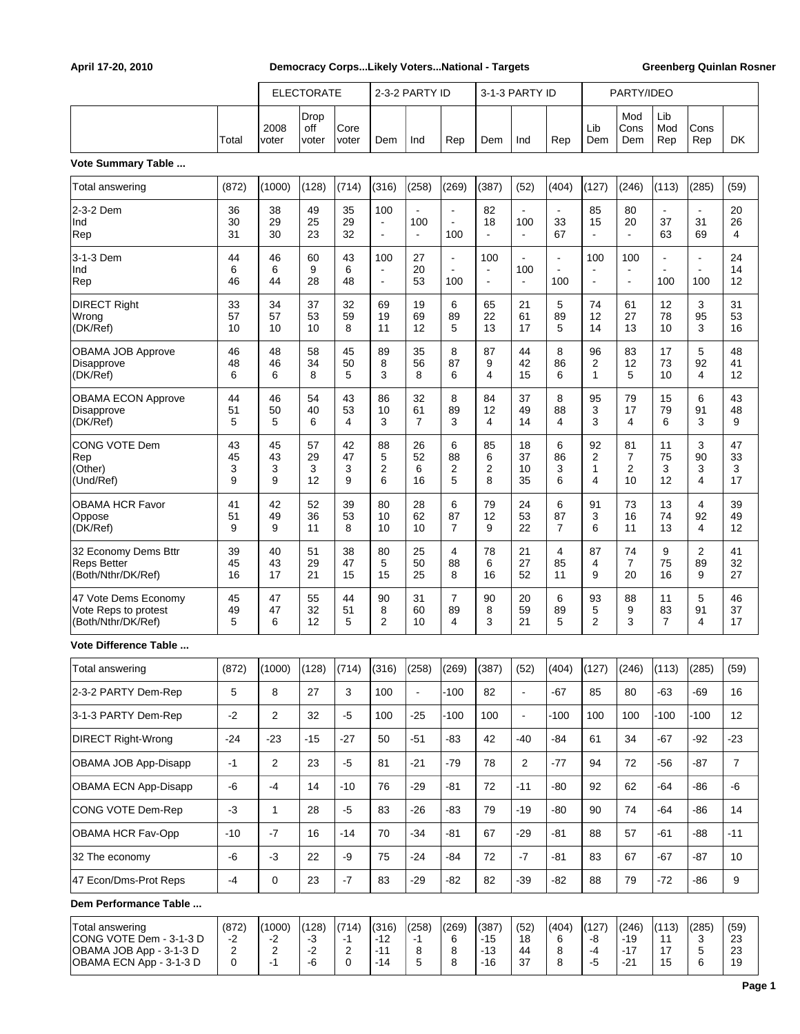|                                                                                                         |                         | <b>ELECTORATE</b>                      |                           |                                      | 2-3-2 PARTY ID                   |                                                             |                                         | 3-1-3 PARTY ID                 |                                         |                                 | PARTY/IDEO                     |                                                   |                                         |                                         |                        |
|---------------------------------------------------------------------------------------------------------|-------------------------|----------------------------------------|---------------------------|--------------------------------------|----------------------------------|-------------------------------------------------------------|-----------------------------------------|--------------------------------|-----------------------------------------|---------------------------------|--------------------------------|---------------------------------------------------|-----------------------------------------|-----------------------------------------|------------------------|
|                                                                                                         | Total                   | 2008<br>voter                          | Drop<br>off<br>voter      | Core<br>voter                        | Dem                              | Ind                                                         | Rep                                     | Dem                            | Ind                                     | Rep                             | Lib<br>Dem                     | Mod<br>Cons<br>Dem                                | Lib<br>Mod<br>Rep                       | Cons<br>Rep                             | DK                     |
| Vote Summary Table                                                                                      |                         |                                        |                           |                                      |                                  |                                                             |                                         |                                |                                         |                                 |                                |                                                   |                                         |                                         |                        |
| Total answering                                                                                         | (872)                   | (1000)                                 | (128)                     | (714)                                | (316)                            | (258)                                                       | (269)                                   | (387)                          | (52)                                    | (404)                           | (127)                          | (246)                                             | (113)                                   | (285)                                   | (59)                   |
| 2-3-2 Dem<br>Ind<br>Rep                                                                                 | 36<br>30<br>31          | 38<br>29<br>30                         | 49<br>25<br>23            | 35<br>29<br>32                       | 100<br>$\overline{a}$<br>L,      | $\overline{\phantom{a}}$<br>100<br>$\overline{\phantom{a}}$ | $\blacksquare$<br>$\blacksquare$<br>100 | 82<br>18                       | $\blacksquare$<br>100<br>$\blacksquare$ | $\blacksquare$<br>33<br>67      | 85<br>15<br>$\blacksquare$     | 80<br>20<br>$\blacksquare$                        | $\blacksquare$<br>37<br>63              | $\blacksquare$<br>31<br>69              | 20<br>26<br>4          |
| 3-1-3 Dem<br>Ind<br>Rep                                                                                 | 44<br>6<br>46           | 46<br>6<br>44                          | 60<br>9<br>28             | 43<br>6<br>48                        | 100<br>÷,<br>$\sim$              | 27<br>20<br>53                                              | $\blacksquare$<br>$\blacksquare$<br>100 | 100<br>$\blacksquare$<br>÷     | $\blacksquare$<br>100<br>$\blacksquare$ | $\blacksquare$<br>$\sim$<br>100 | 100<br>÷,<br>$\blacksquare$    | 100<br>$\blacksquare$<br>$\overline{\phantom{a}}$ | $\blacksquare$<br>$\blacksquare$<br>100 | $\blacksquare$<br>$\blacksquare$<br>100 | 24<br>14<br>12         |
| <b>DIRECT Right</b><br>Wrong<br>(DK/Ref)                                                                | 33<br>57<br>10          | 34<br>57<br>10                         | 37<br>53<br>10            | 32<br>59<br>8                        | 69<br>19<br>11                   | 19<br>69<br>12                                              | 6<br>89<br>5                            | 65<br>22<br>13                 | 21<br>61<br>17                          | 5<br>89<br>5                    | 74<br>12<br>14                 | 61<br>27<br>13                                    | 12<br>78<br>10                          | 3<br>95<br>3                            | 31<br>53<br>16         |
| <b>OBAMA JOB Approve</b><br>Disapprove<br>(DK/Ref)                                                      | 46<br>48<br>6           | 48<br>46<br>6                          | 58<br>34<br>8             | 45<br>50<br>5                        | 89<br>8<br>3                     | 35<br>56<br>8                                               | 8<br>87<br>6                            | 87<br>9<br>4                   | 44<br>42<br>15                          | 8<br>86<br>6                    | 96<br>2<br>$\mathbf{1}$        | 83<br>12<br>5                                     | 17<br>73<br>10                          | 5<br>92<br>4                            | 48<br>41<br>12         |
| <b>OBAMA ECON Approve</b><br>Disapprove<br>(DK/Ref)                                                     | 44<br>51<br>5           | 46<br>50<br>5                          | 54<br>40<br>6             | 43<br>53<br>4                        | 86<br>10<br>3                    | 32<br>61<br>$\overline{7}$                                  | 8<br>89<br>3                            | 84<br>12<br>4                  | 37<br>49<br>14                          | 8<br>88<br>4                    | 95<br>3<br>3                   | 79<br>17<br>4                                     | 15<br>79<br>6                           | 6<br>91<br>3                            | 43<br>48<br>9          |
| CONG VOTE Dem<br>Rep<br>(Other)<br>(Und/Ref)                                                            | 43<br>45<br>3<br>9      | 45<br>43<br>3<br>9                     | 57<br>29<br>3<br>12       | 42<br>47<br>3<br>9                   | 88<br>5<br>$\overline{2}$<br>6   | 26<br>52<br>6<br>16                                         | 6<br>88<br>2<br>5                       | 85<br>6<br>2<br>8              | 18<br>37<br>10<br>35                    | 6<br>86<br>3<br>6               | 92<br>$\overline{2}$<br>1<br>4 | 81<br>7<br>2<br>10                                | 11<br>75<br>3<br>12                     | 3<br>90<br>3<br>4                       | 47<br>33<br>3<br>17    |
| <b>OBAMA HCR Favor</b><br>Oppose<br>(DK/Ref)                                                            | 41<br>51<br>9           | 42<br>49<br>9                          | 52<br>36<br>11            | 39<br>53<br>8                        | 80<br>10<br>10                   | 28<br>62<br>10                                              | 6<br>87<br>$\overline{7}$               | 79<br>12<br>9                  | 24<br>53<br>22                          | 6<br>87<br>$\overline{7}$       | 91<br>3<br>6                   | 73<br>16<br>11                                    | 13<br>74<br>13                          | $\overline{4}$<br>92<br>4               | 39<br>49<br>12         |
| 32 Economy Dems Bttr<br><b>Reps Better</b><br>(Both/Nthr/DK/Ref)                                        | 39<br>45<br>16          | 40<br>43<br>17                         | 51<br>29<br>21            | 38<br>47<br>15                       | 80<br>5<br>15                    | 25<br>50<br>25                                              | $\overline{4}$<br>88<br>8               | 78<br>6<br>16                  | 21<br>27<br>52                          | 4<br>85<br>11                   | 87<br>4<br>9                   | 74<br>$\overline{7}$<br>20                        | 9<br>75<br>16                           | 2<br>89<br>9                            | 41<br>32<br>27         |
| 47 Vote Dems Economy<br>Vote Reps to protest<br>(Both/Nthr/DK/Ref)                                      | 45<br>49<br>5           | 47<br>47<br>6                          | 55<br>32<br>12            | 44<br>51<br>5                        | 90<br>8<br>2                     | 31<br>60<br>10                                              | $\overline{7}$<br>89<br>4               | 90<br>8<br>3                   | 20<br>59<br>21                          | 6<br>89<br>5                    | 93<br>5<br>2                   | 88<br>9<br>3                                      | 11<br>83<br>$\overline{7}$              | 5<br>91<br>4                            | 46<br>37<br>17         |
| Vote Difference Table                                                                                   |                         |                                        |                           |                                      |                                  |                                                             |                                         |                                |                                         |                                 |                                |                                                   |                                         |                                         |                        |
| Total answering                                                                                         | (872)                   | (1000)                                 | (128)                     | (714)                                | (316)                            | (258)                                                       | (269)                                   | (387)                          | (52)                                    | (404)                           | (127)                          | (246)                                             | (113)                                   | (285)                                   | (59)                   |
| 2-3-2 PARTY Dem-Rep                                                                                     | 5                       | 8                                      | 27                        | 3                                    | 100                              | $\blacksquare$                                              | $-100$                                  | 82                             | $\blacksquare$                          | $-67$                           | 85                             | 80                                                | $-63$                                   | $-69$                                   | 16                     |
| 3-1-3 PARTY Dem-Rep                                                                                     | $-2$                    | $\overline{2}$                         | 32                        | $-5$                                 | 100                              | $-25$                                                       | $-100$                                  | 100                            | $\Box$                                  | $-100$                          | 100                            | 100                                               | $-100$                                  | $-100$                                  | 12                     |
| <b>DIRECT Right-Wrong</b>                                                                               | $-24$                   | $-23$                                  | $-15$                     | $-27$                                | 50                               | $-51$                                                       | $-83$                                   | 42                             | -40                                     | $-84$                           | 61                             | 34                                                | $-67$                                   | $-92$                                   | $-23$                  |
| OBAMA JOB App-Disapp                                                                                    | $-1$                    | $\overline{c}$                         | 23                        | $-5$                                 | 81                               | $-21$                                                       | $-79$                                   | 78                             | $\overline{2}$                          | -77                             | 94                             | 72                                                | $-56$                                   | $-87$                                   | $\overline{7}$         |
| OBAMA ECN App-Disapp                                                                                    | -6                      | $-4$                                   | 14                        | $-10$                                | 76                               | $-29$                                                       | $-81$                                   | 72                             | $-11$                                   | -80                             | 92                             | 62                                                | $-64$                                   | $-86$                                   | -6                     |
| CONG VOTE Dem-Rep                                                                                       | $-3$                    | 1                                      | 28                        | $-5$                                 | 83                               | $-26$                                                       | $-83$                                   | 79                             | $-19$                                   | $-80$                           | 90                             | 74                                                | $-64$                                   | $-86$                                   | 14                     |
| OBAMA HCR Fav-Opp                                                                                       | $-10$                   | $-7$                                   | 16                        | $-14$                                | 70                               | $-34$                                                       | $-81$                                   | 67                             | $-29$                                   | -81                             | 88                             | 57                                                | $-61$                                   | $-88$                                   | -11                    |
| 32 The economy                                                                                          | -6                      | $-3$                                   | 22                        | -9                                   | 75                               | $-24$                                                       | $-84$                                   | 72                             | $-7$                                    | -81                             | 83                             | 67                                                | $-67$                                   | $-87$                                   | 10                     |
| 47 Econ/Dms-Prot Reps                                                                                   | $-4$                    | $\mathsf{O}\xspace$                    | 23                        | $-7$                                 | 83                               | $-29$                                                       | $-82$                                   | 82                             | $-39$                                   | $-82$                           | 88                             | 79                                                | $-72$                                   | $-86$                                   | 9                      |
| Dem Performance Table                                                                                   |                         |                                        |                           |                                      |                                  |                                                             |                                         |                                |                                         |                                 |                                |                                                   |                                         |                                         |                        |
| <b>Total answering</b><br>CONG VOTE Dem - 3-1-3 D<br>OBAMA JOB App - 3-1-3 D<br>OBAMA ECN App - 3-1-3 D | (872)<br>$-2$<br>2<br>0 | (1000)<br>-2<br>$\overline{2}$<br>$-1$ | (128)<br>-3<br>$-2$<br>-6 | (714)<br>$-1$<br>$\overline{c}$<br>0 | (316)<br>$-12$<br>$-11$<br>$-14$ | (258)<br>-1<br>8<br>5                                       | (269)<br>6<br>8<br>8                    | (387)<br>$-15$<br>$-13$<br>-16 | (52)<br>18<br>44<br>37                  | (404)<br>6<br>8<br>8            | (127)<br>-8<br>$-4$<br>-5      | (246)<br>$-19$<br>$-17$<br>-21                    | (113)<br>11<br>17<br>15                 | (285)<br>3<br>5<br>6                    | (59)<br>23<br>23<br>19 |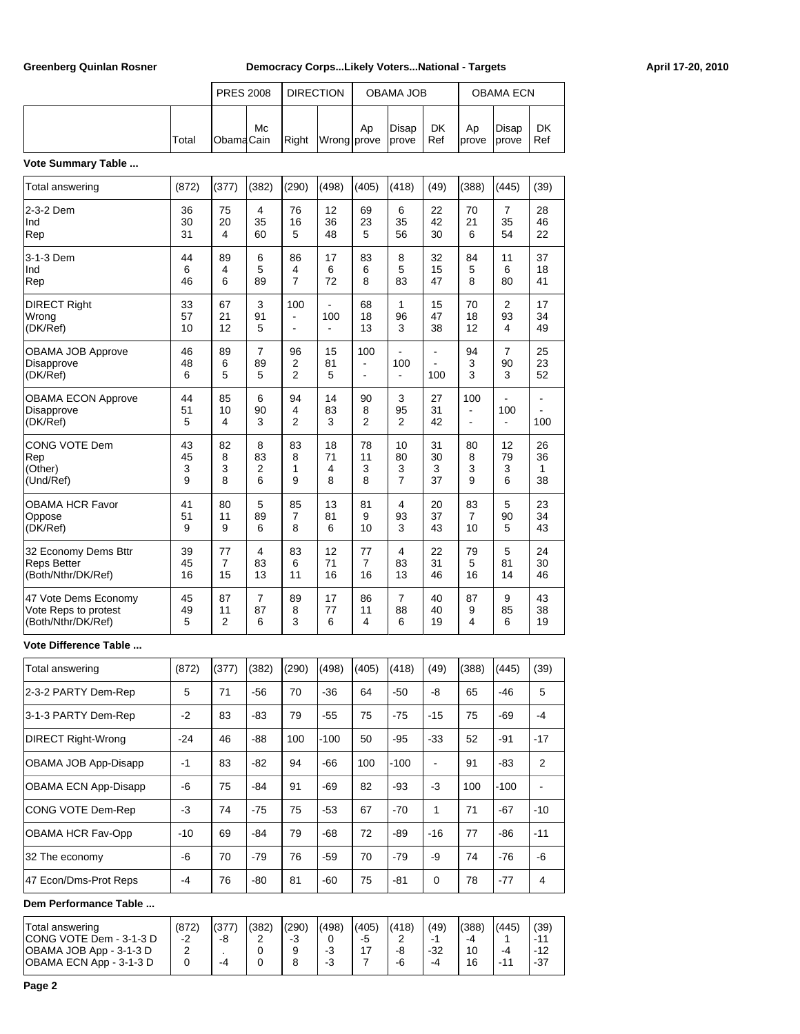|       | <b>PRES 2008</b>  |    | <b>DIRECTION</b> |             |    | <b>OBAMA JOB</b>     |           |                            | <b>OBAMA ECN</b> |           |
|-------|-------------------|----|------------------|-------------|----|----------------------|-----------|----------------------------|------------------|-----------|
| Total | <b>IObamaCain</b> | Mc | Right            | Wrong prove | Ap | Disap<br><i>cove</i> | DK<br>Ref | Ap<br><b>Iprove Iprove</b> | Disap            | DK<br>Ref |

#### **Vote Summary Table ...**

| Total answering                                                    | (872)              | (377)             | (382)             | (290)                           | (498)              | (405)                 | (418)                     | (49)                | (388)                 | (445)              | (39)                |
|--------------------------------------------------------------------|--------------------|-------------------|-------------------|---------------------------------|--------------------|-----------------------|---------------------------|---------------------|-----------------------|--------------------|---------------------|
| 2-3-2 Dem<br>Ind<br>Rep                                            | 36<br>30<br>31     | 75<br>20<br>4     | 4<br>35<br>60     | 76<br>16<br>5                   | 12<br>36<br>48     | 69<br>23<br>5         | 6<br>35<br>56             | 22<br>42<br>30      | 70<br>21<br>6         | 7<br>35<br>54      | 28<br>46<br>22      |
| 3-1-3 Dem<br>Ind<br>Rep                                            | 44<br>6<br>46      | 89<br>4<br>6      | 6<br>5<br>89      | 86<br>4<br>7                    | 17<br>6<br>72      | 83<br>6<br>8          | 8<br>5<br>83              | 32<br>15<br>47      | 84<br>5<br>8          | 11<br>6<br>80      | 37<br>18<br>41      |
| <b>DIRECT Right</b><br>Wrong<br>(DK/Ref)                           | 33<br>57<br>10     | 67<br>21<br>12    | 3<br>91<br>5      | 100<br>$\overline{\phantom{a}}$ | 100                | 68<br>18<br>13        | 1<br>96<br>3              | 15<br>47<br>38      | 70<br>18<br>12        | 2<br>93<br>4       | 17<br>34<br>49      |
| <b>OBAMA JOB Approve</b><br>Disapprove<br>(DK/Ref)                 | 46<br>48<br>6      | 89<br>6<br>5      | 7<br>89<br>5      | 96<br>2<br>2                    | 15<br>81<br>5      | 100<br>$\blacksquare$ | 100<br>ä,                 | ÷.<br>100           | 94<br>3<br>3          | 7<br>90<br>3       | 25<br>23<br>52      |
| <b>OBAMA ECON Approve</b><br>Disapprove<br>(DK/Ref)                | 44<br>51<br>5      | 85<br>10<br>4     | 6<br>90<br>3      | 94<br>4<br>2                    | 14<br>83<br>3      | 90<br>8<br>2          | 3<br>95<br>2              | 27<br>31<br>42      | 100<br>$\blacksquare$ | 100                | 100                 |
| CONG VOTE Dem<br>Rep<br>(Other)<br>(Und/Ref)                       | 43<br>45<br>3<br>9 | 82<br>8<br>3<br>8 | 8<br>83<br>2<br>6 | 83<br>8<br>1<br>9               | 18<br>71<br>4<br>8 | 78<br>11<br>3<br>8    | 10<br>80<br>3<br>7        | 31<br>30<br>3<br>37 | 80<br>8<br>3<br>9     | 12<br>79<br>3<br>6 | 26<br>36<br>1<br>38 |
| OBAMA HCR Favor<br>Oppose<br>(DK/Ref)                              | 41<br>51<br>9      | 80<br>11<br>9     | 5<br>89<br>6      | 85<br>7<br>8                    | 13<br>81<br>6      | 81<br>9<br>10         | 4<br>93<br>3              | 20<br>37<br>43      | 83<br>7<br>10         | 5<br>90<br>5       | 23<br>34<br>43      |
| 32 Economy Dems Bttr<br><b>Reps Better</b><br>(Both/Nthr/DK/Ref)   | 39<br>45<br>16     | 77<br>7<br>15     | 4<br>83<br>13     | 83<br>6<br>11                   | 12<br>71<br>16     | 77<br>7<br>16         | 4<br>83<br>13             | 22<br>31<br>46      | 79<br>5<br>16         | 5<br>81<br>14      | 24<br>30<br>46      |
| 47 Vote Dems Economy<br>Vote Reps to protest<br>(Both/Nthr/DK/Ref) | 45<br>49<br>5      | 87<br>11<br>2     | 7<br>87<br>6      | 89<br>8<br>3                    | 17<br>77<br>6      | 86<br>11<br>4         | $\overline{7}$<br>88<br>6 | 40<br>40<br>19      | 87<br>9<br>4          | 9<br>85<br>6       | 43<br>38<br>19      |
| Vote Difference Table                                              |                    |                   |                   |                                 |                    |                       |                           |                     |                       |                    |                     |
| Total answering                                                    | (872)              | (377)             | (382)             | (290)                           | (498)              | (405)                 | (418)                     | (49)                | (388)                 | (445)              | (39)                |
| 2-3-2 PARTY Dem-Rep                                                | 5                  | 71                | -56               | 70                              | $-36$              | 64                    | -50                       | -8                  | 65                    | -46                | 5                   |
| 3-1-3 PARTY Dem-Rep                                                | $-2$               | 83                | -83               | 79                              | $-55$              | 75                    | -75                       | $-15$               | 75                    | -69                | $-4$                |
| <b>DIRECT Right-Wrong</b>                                          | -24                | 46                | -88               | 100                             | -100               | 50                    | -95                       | -33                 | 52                    | -91                | $-17$               |
| OBAMA JOB App-Disapp                                               | 1                  | 83                | 82                | 94                              | 66                 | 100                   | 100                       |                     | 91                    | 83                 | 2                   |
| OBAMA ECN App-Disapp                                               | -6                 | 75                | $-84$             | 91                              | $-69$              | 82                    | -93                       | $-3$                | 100                   | $-100$             |                     |
| CONG VOTE Dem-Rep                                                  | $-3$               | 74                | $-75$             | 75                              | $-53$              | 67                    | $-70$                     | $\mathbf{1}$        | 71                    | -67                | $-10$               |
| OBAMA HCR Fav-Opp                                                  | $-10$              | 69                | $-84$             | 79                              | $-68$              | 72                    | -89                       | $-16$               | 77                    | $-86$              | $-11$               |
| 32 The economy                                                     | -6                 | 70                | $-79$             | 76                              | $-59$              | 70                    | $-79$                     | $-9$                | 74                    | $-76$              | -6                  |
| 47 Econ/Dms-Prot Reps                                              | $-4$               | 76                | $-80$             | 81                              | $-60$              | 75                    | $-81$                     | $\mathbf 0$         | 78                    | $-77$              | 4                   |

**Dem Performance Table ...**

| Total answering<br>ICONG VOTE Dem - 3-1-3 D<br>OBAMA JOB App - 3-1-3 D<br>OBAMA ECN App - 3-1-3 D | (872)<br>-2 | -8<br>-4 | (382)<br>⌒<br>_<br>U<br>U | (290)<br>- 3 | (498)<br>-3<br>$\sqrt{2}$<br>-3 | (405)<br>-0 | (418)<br>-8<br>-6 | (49)<br>. .<br>-32<br>-4 | (388)<br>-4<br>10<br>16 | (445)<br>-4<br>$\overline{A}$<br>- 1 | (39)<br>$-11$<br>$-12$<br>$-37$ |
|---------------------------------------------------------------------------------------------------|-------------|----------|---------------------------|--------------|---------------------------------|-------------|-------------------|--------------------------|-------------------------|--------------------------------------|---------------------------------|
|                                                                                                   |             |          |                           |              |                                 |             |                   |                          |                         |                                      |                                 |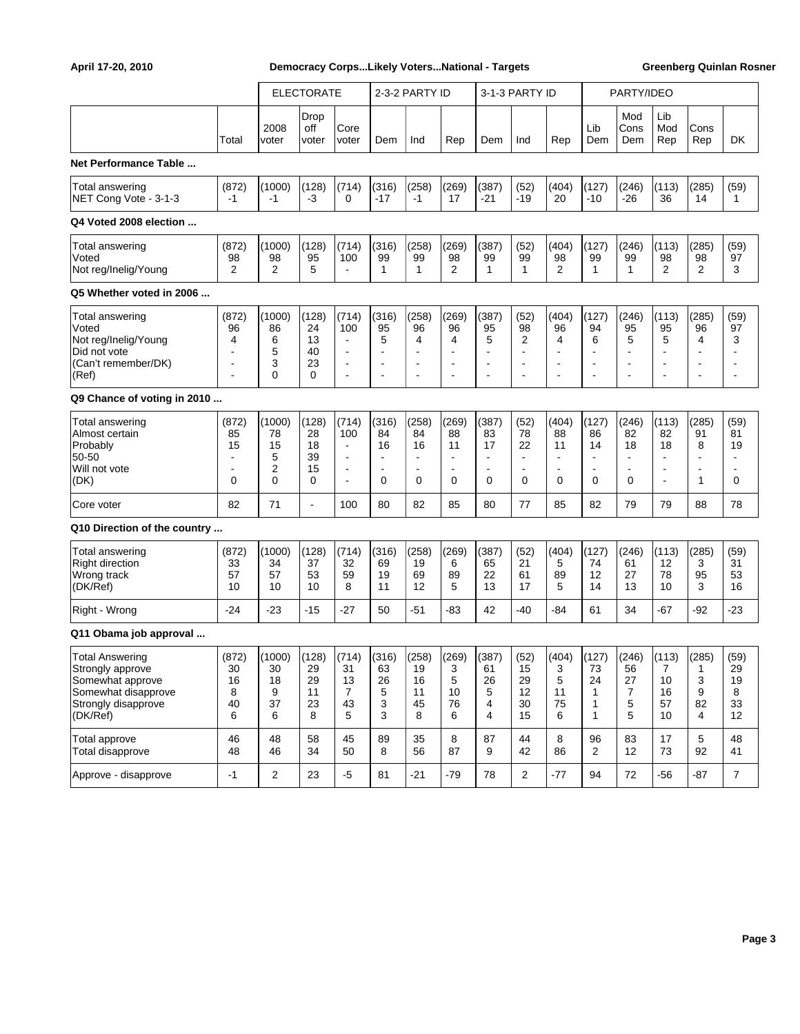|                                                                                                                          |                                                           |                                    | <b>ELECTORATE</b>                  |                                                                                                            |                                                                | 2-3-2 PARTY ID                                                         |                                                                |                                    | 3-1-3 PARTY ID                                                                  |                                                                          |                                                      | PARTY/IDEO                                    |                                                                                  |                                                                        |                                                        |
|--------------------------------------------------------------------------------------------------------------------------|-----------------------------------------------------------|------------------------------------|------------------------------------|------------------------------------------------------------------------------------------------------------|----------------------------------------------------------------|------------------------------------------------------------------------|----------------------------------------------------------------|------------------------------------|---------------------------------------------------------------------------------|--------------------------------------------------------------------------|------------------------------------------------------|-----------------------------------------------|----------------------------------------------------------------------------------|------------------------------------------------------------------------|--------------------------------------------------------|
|                                                                                                                          | Total                                                     | 2008<br>voter                      | Drop<br>off<br>voter               | Core<br>voter                                                                                              | Dem                                                            | Ind                                                                    | Rep                                                            | Dem                                | Ind                                                                             | Rep                                                                      | Lib<br>Dem                                           | Mod<br>Cons<br>Dem                            | Lib<br>Mod<br>Rep                                                                | Cons<br>Rep                                                            | DK                                                     |
| Net Performance Table                                                                                                    |                                                           |                                    |                                    |                                                                                                            |                                                                |                                                                        |                                                                |                                    |                                                                                 |                                                                          |                                                      |                                               |                                                                                  |                                                                        |                                                        |
| Total answering<br>NET Cong Vote - 3-1-3                                                                                 | (872)<br>$-1$                                             | (1000)<br>-1                       | (128)<br>-3                        | (714)<br>0                                                                                                 | (316)<br>$-17$                                                 | (258)<br>$-1$                                                          | (269)<br>17                                                    | (387)<br>$-21$                     | (52)<br>$-19$                                                                   | (404)<br>20                                                              | (127)<br>$-10$                                       | (246)<br>-26                                  | (113)<br>36                                                                      | (285)<br>14                                                            | (59)<br>1                                              |
| Q4 Voted 2008 election                                                                                                   |                                                           |                                    |                                    |                                                                                                            |                                                                |                                                                        |                                                                |                                    |                                                                                 |                                                                          |                                                      |                                               |                                                                                  |                                                                        |                                                        |
| Total answering<br>Voted<br>Not reg/Inelig/Young                                                                         | (872)<br>98<br>2                                          | (1000)<br>98<br>2                  | (128)<br>95<br>5                   | (714)<br>100<br>$\blacksquare$                                                                             | (316)<br>99<br>$\mathbf{1}$                                    | (258)<br>99<br>$\mathbf{1}$                                            | (269)<br>98<br>$\overline{2}$                                  | (387)<br>99<br>1                   | (52)<br>99<br>$\mathbf{1}$                                                      | (404)<br>98<br>2                                                         | (127)<br>99<br>$\mathbf{1}$                          | (246)<br>99<br>$\mathbf{1}$                   | (113)<br>98<br>$\overline{2}$                                                    | (285)<br>98<br>2                                                       | (59)<br>97<br>3                                        |
| Q5 Whether voted in 2006                                                                                                 |                                                           |                                    |                                    |                                                                                                            |                                                                |                                                                        |                                                                |                                    |                                                                                 |                                                                          |                                                      |                                               |                                                                                  |                                                                        |                                                        |
| Total answering<br>Voted<br>Not reg/Inelig/Young<br>Did not vote<br>(Can't remember/DK)<br>(Ref)                         | (872)<br>96<br>4<br>$\overline{\phantom{a}}$              | (1000)<br>86<br>6<br>5<br>3<br>0   | (128)<br>24<br>13<br>40<br>23<br>0 | (714)<br>100<br>$\ddot{\phantom{0}}$<br>$\overline{\phantom{a}}$<br>$\ddot{\phantom{0}}$<br>$\blacksquare$ | (316)<br>95<br>5<br>$\overline{\phantom{a}}$<br>$\blacksquare$ | (258)<br>96<br>4<br>$\blacksquare$<br>$\blacksquare$<br>$\blacksquare$ | (269)<br>96<br>4<br>$\blacksquare$<br>$\overline{\phantom{a}}$ | (387)<br>95<br>5<br>$\blacksquare$ | (52)<br>98<br>2<br>$\blacksquare$<br>$\blacksquare$<br>$\overline{\phantom{a}}$ | (404)<br>96<br>4<br>$\overline{\phantom{a}}$<br>$\overline{\phantom{a}}$ | (127)<br>94<br>6<br>$\blacksquare$<br>$\overline{a}$ | (246)<br>95<br>5<br>$\blacksquare$            | (113)<br>95<br>5<br>$\blacksquare$<br>$\blacksquare$<br>$\overline{\phantom{a}}$ | (285)<br>96<br>4<br>$\blacksquare$<br>$\blacksquare$<br>$\blacksquare$ | (59)<br>97<br>3<br>÷<br>÷<br>$\blacksquare$            |
| Q9 Chance of voting in 2010                                                                                              |                                                           |                                    |                                    |                                                                                                            |                                                                |                                                                        |                                                                |                                    |                                                                                 |                                                                          |                                                      |                                               |                                                                                  |                                                                        |                                                        |
| Total answering<br>Almost certain<br>Probably<br>50-50<br>Will not vote<br>(DK)                                          | (872)<br>85<br>15<br>$\overline{\phantom{a}}$<br>$\Omega$ | (1000)<br>78<br>15<br>5<br>2<br>0  | (128)<br>28<br>18<br>39<br>15<br>0 | (714)<br>100<br>$\blacksquare$<br>$\overline{\phantom{a}}$<br>$\overline{\phantom{a}}$<br>$\blacksquare$   | (316)<br>84<br>16<br>$\overline{\phantom{a}}$<br>0             | (258)<br>84<br>16<br>$\blacksquare$<br>0                               | (269)<br>88<br>11<br>$\Omega$                                  | (387)<br>83<br>17<br>$\Omega$      | (52)<br>78<br>22<br>$\blacksquare$<br>$\overline{\phantom{a}}$<br>$\Omega$      | (404)<br>88<br>11<br>$\overline{\phantom{a}}$<br>0                       | (127)<br>86<br>14<br>$\blacksquare$<br>0             | (246)<br>82<br>18<br>$\mathbf 0$              | (113)<br>82<br>18<br>$\overline{\phantom{a}}$<br>$\blacksquare$                  | (285)<br>91<br>8<br>$\overline{\phantom{a}}$<br>$\blacksquare$<br>1    | (59)<br>81<br>19<br>$\overline{\phantom{0}}$<br>÷<br>0 |
| Core voter                                                                                                               | 82                                                        | 71                                 | $\blacksquare$                     | 100                                                                                                        | 80                                                             | 82                                                                     | 85                                                             | 80                                 | 77                                                                              | 85                                                                       | 82                                                   | 79                                            | 79                                                                               | 88                                                                     | 78                                                     |
| Q10 Direction of the country                                                                                             |                                                           |                                    |                                    |                                                                                                            |                                                                |                                                                        |                                                                |                                    |                                                                                 |                                                                          |                                                      |                                               |                                                                                  |                                                                        |                                                        |
| <b>Total answering</b><br><b>Right direction</b><br>Wrong track<br>(DK/Ref)                                              | (872)<br>33<br>57<br>10                                   | (1000)<br>34<br>57<br>10           | (128)<br>37<br>53<br>10            | (714)<br>32<br>59<br>8                                                                                     | (316)<br>69<br>19<br>11                                        | (258)<br>19<br>69<br>12                                                | (269)<br>6<br>89<br>5                                          | (387)<br>65<br>22<br>13            | (52)<br>21<br>61<br>17                                                          | (404)<br>5<br>89<br>5                                                    | (127)<br>74<br>12<br>14                              | (246)<br>61<br>27<br>13                       | (113)<br>12<br>78<br>10                                                          | (285)<br>3<br>95<br>3                                                  | (59)<br>31<br>53<br>16                                 |
| Right - Wrong                                                                                                            | $-24$                                                     | $-23$                              | $-15$                              | $-27$                                                                                                      | 50                                                             | $-51$                                                                  | -83                                                            | 42                                 | $-40$                                                                           | $-84$                                                                    | 61                                                   | 34                                            | $-67$                                                                            | $-92$                                                                  | $-23$                                                  |
| Q11 Obama job approval                                                                                                   |                                                           |                                    |                                    |                                                                                                            |                                                                |                                                                        |                                                                |                                    |                                                                                 |                                                                          |                                                      |                                               |                                                                                  |                                                                        |                                                        |
| <b>Total Answering</b><br>Strongly approve<br>Somewhat approve<br>Somewhat disapprove<br>Strongly disapprove<br>(DK/Ref) | (872)<br>30<br>16<br>8<br>40<br>6                         | (1000)<br>30<br>18<br>9<br>37<br>6 | (128)<br>29<br>29<br>11<br>23<br>8 | (714)<br>31<br>13<br>$\overline{7}$<br>43<br>5                                                             | (316)<br>63<br>26<br>5<br>3<br>3                               | (258)<br>19<br>16<br>11<br>45<br>8                                     | (269)<br>3<br>5<br>10<br>76<br>6                               | (387)<br>61<br>26<br>5<br>4<br>4   | (52)<br>15<br>29<br>12<br>30<br>15                                              | (404)<br>3<br>5<br>11<br>75<br>6                                         | (127)<br>73<br>24<br>$\mathbf{1}$<br>1<br>1          | (246)<br>56<br>27<br>$\overline{7}$<br>5<br>5 | (113)<br>7<br>10<br>16<br>57<br>10                                               | (285)<br>1<br>3<br>9<br>82<br>4                                        | (59)<br>29<br>19<br>8<br>33<br>12                      |
| Total approve<br>Total disapprove                                                                                        | 46<br>48                                                  | 48<br>46                           | 58<br>34                           | 45<br>50                                                                                                   | 89<br>8                                                        | 35<br>56                                                               | 8<br>87                                                        | 87<br>9                            | 44<br>42                                                                        | 8<br>86                                                                  | 96<br>$\overline{2}$                                 | 83<br>12                                      | 17<br>73                                                                         | $\sqrt{5}$<br>92                                                       | 48<br>41                                               |
| Approve - disapprove                                                                                                     | $-1$                                                      | $\mathbf 2$                        | 23                                 | $-5$                                                                                                       | 81                                                             | $-21$                                                                  | $-79$                                                          | 78                                 | $\overline{2}$                                                                  | $-77$                                                                    | 94                                                   | 72                                            | $-56$                                                                            | $-87$                                                                  | $\overline{7}$                                         |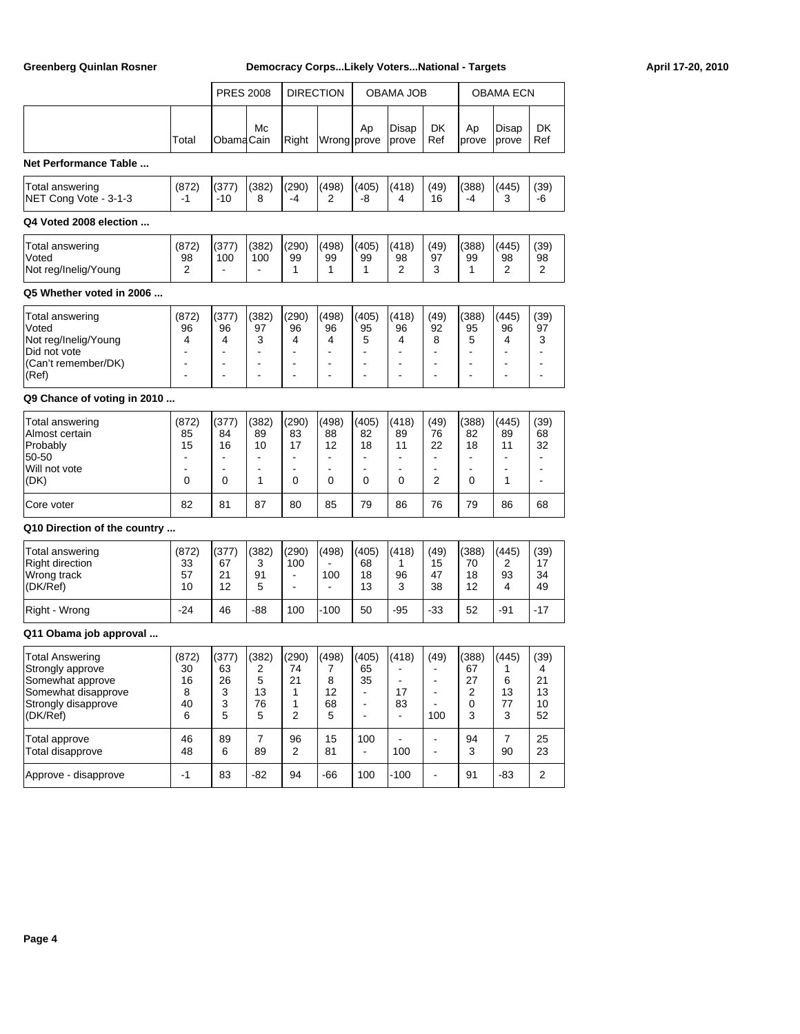| <b>PRES 2008</b><br><b>DIRECTION</b><br>OBAMA JOB<br>Mc<br>Ap<br>Disap<br>Right<br>Wrong prove<br>Total<br>ObamaCain<br>prove<br>Net Performance Table<br>(382)<br>(290)<br>(498)<br>(418)<br>(872)<br>(377)<br>(405)<br>Total answering<br>NET Cong Vote - 3-1-3<br>-1<br>-10<br>8<br>-4<br>-8<br>2<br>4<br>Q4 Voted 2008 election                                                                                                                                | DK<br>Ref<br>(49)<br>16                                 | Ap<br>prove                                    | OBAMA ECN<br>Disap<br>prove      | DK<br>Ref                                                                       |
|--------------------------------------------------------------------------------------------------------------------------------------------------------------------------------------------------------------------------------------------------------------------------------------------------------------------------------------------------------------------------------------------------------------------------------------------------------------------|---------------------------------------------------------|------------------------------------------------|----------------------------------|---------------------------------------------------------------------------------|
|                                                                                                                                                                                                                                                                                                                                                                                                                                                                    |                                                         |                                                |                                  |                                                                                 |
|                                                                                                                                                                                                                                                                                                                                                                                                                                                                    |                                                         |                                                |                                  |                                                                                 |
|                                                                                                                                                                                                                                                                                                                                                                                                                                                                    |                                                         |                                                |                                  |                                                                                 |
|                                                                                                                                                                                                                                                                                                                                                                                                                                                                    |                                                         | (388)<br>-4                                    | (445)<br>3                       | (39)<br>-6                                                                      |
|                                                                                                                                                                                                                                                                                                                                                                                                                                                                    |                                                         |                                                |                                  |                                                                                 |
| (377)<br>(382)<br>(290)<br>(498)<br>(418)<br>Total answering<br>(872)<br>(405)<br>Voted<br>98<br>100<br>100<br>99<br>99<br>98<br>99<br>Not reg/Inelig/Young<br>2<br>1<br>1<br>2<br>1                                                                                                                                                                                                                                                                               | (49)<br>97<br>3                                         | (388)<br>99<br>1                               | (445)<br>98<br>2                 | (39)<br>98<br>2                                                                 |
| Q5 Whether voted in 2006                                                                                                                                                                                                                                                                                                                                                                                                                                           |                                                         |                                                |                                  |                                                                                 |
| (382)<br>(290)<br>(498)<br>(418)<br>Total answering<br>(872)<br>(377)<br>(405)<br>Voted<br>96<br>96<br>97<br>96<br>95<br>96<br>96<br>Not reg/Inelig/Young<br>3<br>4<br>4<br>4<br>4<br>5<br>4<br>Did not vote<br>L,<br>$\blacksquare$<br>(Can't remember/DK)<br>ä,<br>$\overline{\phantom{a}}$<br>$\overline{\phantom{a}}$<br>$\overline{\phantom{a}}$<br>$\blacksquare$<br>ä,<br>Ē,<br>(Ref)<br>L,<br>L,<br>$\blacksquare$<br>L,<br>$\overline{\phantom{a}}$<br>L, | (49)<br>92<br>8<br>$\blacksquare$<br>ä,                 | (388)<br>95<br>5<br>÷,<br>$\overline{a}$<br>L, | (445)<br>96<br>4                 | (39)<br>97<br>3<br>$\blacksquare$<br>$\overline{\phantom{a}}$<br>$\overline{a}$ |
| Q9 Chance of voting in 2010                                                                                                                                                                                                                                                                                                                                                                                                                                        |                                                         |                                                |                                  |                                                                                 |
| (418)<br>(377)<br>(382)<br>(290)<br>(498)<br>(405)<br>Total answering<br>(872)<br>Almost certain<br>85<br>84<br>89<br>83<br>88<br>82<br>89<br>15<br>17<br>11<br>Probably<br>16<br>10<br>12<br>18<br>50-50<br>$\blacksquare$<br>ä,<br>$\blacksquare$<br>Will not vote<br>$\overline{\phantom{a}}$<br>L,<br>$\overline{\phantom{a}}$<br>$\overline{\phantom{a}}$<br>ä,<br>(DK)<br>0<br>0<br>1<br>0<br>0<br>0<br>0                                                    | (49)<br>76<br>22<br>÷.<br>$\overline{\phantom{a}}$<br>2 | (388)<br>82<br>18<br>ä,<br>ä,<br>0             | (445)<br>89<br>11<br>1           | (39)<br>68<br>32<br>$\blacksquare$<br>$\overline{a}$<br>$\overline{a}$          |
| 82<br>81<br>87<br>85<br>79<br>80<br>86<br>Core voter                                                                                                                                                                                                                                                                                                                                                                                                               | 76                                                      | 79                                             | 86                               | 68                                                                              |
| Q10 Direction of the country                                                                                                                                                                                                                                                                                                                                                                                                                                       |                                                         |                                                |                                  |                                                                                 |
| (418)<br>(377)<br>(382)<br>(290)<br>(498)<br>(405)<br>Total answering<br>(872)<br><b>Right direction</b><br>33<br>67<br>3<br>100<br>68<br>1<br>Wrong track<br>57<br>21<br>91<br>100<br>18<br>96<br>$\overline{\phantom{a}}$<br>(DK/Ref)<br>5<br>13<br>3<br>10<br>12<br>$\blacksquare$                                                                                                                                                                              | (49)<br>15<br>47<br>38                                  | (388)<br>70<br>18<br>12                        | (445)<br>2<br>93<br>4            | (39)<br>17<br>34<br>49                                                          |
| $-24$<br>46<br>-88<br>100<br>-100<br>50<br>-95<br>Right - Wrong                                                                                                                                                                                                                                                                                                                                                                                                    | -33                                                     | 52                                             | -91                              | -17                                                                             |
| Q11 Obama job approval                                                                                                                                                                                                                                                                                                                                                                                                                                             |                                                         |                                                |                                  |                                                                                 |
| $(498)$ $(405)$<br>(418)<br>(872)<br>(377)<br>(382)<br>(290)<br><b>Total Answering</b><br>30<br>Strongly approve<br>63<br>2<br>74<br>7<br>65<br>Somewhat approve<br>16<br>26<br>5<br>21<br>8<br>35<br>$\overline{\phantom{a}}$<br>Somewhat disapprove<br>8<br>3<br>12<br>13<br>1<br>17<br>$\sim$<br>40<br>3<br>76<br>1<br>68<br>Strongly disapprove<br>83<br>$\blacksquare$<br>(DK/Ref)<br>5<br>2<br>5<br>6<br>5<br>$\blacksquare$<br>$\blacksquare$               | (49)<br>$\blacksquare$<br>$\blacksquare$<br>100         | (388)<br>67<br>27<br>$\overline{2}$<br>0<br>3  | (445)<br>1<br>6<br>13<br>77<br>3 | (39)<br>4<br>21<br>13<br>10<br>52                                               |
| 89<br>$\overline{7}$<br>96<br>Total approve<br>46<br>15<br>100<br>89<br>Total disapprove<br>48<br>6<br>$\overline{2}$<br>81<br>100                                                                                                                                                                                                                                                                                                                                 | $\blacksquare$<br>$\blacksquare$                        | 94<br>3                                        | 7<br>90                          | 25<br>23                                                                        |
| $-1$<br>94<br>$-100$<br>Approve - disapprove<br>83<br>-82<br>100<br>-66                                                                                                                                                                                                                                                                                                                                                                                            | $\blacksquare$                                          | 91                                             | $-83$                            | $\overline{a}$                                                                  |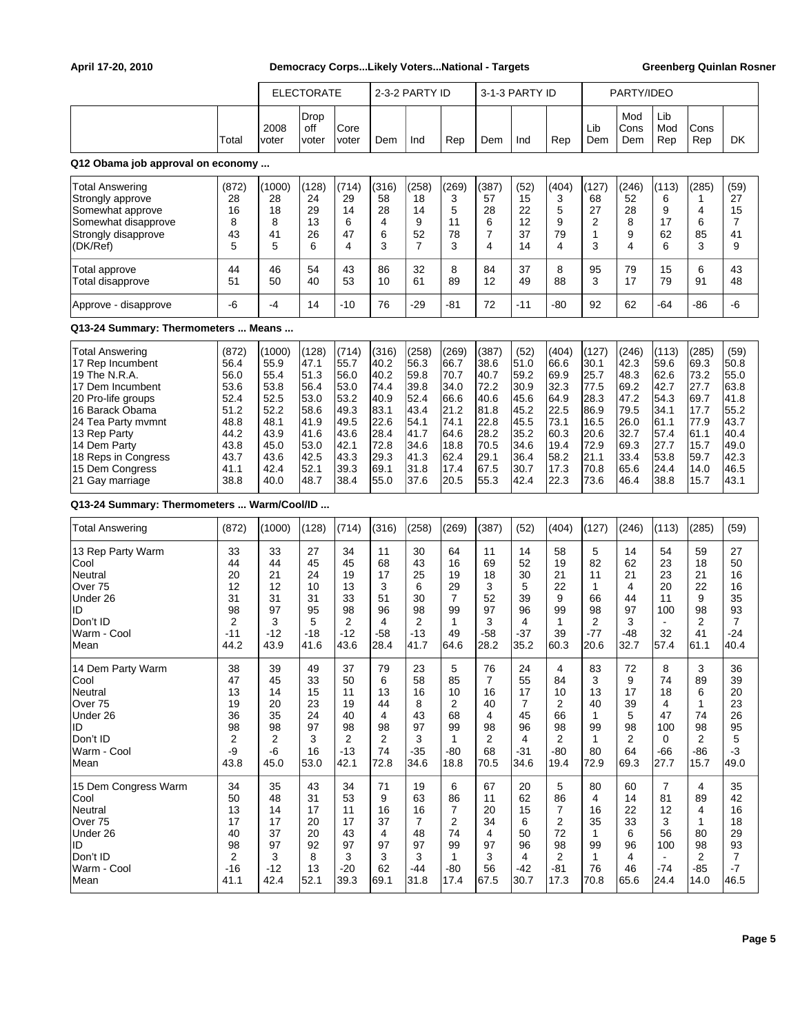|                                                                                                                                                                                                                                             |                                                                                               |                                                                                                | <b>ELECTORATE</b>                                                                             |                                                                                               |                                                                                               | 2-3-2 PARTY ID                                                                                |                                                                                               |                                                                                               | 3-1-3 PARTY ID                                                                               |                                                                                               |                                                                                               | PARTY/IDEO                                                                                    |                                                                                               |                                                                                               |                                                                                              |
|---------------------------------------------------------------------------------------------------------------------------------------------------------------------------------------------------------------------------------------------|-----------------------------------------------------------------------------------------------|------------------------------------------------------------------------------------------------|-----------------------------------------------------------------------------------------------|-----------------------------------------------------------------------------------------------|-----------------------------------------------------------------------------------------------|-----------------------------------------------------------------------------------------------|-----------------------------------------------------------------------------------------------|-----------------------------------------------------------------------------------------------|----------------------------------------------------------------------------------------------|-----------------------------------------------------------------------------------------------|-----------------------------------------------------------------------------------------------|-----------------------------------------------------------------------------------------------|-----------------------------------------------------------------------------------------------|-----------------------------------------------------------------------------------------------|----------------------------------------------------------------------------------------------|
|                                                                                                                                                                                                                                             | Total                                                                                         | 2008<br>voter                                                                                  | Drop<br>off<br>voter                                                                          | Core<br>voter                                                                                 | Dem                                                                                           | Ind                                                                                           | Rep                                                                                           | Dem                                                                                           | Ind                                                                                          | Rep                                                                                           | Lib<br>Dem                                                                                    | Mod<br>Cons<br>Dem                                                                            | Lib<br>Mod<br>Rep                                                                             | Cons<br>Rep                                                                                   | <b>DK</b>                                                                                    |
| Q12 Obama job approval on economy                                                                                                                                                                                                           |                                                                                               |                                                                                                |                                                                                               |                                                                                               |                                                                                               |                                                                                               |                                                                                               |                                                                                               |                                                                                              |                                                                                               |                                                                                               |                                                                                               |                                                                                               |                                                                                               |                                                                                              |
| <b>Total Answering</b><br>Strongly approve<br>Somewhat approve<br>Somewhat disapprove<br>Strongly disapprove<br>(DK/Ref)                                                                                                                    | (872)<br>28<br>16<br>8<br>43<br>5                                                             | (1000)<br>28<br>18<br>8<br>41<br>5                                                             | (128)<br>24<br>29<br>13<br>26<br>6                                                            | (714)<br>29<br>14<br>6<br>47<br>4                                                             | (316)<br>58<br>28<br>4<br>6<br>3                                                              | (258)<br>18<br>14<br>9<br>52<br>$\overline{7}$                                                | (269)<br>3<br>5<br>11<br>78<br>3                                                              | (387)<br>57<br>28<br>6<br>$\overline{7}$<br>4                                                 | (52)<br>15<br>22<br>12<br>37<br>14                                                           | (404)<br>3<br>5<br>9<br>79<br>4                                                               | (127)<br>68<br>27<br>2<br>1<br>3                                                              | (246)<br>52<br>28<br>8<br>9<br>4                                                              | (113)<br>6<br>9<br>17<br>62<br>6                                                              | (285)<br>1<br>4<br>6<br>85<br>3                                                               | (59)<br>27<br>15<br>7<br>41<br>9                                                             |
| <b>Total approve</b><br>Total disapprove                                                                                                                                                                                                    | 44<br>51                                                                                      | 46<br>50                                                                                       | 54<br>40                                                                                      | 43<br>53                                                                                      | 86<br>10                                                                                      | 32<br>61                                                                                      | 8<br>89                                                                                       | 84<br>12                                                                                      | 37<br>49                                                                                     | 8<br>88                                                                                       | 95<br>3                                                                                       | 79<br>17                                                                                      | 15<br>79                                                                                      | 6<br>91                                                                                       | 43<br>48                                                                                     |
| Approve - disapprove                                                                                                                                                                                                                        | -6                                                                                            | $-4$                                                                                           | 14                                                                                            | $-10$                                                                                         | 76                                                                                            | $-29$                                                                                         | -81                                                                                           | 72                                                                                            | $-11$                                                                                        | -80                                                                                           | 92                                                                                            | 62                                                                                            | -64                                                                                           | -86                                                                                           | -6                                                                                           |
| Q13-24 Summary: Thermometers  Means                                                                                                                                                                                                         |                                                                                               |                                                                                                |                                                                                               |                                                                                               |                                                                                               |                                                                                               |                                                                                               |                                                                                               |                                                                                              |                                                                                               |                                                                                               |                                                                                               |                                                                                               |                                                                                               |                                                                                              |
| <b>Total Answering</b><br>17 Rep Incumbent<br>19 The N.R.A.<br>17 Dem Incumbent<br>20 Pro-life groups<br>16 Barack Obama<br>24 Tea Party mymnt<br>13 Rep Party<br>14 Dem Party<br>18 Reps in Congress<br>15 Dem Congress<br>21 Gay marriage | (872)<br>56.4<br>56.0<br>53.6<br>52.4<br>51.2<br>48.8<br>44.2<br>43.8<br>43.7<br>41.1<br>38.8 | (1000)<br>55.9<br>55.4<br>53.8<br>52.5<br>52.2<br>48.1<br>43.9<br>45.0<br>43.6<br>42.4<br>40.0 | (128)<br>47.1<br>51.3<br>56.4<br>53.0<br>58.6<br>41.9<br>41.6<br>53.0<br>42.5<br>52.1<br>48.7 | (714)<br>55.7<br>56.0<br>53.0<br>53.2<br>49.3<br>49.5<br>43.6<br>42.1<br>43.3<br>39.3<br>38.4 | (316)<br>40.2<br>40.2<br>74.4<br>40.9<br>83.1<br>22.6<br>28.4<br>72.8<br>29.3<br>69.1<br>55.0 | (258)<br>56.3<br>59.8<br>39.8<br>52.4<br>43.4<br>54.1<br>41.7<br>34.6<br>41.3<br>31.8<br>37.6 | (269)<br>66.7<br>70.7<br>34.0<br>66.6<br>21.2<br>74.1<br>64.6<br>18.8<br>62.4<br>17.4<br>20.5 | (387)<br>38.6<br>40.7<br>72.2<br>40.6<br>81.8<br>22.8<br>28.2<br>70.5<br>29.1<br>67.5<br>55.3 | (52)<br>51.0<br>59.2<br>30.9<br>45.6<br>45.2<br>45.5<br>35.2<br>34.6<br>36.4<br>30.7<br>42.4 | (404)<br>66.6<br>69.9<br>32.3<br>64.9<br>22.5<br>73.1<br>60.3<br>19.4<br>58.2<br>17.3<br>22.3 | (127)<br>30.1<br>25.7<br>77.5<br>28.3<br>86.9<br>16.5<br>20.6<br>72.9<br>21.1<br>70.8<br>73.6 | (246)<br>42.3<br>48.3<br>69.2<br>47.2<br>79.5<br>26.0<br>32.7<br>69.3<br>33.4<br>65.6<br>46.4 | (113)<br>59.6<br>62.6<br>42.7<br>54.3<br>34.1<br>61.1<br>57.4<br>27.7<br>53.8<br>24.4<br>38.8 | (285)<br>69.3<br>73.2<br>27.7<br>69.7<br>17.7<br>77.9<br>61.1<br>15.7<br>59.7<br>14.0<br>15.7 | (59)<br>50.8<br>55.0<br>63.8<br>41.8<br>55.2<br>43.7<br>40.4<br>49.0<br>42.3<br>46.5<br>43.1 |
| Q13-24 Summary: Thermometers  Warm/Cool/ID                                                                                                                                                                                                  |                                                                                               |                                                                                                |                                                                                               |                                                                                               |                                                                                               |                                                                                               |                                                                                               |                                                                                               |                                                                                              |                                                                                               |                                                                                               |                                                                                               |                                                                                               |                                                                                               |                                                                                              |
| Total Answering                                                                                                                                                                                                                             | (872)                                                                                         | (1000)                                                                                         | (128)                                                                                         | (714)                                                                                         | (316)                                                                                         | (258)                                                                                         | (269)                                                                                         | (387)                                                                                         | (52)                                                                                         | (404)                                                                                         | (127)                                                                                         | (246)                                                                                         | (113)                                                                                         | (285)                                                                                         | (59)                                                                                         |
| 13 Rep Party Warm<br>Cool<br>Neutral<br>Over 75<br>Under 26<br>ID<br>Don't ID<br>Warm - Cool<br>lMean                                                                                                                                       | 33<br>44<br>20<br>12<br>31<br>98<br>$\overline{c}$<br>$-11$<br>44.2                           | 33<br>44<br>21<br>12<br>31<br>97<br>3<br>$-12$<br>43.9                                         | 27<br>45<br>24<br>10<br>31<br>95<br>5<br>$-18$<br>41.6                                        | 34<br>45<br>19<br>13<br>33<br>98<br>$\overline{2}$<br>$-12$<br>43.6                           | 11<br>68<br>17<br>3<br>51<br>96<br>4<br>-58<br>28.4                                           | 30<br>43<br>25<br>6<br>30<br>98<br>2<br>$-13$<br>41.7                                         | 64<br>16<br>19<br>29<br>$\overline{7}$<br>99<br>$\mathbf{1}$<br>49<br>64.6                    | 11<br>69<br>18<br>3<br>52<br>97<br>3<br>$-58$<br>28.2                                         | 14<br>52<br>30<br>5<br>39<br>96<br>4<br>-37<br>35.2                                          | 58<br>19<br>21<br>22<br>9<br>99<br>$\mathbf{1}$<br>39<br>60.3                                 | 5<br>82<br>11<br>1<br>66<br>98<br>2<br>$-77$<br>20.6                                          | 14<br>62<br>21<br>4<br>44<br>97<br>3<br>-48<br>32.7                                           | 54<br>23<br>23<br>20<br>11<br>100<br>$\blacksquare$<br>32<br>57.4                             | 59<br>18<br>21<br>22<br>9<br>98<br>2<br>41<br>61.1                                            | 27<br>50<br>16<br>16<br>35<br>93<br>$\overline{7}$<br>$-24$<br>40.4                          |
| 14 Dem Party Warm<br>Cool<br>Neutral<br>Over 75<br>Under 26<br>ID.<br>Don't ID<br>Warm - Cool<br> Mean                                                                                                                                      | 38<br>47<br>13<br>19<br>36<br>98<br>$\overline{2}$<br>-9<br>43.8                              | 39<br>45<br>14<br>20<br>35<br>98<br>$\overline{2}$<br>-6<br>45.0                               | 49<br>33<br>15<br>23<br>24<br>97<br>3<br>16<br>53.0                                           | 37<br>50<br>11<br>19<br>40<br>98<br>$\overline{2}$<br>$-13$<br>42.1                           | 79<br>6<br>13<br>44<br>4<br>98<br>2<br>74<br>72.8                                             | 23<br>58<br>16<br>8<br>43<br>97<br>3<br>$-35$<br>34.6                                         | 5<br>85<br>10<br>2<br>68<br>99<br>$\mathbf{1}$<br>-80<br>18.8                                 | 76<br>$\overline{7}$<br>16<br>40<br>4<br>98<br>2<br>68<br>70.5                                | 24<br>55<br>17<br>$\overline{7}$<br>45<br>96<br>4<br>$-31$<br>34.6                           | 4<br>84<br>10<br>2<br>66<br>98<br>2<br>$-80$<br>19.4                                          | 83<br>3<br>13<br>40<br>1<br>99<br>$\mathbf 1$<br>80<br>72.9                                   | 72<br>9<br>17<br>39<br>5<br>98<br>2<br>64<br>69.3                                             | 8<br>74<br>18<br>4<br>47<br>100<br>0<br>-66<br>27.7                                           | 3<br>89<br>6<br>$\mathbf{1}$<br>74<br>98<br>2<br>$-86$<br>15.7                                | 36<br>39<br>20<br>23<br>26<br>95<br>5<br>$-3$<br>49.0                                        |
| 15 Dem Congress Warm<br>Cool<br>Neutral<br>Over <sub>75</sub><br>Under 26<br>ID.<br>Don't ID<br>Warm - Cool<br> Mean                                                                                                                        | 34<br>50<br>13<br>17<br>40<br>98<br>$\overline{2}$<br>$-16$<br>41.1                           | 35<br>48<br>14<br>17<br>37<br>97<br>3<br>$-12$<br>42.4                                         | 43<br>31<br>17<br>20<br>20<br>92<br>8<br>13<br>52.1                                           | 34<br>53<br>11<br>17<br>43<br>97<br>3<br>$-20$<br>39.3                                        | 71<br>9<br>16<br>37<br>4<br>97<br>3<br>62<br>69.1                                             | 19<br>63<br>16<br>7<br>48<br>97<br>3<br>$-44$<br>31.8                                         | 6<br>86<br>$\overline{7}$<br>2<br>74<br>99<br>$\mathbf{1}$<br>-80<br>17.4                     | 67<br>11<br>20<br>34<br>4<br>97<br>3<br>56<br>67.5                                            | 20<br>62<br>15<br>6<br>50<br>96<br>4<br>$-42$<br>30.7                                        | 5<br>86<br>$\overline{7}$<br>2<br>72<br>98<br>2<br>-81<br>17.3                                | 80<br>4<br>16<br>35<br>1<br>99<br>$\mathbf{1}$<br>76<br>70.8                                  | 60<br>14<br>22<br>33<br>6<br>96<br>4<br>46<br>65.6                                            | $\overline{7}$<br>81<br>12<br>3<br>56<br>100<br>$\blacksquare$<br>$-74$<br>24.4               | 4<br>89<br>4<br>1<br>80<br>98<br>2<br>$-85$<br>14.0                                           | 35<br>42<br>16<br>18<br>29<br>93<br>$\overline{7}$<br>$-7$<br>46.5                           |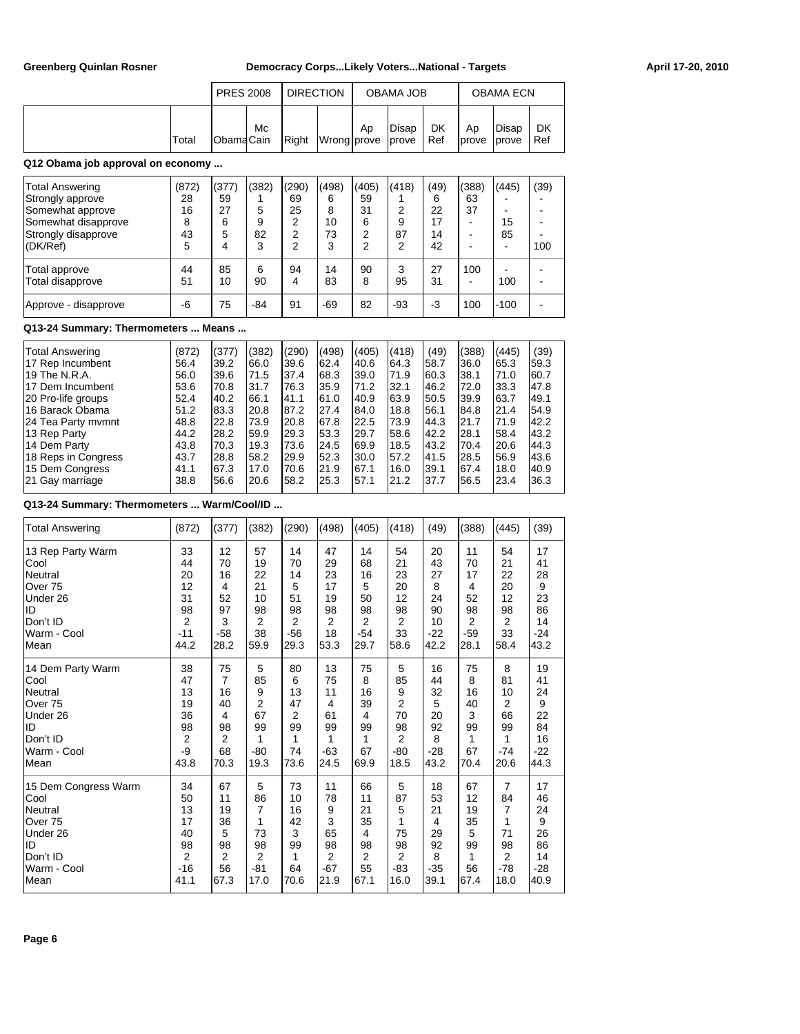|       | <b>PRES 2008</b>  |    | <b>DIRECTION</b> |                   |    | OBAMA JOB |           |              | <b>OBAMA ECN</b>        |           |
|-------|-------------------|----|------------------|-------------------|----|-----------|-----------|--------------|-------------------------|-----------|
| Total | <b>IObamaCain</b> | Мc | Right            | Wrong prove prove | Ap | Disap     | DK<br>Ref | Ap<br>Iprove | Disap<br><b>l</b> prove | DK<br>Ref |

## **Q12 Obama job approval on economy ...**

| Total Answering<br>Strongly approve<br>Somewhat approve<br>Somewhat disapprove<br>Strongly disapprove<br>(DK/Ref) | (872)<br>28<br>16<br>8<br>43<br>5 | (377)<br>59<br>27<br>6<br>5 | (382)<br>5<br>9<br>82<br>3 | (290)<br>69<br>25<br>2<br>2<br>2 | (498)<br>6<br>8<br>10<br>73<br>3 | (405)<br>59<br>31<br>6<br>2<br>2 | (418)<br>2<br>9<br>87<br>2 | (49)<br>6<br>22<br>17<br>14<br>42 | (388)<br>63<br>37 | (445)<br>15<br>85 | (39)<br>100 |
|-------------------------------------------------------------------------------------------------------------------|-----------------------------------|-----------------------------|----------------------------|----------------------------------|----------------------------------|----------------------------------|----------------------------|-----------------------------------|-------------------|-------------------|-------------|
| Total approve<br>Total disapprove<br>Approve - disapprove                                                         | 44<br>51<br>-6                    | 85<br>10<br>75              | 6<br>90<br>-84             | 94<br>4<br>91                    | 14<br>83<br>$-69$                | 90<br>8<br>82                    | 3<br>95<br>-93             | 27<br>31<br>-3                    | 100<br>100        | -<br>100<br>-100  |             |

## **Q13-24 Summary: Thermometers ... Means ...**

| Total Answering     | (872) | (377) | (382) | (290) | (498) | (405) | (418) | (49) | (388) | (445) | (39) |
|---------------------|-------|-------|-------|-------|-------|-------|-------|------|-------|-------|------|
| 17 Rep Incumbent    | 56.4  | 39.2  | 166.0 | I39.6 | 62.4  | 40.6  | 64.3  | 58.7 | l36.0 | 65.3  | 59.3 |
| 19 The N.R.A.       | 56.0  | l39.6 | 71.5  | 137.4 | 68.3  | 39.0  | 71.9  | 60.3 | 38.1  | 71.0  | 60.7 |
| 117 Dem Incumbent   | 53.6  | 70.8  | 31.7  | 176.3 | 35.9  | 71.2  | 32.1  | 46.2 | 72.0  | 33.3  | 47.8 |
| 20 Pro-life groups  | 52.4  | 40.2  | 66.1  | 141.1 | 61.0  | 40.9  | 63.9  | 50.5 | 39.9  | 163.7 | 49.1 |
| 116 Barack Obama    | 51.2  | 83.3  | 20.8  | 187.2 | 27.4  | 184.0 | 18.8  | 56.1 | 84.8  | 21.4  | 54.9 |
| 24 Tea Party mymnt  | 48.8  | 22.8  | 73.9  | 120.8 | 67.8  | 22.5  | 73.9  | 44.3 | 21.7  | 71.9  | 42.2 |
| 13 Rep Party        | 44.2  | 28.2  | 59.9  | I29.3 | 53.3  | 29.7  | 58.6  | 42.2 | 28.1  | 58.4  | 43.2 |
| 14 Dem Party        | 43.8  | 170.3 | 19.3  | 173.6 | 24.5  | 169.9 | 18.5  | 43.2 | 70.4  | 20.6  | 44.3 |
| 18 Reps in Congress | 43.7  | 28.8  | 58.2  | I29.9 | 52.3  | 30.0  | 57.2  | 41.5 | 28.5  | 56.9  | 43.6 |
| 15 Dem Congress     | 41.1  | 67.3  | 17.0  | 170.6 | 21.9  | 67.1  | 16.0  | 39.1 | 67.4  | 18.0  | 40.9 |
| 21 Gay marriage     | 38.8  | 56.6  | 20.6  | 58.2  | 25.3  | 57.1  | 21.2  | 37.7 | 56.5  | 23.4  | 36.3 |

## **Q13-24 Summary: Thermometers ... Warm/Cool/ID ...**

| Total Answering      | (872) | (377)          | (382) | (290)          | (498)          | (405)          | (418) | (49)           | (388) | (445)          | (39)  |
|----------------------|-------|----------------|-------|----------------|----------------|----------------|-------|----------------|-------|----------------|-------|
| 13 Rep Party Warm    | 33    | 12             | 57    | 14             | 47             | 14             | 54    | 20             | 11    | 54             | 17    |
| Cool                 | 44    | 70             | 19    | 70             | 29             | 68             | 21    | 43             | 70    | 21             | 41    |
| Neutral              | 20    | 16             | 22    | 14             | 23             | 16             | 23    | 27             | 17    | 22             | 28    |
| Over 75              | 12    | 4              | 21    | 5              | 17             | 5              | 20    | 8              | 4     | 20             | 9     |
| Under 26             | 31    | 52             | 10    | 51             | 19             | 50             | 12    | 24             | 52    | 12             | 23    |
| ID                   | 98    | 97             | 98    | 98             | 98             | 98             | 98    | 90             | 98    | 98             | 86    |
| Don't ID             | 2     | 3              | 2     | 2              | 2              | $\overline{2}$ | 2     | 10             | 2     | 2              | 14    |
| Warm - Cool          | $-11$ | $-58$          | 38    | $-56$          | 18             | $-54$          | 33    | $-22$          | $-59$ | 33             | $-24$ |
| Mean                 | 44.2  | 28.2           | 59.9  | 29.3           | 53.3           | 29.7           | 58.6  | 42.2           | 28.1  | 58.4           | 43.2  |
| 14 Dem Party Warm    | 38    | 75             | 5     | 80             | 13             | 75             | 5     | 16             | 75    | 8              | 19    |
| Cool                 | 47    | 7              | 85    | 6              | 75             | 8              | 85    | 44             | 8     | 81             | 41    |
| Neutral              | 13    | 16             | 9     | 13             | 11             | 16             | 9     | 32             | 16    | 10             | 24    |
| Over <sub>75</sub>   | 19    | 40             | 2     | 47             | 4              | 39             | 2     | 5              | 40    | 2              | 9     |
| Under 26             | 36    | 4              | 67    | $\overline{2}$ | 61             | $\overline{4}$ | 70    | 20             | 3     | 66             | 22    |
| ID                   | 98    | 98             | 99    | 99             | 99             | 99             | 98    | 92             | 99    | 99             | 84    |
| Don't ID             | 2     | 2              | 1     | 1              | 1              | 1              | 2     | 8              | 1     | 1              | 16    |
| Warm - Cool          | -9    | 68             | $-80$ | 74             | $-63$          | 67             | $-80$ | $-28$          | 67    | $-74$          | $-22$ |
| Mean                 | 43.8  | 70.3           | 19.3  | 73.6           | 24.5           | 69.9           | 18.5  | 43.2           | 70.4  | 20.6           | 44.3  |
| 15 Dem Congress Warm | 34    | 67             | 5     | 73             | 11             | 66             | 5     | 18             | 67    | $\overline{7}$ | 17    |
| Cool                 | 50    | 11             | 86    | 10             | 78             | 11             | 87    | 53             | 12    | 84             | 46    |
| Neutral              | 13    | 19             | 7     | 16             | 9              | 21             | 5     | 21             | 19    | 7              | 24    |
| Over <sub>75</sub>   | 17    | 36             | 1     | 42             | 3              | 35             | 1     | $\overline{4}$ | 35    | 1              | 9     |
| Under 26             | 40    | 5              | 73    | 3              | 65             | 4              | 75    | 29             | 5     | 71             | 26    |
| ID                   | 98    | 98             | 98    | 99             | 98             | 98             | 98    | 92             | 99    | 98             | 86    |
| Don't ID             | 2     | $\overline{2}$ | 2     | 1              | $\overline{2}$ | $\overline{2}$ | 2     | 8              | 1     | 2              | 14    |
| Warm - Cool          | $-16$ | 56             | $-81$ | 64             | $-67$          | 55             | $-83$ | $-35$          | 56    | $-78$          | $-28$ |
| Mean                 | 41.1  | 67.3           | 17.0  | 70.6           | 21.9           | 67.1           | 16.0  | 39.1           | 67.4  | 18.0           | 40.9  |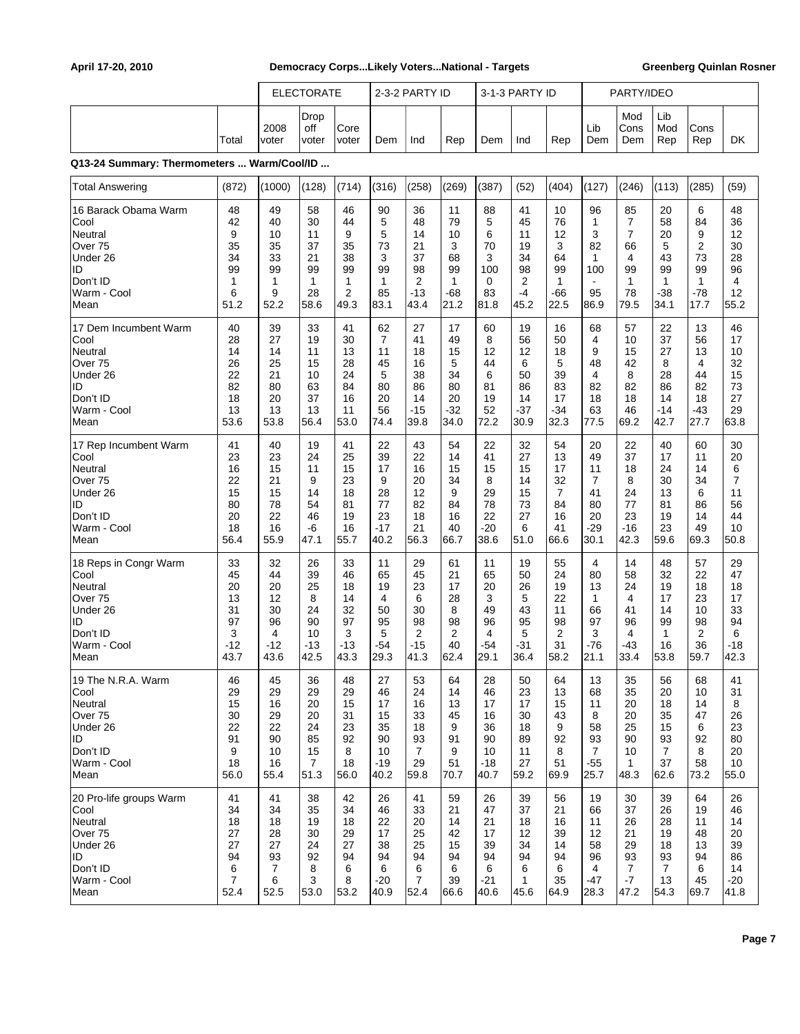|                                                                                                         |                                                   | <b>ELECTORATE</b>                                  |                                                     |                                                                | 2-3-2 PARTY ID                                   |                                                                     |                                                                | 3-1-3 PARTY ID                                    |                                                       |                                                                | PARTY/IDEO                                                         |                                                               |                                                                  |                                                                             |                                                     |
|---------------------------------------------------------------------------------------------------------|---------------------------------------------------|----------------------------------------------------|-----------------------------------------------------|----------------------------------------------------------------|--------------------------------------------------|---------------------------------------------------------------------|----------------------------------------------------------------|---------------------------------------------------|-------------------------------------------------------|----------------------------------------------------------------|--------------------------------------------------------------------|---------------------------------------------------------------|------------------------------------------------------------------|-----------------------------------------------------------------------------|-----------------------------------------------------|
|                                                                                                         | Total                                             | 2008<br>voter                                      | Drop<br>off<br>voter                                | Core<br>voter                                                  | Dem                                              | Ind                                                                 | Rep                                                            | Dem                                               | Ind                                                   | Rep                                                            | Lib<br>Dem                                                         | Mod<br>Cons<br>Dem                                            | Lib<br>Mod<br>Rep                                                | Cons<br>Rep                                                                 | DK                                                  |
| Q13-24 Summary: Thermometers  Warm/Cool/ID                                                              |                                                   |                                                    |                                                     |                                                                |                                                  |                                                                     |                                                                |                                                   |                                                       |                                                                |                                                                    |                                                               |                                                                  |                                                                             |                                                     |
| <b>Total Answering</b>                                                                                  | (872)                                             | (1000)                                             | (128)                                               | (714)                                                          | (316)                                            | (258)                                                               | (269)                                                          | (387)                                             | (52)                                                  | (404)                                                          | (127)                                                              | (246)                                                         | (113)                                                            | (285)                                                                       | (59)                                                |
| 16 Barack Obama Warm<br>Cool<br>Neutral<br>Over 75<br>Under 26<br>ID<br>Don't ID<br>Warm - Cool<br>Mean | 48<br>42<br>9<br>35<br>34<br>99<br>1<br>6<br>51.2 | 49<br>40<br>10<br>35<br>33<br>99<br>1<br>9<br>52.2 | 58<br>30<br>11<br>37<br>21<br>99<br>1<br>28<br>58.6 | 46<br>44<br>9<br>35<br>38<br>99<br>1<br>$\overline{2}$<br>49.3 | 90<br>5<br>5<br>73<br>3<br>99<br>1<br>85<br>83.1 | 36<br>48<br>14<br>21<br>37<br>98<br>$\overline{2}$<br>$-13$<br>43.4 | 11<br>79<br>10<br>3<br>68<br>99<br>$\mathbf{1}$<br>-68<br>21.2 | 88<br>5<br>6<br>70<br>3<br>100<br>0<br>83<br>81.8 | 41<br>45<br>11<br>19<br>34<br>98<br>2<br>$-4$<br>45.2 | 10<br>76<br>12<br>3<br>64<br>99<br>$\mathbf{1}$<br>-66<br>22.5 | 96<br>$\mathbf{1}$<br>3<br>82<br>$\mathbf{1}$<br>100<br>95<br>86.9 | 85<br>$\overline{7}$<br>7<br>66<br>4<br>99<br>1<br>78<br>79.5 | 20<br>58<br>20<br>5<br>43<br>99<br>$\mathbf{1}$<br>$-38$<br>34.1 | 6<br>84<br>9<br>$\overline{2}$<br>73<br>99<br>$\mathbf{1}$<br>$-78$<br>17.7 | 48<br>36<br>12<br>30<br>28<br>96<br>4<br>12<br>55.2 |
| 17 Dem Incumbent Warm                                                                                   | 40                                                | 39                                                 | 33                                                  | 41                                                             | 62                                               | 27                                                                  | 17                                                             | 60                                                | 19                                                    | 16                                                             | 68                                                                 | 57                                                            | 22                                                               | 13                                                                          | 46                                                  |
| Cool                                                                                                    | 28                                                | 27                                                 | 19                                                  | 30                                                             | $\overline{7}$                                   | 41                                                                  | 49                                                             | 8                                                 | 56                                                    | 50                                                             | 4                                                                  | 10                                                            | 37                                                               | 56                                                                          | 17                                                  |
| Neutral                                                                                                 | 14                                                | 14                                                 | 11                                                  | 13                                                             | 11                                               | 18                                                                  | 15                                                             | 12                                                | 12                                                    | 18                                                             | 9                                                                  | 15                                                            | 27                                                               | 13                                                                          | 10                                                  |
| Over <sub>75</sub>                                                                                      | 26                                                | 25                                                 | 15                                                  | 28                                                             | 45                                               | 16                                                                  | 5                                                              | 44                                                | 6                                                     | 5                                                              | 48                                                                 | 42                                                            | 8                                                                | $\overline{4}$                                                              | 32                                                  |
| Under 26                                                                                                | 22                                                | 21                                                 | 10                                                  | 24                                                             | 5                                                | 38                                                                  | 34                                                             | 6                                                 | 50                                                    | 39                                                             | 4                                                                  | 8                                                             | 28                                                               | 44                                                                          | 15                                                  |
| ID                                                                                                      | 82                                                | 80                                                 | 63                                                  | 84                                                             | 80                                               | 86                                                                  | 80                                                             | 81                                                | 86                                                    | 83                                                             | 82                                                                 | 82                                                            | 86                                                               | 82                                                                          | 73                                                  |
| Don't ID                                                                                                | 18                                                | 20                                                 | 37                                                  | 16                                                             | 20                                               | 14                                                                  | 20                                                             | 19                                                | 14                                                    | 17                                                             | 18                                                                 | 18                                                            | 14                                                               | 18                                                                          | 27                                                  |
| Warm - Cool                                                                                             | 13                                                | 13                                                 | 13                                                  | 11                                                             | 56                                               | $-15$                                                               | -32                                                            | 52                                                | -37                                                   | -34                                                            | 63                                                                 | 46                                                            | $-14$                                                            | -43                                                                         | 29                                                  |
| Mean                                                                                                    | 53.6                                              | 53.8                                               | 56.4                                                | 53.0                                                           | 74.4                                             | 39.8                                                                | 34.0                                                           | 72.2                                              | 30.9                                                  | 32.3                                                           | 77.5                                                               | 69.2                                                          | 42.7                                                             | 27.7                                                                        | 63.8                                                |
| 17 Rep Incumbent Warm                                                                                   | 41                                                | 40                                                 | 19                                                  | 41                                                             | 22                                               | 43                                                                  | 54                                                             | 22                                                | 32                                                    | 54                                                             | 20                                                                 | 22                                                            | 40                                                               | 60                                                                          | 30                                                  |
| Cool                                                                                                    | 23                                                | 23                                                 | 24                                                  | 25                                                             | 39                                               | 22                                                                  | 14                                                             | 41                                                | 27                                                    | 13                                                             | 49                                                                 | 37                                                            | 17                                                               | 11                                                                          | 20                                                  |
| Neutral                                                                                                 | 16                                                | 15                                                 | 11                                                  | 15                                                             | 17                                               | 16                                                                  | 15                                                             | 15                                                | 15                                                    | 17                                                             | 11                                                                 | 18                                                            | 24                                                               | 14                                                                          | 6                                                   |
| Over 75                                                                                                 | 22                                                | 21                                                 | 9                                                   | 23                                                             | 9                                                | 20                                                                  | 34                                                             | 8                                                 | 14                                                    | 32                                                             | 7                                                                  | 8                                                             | 30                                                               | 34                                                                          | 7                                                   |
| Under 26                                                                                                | 15                                                | 15                                                 | 14                                                  | 18                                                             | 28                                               | 12                                                                  | 9                                                              | 29                                                | 15                                                    | $\overline{7}$                                                 | 41                                                                 | 24                                                            | 13                                                               | 6                                                                           | 11                                                  |
| ID                                                                                                      | 80                                                | 78                                                 | 54                                                  | 81                                                             | 77                                               | 82                                                                  | 84                                                             | 78                                                | 73                                                    | 84                                                             | 80                                                                 | 77                                                            | 81                                                               | 86                                                                          | 56                                                  |
| Don't ID                                                                                                | 20                                                | 22                                                 | 46                                                  | 19                                                             | 23                                               | 18                                                                  | 16                                                             | 22                                                | 27                                                    | 16                                                             | 20                                                                 | 23                                                            | 19                                                               | 14                                                                          | 44                                                  |
| Warm - Cool                                                                                             | 18                                                | 16                                                 | -6                                                  | 16                                                             | $-17$                                            | 21                                                                  | 40                                                             | $-20$                                             | 6                                                     | 41                                                             | -29                                                                | -16                                                           | 23                                                               | 49                                                                          | 10                                                  |
| Mean                                                                                                    | 56.4                                              | 55.9                                               | 47.1                                                | 55.7                                                           | 40.2                                             | 56.3                                                                | 66.7                                                           | 38.6                                              | 51.0                                                  | 66.6                                                           | 30.1                                                               | 42.3                                                          | 59.6                                                             | 69.3                                                                        | 50.8                                                |
| 18 Reps in Congr Warm                                                                                   | 33                                                | 32                                                 | 26                                                  | 33                                                             | 11                                               | 29                                                                  | 61                                                             | 11                                                | 19                                                    | 55                                                             | 4                                                                  | 14                                                            | 48                                                               | 57                                                                          | 29                                                  |
| Cool                                                                                                    | 45                                                | 44                                                 | 39                                                  | 46                                                             | 65                                               | 45                                                                  | 21                                                             | 65                                                | 50                                                    | 24                                                             | 80                                                                 | 58                                                            | 32                                                               | 22                                                                          | 47                                                  |
| Neutral                                                                                                 | 20                                                | 20                                                 | 25                                                  | 18                                                             | 19                                               | 23                                                                  | 17                                                             | 20                                                | 26                                                    | 19                                                             | 13                                                                 | 24                                                            | 19                                                               | 18                                                                          | 18                                                  |
| Over 75                                                                                                 | 13                                                | 12                                                 | 8                                                   | 14                                                             | 4                                                | 6                                                                   | 28                                                             | 3                                                 | 5                                                     | 22                                                             | $\mathbf{1}$                                                       | $\overline{4}$                                                | 17                                                               | 23                                                                          | 17                                                  |
| Under 26                                                                                                | 31                                                | 30                                                 | 24                                                  | 32                                                             | 50                                               | 30                                                                  | 8                                                              | 49                                                | 43                                                    | 11                                                             | 66                                                                 | 41                                                            | 14                                                               | 10                                                                          | 33                                                  |
| ID                                                                                                      | 97                                                | 96                                                 | 90                                                  | 97                                                             | 95                                               | 98                                                                  | 98                                                             | 96                                                | 95                                                    | 98                                                             | 97                                                                 | 96                                                            | 99                                                               | 98                                                                          | 94                                                  |
| Don't ID                                                                                                | 3                                                 | 4                                                  | 10                                                  | 3                                                              | 5                                                | $\overline{2}$                                                      | 2                                                              | 4                                                 | 5                                                     | 2                                                              | 3                                                                  | 4                                                             | 1                                                                | $\overline{2}$                                                              | 6                                                   |
| Warm - Cool                                                                                             | -12                                               | $-12$                                              | $-13$                                               | $-13$                                                          | -54                                              | $-15$                                                               | 40                                                             | $-54$                                             | $-31$                                                 | 31                                                             | -76                                                                | $-43$                                                         | 16                                                               | 36                                                                          | $-18$                                               |
| Mean                                                                                                    | 43.7                                              | 43.6                                               | 42.5                                                | 43.3                                                           | 29.3                                             | 41.3                                                                | 62.4                                                           | 29.1                                              | 36.4                                                  | 58.2                                                           | 21.1                                                               | 33.4                                                          | 53.8                                                             | 59.7                                                                        | 42.3                                                |
| 19 The N.R.A. Warm                                                                                      | 46                                                | 45                                                 | 36                                                  | 48                                                             | 27                                               | 53                                                                  | 64                                                             | 28                                                | 50                                                    | 64                                                             | 13                                                                 | 35                                                            | 56                                                               | 68                                                                          | 41                                                  |
| Cool                                                                                                    | 29                                                | 29                                                 | 29                                                  | 29                                                             | 46                                               | 24                                                                  | 14                                                             | 46                                                | 23                                                    | 13                                                             | 68                                                                 | 35                                                            | 20                                                               | 10                                                                          | 31                                                  |
| Neutral                                                                                                 | 15                                                | 16                                                 | 20                                                  | 15                                                             | 17                                               | 16                                                                  | 13                                                             | 17                                                | 17                                                    | 15                                                             | 11                                                                 | 20                                                            | 18                                                               | 14                                                                          | 8                                                   |
| Over 75                                                                                                 | 30                                                | 29                                                 | 20                                                  | 31                                                             | 15                                               | 33                                                                  | 45                                                             | 16                                                | 30                                                    | 43                                                             | 8                                                                  | 20                                                            | 35                                                               | 47                                                                          | 26                                                  |
| Under 26                                                                                                | 22                                                | 22                                                 | 24                                                  | 23                                                             | 35                                               | 18                                                                  | 9                                                              | 36                                                | 18                                                    | 9                                                              | 58                                                                 | 25                                                            | 15                                                               | 6                                                                           | 23                                                  |
| ID                                                                                                      | 91                                                | 90                                                 | 85                                                  | 92                                                             | 90                                               | 93                                                                  | 91                                                             | 90                                                | 89                                                    | 92                                                             | 93                                                                 | 90                                                            | 93                                                               | 92                                                                          | 80                                                  |
| Don't ID                                                                                                | 9                                                 | 10                                                 | 15                                                  | 8                                                              | 10                                               | 7                                                                   | 9                                                              | 10                                                | 11                                                    | 8                                                              | $\overline{7}$                                                     | 10                                                            | $\overline{7}$                                                   | 8                                                                           | 20                                                  |
| Warm - Cool                                                                                             | 18                                                | 16                                                 | $\overline{7}$                                      | 18                                                             | $-19$                                            | 29                                                                  | 51                                                             | -18                                               | 27                                                    | 51                                                             | -55                                                                | $\mathbf{1}$                                                  | 37                                                               | 58                                                                          | 10                                                  |
| Mean                                                                                                    | 56.0                                              | 55.4                                               | 51.3                                                | 56.0                                                           | 40.2                                             | 59.8                                                                | 70.7                                                           | 40.7                                              | 59.2                                                  | 69.9                                                           | 25.7                                                               | 48.3                                                          | 62.6                                                             | 73.2                                                                        | 55.0                                                |
| 20 Pro-life groups Warm                                                                                 | 41                                                | 41                                                 | 38                                                  | 42                                                             | 26                                               | 41                                                                  | 59                                                             | 26                                                | 39                                                    | 56                                                             | 19                                                                 | 30                                                            | 39                                                               | 64                                                                          | 26                                                  |
| Cool                                                                                                    | 34                                                | 34                                                 | 35                                                  | 34                                                             | 46                                               | 33                                                                  | 21                                                             | 47                                                | 37                                                    | 21                                                             | 66                                                                 | 37                                                            | 26                                                               | 19                                                                          | 46                                                  |
| Neutral                                                                                                 | 18                                                | 18                                                 | 19                                                  | 18                                                             | 22                                               | 20                                                                  | 14                                                             | 21                                                | 18                                                    | 16                                                             | 11                                                                 | 26                                                            | 28                                                               | 11                                                                          | 14                                                  |
| Over 75                                                                                                 | 27                                                | 28                                                 | 30                                                  | 29                                                             | 17                                               | 25                                                                  | 42                                                             | 17                                                | 12                                                    | 39                                                             | 12                                                                 | 21                                                            | 19                                                               | 48                                                                          | 20                                                  |
| Under 26                                                                                                | 27                                                | 27                                                 | 24                                                  | 27                                                             | 38                                               | 25                                                                  | 15                                                             | 39                                                | 34                                                    | 14                                                             | 58                                                                 | 29                                                            | 18                                                               | 13                                                                          | 39                                                  |
| ID                                                                                                      | 94                                                | 93                                                 | 92                                                  | 94                                                             | 94                                               | 94                                                                  | 94                                                             | 94                                                | 94                                                    | 94                                                             | 96                                                                 | 93                                                            | 93                                                               | 94                                                                          | 86                                                  |
| Don't ID                                                                                                | 6                                                 | $\overline{7}$                                     | 8                                                   | 6                                                              | 6                                                | 6                                                                   | 6                                                              | 6                                                 | 6                                                     | 6                                                              | 4                                                                  | $\overline{7}$                                                | $\overline{7}$                                                   | 6                                                                           | 14                                                  |
| Warm - Cool                                                                                             | $\overline{7}$                                    | 6                                                  | 3                                                   | 8                                                              | $-20$                                            | 7                                                                   | 39                                                             | -21                                               | $\mathbf{1}$                                          | 35                                                             | -47                                                                | -7                                                            | 13                                                               | 45                                                                          | $-20$                                               |
| Mean                                                                                                    | 52.4                                              | 52.5                                               | 53.0                                                | 53.2                                                           | 40.9                                             | 52.4                                                                | 66.6                                                           | 40.6                                              | 45.6                                                  | 64.9                                                           | 28.3                                                               | 47.2                                                          | 54.3                                                             | 69.7                                                                        | 41.8                                                |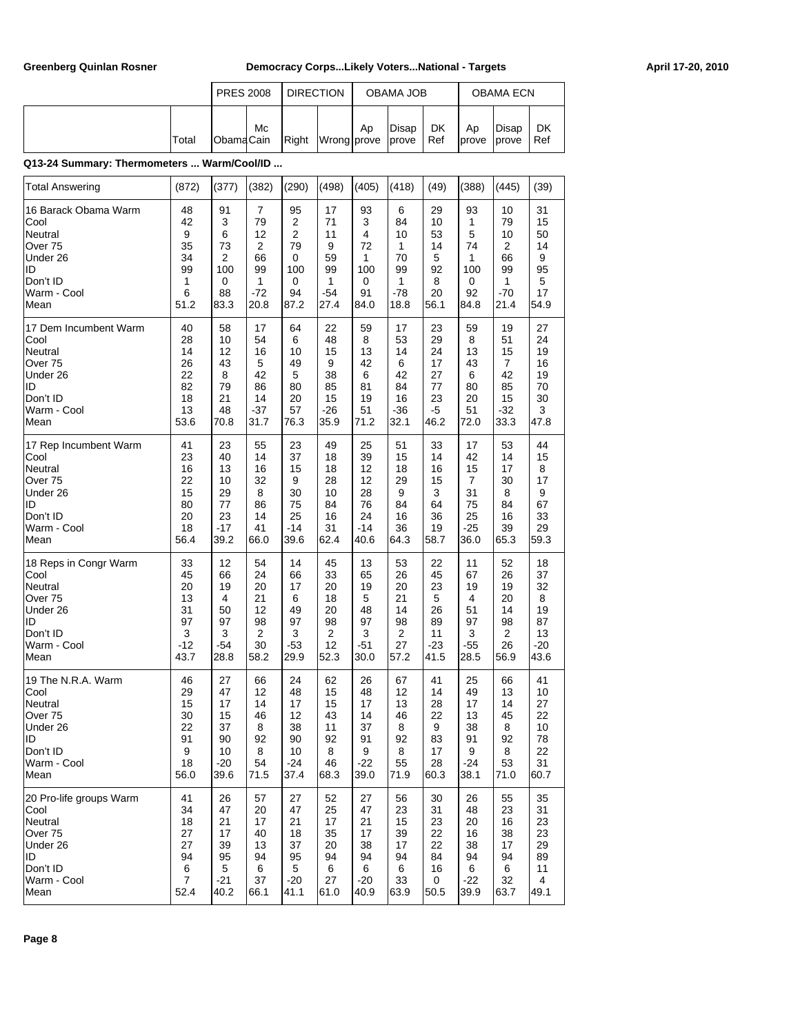|       | <b>PRES 2008</b> |    | <b>DIRECTION</b> |             |    | <b>OBAMA JOB</b>     |           |                             | <b>OBAMA ECN</b> |           |
|-------|------------------|----|------------------|-------------|----|----------------------|-----------|-----------------------------|------------------|-----------|
| Total | <b>ObamaCain</b> | Mc | Right            | Wrong prove | Ap | Disap<br><i>cove</i> | DK<br>Ref | Ap<br><b>I</b> prove Iprove | Disap            | DK<br>Ref |

## **Q13-24 Summary: Thermometers ... Warm/Cool/ID ...**

| Total Answering         | (872)          | (377)       | (382)          | (290)          | (498)          | (405) | (418)          | (49)  | (388) | (445)          | (39)  |
|-------------------------|----------------|-------------|----------------|----------------|----------------|-------|----------------|-------|-------|----------------|-------|
| 16 Barack Obama Warm    | 48             | 91          | $\overline{7}$ | 95             | 17             | 93    | 6              | 29    | 93    | 10             | 31    |
| Cool                    | 42             | 3           | 79             | 2              | 71             | 3     | 84             | 10    | 1     | 79             | 15    |
| Neutral                 | 9              | 6           | 12             | $\overline{2}$ | 11             | 4     | 10             | 53    | 5     | 10             | 50    |
| Over <sub>75</sub>      | 35             | 73          | $\overline{2}$ | 79             | 9              | 72    | 1              | 14    | 74    | 2              | 14    |
| Under 26                | 34             | 2           | 66             | 0              | 59             | 1     | 70             | 5     | 1     | 66             | 9     |
| ID                      | 99             | 100         | 99             | 100            | 99             | 100   | 99             | 92    | 100   | 99             | 95    |
| Don't ID                | 1              | 0           | 1              | 0              | 1              | 0     | $\mathbf{1}$   | 8     | 0     | 1              | 5     |
| Warm - Cool             | 6              | 88          | $-72$          | 94             | $-54$          | 91    | $-78$          | 20    | 92    | $-70$          | 17    |
| Mean                    | 51.2           | 83.3        | 20.8           | 87.2           | 27.4           | 84.0  | 18.8           | 56.1  | 84.8  | 21.4           | 54.9  |
| 17 Dem Incumbent Warm   | 40             | 58          | 17             | 64             | 22             | 59    | 17             | 23    | 59    | 19             | 27    |
| Cool                    | 28             | 10          | 54             | 6              | 48             | 8     | 53             | 29    | 8     | 51             | 24    |
| Neutral                 | 14             | 12          | 16             | 10             | 15             | 13    | 14             | 24    | 13    | 15             | 19    |
| Over 75                 | 26             | 43          | 5              | 49             | 9              | 42    | 6              | 17    | 43    | 7              | 16    |
| Under 26                | 22             | 8           | 42             | 5              | 38             | 6     | 42             | 27    | 6     | 42             | 19    |
| ID                      | 82             | 79          | 86             | 80             | 85             | 81    | 84             | 77    | 80    | 85             | 70    |
| Don't ID                | 18             | 21          | 14             | 20             | 15             | 19    | 16             | 23    | 20    | 15             | 30    |
| Warm - Cool             | 13             | 48          | $-37$          | 57             | $-26$          | 51    | $-36$          | $-5$  | 51    | -32            | 3     |
| Mean                    | 53.6           | 70.8        | 31.7           | 76.3           | 35.9           | 71.2  | 32.1           | 46.2  | 72.0  | 33.3           | 47.8  |
| 17 Rep Incumbent Warm   | 41             | 23          | 55             | 23             | 49             | 25    | 51             | 33    | 17    | 53             | 44    |
| Cool                    | 23             | 40          | 14             | 37             | 18             | 39    | 15             | 14    | 42    | 14             | 15    |
| Neutral                 | 16             | 13          | 16             | 15             | 18             | 12    | 18             | 16    | 15    | 17             | 8     |
| Over <sub>75</sub>      | 22             | 10          | 32             | 9              | 28             | 12    | 29             | 15    | 7     | 30             | 17    |
| Under 26                | 15             | 29          | 8              | 30             | 10             | 28    | 9              | 3     | 31    | 8              | 9     |
| ID                      | 80             | 77          | 86             | 75             | 84             | 76    | 84             | 64    | 75    | 84             | 67    |
| Don't ID                | 20             | 23          | 14             | 25             | 16             | 24    | 16             | 36    | 25    | 16             | 33    |
| Warm - Cool             | 18             | $-17$       | 41             | $-14$          | 31             | $-14$ | 36             | 19    | $-25$ | 39             | 29    |
| Mean                    | 56.4           | 39.2        | 66.0           | 39.6           | 62.4           | 40.6  | 64.3           | 58.7  | 36.0  | 65.3           | 59.3  |
| 18 Reps in Congr Warm   | 33             | 12          | 54             | 14             | 45             | 13    | 53             | 22    | 11    | 52             | 18    |
| Cool                    | 45             | 66          | 24             | 66             | 33             | 65    | 26             | 45    | 67    | 26             | 37    |
| Neutral                 | 20             | 19          | 20             | 17             | 20             | 19    | 20             | 23    | 19    | 19             | 32    |
| Over <sub>75</sub>      | 13             | 4           | 21             | 6              | 18             | 5     | 21             | 5     | 4     | 20             | 8     |
| Under 26                | 31             | 50          | 12             | 49             | 20             | 48    | 14             | 26    | 51    | 14             | 19    |
| ID                      | 97             | 97          | 98             | 97             | 98             | 97    | 98             | 89    | 97    | 98             | 87    |
| Don't ID                | 3              | 3           | $\overline{2}$ | 3              | $\overline{2}$ | 3     | $\overline{2}$ | 11    | 3     | $\overline{2}$ | 13    |
| Warm - Cool             | $-12$          | $-54$       | 30             | $-53$          | 12             | $-51$ | 27             | $-23$ | $-55$ | 26             | $-20$ |
| Mean                    | 43.7           | 28.8        | 58.2           | 29.9           | 52.3           | 30.0  | 57.2           | 41.5  | 28.5  | 56.9           | 43.6  |
| 19 The N.R.A. Warm      | 46             | 27          | 66             | 24             | 62             | 26    | 67             | 41    | 25    | 66             | 41    |
| Cool                    | 29             | 47          | 12             | 48             | 15             | 48    | 12             | 14    | 49    | 13             | 10    |
| Neutral                 | 15             | 17          | 14             | 17             | 15             | 17    | 13             | 28    | 17    | 14             | 27    |
| Over 75                 | 30             | 15          | 46             | 12             | 43             | 14    | 46             | 22    | 13    | 45             | 22    |
| Under 26                | 22             | 37          | 8              | 38             | 11             | 37    | 8              | 9     | 38    | 8              | 10    |
| ID                      | 91             | 90          | 92             | 90             | 92             | 91    | 92             | 83    | 91    | 92             | 78    |
| Don't ID                | 9              | 10          | 8              | 10             | 8              | 9     | 8              | 17    | 9     | 8              | 22    |
| Warm - Cool             | 18             | $-20$       | 54             | $-24$          | 46             | $-22$ | 55             | 28    | $-24$ | 53             | 31    |
| Mean                    | 56.0           | 39.6        | 71.5           | 37.4           | 68.3           | 39.0  | 71.9           | 60.3  | 38.1  | 71.0           | 60.7  |
| 20 Pro-life groups Warm | 41             | 26          | 57             | 27             | 52             | 27    | 56             | 30    | 26    | 55             | 35    |
| Cool                    | 34             | 47          | 20             | 47             | 25             | 47    | 23             | 31    | 48    | 23             | 31    |
| Neutral                 | 18             | 21          | 17             | 21             | 17             | 21    | 15             | 23    | 20    | 16             | 23    |
| Over 75                 | 27             | 17          | 40             | 18             | 35             | 17    | 39             | 22    | 16    | 38             | 23    |
| Under 26                | 27             | 39          | 13             | 37             | 20             | 38    | 17             | 22    | 38    | 17             | 29    |
| ID                      | 94             | 95          | 94             | 95             | 94             | 94    | 94             | 84    | 94    | 94             | 89    |
| Don't ID                | 6              | $\mathbf 5$ | 6              | 5              | 6              | 6     | 6              | 16    | 6     | 6              | 11    |
| Warm - Cool             | $\overline{7}$ | $-21$       | 37             | $-20$          | 27             | $-20$ | 33             | 0     | -22   | 32             | 4     |
| Mean                    | 52.4           | 40.2        | 66.1           | 41.1           | 61.0           | 40.9  | 63.9           | 50.5  | 39.9  | 63.7           | 49.1  |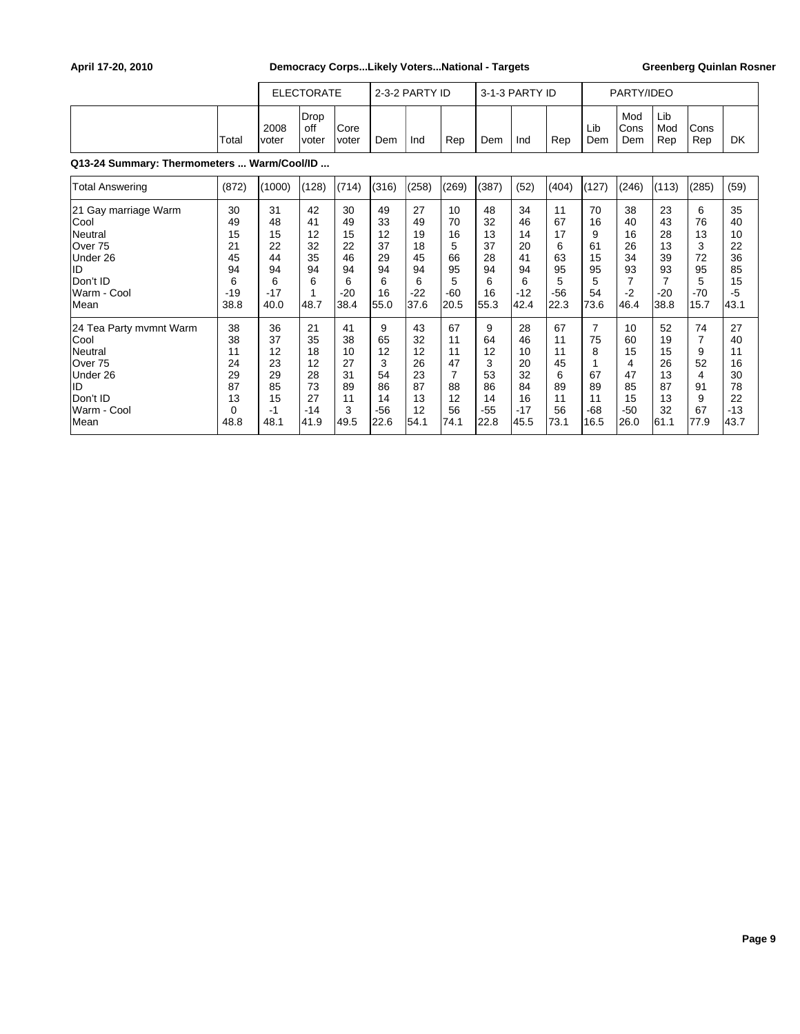|                                                                                                                    |                                                        |                                                        | <b>ELECTORATE</b>                                       |                                                        |                                                       | 2-3-2 PARTY ID                                         |                                                                  |                                                       | 3-1-3 PARTY ID                                          |                                                       |                                                            | PARTY/IDEO                                                         |                                                        |                                                               |                                                         |
|--------------------------------------------------------------------------------------------------------------------|--------------------------------------------------------|--------------------------------------------------------|---------------------------------------------------------|--------------------------------------------------------|-------------------------------------------------------|--------------------------------------------------------|------------------------------------------------------------------|-------------------------------------------------------|---------------------------------------------------------|-------------------------------------------------------|------------------------------------------------------------|--------------------------------------------------------------------|--------------------------------------------------------|---------------------------------------------------------------|---------------------------------------------------------|
|                                                                                                                    | Total                                                  | 2008<br><b>voter</b>                                   | Drop<br>off<br>voter                                    | lCore<br>lvoter                                        | Dem                                                   | Ind                                                    | Rep                                                              | Dem                                                   | Ind                                                     | Rep                                                   | Lib<br>Dem                                                 | Mod<br>Cons<br>Dem                                                 | Lib<br>Mod<br>Rep                                      | Cons<br>Rep                                                   | <b>DK</b>                                               |
| Q13-24 Summary: Thermometers  Warm/Cool/ID                                                                         |                                                        |                                                        |                                                         |                                                        |                                                       |                                                        |                                                                  |                                                       |                                                         |                                                       |                                                            |                                                                    |                                                        |                                                               |                                                         |
| <b>Total Answering</b>                                                                                             | (872)                                                  | (1000)                                                 | (128)                                                   | (714)                                                  | (316)                                                 | (258)                                                  | (269)                                                            | (387)                                                 | (52)                                                    | (404)                                                 | (127)                                                      | (246)                                                              | (113)                                                  | (285)                                                         | (59)                                                    |
| 21 Gay marriage Warm<br>Cool<br>Neutral<br>Over <sub>75</sub><br>Under 26<br>ID<br>Don't ID<br>Warm - Cool<br>Mean | 30<br>49<br>15<br>21<br>45<br>94<br>6<br>$-19$<br>38.8 | 31<br>48<br>15<br>22<br>44<br>94<br>6<br>$-17$<br>40.0 | 42<br>41<br>12<br>32<br>35<br>94<br>6<br>1<br>48.7      | 30<br>49<br>15<br>22<br>46<br>94<br>6<br>$-20$<br>38.4 | 49<br>33<br>12<br>37<br>29<br>94<br>6<br>16<br>55.0   | 27<br>49<br>19<br>18<br>45<br>94<br>6<br>$-22$<br>37.6 | 10<br>70<br>16<br>5<br>66<br>95<br>5<br>$-60$<br>20.5            | 48<br>32<br>13<br>37<br>28<br>94<br>6<br>16<br>55.3   | 34<br>46<br>14<br>20<br>41<br>94<br>6<br>$-12$<br>42.4  | 11<br>67<br>17<br>6<br>63<br>95<br>5<br>$-56$<br>22.3 | 70<br>16<br>9<br>61<br>15<br>95<br>5<br>54<br>73.6         | 38<br>40<br>16<br>26<br>34<br>93<br>$\overline{7}$<br>$-2$<br>46.4 | 23<br>43<br>28<br>13<br>39<br>93<br>7<br>$-20$<br>38.8 | 6<br>76<br>13<br>3<br>72<br>95<br>5<br>$-70$<br>15.7          | 35<br>40<br>10<br>22<br>36<br>85<br>15<br>$-5$<br>43.1  |
| 24 Tea Party mvmnt Warm<br>Cool<br>Neutral<br>Over 75<br>Under 26<br>ID<br>Don't ID<br>Warm - Cool<br><b>Mean</b>  | 38<br>38<br>11<br>24<br>29<br>87<br>13<br>0<br>48.8    | 36<br>37<br>12<br>23<br>29<br>85<br>15<br>$-1$<br>48.1 | 21<br>35<br>18<br>12<br>28<br>73<br>27<br>$-14$<br>41.9 | 41<br>38<br>10<br>27<br>31<br>89<br>11<br>3<br>49.5    | 9<br>65<br>12<br>3<br>54<br>86<br>14<br>$-56$<br>22.6 | 43<br>32<br>12<br>26<br>23<br>87<br>13<br>12<br>54.1   | 67<br>11<br>11<br>47<br>$\overline{7}$<br>88<br>12<br>56<br>74.1 | 9<br>64<br>12<br>3<br>53<br>86<br>14<br>$-55$<br>22.8 | 28<br>46<br>10<br>20<br>32<br>84<br>16<br>$-17$<br>45.5 | 67<br>11<br>11<br>45<br>6<br>89<br>11<br>56<br>73.1   | $\overline{7}$<br>75<br>8<br>67<br>89<br>11<br>-68<br>16.5 | 10<br>60<br>15<br>4<br>47<br>85<br>15<br>$-50$<br>26.0             | 52<br>19<br>15<br>26<br>13<br>87<br>13<br>32<br>61.1   | 74<br>$\overline{7}$<br>9<br>52<br>4<br>91<br>9<br>67<br>77.9 | 27<br>40<br>11<br>16<br>30<br>78<br>22<br>$-13$<br>43.7 |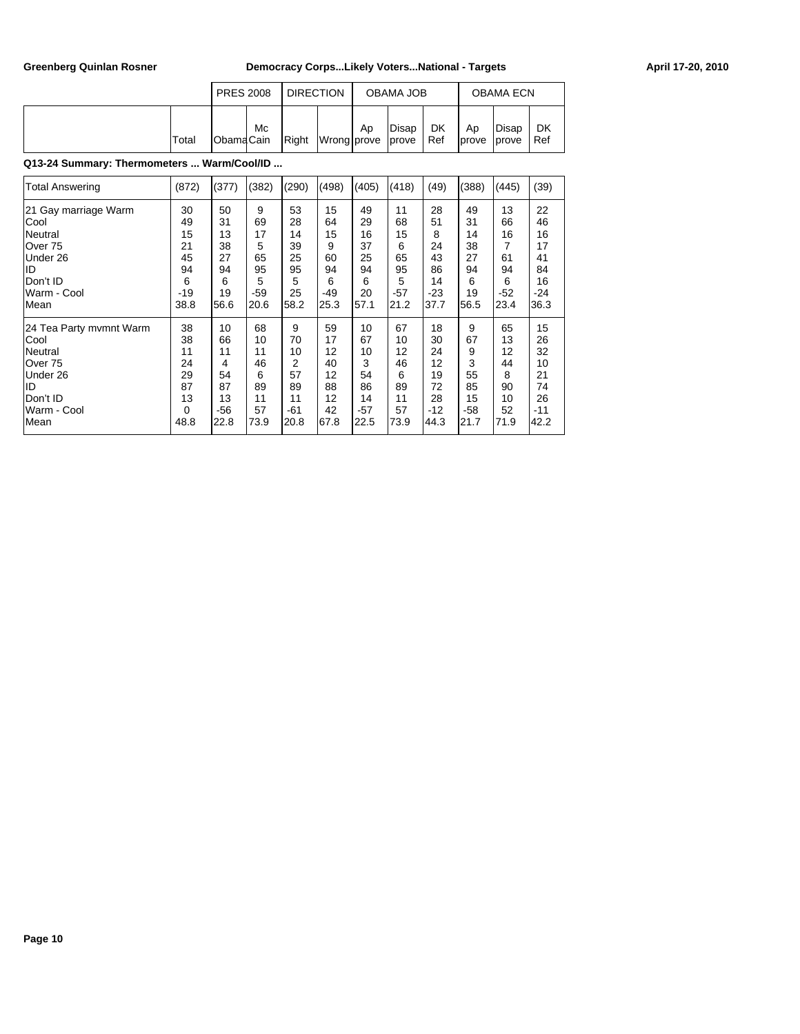|       | <b>PRES 2008</b>   |    | <b>DIRECTION</b> |             |    | OBAMA JOB            |           |              | <b>OBAMA ECN</b>       |           |
|-------|--------------------|----|------------------|-------------|----|----------------------|-----------|--------------|------------------------|-----------|
| Total | <b>I</b> ObamaCain | Mc | Right            | Wrong prove | Ap | Disap<br><i>cove</i> | DK<br>Ref | Ap<br>Iprove | Disap<br><b>lprove</b> | DK<br>Ref |

## **Q13-24 Summary: Thermometers ... Warm/Cool/ID ...**

| <b>Total Answering</b>  | (872) | (377) | (382) | (290) | (498) | (405) | (418) | (49)  | (388) | (445) | (39)  |
|-------------------------|-------|-------|-------|-------|-------|-------|-------|-------|-------|-------|-------|
| 21 Gay marriage Warm    | 30    | 50    | 9     | 53    | 15    | 49    | 11    | 28    | 49    | 13    | 22    |
| Cool                    | 49    | 31    | 69    | 28    | 64    | 29    | 68    | 51    | 31    | 66    | 46    |
| <b>Neutral</b>          | 15    | 13    | 17    | 14    | 15    | 16    | 15    | 8     | 14    | 16    | 16    |
| Over 75                 | 21    | 38    | 5     | 39    | 9     | 37    | 6     | 24    | 38    | 7     | 17    |
| Under 26                | 45    | 27    | 65    | 25    | 60    | 25    | 65    | 43    | 27    | 61    | 41    |
| lid                     | 94    | 94    | 95    | 95    | 94    | 94    | 95    | 86    | 94    | 94    | 84    |
| Don't ID                | 6     | 6     | 5     | 5     | 6     | 6     | 5     | 14    | 6     | 6     | 16    |
| Warm - Cool             | $-19$ | 19    | $-59$ | 25    | $-49$ | 20    | $-57$ | $-23$ | 19    | -52   | $-24$ |
| lMean                   | 38.8  | 56.6  | 20.6  | 58.2  | 25.3  | 57.1  | 21.2  | 37.7  | 56.5  | 23.4  | 36.3  |
| 24 Tea Party mymnt Warm | 38    | 10    | 68    | 9     | 59    | 10    | 67    | 18    | 9     | 65    | 15    |
| Cool                    | 38    | 66    | 10    | 70    | 17    | 67    | 10    | 30    | 67    | 13    | 26    |
| Neutral                 | 11    | 11    | 11    | 10    | 12    | 10    | 12    | 24    | 9     | 12    | 32    |
| Over 75                 | 24    | 4     | 46    | 2     | 40    | 3     | 46    | 12    | 3     | 44    | 10    |
| Under 26                | 29    | 54    | 6     | 57    | 12    | 54    | 6     | 19    | 55    | 8     | 21    |
| lid                     | 87    | 87    | 89    | 89    | 88    | 86    | 89    | 72    | 85    | 90    | 74    |
| Don't ID                | 13    | 13    | 11    | 11    | 12    | 14    | 11    | 28    | 15    | 10    | 26    |
| Warm - Cool             | 0     | $-56$ | 57    | $-61$ | 42    | $-57$ | 57    | $-12$ | $-58$ | 52    | $-11$ |
| lMean                   | 48.8  | 22.8  | 73.9  | 20.8  | 67.8  | 22.5  | 73.9  | 44.3  | 21.7  | 71.9  | 42.2  |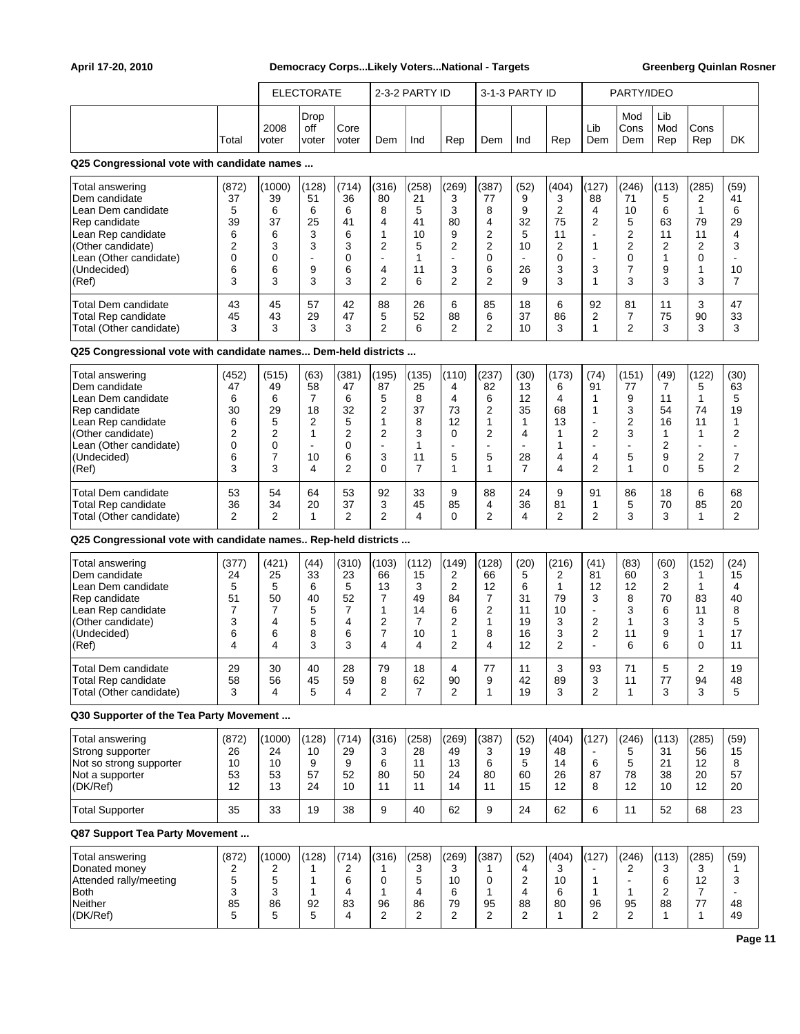|                                                                                                                                                                      |                                                         | <b>ELECTORATE</b><br>2-3-2 PARTY ID              |                                                                                                |                                                                           |                                                                                            |                                                               |                                                                                               |                                                                                       |                                                                                       |                                                       |                                                                                                               |                                                                        |                                                                     |                                                                                   |                                                                                  |
|----------------------------------------------------------------------------------------------------------------------------------------------------------------------|---------------------------------------------------------|--------------------------------------------------|------------------------------------------------------------------------------------------------|---------------------------------------------------------------------------|--------------------------------------------------------------------------------------------|---------------------------------------------------------------|-----------------------------------------------------------------------------------------------|---------------------------------------------------------------------------------------|---------------------------------------------------------------------------------------|-------------------------------------------------------|---------------------------------------------------------------------------------------------------------------|------------------------------------------------------------------------|---------------------------------------------------------------------|-----------------------------------------------------------------------------------|----------------------------------------------------------------------------------|
|                                                                                                                                                                      |                                                         |                                                  |                                                                                                |                                                                           |                                                                                            |                                                               |                                                                                               |                                                                                       | 3-1-3 PARTY ID                                                                        |                                                       |                                                                                                               | PARTY/IDEO                                                             |                                                                     |                                                                                   |                                                                                  |
|                                                                                                                                                                      | Total                                                   | 2008<br>voter                                    | Drop<br>off<br>voter                                                                           | Core<br>voter                                                             | Dem                                                                                        | Ind                                                           | Rep                                                                                           | Dem                                                                                   | Ind                                                                                   | Rep                                                   | Lib<br>Dem                                                                                                    | Mod<br>Cons<br>Dem                                                     | Lib<br>Mod<br>Rep                                                   | Cons<br>Rep                                                                       | DK                                                                               |
| Q25 Congressional vote with candidate names                                                                                                                          |                                                         |                                                  |                                                                                                |                                                                           |                                                                                            |                                                               |                                                                                               |                                                                                       |                                                                                       |                                                       |                                                                                                               |                                                                        |                                                                     |                                                                                   |                                                                                  |
| Total answering<br>Dem candidate<br>Lean Dem candidate<br>Rep candidate<br>Lean Rep candidate<br>(Other candidate)<br>Lean (Other candidate)<br>(Undecided)<br>(Ref) | (872)<br>37<br>5<br>39<br>6<br>2<br>0<br>6<br>3         | (1000)<br>39<br>6<br>37<br>6<br>3<br>0<br>6<br>3 | (128)<br>51<br>6<br>25<br>3<br>3<br>$\overline{\phantom{a}}$<br>9<br>3                         | (714)<br>36<br>6<br>41<br>6<br>3<br>0<br>6<br>3                           | (316)<br>80<br>8<br>4<br>1<br>$\overline{2}$<br>$\sim$<br>$\overline{4}$<br>$\overline{2}$ | (258)<br>21<br>5<br>41<br>10<br>5<br>1<br>11<br>6             | (269)<br>3<br>3<br>80<br>9<br>$\overline{2}$<br>3<br>$\overline{2}$                           | (387)<br>77<br>8<br>4<br>$\overline{2}$<br>$\overline{2}$<br>0<br>6<br>$\overline{2}$ | (52)<br>9<br>9<br>32<br>5<br>10<br>$\blacksquare$<br>26<br>9                          | (404)<br>3<br>2<br>75<br>11<br>2<br>0<br>3<br>3       | (127)<br>88<br>$\overline{4}$<br>$\overline{2}$<br>$\overline{a}$<br>$\mathbf{1}$<br>$\blacksquare$<br>3<br>1 | (246)<br>71<br>10<br>5<br>2<br>2<br>0<br>7<br>3                        | (113)<br>5<br>6<br>63<br>11<br>$\overline{c}$<br>1<br>9<br>3        | (285)<br>2<br>$\mathbf{1}$<br>79<br>11<br>2<br>$\mathbf 0$<br>1<br>3              | (59)<br>41<br>6<br>29<br>4<br>3<br>10<br>$\overline{7}$                          |
| Total Dem candidate<br><b>Total Rep candidate</b><br>Total (Other candidate)                                                                                         | 43<br>45<br>3                                           | 45<br>43<br>3                                    | 57<br>29<br>3                                                                                  | 42<br>47<br>3                                                             | 88<br>5<br>2                                                                               | 26<br>52<br>6                                                 | 6<br>88<br>2                                                                                  | 85<br>6<br>$\overline{2}$                                                             | 18<br>37<br>10                                                                        | 6<br>86<br>3                                          | 92<br>2<br>1                                                                                                  | 81<br>7<br>$\overline{2}$                                              | 11<br>75<br>3                                                       | 3<br>90<br>3                                                                      | 47<br>33<br>3                                                                    |
| Q25 Congressional vote with candidate names Dem-held districts                                                                                                       |                                                         |                                                  |                                                                                                |                                                                           |                                                                                            |                                                               |                                                                                               |                                                                                       |                                                                                       |                                                       |                                                                                                               |                                                                        |                                                                     |                                                                                   |                                                                                  |
| Total answering<br>Dem candidate<br>Lean Dem candidate<br>Rep candidate<br>Lean Rep candidate<br>(Other candidate)<br>Lean (Other candidate)<br>(Undecided)<br>(Ref) | (452)<br>47<br>6<br>30<br>6<br>2<br>0<br>6<br>3         | (515)<br>49<br>6<br>29<br>5<br>2<br>0<br>7<br>3  | (63)<br>58<br>$\overline{7}$<br>18<br>2<br>$\mathbf{1}$<br>$\overline{\phantom{a}}$<br>10<br>4 | (381)<br>47<br>6<br>32<br>5<br>$\overline{2}$<br>0<br>6<br>$\overline{2}$ | (195)<br>87<br>5<br>2<br>$\mathbf{1}$<br>$\overline{2}$<br>$\sim$<br>3<br>$\Omega$         | (135)<br>25<br>8<br>37<br>8<br>3<br>1<br>11<br>$\overline{7}$ | (110)<br>4<br>$\overline{4}$<br>73<br>12<br>$\mathbf 0$<br>$\overline{\phantom{a}}$<br>5<br>1 | (237)<br>82<br>6<br>2<br>1<br>$\overline{2}$<br>$\blacksquare$<br>5<br>1              | (30)<br>13<br>12<br>35<br>$\mathbf{1}$<br>4<br>$\blacksquare$<br>28<br>$\overline{7}$ | (173)<br>6<br>4<br>68<br>13<br>1<br>1<br>4<br>4       | (74)<br>91<br>1<br>1<br>$\blacksquare$<br>$\overline{2}$<br>÷<br>4<br>$\overline{2}$                          | (151)<br>77<br>9<br>3<br>2<br>3<br>$\blacksquare$<br>5<br>$\mathbf{1}$ | (49)<br>7<br>11<br>54<br>16<br>1<br>$\overline{2}$<br>9<br>$\Omega$ | (122)<br>5<br>$\mathbf{1}$<br>74<br>11<br>1<br>$\overline{\phantom{a}}$<br>2<br>5 | (30)<br>63<br>5<br>19<br>1<br>$\overline{2}$<br>$\overline{7}$<br>$\overline{2}$ |
| Total Dem candidate<br><b>Total Rep candidate</b><br>Total (Other candidate)                                                                                         | 53<br>36<br>2                                           | 54<br>34<br>$\overline{2}$                       | 64<br>20<br>1                                                                                  | 53<br>37<br>2                                                             | 92<br>3<br>2                                                                               | 33<br>45<br>4                                                 | 9<br>85<br>$\Omega$                                                                           | 88<br>4<br>$\overline{2}$                                                             | 24<br>36<br>4                                                                         | 9<br>81<br>2                                          | 91<br>1<br>$\overline{2}$                                                                                     | 86<br>5<br>3                                                           | 18<br>70<br>3                                                       | 6<br>85<br>1                                                                      | 68<br>20<br>2                                                                    |
| Q25 Congressional vote with candidate names Rep-held districts                                                                                                       |                                                         |                                                  |                                                                                                |                                                                           |                                                                                            |                                                               |                                                                                               |                                                                                       |                                                                                       |                                                       |                                                                                                               |                                                                        |                                                                     |                                                                                   |                                                                                  |
| Total answering<br>Dem candidate<br>Lean Dem candidate<br>Rep candidate<br>Lean Rep candidate<br>(Other candidate)<br>(Undecided)<br>(Ref)                           | (377)<br>24<br>5<br>51<br>$\overline{7}$<br>3<br>6<br>4 | (421)<br>25<br>5<br>50<br>7<br>4<br>6<br>4       | (44)<br>33<br>6<br>40<br>5<br>5<br>8<br>3                                                      | (310)<br>23<br>5<br>52<br>$\overline{7}$<br>4<br>6<br>3                   | (103)<br>66<br>13<br>$\overline{7}$<br>$\mathbf{1}$<br>$\overline{2}$<br>7<br>4            | (112)<br>15<br>3<br>49<br>14<br>7<br>10<br>4                  | (149)<br>2<br>$\overline{2}$<br>84<br>6<br>$\overline{2}$<br>1<br>$\overline{2}$              | (128)<br>66<br>12<br>$\overline{7}$<br>$\overline{2}$<br>1<br>8<br>4                  | (20)<br>5<br>6<br>31<br>11<br>19<br>16<br>12                                          | (216)<br>2<br>$\mathbf{1}$<br>79<br>10<br>3<br>3<br>2 | (41)<br>81<br>12<br>3<br>$\blacksquare$<br>$\overline{2}$<br>$\overline{2}$                                   | (83)<br>60<br>12<br>8<br>3<br>1<br>11<br>6                             | (60)<br>3<br>$\overline{2}$<br>70<br>6<br>3<br>9<br>6               | (152)<br>1<br>$\mathbf{1}$<br>83<br>11<br>3<br>1<br>0                             | (24)<br>15<br>4<br>40<br>8<br>5<br>17<br>11                                      |
| Total Dem candidate<br><b>Total Rep candidate</b><br>Total (Other candidate)                                                                                         | 29<br>58<br>3                                           | 30<br>56<br>4                                    | 40<br>45<br>5                                                                                  | 28<br>59<br>$\overline{4}$                                                | 79<br>8<br>$\overline{2}$                                                                  | 18<br>62<br>$\overline{7}$                                    | 4<br>90<br>$\overline{2}$                                                                     | 77<br>9<br>1                                                                          | 11<br>42<br>19                                                                        | 3<br>89<br>3                                          | 93<br>3<br>2                                                                                                  | 71<br>11<br>$\mathbf{1}$                                               | 5<br>77<br>3                                                        | $\overline{\mathbf{c}}$<br>94<br>3                                                | 19<br>48<br>5                                                                    |
| Q30 Supporter of the Tea Party Movement                                                                                                                              |                                                         |                                                  |                                                                                                |                                                                           |                                                                                            |                                                               |                                                                                               |                                                                                       |                                                                                       |                                                       |                                                                                                               |                                                                        |                                                                     |                                                                                   |                                                                                  |
| Total answering<br>Strong supporter<br>Not so strong supporter<br>Not a supporter<br>(DK/Ref)                                                                        | (872)<br>26<br>10<br>53<br>12                           | (1000)<br>24<br>10<br>53<br>13                   | (128)<br>10<br>9<br>57<br>24                                                                   | (714)<br>29<br>9<br>52<br>10                                              | (316)<br>3<br>6<br>80<br>11                                                                | (258)<br>28<br>11<br>50<br>11                                 | (269)<br>49<br>13<br>24<br>14                                                                 | (387)<br>3<br>6<br>80<br>11                                                           | (52)<br>19<br>5<br>60<br>15                                                           | (404)<br>48<br>14<br>26<br>12                         | (127)<br>6<br>87<br>8                                                                                         | (246)<br>5<br>5<br>78<br>12                                            | (113)<br>31<br>21<br>38<br>10                                       | (285)<br>56<br>12<br>20<br>12                                                     | (59)<br>15<br>8<br>57<br>20                                                      |
| <b>Total Supporter</b>                                                                                                                                               | 35                                                      | 33                                               | 19                                                                                             | 38                                                                        | 9                                                                                          | 40                                                            | 62                                                                                            | 9                                                                                     | 24                                                                                    | 62                                                    | 6                                                                                                             | 11                                                                     | 52                                                                  | 68                                                                                | 23                                                                               |
| Q87 Support Tea Party Movement                                                                                                                                       |                                                         |                                                  |                                                                                                |                                                                           |                                                                                            |                                                               |                                                                                               |                                                                                       |                                                                                       |                                                       |                                                                                                               |                                                                        |                                                                     |                                                                                   |                                                                                  |
| Total answering<br>Donated money<br>Attended rally/meeting<br><b>Both</b><br>Neither<br>(DK/Ref)                                                                     | (872)<br>2<br>5<br>3<br>85<br>5                         | (1000)<br>2<br>5<br>3<br>86<br>5                 | (128)<br>1<br>1<br>$\mathbf{1}$<br>92<br>5                                                     | (714)<br>2<br>6<br>4<br>83<br>4                                           | (316)<br>1<br>$\mathbf 0$<br>$\mathbf{1}$<br>96<br>$\overline{2}$                          | (258)<br>3<br>5<br>4<br>86<br>2                               | (269)<br>3<br>10<br>6<br>79<br>$\overline{2}$                                                 | (387)<br>1<br>0<br>1<br>95<br>2                                                       | (52)<br>4<br>2<br>4<br>88<br>2                                                        | (404)<br>3<br>10<br>6<br>80<br>1                      | (127)<br>1<br>1<br>96<br>2                                                                                    | (246)<br>2<br>$\blacksquare$<br>$\mathbf{1}$<br>95<br>2                | (113)<br>3<br>6<br>$\overline{2}$<br>88<br>$\mathbf{1}$             | (285)<br>3<br>12<br>$\overline{7}$<br>77<br>$\mathbf{1}$                          | (59)<br>1<br>3<br>48<br>49                                                       |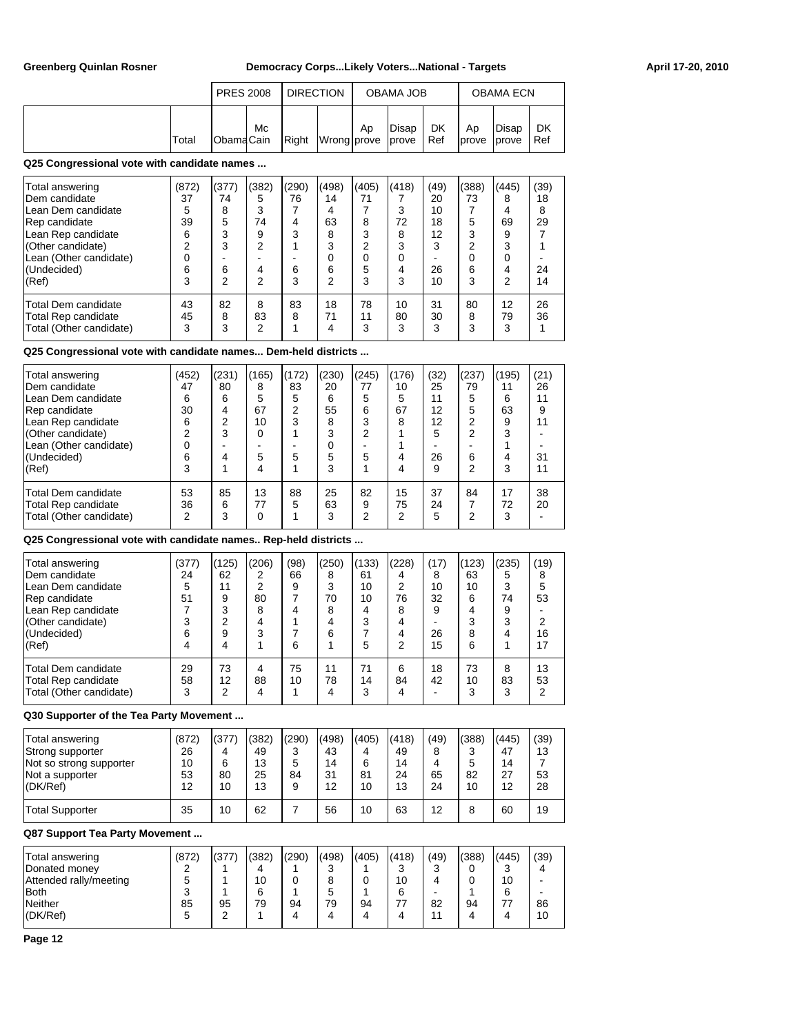|       | <b>PRES 2008</b>  |    | <b>DIRECTION</b> |    | OBAMA JOB                              |    |              | <b>OBAMA ECN</b>        |           |
|-------|-------------------|----|------------------|----|----------------------------------------|----|--------------|-------------------------|-----------|
| Total | <b>IObamaCain</b> | Mc |                  | Ap | Disap<br>Right Wrong prove prove   Ref | DK | Ap<br>Iprove | Disap<br><i>l</i> prove | DK<br>Ref |

## **Q25 Congressional vote with candidate names ...**

| Total answering                                                              | (872)         | (377)        | (382)        | (290)   | (498)         | (405)         | (418)         | (49)          | (388)        | (445)         | (39)     |
|------------------------------------------------------------------------------|---------------|--------------|--------------|---------|---------------|---------------|---------------|---------------|--------------|---------------|----------|
| Dem candidate                                                                | 37            | 74           | 5            | 76      | 14            | 71            |               | 20            | 73           | 8             | 18       |
| Lean Dem candidate                                                           | 5             | 8            | 3            |         | 4             |               | 3             | 10            |              |               | 8        |
| Rep candidate                                                                | 39            | 5            | 74           | 4       | 63            | 8             | 72            | 18            | 5            | 69            | 29       |
| Lean Rep candidate                                                           | 6             | 3            | 9            | 3       | 8             | 3             | 8             | 12            | 3            | 9             |          |
| (Other candidate)                                                            | 2             | 3            | 2            |         | 3             | 2             | 3             | 3             | っ            |               |          |
| Lean (Other candidate)                                                       |               |              |              |         | 0             |               | 0             |               |              |               |          |
| (Undecided)                                                                  | 6             | 6            | 4            | 6       | 6             | 5             | 4             | 26            | 6            |               | 24       |
| (Ref)                                                                        | 3             | 2            | っ            | 3       | 2             | 3             | 3             | 10            | 3            | ົ             | 14       |
| <b>Total Dem candidate</b><br>Total Rep candidate<br>Total (Other candidate) | 43<br>45<br>3 | 82<br>8<br>3 | 8<br>83<br>っ | 83<br>8 | 18<br>71<br>4 | 78<br>11<br>3 | 10<br>80<br>3 | 31<br>30<br>3 | 80<br>8<br>3 | 12<br>79<br>3 | 26<br>36 |

# **Q25 Congressional vote with candidate names... Dem-held districts ...**

| Total answering<br>Dem candidate                                             | (452)<br>47   | (231)<br>80  | (165)<br>8 | (172)<br>83 | (230)<br>20   | (245)<br>77  | (176)<br>10   | (32)<br>25    | (237)<br>79 | (195)<br>11   | (21)<br>26 |
|------------------------------------------------------------------------------|---------------|--------------|------------|-------------|---------------|--------------|---------------|---------------|-------------|---------------|------------|
| Lean Dem candidate                                                           | 6             | 6            | 5          | 5           | 6             | 5            | 5             | 11            | 5           | 6             | 11         |
| Rep candidate                                                                | 30            | 4            | 67         | 2           | 55            | 6            | 67            | 12            | 5           | 63            | 9          |
| Lean Rep candidate                                                           | 6             | 2            | 10         | 3           | 8             | 3            | 8             | 12            | 2           | 9             | 11         |
| (Other candidate)                                                            | 2             | 3            | ი          |             | 3             | 2            |               | 5             | 2           | ົ             |            |
| Lean (Other candidate)                                                       | 0             |              |            |             | 0             |              |               |               |             |               |            |
| (Undecided)                                                                  | 6             |              | 5          | 5           | 5             | 5            | 4             | 26            | 6           |               | 31         |
| (Ref)                                                                        | 3             |              |            |             | 3             |              | 4             | 9             | 2           | 3             | 11         |
| <b>Total Dem candidate</b><br>Total Rep candidate<br>Total (Other candidate) | 53<br>36<br>2 | 85<br>6<br>3 | 13<br>77   | 88<br>5     | 25<br>63<br>3 | 82<br>9<br>2 | 15<br>75<br>2 | 37<br>24<br>5 | 84<br>2     | 17<br>72<br>3 | 38<br>20   |

**Q25 Congressional vote with candidate names.. Rep-held districts ...**

| Total answering<br>Dem candidate<br>LLean Dem candidate<br>Rep candidate<br>Lean Rep candidate<br>(Other candidate)<br>(Undecided)<br>(Ref) | (377)<br>24<br>5<br>51<br>3<br>6 | (125)<br>62<br>11<br>9 | (206)<br>2<br>80<br>8<br>4<br>3 | (98)<br>66<br>9<br>4<br>6 | (250)<br>8<br>3<br>70<br>8<br>4<br>6 | (133)<br>61<br>10<br>10<br>4<br>3<br>5 | (228)<br>4<br>2<br>76<br>8<br>4<br>4<br>2 | (17)<br>8<br>10<br>32<br>9<br>26<br>15 | (123)<br>63<br>10<br>6<br>4<br>3<br>8<br>6 | (235)<br>5<br>3<br>74<br>9<br>4 | (19)<br>8<br>53<br>16<br>17 |
|---------------------------------------------------------------------------------------------------------------------------------------------|----------------------------------|------------------------|---------------------------------|---------------------------|--------------------------------------|----------------------------------------|-------------------------------------------|----------------------------------------|--------------------------------------------|---------------------------------|-----------------------------|
| Total Dem candidate<br>Total Rep candidate<br>Total (Other candidate)                                                                       | 29<br>58<br>3                    | 73<br>12<br>っ          | 4<br>88<br>4                    | 75<br>10                  | 11<br>78<br>4                        | 71<br>14<br>3                          | 6<br>84<br>4                              | 18<br>42                               | 73<br>10<br>3                              | 8<br>83<br>3                    | 13<br>53<br>2               |

#### **Q30 Supporter of the Tea Party Movement ...**

| Total answering<br>Strong supporter                    | (872)<br>26    | (377)         | (382)<br>49    | (290)<br>ົ<br>ື | (498)<br>43    | (405)         | (418)<br>49    | (49)     | (388)         | (445)<br>47    | (39)<br>13 |
|--------------------------------------------------------|----------------|---------------|----------------|-----------------|----------------|---------------|----------------|----------|---------------|----------------|------------|
| Not so strong supporter<br>Not a supporter<br>(DK/Ref) | 10<br>53<br>12 | 6<br>80<br>10 | 13<br>25<br>13 | 5<br>84<br>9    | 14<br>31<br>12 | 6<br>81<br>10 | 14<br>24<br>13 | 65<br>24 | 5<br>82<br>10 | 14<br>27<br>12 | 53<br>28   |
| Total Supporter                                        | 35             | 10            | 62             |                 | 56             | 10            | 63             | 12       | 8             | 60             | 19         |

## **Q87 Support Tea Party Movement ...**

| Total answering        | (872) | (377) | (382) | (290) | (498) | (405) | (418) | (49) | (388) | (445) | (39) |
|------------------------|-------|-------|-------|-------|-------|-------|-------|------|-------|-------|------|
| Donated money          |       |       |       |       | ບ     |       | w     |      |       | w     |      |
| Attended rally/meeting | 5     |       | 10    |       | 8     |       | 10    |      |       | 10    |      |
| <b>Both</b>            | ັ     |       | 6     |       | 5     |       | 6     | -    |       |       | -    |
| Neither                | 85    | 95    | 79    | 94    | 79    | 94    | 77    | 82   | 94    |       | 86   |
| (DK/Ref)               | э     |       |       |       |       |       |       |      |       |       | 10   |
|                        |       |       |       |       |       |       |       |      |       |       |      |

**Page 12**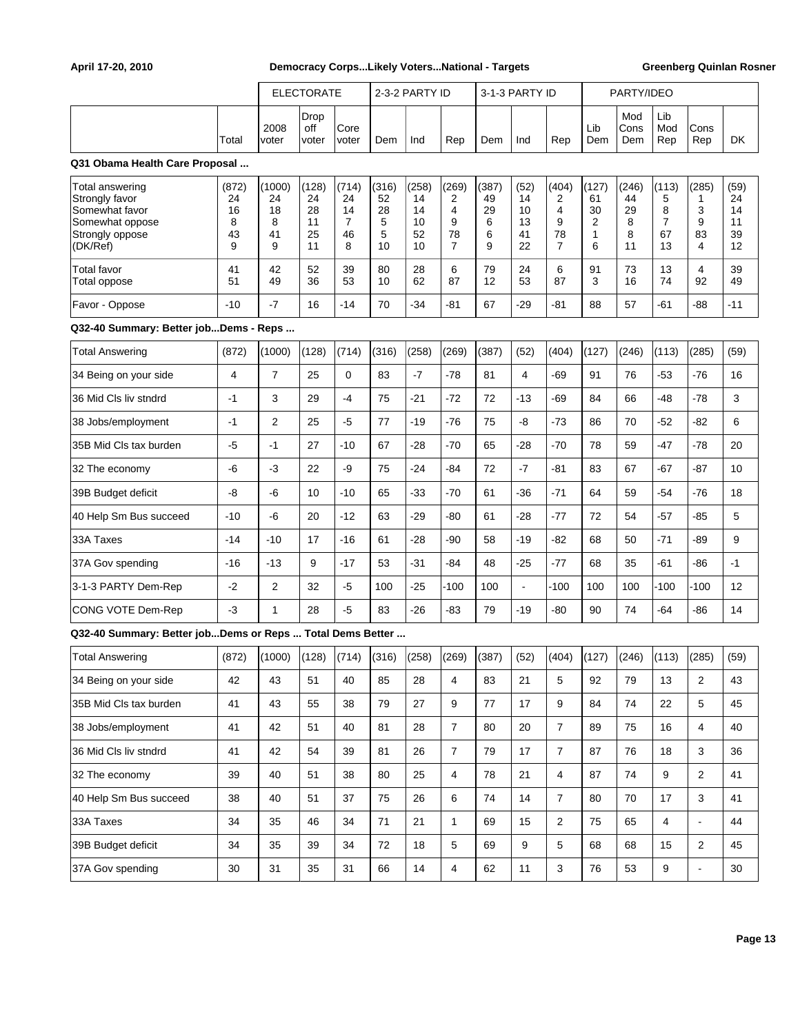|                                                                                                       | <b>ELECTORATE</b><br>2-3-2 PARTY ID<br>3-1-3 PARTY ID<br>PARTY/IDEO |                                    |                                     |                                                |                                   |                                     |                                              |                                  |                                    |                                 |                                               |                                   |                                               |                                 |                                    |
|-------------------------------------------------------------------------------------------------------|---------------------------------------------------------------------|------------------------------------|-------------------------------------|------------------------------------------------|-----------------------------------|-------------------------------------|----------------------------------------------|----------------------------------|------------------------------------|---------------------------------|-----------------------------------------------|-----------------------------------|-----------------------------------------------|---------------------------------|------------------------------------|
|                                                                                                       | Total                                                               | 2008<br>voter                      | Drop<br>off<br>voter                | Core<br>voter                                  | Dem                               | Ind                                 | Rep                                          | Dem                              | Ind                                | Rep                             | Lib<br>Dem                                    | Mod<br>Cons<br>Dem                | Lib<br>Mod<br>Rep                             | Cons<br>Rep                     | DK                                 |
| Q31 Obama Health Care Proposal                                                                        |                                                                     |                                    |                                     |                                                |                                   |                                     |                                              |                                  |                                    |                                 |                                               |                                   |                                               |                                 |                                    |
| Total answering<br>Strongly favor<br>Somewhat favor<br>Somewhat oppose<br>Strongly oppose<br>(DK/Ref) | (872)<br>24<br>16<br>8<br>43<br>9                                   | (1000)<br>24<br>18<br>8<br>41<br>9 | (128)<br>24<br>28<br>11<br>25<br>11 | (714)<br>24<br>14<br>$\overline{7}$<br>46<br>8 | (316)<br>52<br>28<br>5<br>5<br>10 | (258)<br>14<br>14<br>10<br>52<br>10 | (269)<br>2<br>4<br>9<br>78<br>$\overline{7}$ | (387)<br>49<br>29<br>6<br>6<br>9 | (52)<br>14<br>10<br>13<br>41<br>22 | (404)<br>2<br>4<br>9<br>78<br>7 | (127)<br>61<br>30<br>$\overline{2}$<br>1<br>6 | (246)<br>44<br>29<br>8<br>8<br>11 | (113)<br>5<br>8<br>$\overline{7}$<br>67<br>13 | (285)<br>1<br>3<br>9<br>83<br>4 | (59)<br>24<br>14<br>11<br>39<br>12 |
| <b>Total favor</b><br>Total oppose                                                                    | 41<br>51                                                            | 42<br>49                           | 52<br>36                            | 39<br>53                                       | 80<br>10                          | 28<br>62                            | 6<br>87                                      | 79<br>12                         | 24<br>53                           | 6<br>87                         | 91<br>3                                       | 73<br>16                          | 13<br>74                                      | 4<br>92                         | 39<br>49                           |
| Favor - Oppose                                                                                        | $-10$                                                               | $-7$                               | 16                                  | -14                                            | 70                                | $-34$                               | -81                                          | 67                               | $-29$                              | -81                             | 88                                            | 57                                | -61                                           | $-88$                           | $-11$                              |
| Q32-40 Summary: Better jobDems - Reps                                                                 |                                                                     |                                    |                                     |                                                |                                   |                                     |                                              |                                  |                                    |                                 |                                               |                                   |                                               |                                 |                                    |
| <b>Total Answering</b>                                                                                | (872)                                                               | (1000)                             | (128)                               | (714)                                          | (316)                             | (258)                               | (269)                                        | (387)                            | (52)                               | (404)                           | (127)                                         | (246)                             | (113)                                         | (285)                           | (59)                               |
| 34 Being on your side                                                                                 | 4                                                                   | $\overline{7}$                     | 25                                  | $\mathbf 0$                                    | 83                                | $-7$                                | $-78$                                        | 81                               | 4                                  | $-69$                           | 91                                            | 76                                | -53                                           | -76                             | 16                                 |
| 36 Mid Cls liv stndrd                                                                                 | $-1$                                                                | 3                                  | 29                                  | $-4$                                           | 75                                | $-21$                               | -72                                          | 72                               | $-13$                              | -69                             | 84                                            | 66                                | -48                                           | $-78$                           | 3                                  |
| 38 Jobs/employment                                                                                    | $-1$                                                                | 2                                  | 25                                  | $-5$                                           | 77                                | $-19$                               | $-76$                                        | 75                               | -8                                 | $-73$                           | 86                                            | 70                                | $-52$                                         | -82                             | 6                                  |
| 35B Mid Cls tax burden                                                                                | $-5$                                                                | $-1$                               | 27                                  | $-10$                                          | 67                                | -28                                 | $-70$                                        | 65                               | -28                                | $-70$                           | 78                                            | 59                                | -47                                           | $-78$                           | 20                                 |
| 32 The economy                                                                                        | $-6$                                                                | $-3$                               | 22                                  | -9                                             | 75                                | $-24$                               | -84                                          | 72                               | $-7$                               | -81                             | 83                                            | 67                                | -67                                           | -87                             | 10                                 |
| 39B Budget deficit                                                                                    | -8                                                                  | -6                                 | 10                                  | $-10$                                          | 65                                | $-33$                               | $-70$                                        | 61                               | $-36$                              | $-71$                           | 64                                            | 59                                | $-54$                                         | $-76$                           | 18                                 |
| 40 Help Sm Bus succeed                                                                                | $-10$                                                               | -6                                 | 20                                  | -12                                            | 63                                | $-29$                               | -80                                          | 61                               | $-28$                              | $-77$                           | 72                                            | 54                                | $-57$                                         | -85                             | 5                                  |
| 33A Taxes                                                                                             | $-14$                                                               | $-10$                              | 17                                  | -16                                            | 61                                | -28                                 | -90                                          | 58                               | -19                                | -82                             | 68                                            | 50                                | $-71$                                         | -89                             | 9                                  |
| 37A Gov spending                                                                                      | $-16$                                                               | $-13$                              | 9                                   | -17                                            | 53                                | $-31$                               | -84                                          | 48                               | -25                                | $-77$                           | 68                                            | 35                                | -61                                           | -86                             | $-1$                               |
| 3-1-3 PARTY Dem-Rep                                                                                   | $-2$                                                                | $\overline{2}$                     | 32                                  | $-5$                                           | 100                               | $-25$                               | $-100$                                       | 100                              | $\blacksquare$                     | $-100$                          | 100                                           | 100                               | $-100$                                        | $-100$                          | 12                                 |
| CONG VOTE Dem-Rep                                                                                     | $-3$                                                                | 1                                  | 28                                  | $-5$                                           | 83                                | $-26$                               | $-83$                                        | 79                               | $-19$                              | $-80$                           | 90                                            | 74                                | -64                                           | -86                             | 14                                 |
| Q32-40 Summary: Better jobDems or Reps  Total Dems Better                                             |                                                                     |                                    |                                     |                                                |                                   |                                     |                                              |                                  |                                    |                                 |                                               |                                   |                                               |                                 |                                    |
| <b>Total Answering</b>                                                                                | (872)                                                               | (1000)                             | (128)                               | (714)                                          | (316)                             | (258)                               | (269)                                        | (387)                            | (52)                               | (404)                           | (127)                                         | (246)                             | (113)                                         | (285)                           | (59)                               |
| 34 Being on your side                                                                                 | 42                                                                  | 43                                 | 51                                  | 40                                             | 85                                | 28                                  | 4                                            | 83                               | 21                                 | 5                               | 92                                            | 79                                | 13                                            | 2                               | 43                                 |
| 35B Mid Cls tax burden                                                                                | 41                                                                  | 43                                 | 55                                  | 38                                             | 79                                | 27                                  | 9                                            | 77                               | 17                                 | 9                               | 84                                            | 74                                | 22                                            | 5                               | 45                                 |
| 38 Jobs/employment                                                                                    | 41                                                                  | 42                                 | 51                                  | 40                                             | 81                                | 28                                  | $\overline{7}$                               | 80                               | 20                                 | $\overline{7}$                  | 89                                            | 75                                | 16                                            | 4                               | 40                                 |
| 36 Mid Cls liv stndrd                                                                                 | 41                                                                  | 42                                 | 54                                  | 39                                             | 81                                | 26                                  | $\overline{7}$                               | 79                               | 17                                 | $\overline{7}$                  | 87                                            | 76                                | 18                                            | 3                               | 36                                 |
| 32 The economy                                                                                        | 39                                                                  | 40                                 | 51                                  | 38                                             | 80                                | 25                                  | $\overline{4}$                               | 78                               | 21                                 | $\overline{4}$                  | 87                                            | 74                                | 9                                             | 2                               | 41                                 |
| 40 Help Sm Bus succeed                                                                                | 38                                                                  | 40                                 | 51                                  | 37                                             | 75                                | 26                                  | 6                                            | 74                               | 14                                 | $\overline{7}$                  | 80                                            | 70                                | 17                                            | 3                               | 41                                 |
| 33A Taxes                                                                                             | 34                                                                  | 35                                 | 46                                  | 34                                             | 71                                | 21                                  | $\mathbf{1}$                                 | 69                               | 15                                 | $\overline{c}$                  | 75                                            | 65                                | 4                                             | $\blacksquare$                  | 44                                 |
| 39B Budget deficit                                                                                    | 34                                                                  | 35                                 | 39                                  | 34                                             | 72                                | 18                                  | 5                                            | 69                               | $\boldsymbol{9}$                   | 5                               | 68                                            | 68                                | 15                                            | $\overline{\mathbf{c}}$         | 45                                 |
| 37A Gov spending                                                                                      | 30                                                                  | 31                                 | 35                                  | 31                                             | 66                                | 14                                  | $\overline{4}$                               | 62                               | 11                                 | $\mathbf{3}$                    | 76                                            | 53                                | 9                                             | $\blacksquare$                  | 30                                 |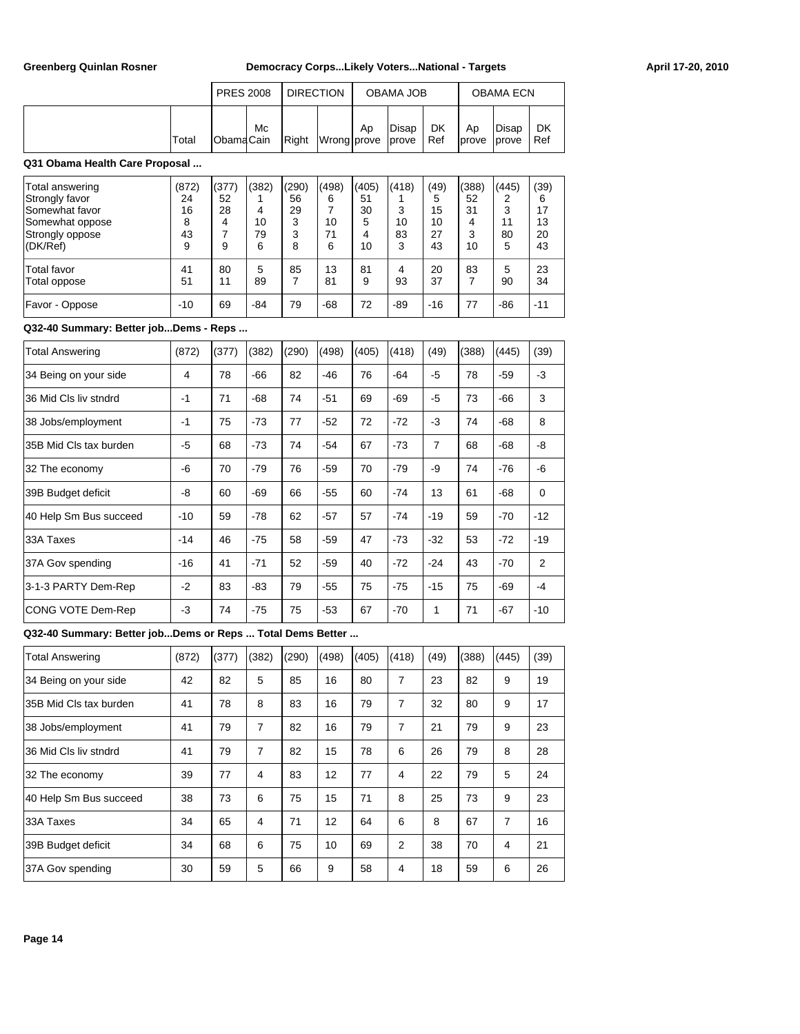|       | <b>PRES 2008</b>  |    | I DIRECTION |                               |    | OBAMA JOB |                    |                     | <b>OBAMA ECN</b> |           |
|-------|-------------------|----|-------------|-------------------------------|----|-----------|--------------------|---------------------|------------------|-----------|
| Total | <b>IObamaCain</b> | Mc |             | Right   Wrong   prove   prove | Ap | Disap     | <b>DK</b><br>l Ref | Ap<br>Iprove lprove | Disap            | DK<br>Ref |

## **Q31 Obama Health Care Proposal ...**

| Total answering<br>Strongly favor<br>Somewhat favor<br>Somewhat oppose<br>Strongly oppose<br>(DK/Ref) | (872)<br>24<br>16<br>8<br>43<br>9 | (377)<br>52<br>28<br>4<br>9 | (382)<br>4<br>10<br>79<br>6 | (290)<br>56<br>29<br>3<br>3<br>8 | (498)<br>6<br>10<br>71<br>6 | (405)<br>51<br>30<br>5<br>4<br>10 | (418)<br>3<br>10<br>83<br>3 | (49)<br>5<br>15<br>10<br>27<br>43 | (388)<br>52<br>31<br>4<br>3<br>10 | (445)<br>11<br>80<br>5 | (39)<br>6<br>17<br>13<br>20<br>43 |
|-------------------------------------------------------------------------------------------------------|-----------------------------------|-----------------------------|-----------------------------|----------------------------------|-----------------------------|-----------------------------------|-----------------------------|-----------------------------------|-----------------------------------|------------------------|-----------------------------------|
| <b>Total favor</b><br>Total oppose<br>Favor - Oppose                                                  | 41<br>51<br>$-10$                 | 80<br>11<br>69              | 5<br>89<br>-84              | 85<br>79                         | 13<br>81<br>$-68$           | 81<br>9<br>72                     | 4<br>93<br>$-89$            | 20<br>37<br>$-16$                 | 83<br>77                          | 5<br>90<br>-86         | 23<br>34<br>$-11$                 |

## **Q32-40 Summary: Better job...Dems - Reps ...**

| <b>Total Answering</b> | (872) | (377) | (382) | (290) | (498) | (405) | (418) | (49)           | (388) | (445) | (39)        |
|------------------------|-------|-------|-------|-------|-------|-------|-------|----------------|-------|-------|-------------|
| 34 Being on your side  | 4     | 78    | $-66$ | 82    | -46   | 76    | -64   | $-5$           | 78    | $-59$ | $-3$        |
| 36 Mid Cls liv stndrd  | $-1$  | 71    | $-68$ | 74    | $-51$ | 69    | $-69$ | $-5$           | 73    | $-66$ | 3           |
| 38 Jobs/employment     | $-1$  | 75    | $-73$ | 77    | $-52$ | 72    | $-72$ | $-3$           | 74    | $-68$ | 8           |
| 35B Mid Cls tax burden | -5    | 68    | $-73$ | 74    | $-54$ | 67    | $-73$ | $\overline{7}$ | 68    | $-68$ | -8          |
| 32 The economy         | -6    | 70    | $-79$ | 76    | $-59$ | 70    | $-79$ | -9             | 74    | $-76$ | -6          |
| 39B Budget deficit     | -8    | 60    | $-69$ | 66    | $-55$ | 60    | $-74$ | 13             | 61    | $-68$ | $\mathbf 0$ |
| 40 Help Sm Bus succeed | $-10$ | 59    | $-78$ | 62    | $-57$ | 57    | $-74$ | $-19$          | 59    | $-70$ | $-12$       |
| 33A Taxes              | $-14$ | 46    | $-75$ | 58    | $-59$ | 47    | $-73$ | $-32$          | 53    | $-72$ | $-19$       |
| 37A Gov spending       | $-16$ | 41    | $-71$ | 52    | $-59$ | 40    | $-72$ | $-24$          | 43    | $-70$ | 2           |
| 3-1-3 PARTY Dem-Rep    | $-2$  | 83    | $-83$ | 79    | $-55$ | 75    | $-75$ | $-15$          | 75    | $-69$ | $-4$        |
| CONG VOTE Dem-Rep      | -3    | 74    | $-75$ | 75    | $-53$ | 67    | $-70$ | 1              | 71    | $-67$ | $-10$       |

## **Q32-40 Summary: Better job...Dems or Reps ... Total Dems Better ...**

| <b>Total Answering</b> | (872) | (377) | (382) | (290) | (498) | (405) | (418) | (49) | (388) | (445) | (39) |
|------------------------|-------|-------|-------|-------|-------|-------|-------|------|-------|-------|------|
| 34 Being on your side  | 42    | 82    | 5     | 85    | 16    | 80    | 7     | 23   | 82    | 9     | 19   |
| 35B Mid Cls tax burden | 41    | 78    | 8     | 83    | 16    | 79    | 7     | 32   | 80    | 9     | 17   |
| 38 Jobs/employment     | 41    | 79    | 7     | 82    | 16    | 79    | 7     | 21   | 79    | 9     | 23   |
| 36 Mid Cls liv stndrd  | 41    | 79    | 7     | 82    | 15    | 78    | 6     | 26   | 79    | 8     | 28   |
| 32 The economy         | 39    | 77    | 4     | 83    | 12    | 77    | 4     | 22   | 79    | 5     | 24   |
| 40 Help Sm Bus succeed | 38    | 73    | 6     | 75    | 15    | 71    | 8     | 25   | 73    | 9     | 23   |
| 33A Taxes              | 34    | 65    | 4     | 71    | 12    | 64    | 6     | 8    | 67    | 7     | 16   |
| 39B Budget deficit     | 34    | 68    | 6     | 75    | 10    | 69    | 2     | 38   | 70    | 4     | 21   |
| 37A Gov spending       | 30    | 59    | 5     | 66    | 9     | 58    | 4     | 18   | 59    | 6     | 26   |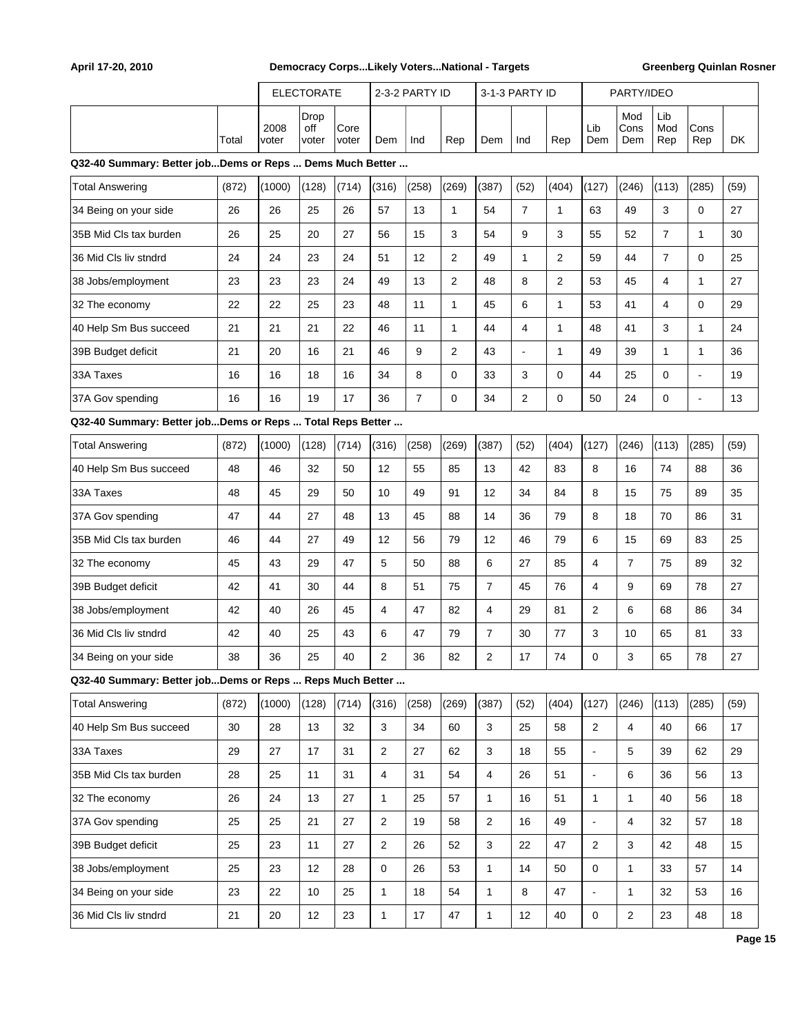|                                                           |       | <b>ELECTORATE</b> |                      |               |                | 2-3-2 PARTY ID |                |                | 3-1-3 PARTY ID |                |                | PARTY/IDEO         |                   |              |        |
|-----------------------------------------------------------|-------|-------------------|----------------------|---------------|----------------|----------------|----------------|----------------|----------------|----------------|----------------|--------------------|-------------------|--------------|--------|
|                                                           | Total | 2008<br>voter     | Drop<br>off<br>voter | Core<br>voter | Dem            | Ind            | Rep            | Dem            | Ind            | Rep            | Lib<br>Dem     | Mod<br>Cons<br>Dem | Lib<br>Mod<br>Rep | Cons<br>Rep  | DK     |
| Q32-40 Summary: Better jobDems or Reps  Dems Much Better  |       |                   |                      |               |                |                |                |                |                |                |                |                    |                   |              |        |
| <b>Total Answering</b>                                    | (872) | (1000)            | (128)                | (714)         | (316)          | (258)          | (269)          | (387)          | (52)           | (404)          | (127)          | (246)              | (113)             | (285)        | (59)   |
| 34 Being on your side                                     | 26    | 26                | 25                   | 26            | 57             | 13             | 1              | 54             | $\overline{7}$ | $\mathbf{1}$   | 63             | 49                 | 3                 | 0            | 27     |
| 35B Mid Cls tax burden                                    | 26    | 25                | 20                   | 27            | 56             | 15             | 3              | 54             | 9              | 3              | 55             | 52                 | $\overline{7}$    | $\mathbf{1}$ | 30     |
| 36 Mid Cls liv stndrd                                     | 24    | 24                | 23                   | 24            | 51             | 12             | $\overline{2}$ | 49             | $\mathbf{1}$   | 2              | 59             | 44                 | $\overline{7}$    | 0            | 25     |
| 38 Jobs/employment                                        | 23    | 23                | 23                   | 24            | 49             | 13             | $\overline{2}$ | 48             | 8              | $\overline{2}$ | 53             | 45                 | 4                 | 1            | 27     |
| 32 The economy                                            | 22    | 22                | 25                   | 23            | 48             | 11             | 1              | 45             | 6              | $\mathbf{1}$   | 53             | 41                 | 4                 | 0            | 29     |
| 40 Help Sm Bus succeed                                    | 21    | 21                | 21                   | 22            | 46             | 11             | $\mathbf{1}$   | 44             | 4              | $\mathbf{1}$   | 48             | 41                 | 3                 | 1            | 24     |
| 39B Budget deficit                                        | 21    | 20                | 16                   | 21            | 46             | 9              | $\overline{2}$ | 43             | $\overline{a}$ | $\mathbf{1}$   | 49             | 39                 | $\mathbf{1}$      | $\mathbf{1}$ | 36     |
| 33A Taxes                                                 | 16    | 16                | 18                   | 16            | 34             | 8              | $\Omega$       | 33             | 3              | 0              | 44             | 25                 | 0                 | ÷            | 19     |
| 37A Gov spending                                          | 16    | 16                | 19                   | 17            | 36             | $\overline{7}$ | $\mathbf 0$    | 34             | $\overline{2}$ | 0              | 50             | 24                 | 0                 | ä,           | 13     |
| Q32-40 Summary: Better jobDems or Reps  Total Reps Better |       |                   |                      |               |                |                |                |                |                |                |                |                    |                   |              |        |
| <b>Total Answering</b>                                    | (872) | (1000)            | (128)                | (714)         | (316)          | (258)          | (269)          | (387)          | (52)           | (404)          | (127)          | (246)              | (113)             | (285)        | (59)   |
| 40 Help Sm Bus succeed                                    | 48    | 46                | 32                   | 50            | 12             | 55             | 85             | 13             | 42             | 83             | 8              | 16                 | 74                | 88           | 36     |
| 33A Taxes                                                 | 48    | 45                | 29                   | 50            | 10             | 49             | 91             | 12             | 34             | 84             | 8              | 15                 | 75                | 89           | 35     |
| 37A Gov spending                                          | 47    | 44                | 27                   | 48            | 13             | 45             | 88             | 14             | 36             | 79             | 8              | 18                 | 70                | 86           | 31     |
| 35B Mid Cls tax burden                                    | 46    | 44                | 27                   | 49            | 12             | 56             | 79             | 12             | 46             | 79             | 6              | 15                 | 69                | 83           | 25     |
| 32 The economy                                            | 45    | 43                | 29                   | 47            | 5              | 50             | 88             | 6              | 27             | 85             | 4              | $\overline{7}$     | 75                | 89           | 32     |
| 39B Budget deficit                                        | 42    | 41                | 30                   | 44            | 8              | 51             | 75             | $\overline{7}$ | 45             | 76             | 4              | 9                  | 69                | 78           | 27     |
| 38 Jobs/employment                                        | 42    | 40                | 26                   | 45            | 4              | 47             | 82             | $\overline{4}$ | 29             | 81             | 2              | 6                  | 68                | 86           | 34     |
| 36 Mid Cls liv stndrd                                     | 42    | 40                | 25                   | 43            | 6              | 47             | 79             | $\overline{7}$ | 30             | 77             | 3              | 10                 | 65                | 81           | 33     |
| 34 Being on your side                                     | 38    | 36                | 25                   | 40            | 2              | 36             | 82             | $\overline{2}$ | 17             | 74             | 0              | 3                  | 65                | 78           | 27     |
| Q32-40 Summary: Better jobDems or Reps  Reps Much Better  |       |                   |                      |               |                |                |                |                |                |                |                |                    |                   |              |        |
| <b>Total Answering</b>                                    | (872) | (1000)            | (128)                | (714)         | (316)          | (258)          | (269)          | (387)          | (52)           | (404)          | (127)          | (246)              | (113)             | (285)        | (59)   |
| 40 Help Sm Bus succeed                                    | 30    | 28                | 13                   | 32            | 3              | 34             | 60             | 3              | 25             | 58             | $\overline{c}$ | 4                  | 40                | 66           | 17     |
| 33A Taxes                                                 | 29    | 27                | 17                   | 31            | $\sqrt{2}$     | 27             | 62             | 3              | 18             | 55             | $\blacksquare$ | 5                  | 39                | 62           | 29     |
| 35B Mid Cls tax burden                                    | 28    | 25                | 11                   | 31            | $\overline{4}$ | 31             | 54             | 4              | 26             | 51             | $\overline{a}$ | 6                  | 36                | 56           | 13     |
| 32 The economy                                            | 26    | 24                | 13                   | 27            | $\mathbf{1}$   | 25             | 57             | $\mathbf{1}$   | 16             | 51             | 1              | $\mathbf{1}$       | 40                | 56           | 18     |
| 37A Gov spending                                          | 25    | 25                | 21                   | 27            | 2              | 19             | 58             | $\mathbf{2}$   | 16             | 49             |                | 4                  | 32                | 57           | 18     |
| 39B Budget deficit                                        | 25    | 23                | 11                   | 27            | $\overline{2}$ | 26             | 52             | 3              | 22             | 47             | 2              | 3                  | 42                | 48           | 15     |
| 38 Jobs/employment                                        | 25    | 23                | 12                   | 28            | 0              | 26             | 53             | $\mathbf{1}$   | 14             | 50             | 0              | $\mathbf{1}$       | 33                | 57           | 14     |
| 34 Being on your side                                     | 23    | 22                | 10                   | 25            | $\mathbf{1}$   | 18             | 54             | $\mathbf{1}$   | 8              | 47             |                | $\mathbf{1}$       | 32                | 53           | 16     |
| 36 Mid Cls liv stndrd                                     | 21    | 20                | 12                   | 23            | $\mathbf{1}$   | 17             | 47             | $\mathbf{1}$   | 12             | 40             | 0              | $\overline{c}$     | 23                | 48           | $18\,$ |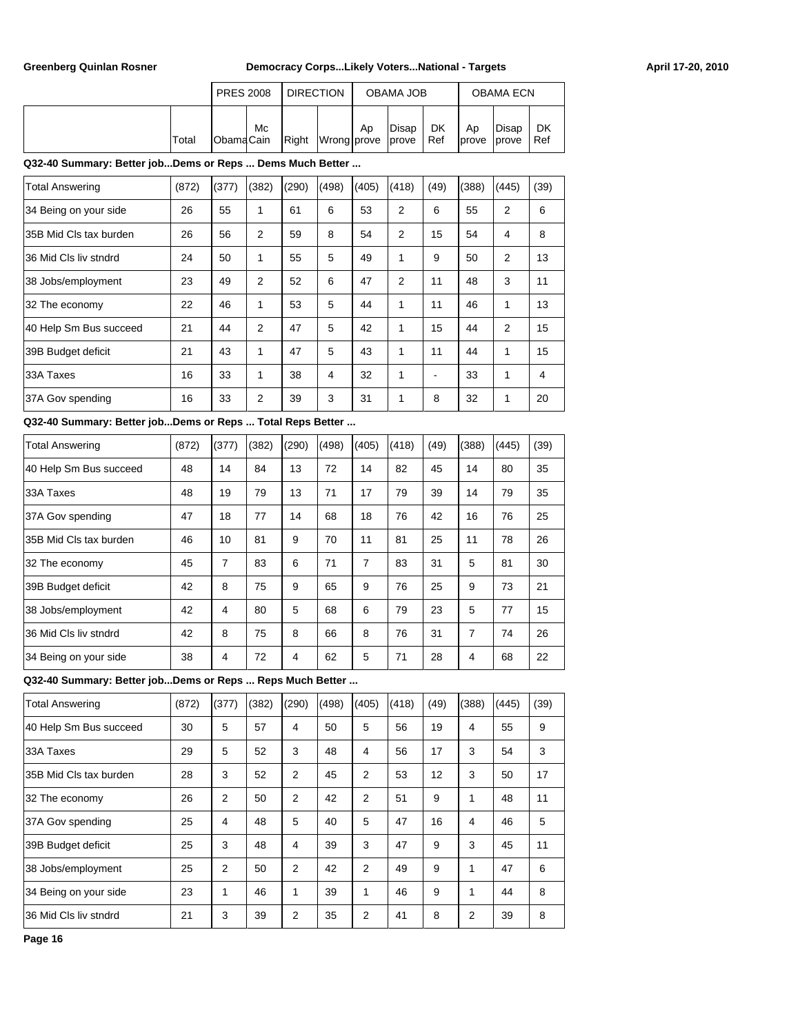|       | <b>PRES 2008</b>  |    | <b>DIRECTION</b> |                   |    | OBAMA JOB |           |              | <b>OBAMA ECN</b>        |           |
|-------|-------------------|----|------------------|-------------------|----|-----------|-----------|--------------|-------------------------|-----------|
| Total | <b>IObamaCain</b> | Мc | Right            | Wrong prove prove | Ap | Disap     | DK<br>Ref | Ap<br>Iprove | Disap<br><b>l</b> prove | DK<br>Ref |

## **Q32-40 Summary: Better job...Dems or Reps ... Dems Much Better ...**

| <b>Total Answering</b> | (872) | (377) | (382)          | (290) | (498) | (405) | (418)          | (49) | (388) | (445)          | (39)           |
|------------------------|-------|-------|----------------|-------|-------|-------|----------------|------|-------|----------------|----------------|
| 34 Being on your side  | 26    | 55    | 1              | 61    | 6     | 53    | $\overline{2}$ | 6    | 55    | $\overline{2}$ | 6              |
| 35B Mid Cls tax burden | 26    | 56    | $\overline{2}$ | 59    | 8     | 54    | 2              | 15   | 54    | 4              | 8              |
| 36 Mid Cls liv stndrd  | 24    | 50    | 1              | 55    | 5     | 49    | 1              | 9    | 50    | $\overline{2}$ | 13             |
| 38 Jobs/employment     | 23    | 49    | $\overline{2}$ | 52    | 6     | 47    | $\overline{2}$ | 11   | 48    | 3              | 11             |
| 32 The economy         | 22    | 46    | 1              | 53    | 5     | 44    | 1              | 11   | 46    | 1              | 13             |
| 40 Help Sm Bus succeed | 21    | 44    | $\overline{2}$ | 47    | 5     | 42    | 1              | 15   | 44    | $\overline{2}$ | 15             |
| 39B Budget deficit     | 21    | 43    | 1              | 47    | 5     | 43    | 1              | 11   | 44    | 1              | 15             |
| 33A Taxes              | 16    | 33    | 1              | 38    | 4     | 32    | 1              | ۰    | 33    | 1              | $\overline{4}$ |
| 37A Gov spending       | 16    | 33    | 2              | 39    | 3     | 31    | 1              | 8    | 32    | 1              | 20             |

### **Q32-40 Summary: Better job...Dems or Reps ... Total Reps Better ...**

| <b>Total Answering</b> | (872) | (377) | (382) | (290)          | (498) | (405) | (418) | (49) | (388) | (445) | (39) |
|------------------------|-------|-------|-------|----------------|-------|-------|-------|------|-------|-------|------|
| 40 Help Sm Bus succeed | 48    | 14    | 84    | 13             | 72    | 14    | 82    | 45   | 14    | 80    | 35   |
| 33A Taxes              | 48    | 19    | 79    | 13             | 71    | 17    | 79    | 39   | 14    | 79    | 35   |
| 37A Gov spending       | 47    | 18    | 77    | 14             | 68    | 18    | 76    | 42   | 16    | 76    | 25   |
| 35B Mid Cls tax burden | 46    | 10    | 81    | 9              | 70    | 11    | 81    | 25   | 11    | 78    | 26   |
| 32 The economy         | 45    | 7     | 83    | 6              | 71    | 7     | 83    | 31   | 5     | 81    | 30   |
| 39B Budget deficit     | 42    | 8     | 75    | 9              | 65    | 9     | 76    | 25   | 9     | 73    | 21   |
| 38 Jobs/employment     | 42    | 4     | 80    | 5              | 68    | 6     | 79    | 23   | 5     | 77    | 15   |
| 36 Mid Cls liv stndrd  | 42    | 8     | 75    | 8              | 66    | 8     | 76    | 31   | 7     | 74    | 26   |
| 34 Being on your side  | 38    | 4     | 72    | $\overline{4}$ | 62    | 5     | 71    | 28   | 4     | 68    | 22   |

**Q32-40 Summary: Better job...Dems or Reps ... Reps Much Better ...**

| <b>Total Answering</b> | (872) | (377) | (382) | (290)          | (498) | (405) | (418) | (49) | (388) | (445) | (39) |
|------------------------|-------|-------|-------|----------------|-------|-------|-------|------|-------|-------|------|
| 40 Help Sm Bus succeed | 30    | 5     | 57    | 4              | 50    | 5     | 56    | 19   | 4     | 55    | 9    |
| 33A Taxes              | 29    | 5     | 52    | 3              | 48    | 4     | 56    | 17   | 3     | 54    | 3    |
| 35B Mid Cls tax burden | 28    | 3     | 52    | $\overline{2}$ | 45    | 2     | 53    | 12   | 3     | 50    | 17   |
| 32 The economy         | 26    | 2     | 50    | 2              | 42    | 2     | 51    | 9    | 1     | 48    | 11   |
| 37A Gov spending       | 25    | 4     | 48    | 5              | 40    | 5     | 47    | 16   | 4     | 46    | 5    |
| 39B Budget deficit     | 25    | 3     | 48    | 4              | 39    | 3     | 47    | 9    | 3     | 45    | 11   |
| 38 Jobs/employment     | 25    | 2     | 50    | $\overline{2}$ | 42    | 2     | 49    | 9    | 1     | 47    | 6    |
| 34 Being on your side  | 23    | 1     | 46    | 1              | 39    | 1     | 46    | 9    | 1     | 44    | 8    |
| 36 Mid Cls liv stndrd  | 21    | 3     | 39    | 2              | 35    | 2     | 41    | 8    | 2     | 39    | 8    |

**Page 16**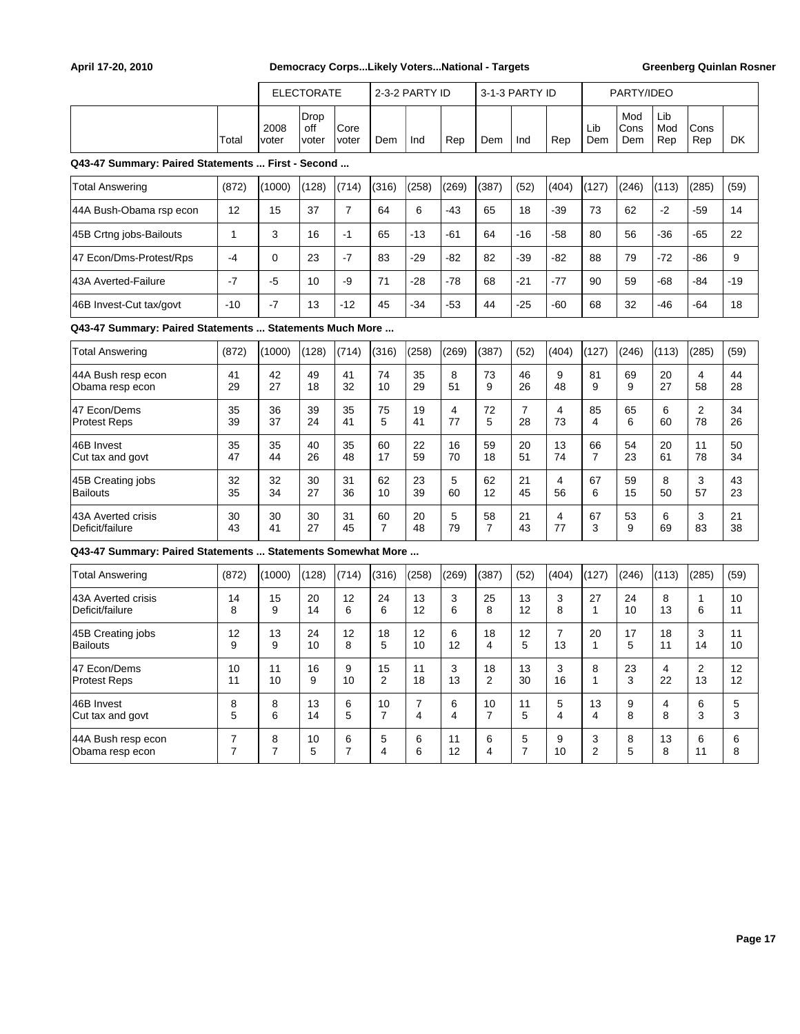|                                                             |                |               | <b>ELECTORATE</b>    |                |                      | 2-3-2 PARTY ID      |                   |                      | 3-1-3 PARTY ID       |                      |                      | PARTY/IDEO         |                   |                   |           |
|-------------------------------------------------------------|----------------|---------------|----------------------|----------------|----------------------|---------------------|-------------------|----------------------|----------------------|----------------------|----------------------|--------------------|-------------------|-------------------|-----------|
|                                                             | Total          | 2008<br>voter | Drop<br>off<br>voter | Core<br>voter  | Dem                  | Ind                 | Rep               | Dem                  | Ind                  | Rep                  | Lib<br>Dem           | Mod<br>Cons<br>Dem | Lib<br>Mod<br>Rep | Cons<br>Rep       | <b>DK</b> |
| Q43-47 Summary: Paired Statements  First - Second           |                |               |                      |                |                      |                     |                   |                      |                      |                      |                      |                    |                   |                   |           |
| <b>Total Answering</b>                                      | (872)          | (1000)        | (128)                | (714)          | (316)                | (258)               | (269)             | (387)                | (52)                 | (404)                | (127)                | (246)              | (113)             | (285)             | (59)      |
| 44A Bush-Obama rsp econ                                     | 12             | 15            | 37                   | $\overline{7}$ | 64                   | 6                   | $-43$             | 65                   | 18                   | $-39$                | 73                   | 62                 | $-2$              | $-59$             | 14        |
| 45B Crtng jobs-Bailouts                                     | $\mathbf{1}$   | 3             | 16                   | $-1$           | 65                   | $-13$               | $-61$             | 64                   | $-16$                | $-58$                | 80                   | 56                 | $-36$             | $-65$             | 22        |
| 47 Econ/Dms-Protest/Rps                                     | $-4$           | $\mathbf 0$   | 23                   | $-7$           | 83                   | $-29$               | $-82$             | 82                   | $-39$                | $-82$                | 88                   | 79                 | $-72$             | -86               | 9         |
| 43A Averted-Failure                                         | $-7$           | $-5$          | 10                   | -9             | 71                   | -28                 | $-78$             | 68                   | $-21$                | $-77$                | 90                   | 59                 | $-68$             | $-84$             | $-19$     |
| 46B Invest-Cut tax/govt                                     | $-10$          | $-7$          | 13                   | $-12$          | 45                   | $-34$               | $-53$             | 44                   | $-25$                | -60                  | 68                   | 32                 | $-46$             | $-64$             | 18        |
| Q43-47 Summary: Paired Statements  Statements Much More     |                |               |                      |                |                      |                     |                   |                      |                      |                      |                      |                    |                   |                   |           |
| Total Answering                                             | (872)          | (1000)        | (128)                | (714)          | (316)                | (258)               | (269)             | (387)                | (52)                 | (404)                | (127)                | (246)              | (113)             | (285)             | (59)      |
| 44A Bush resp econ<br>Obama resp econ                       | 41<br>29       | 42<br>27      | 49<br>18             | 41<br>32       | 74<br>10             | 35<br>29            | 8<br>51           | 73<br>9              | 46<br>26             | 9<br>48              | 81<br>9              | 69<br>9            | 20<br>27          | 4<br>58           | 44<br>28  |
| 47 Econ/Dems<br><b>Protest Reps</b>                         | 35<br>39       | 36<br>37      | 39<br>24             | 35<br>41       | 75<br>5              | 19<br>41            | 4<br>77           | 72<br>5              | $\overline{7}$<br>28 | 4<br>73              | 85<br>4              | 65<br>6            | 6<br>60           | 2<br>78           | 34<br>26  |
| 46B Invest<br>Cut tax and govt                              | 35<br>47       | 35<br>44      | 40<br>26             | 35<br>48       | 60<br>17             | 22<br>59            | 16<br>70          | 59<br>18             | 20<br>51             | 13<br>74             | 66<br>$\overline{7}$ | 54<br>23           | 20<br>61          | 11<br>78          | 50<br>34  |
| 45B Creating jobs<br><b>Bailouts</b>                        | 32<br>35       | 32<br>34      | 30<br>27             | 31<br>36       | 62<br>10             | 23<br>39            | 5<br>60           | 62<br>12             | 21<br>45             | 4<br>56              | 67<br>6              | 59<br>15           | 8<br>50           | 3<br>57           | 43<br>23  |
| 43A Averted crisis<br>Deficit/failure                       | 30<br>43       | 30<br>41      | 30<br>27             | 31<br>45       | 60<br>$\overline{7}$ | 20<br>48            | $\mathbf 5$<br>79 | 58<br>$\overline{7}$ | 21<br>43             | 4<br>77              | 67<br>3              | 53<br>9            | 6<br>69           | 3<br>83           | 21<br>38  |
| Q43-47 Summary: Paired Statements  Statements Somewhat More |                |               |                      |                |                      |                     |                   |                      |                      |                      |                      |                    |                   |                   |           |
| <b>Total Answering</b>                                      | (872)          | (1000)        | (128)                | (714)          | (316)                | (258)               | (269)             | (387)                | (52)                 | (404)                | (127)                | (246)              | (113)             | (285)             | (59)      |
| 43A Averted crisis<br>Deficit/failure                       | 14<br>8        | 15<br>9       | 20<br>14             | 12<br>6        | 24<br>6              | 13<br>12            | 3<br>6            | 25<br>8              | 13<br>12             | 3<br>8               | 27<br>1              | 24<br>10           | 8<br>13           | $\mathbf{1}$<br>6 | 10<br>11  |
| 45B Creating jobs<br><b>Bailouts</b>                        | 12<br>9        | 13<br>9       | 24<br>10             | 12<br>8        | 18<br>5              | 12<br>10            | 6<br>12           | 18<br>4              | 12<br>5              | $\overline{7}$<br>13 | 20<br>$\mathbf{1}$   | 17<br>5            | 18<br>11          | 3<br>14           | 11<br>10  |
| 47 Econ/Dems<br><b>Protest Reps</b>                         | 10<br>11       | 11<br>10      | 16<br>9              | 9<br>10        | 15<br>2              | 11<br>18            | 3<br>13           | 18<br>2              | 13<br>30             | 3<br>16              | 8<br>1               | 23<br>3            | 4<br>22           | 2<br>13           | 12<br>12  |
| 46B Invest<br>Cut tax and govt                              | 8<br>5         | 8<br>6        | 13<br>14             | 6<br>5         | 10<br>$\overline{7}$ | $\overline{7}$<br>4 | 6<br>4            | 10<br>7              | 11<br>5              | 5<br>4               | 13<br>4              | 9<br>8             | 4<br>8            | 6<br>3            | 5<br>3    |
| 44A Bush resp econ                                          | $\overline{7}$ | 8             | 10                   | 6              | 5                    | 6                   | 11                | 6                    | 5                    | 9                    | 3                    | 8                  | 13                | 6                 | 6         |

Obama resp econ | 7 | 7 | 5 | 7 | 4 | 6 | 12 | 4 | 7 | 10 | 2 | 5 | 8 | 11 | 8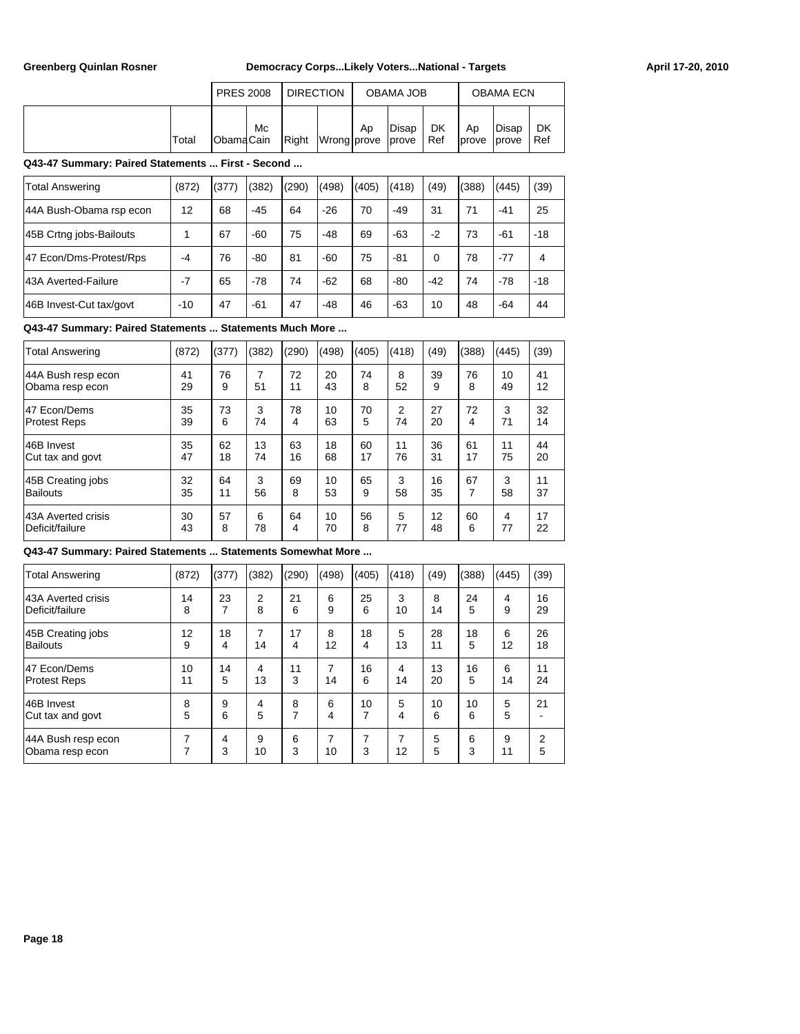|       | <b>PRES 2008</b>  |    | I DIRECTION |                         |    | OBAMA JOB |             |              | <b>OBAMA ECN</b>        |           |
|-------|-------------------|----|-------------|-------------------------|----|-----------|-------------|--------------|-------------------------|-----------|
| Total | <b>IObamaCain</b> | Mc |             | Right Wrong prove prove | Ap | Disap     | DK<br>l Ref | Ap<br>Iprove | Disap<br><i>l</i> prove | DK<br>Ref |

**Q43-47 Summary: Paired Statements ... First - Second ...**

| <b>Total Answering</b>  | (872) | (377) | (382) | (290) | (498) | (405) | (418) | (49)  | (388) | (445) | (39)  |
|-------------------------|-------|-------|-------|-------|-------|-------|-------|-------|-------|-------|-------|
| 44A Bush-Obama rsp econ | 12    | 68    | $-45$ | 64    | $-26$ | 70    | $-49$ | 31    | 71    | -41   | 25    |
| 45B Crtng jobs-Bailouts |       | 67    | -60   | 75    | $-48$ | 69    | $-63$ | $-2$  | 73    | -61   | $-18$ |
| 47 Econ/Dms-Protest/Rps | -4    | 76    | $-80$ | 81    | $-60$ | 75    | $-81$ | 0     | 78    | $-77$ | 4     |
| 143A Averted-Failure    | $-7$  | 65    | $-78$ | 74    | $-62$ | 68    | $-80$ | $-42$ | 74    | $-78$ | $-18$ |
| 46B Invest-Cut tax/govt | $-10$ | 47    | $-61$ | 47    | $-48$ | 46    | $-63$ | 10    | 48    | -64   | 44    |

### **Q43-47 Summary: Paired Statements ... Statements Much More ...**

| <b>Total Answering</b> | (872) | (377) | (382) | (290) | (498) | (405) | (418) | (49) | (388) | (445) | (39) |
|------------------------|-------|-------|-------|-------|-------|-------|-------|------|-------|-------|------|
| 44A Bush resp econ     | 41    | 76    | 7     | 72    | 20    | 74    | 8     | 39   | 76    | 10    | 41   |
| Obama resp econ        | 29    | 9     | 51    | 11    | 43    | 8     | 52    | 9    | 8     | 49    | 12   |
| 47 Econ/Dems           | 35    | 73    | 3     | 78    | 10    | 70    | 2     | 27   | 72    | 3     | 32   |
| <b>Protest Reps</b>    | 39    | 6     | 74    | 4     | 63    | 5     | 74    | 20   | 4     | 71    | 14   |
| 46B Invest             | 35    | 62    | 13    | 63    | 18    | 60    | 11    | 36   | 61    | 11    | 44   |
| Cut tax and govt       | 47    | 18    | 74    | 16    | 68    | 17    | 76    | 31   | 17    | 75    | 20   |
| 45B Creating jobs      | 32    | 64    | 3     | 69    | 10    | 65    | 3     | 16   | 67    | 3     | 11   |
| Bailouts               | 35    | 11    | 56    | 8     | 53    | 9     | 58    | 35   | 7     | 58    | 37   |
| 43A Averted crisis     | 30    | 57    | 6     | 64    | 10    | 56    | 5     | 12   | 60    | 4     | 17   |
| Deficit/failure        | 43    | 8     | 78    | 4     | 70    | 8     | 77    | 48   | 6     | 77    | 22   |

#### **Q43-47 Summary: Paired Statements ... Statements Somewhat More ...**

| <b>Total Answering</b>                | (872)  | (377)  | (382)   | (290)  | (498)   | (405)              | (418)   | (49)   | (388)  | (445)   | (39)   |
|---------------------------------------|--------|--------|---------|--------|---------|--------------------|---------|--------|--------|---------|--------|
| 43A Averted crisis                    | 14     | 23     | 2       | 21     | 6       | 25                 | 3       | 8      | 24     | 4       | 16     |
| Deficit/failure                       | 8      | 7      | 8       | 6      | 9       | 6                  | 10      | 14     | 5      | 9       | 29     |
| 45B Creating jobs                     | 12     | 18     | 7       | 17     | 8       | 18                 | 5       | 28     | 18     | 6       | 26     |
| Bailouts                              | 9      | 4      | 14      | 4      | 12      | 4                  | 13      | 11     | 5      | 12      | 18     |
| 47 Econ/Dems                          | 10     | 14     | 4       | 11     | 7       | 16                 | 4       | 13     | 16     | 6       | 11     |
| <b>Protest Reps</b>                   | 11     | 5      | 13      | 3      | 14      | 6                  | 14      | 20     | 5      | 14      | 24     |
| 46B Invest                            | 8      | 9      | 4       | 8      | 6       | 10                 | 5       | 10     | 10     | 5       | 21     |
| Cut tax and govt                      | 5      | 6      | 5       | 7      | 4       | 7                  | 4       | 6      | 6      | 5       |        |
| 44A Bush resp econ<br>Obama resp econ | 7<br>⇁ | 4<br>3 | 9<br>10 | 6<br>3 | 7<br>10 | 7<br>$\prime$<br>3 | 7<br>12 | 5<br>5 | 6<br>3 | 9<br>11 | 2<br>5 |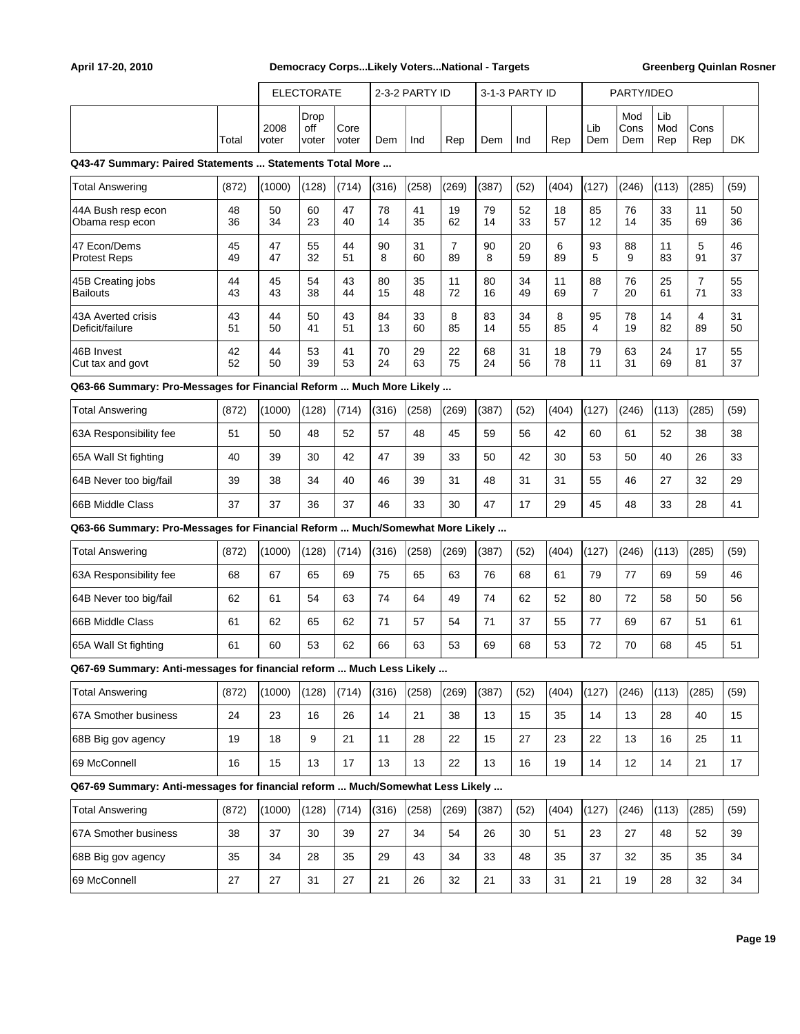|                                                                               |          |               | <b>ELECTORATE</b>    |               |          | 2-3-2 PARTY ID |                      |          | 3-1-3 PARTY ID |          |            | PARTY/IDEO         |                   |                      |          |
|-------------------------------------------------------------------------------|----------|---------------|----------------------|---------------|----------|----------------|----------------------|----------|----------------|----------|------------|--------------------|-------------------|----------------------|----------|
|                                                                               | Total    | 2008<br>voter | Drop<br>off<br>voter | Core<br>voter | Dem      | Ind            | Rep                  | Dem      | Ind            | Rep      | Lib<br>Dem | Mod<br>Cons<br>Dem | Lib<br>Mod<br>Rep | Cons<br>Rep          | DK       |
| Q43-47 Summary: Paired Statements  Statements Total More                      |          |               |                      |               |          |                |                      |          |                |          |            |                    |                   |                      |          |
| Total Answering                                                               | (872)    | (1000)        | (128)                | (714)         | (316)    | (258)          | (269)                | (387)    | (52)           | (404)    | (127)      | (246)              | (113)             | (285)                | (59)     |
| 44A Bush resp econ<br>Obama resp econ                                         | 48<br>36 | 50<br>34      | 60<br>23             | 47<br>40      | 78<br>14 | 41<br>35       | 19<br>62             | 79<br>14 | 52<br>33       | 18<br>57 | 85<br>12   | 76<br>14           | 33<br>35          | 11<br>69             | 50<br>36 |
| 47 Econ/Dems<br><b>Protest Reps</b>                                           | 45<br>49 | 47<br>47      | 55<br>32             | 44<br>51      | 90<br>8  | 31<br>60       | $\overline{7}$<br>89 | 90<br>8  | 20<br>59       | 6<br>89  | 93<br>5    | 88<br>9            | 11<br>83          | 5<br>91              | 46<br>37 |
| 45B Creating jobs<br><b>Bailouts</b>                                          | 44<br>43 | 45<br>43      | 54<br>38             | 43<br>44      | 80<br>15 | 35<br>48       | 11<br>72             | 80<br>16 | 34<br>49       | 11<br>69 | 88<br>7    | 76<br>20           | 25<br>61          | $\overline{7}$<br>71 | 55<br>33 |
| 43A Averted crisis<br>Deficit/failure                                         | 43<br>51 | 44<br>50      | 50<br>41             | 43<br>51      | 84<br>13 | 33<br>60       | 8<br>85              | 83<br>14 | 34<br>55       | 8<br>85  | 95<br>4    | 78<br>19           | 14<br>82          | 4<br>89              | 31<br>50 |
| 46B Invest<br>Cut tax and govt                                                | 42<br>52 | 44<br>50      | 53<br>39             | 41<br>53      | 70<br>24 | 29<br>63       | 22<br>75             | 68<br>24 | 31<br>56       | 18<br>78 | 79<br>11   | 63<br>31           | 24<br>69          | 17<br>81             | 55<br>37 |
| Q63-66 Summary: Pro-Messages for Financial Reform  Much More Likely           |          |               |                      |               |          |                |                      |          |                |          |            |                    |                   |                      |          |
| Total Answering                                                               | (872)    | (1000)        | (128)                | (714)         | (316)    | (258)          | (269)                | (387)    | (52)           | (404)    | (127)      | (246)              | (113)             | (285)                | (59)     |
| 63A Responsibility fee                                                        | 51       | 50            | 48                   | 52            | 57       | 48             | 45                   | 59       | 56             | 42       | 60         | 61                 | 52                | 38                   | 38       |
| 65A Wall St fighting                                                          | 40       | 39            | 30                   | 42            | 47       | 39             | 33                   | 50       | 42             | 30       | 53         | 50                 | 40                | 26                   | 33       |
| 64B Never too big/fail                                                        | 39       | 38            | 34                   | 40            | 46       | 39             | 31                   | 48       | 31             | 31       | 55         | 46                 | 27                | 32                   | 29       |
| 66B Middle Class                                                              | 37       | 37            | 36                   | 37            | 46       | 33             | 30                   | 47       | 17             | 29       | 45         | 48                 | 33                | 28                   | 41       |
| Q63-66 Summary: Pro-Messages for Financial Reform  Much/Somewhat More Likely  |          |               |                      |               |          |                |                      |          |                |          |            |                    |                   |                      |          |
| <b>Total Answering</b>                                                        | (872)    | (1000)        | (128)                | (714)         | (316)    | (258)          | (269)                | (387)    | (52)           | (404)    | (127)      | (246)              | (113)             | (285)                | (59)     |
| 63A Responsibility fee                                                        | 68       | 67            | 65                   | 69            | 75       | 65             | 63                   | 76       | 68             | 61       | 79         | 77                 | 69                | 59                   | 46       |
| 64B Never too big/fail                                                        | 62       | 61            | 54                   | 63            | 74       | 64             | 49                   | 74       | 62             | 52       | 80         | 72                 | 58                | 50                   | 56       |
| 66B Middle Class                                                              | 61       | 62            | 65                   | 62            | 71       | 57             | 54                   | 71       | 37             | 55       | 77         | 69                 | 67                | 51                   | 61       |
| 65A Wall St fighting                                                          | 61       | 60            | 53                   | 62            | 66       | 63             | 53                   | 69       | 68             | 53       | 72         | 70                 | 68                | 45                   | 51       |
| Q67-69 Summary: Anti-messages for financial reform  Much Less Likely          |          |               |                      |               |          |                |                      |          |                |          |            |                    |                   |                      |          |
| <b>Total Answering</b>                                                        | (872)    | (1000)        | (128)                | (714)         | (316)    | (258)          | (269)                | (387)    | (52)           | (404)    | (127)      | (246)              | (113)             | (285)                | (59)     |
| 67A Smother business                                                          | 24       | 23            | 16                   | 26            | 14       | 21             | 38                   | 13       | 15             | 35       | 14         | 13                 | 28                | 40                   | 15       |
| 68B Big gov agency                                                            | 19       | 18            | 9                    | 21            | 11       | 28             | 22                   | 15       | 27             | 23       | 22         | 13                 | 16                | 25                   | 11       |
| 69 McConnell                                                                  | 16       | 15            | 13                   | 17            | 13       | 13             | 22                   | 13       | 16             | 19       | 14         | 12                 | 14                | 21                   | 17       |
| Q67-69 Summary: Anti-messages for financial reform  Much/Somewhat Less Likely |          |               |                      |               |          |                |                      |          |                |          |            |                    |                   |                      |          |
| <b>Total Answering</b>                                                        | (872)    | (1000)        | (128)                | (714)         | (316)    | (258)          | (269)                | (387)    | (52)           | (404)    | (127)      | (246)              | (113)             | (285)                | (59)     |
| 67A Smother business                                                          | 38       | 37            | 30                   | 39            | 27       | 34             | 54                   | 26       | 30             | 51       | 23         | 27                 | 48                | 52                   | 39       |
| 68B Big gov agency                                                            | 35       | 34            | 28                   | 35            | 29       | 43             | 34                   | 33       | 48             | 35       | 37         | 32                 | 35                | 35                   | 34       |
| 69 McConnell                                                                  | 27       | 27            | 31                   | 27            | 21       | 26             | 32                   | 21       | 33             | 31       | 21         | 19                 | 28                | 32                   | 34       |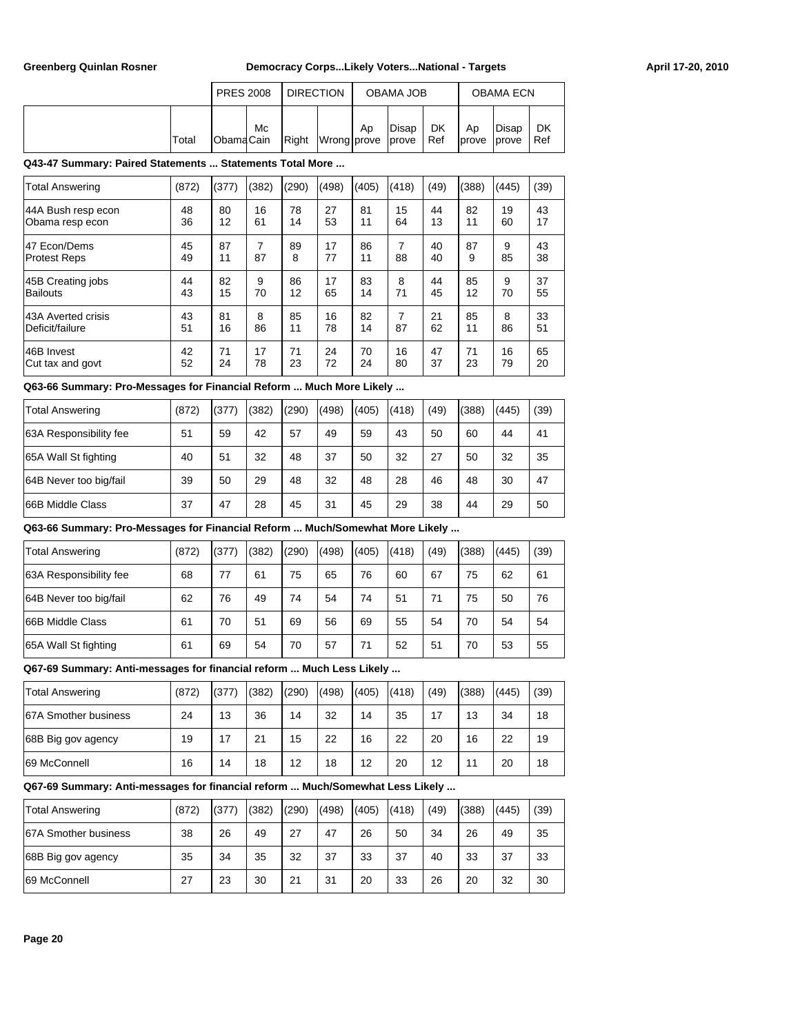|       | <b>PRES 2008</b>  |    | <b>DIRECTION</b> |                         |    | OBAMA JOB |             |                     | <b>OBAMA ECN</b> |           |
|-------|-------------------|----|------------------|-------------------------|----|-----------|-------------|---------------------|------------------|-----------|
| Total | <b>IObamaCain</b> | Мc |                  | Right Wrong prove prove | Ap | Disap     | DK<br>l Ref | Ap<br>Iprove lprove | Disap            | DK<br>Ref |

#### **Q43-47 Summary: Paired Statements ... Statements Total More ...**

| <b>Total Answering</b> | (872) | (377) | (382) | (290) | (498) | (405) | (418) | (49) | (388) | (445) | (39) |
|------------------------|-------|-------|-------|-------|-------|-------|-------|------|-------|-------|------|
| 44A Bush resp econ     | 48    | 80    | 16    | 78    | 27    | 81    | 15    | 44   | 82    | 19    | 43   |
| Obama resp econ        | 36    | 12    | 61    | 14    | 53    | 11    | 64    | 13   | 11    | 60    | 17   |
| 47 Econ/Dems           | 45    | 87    | 7     | 89    | 17    | 86    | 7     | 40   | 87    | 9     | 43   |
| <b>Protest Reps</b>    | 49    | 11    | 87    | 8     | 77    | 11    | 88    | 40   | 9     | 85    | 38   |
| 45B Creating jobs      | 44    | 82    | 9     | 86    | 17    | 83    | 8     | 44   | 85    | 9     | 37   |
| Bailouts               | 43    | 15    | 70    | 12    | 65    | 14    | 71    | 45   | 12    | 70    | 55   |
| 43A Averted crisis     | 43    | 81    | 8     | 85    | 16    | 82    | 7     | 21   | 85    | 8     | 33   |
| Deficit/failure        | 51    | 16    | 86    | 11    | 78    | 14    | 87    | 62   | 11    | 86    | 51   |
| 146B Invest            | 42    | 71    | 17    | 71    | 24    | 70    | 16    | 47   | 71    | 16    | 65   |
| Cut tax and govt       | 52    | 24    | 78    | 23    | 72    | 24    | 80    | 37   | 23    | 79    | 20   |

## **Q63-66 Summary: Pro-Messages for Financial Reform ... Much More Likely ...**

| Total Answering        | (872) | (377) | (382) | (290) | (498) | (405) | (418) | (49) | (388) | (445) | (39) |
|------------------------|-------|-------|-------|-------|-------|-------|-------|------|-------|-------|------|
| 63A Responsibility fee | 51    | 59    | 42    | 57    | 49    | 59    | 43    | 50   | 60    | 44    | 41   |
| 65A Wall St fighting   | 40    | 51    | 32    | 48    | 37    | 50    | 32    | 27   | 50    | 32    | 35   |
| 64B Never too big/fail | 39    | 50    | 29    | 48    | 32    | 48    | 28    | 46   | 48    | 30    | 47   |
| 66B Middle Class       | 37    | 47    | 28    | 45    | 31    | 45    | 29    | 38   | 44    | 29    | 50   |

#### **Q63-66 Summary: Pro-Messages for Financial Reform ... Much/Somewhat More Likely ...**

| Total Answering         | (872) | (377) | (382) | (290) | (498) | (405) | (418) | (49) | (388) | (445) | (39) |
|-------------------------|-------|-------|-------|-------|-------|-------|-------|------|-------|-------|------|
| 63A Responsibility fee  | 68    | 77    | 61    | 75    | 65    | 76    | 60    | 67   | 75    | 62    | 61   |
| 64B Never too big/fail  | 62    | 76    | 49    | 74    | 54    | 74    | 51    | 71   | 75    | 50    | 76   |
| <b>66B Middle Class</b> | 61    | 70    | 51    | 69    | 56    | 69    | 55    | 54   | 70    | 54    | 54   |
| 65A Wall St fighting    | 61    | 69    | 54    | 70    | 57    | 71    | 52    | 51   | 70    | 53    | 55   |

### **Q67-69 Summary: Anti-messages for financial reform ... Much Less Likely ...**

| Total Answering      | (872) | (377) | (382) | (290) | (498) | (405) | (418) | (49) | (388) | (445) | (39) |
|----------------------|-------|-------|-------|-------|-------|-------|-------|------|-------|-------|------|
| 67A Smother business | 24    | 13    | 36    | 14    | 32    | 14    | 35    | 17   | 13    | 34    | 18   |
| 68B Big gov agency   | 19    | 17    | 21    | 15    | 22    | 16    | 22    | 20   | 16    | 22    | 19   |
| 169 McConnell        | 16    | 14    | 18    | 12    | 18    | 12    | 20    | 12   | 11    | 20    | 18   |

## **Q67-69 Summary: Anti-messages for financial reform ... Much/Somewhat Less Likely ...**

| <b>Total Answering</b> | (872) | (377) | (382) | (290) | (498) | (405) | (418) | (49) | (388) | (445) | (39) |
|------------------------|-------|-------|-------|-------|-------|-------|-------|------|-------|-------|------|
| 67A Smother business   | 38    | 26    | 49    | 27    | 47    | 26    | 50    | 34   | 26    | 49    | 35   |
| 68B Big gov agency     | 35    | 34    | 35    | 32    | 37    | 33    | 37    | 40   | 33    | 37    | 33   |
| 69 McConnell           | 27    | 23    | 30    | 21    | 31    | 20    | 33    | 26   | 20    | 32    | 30   |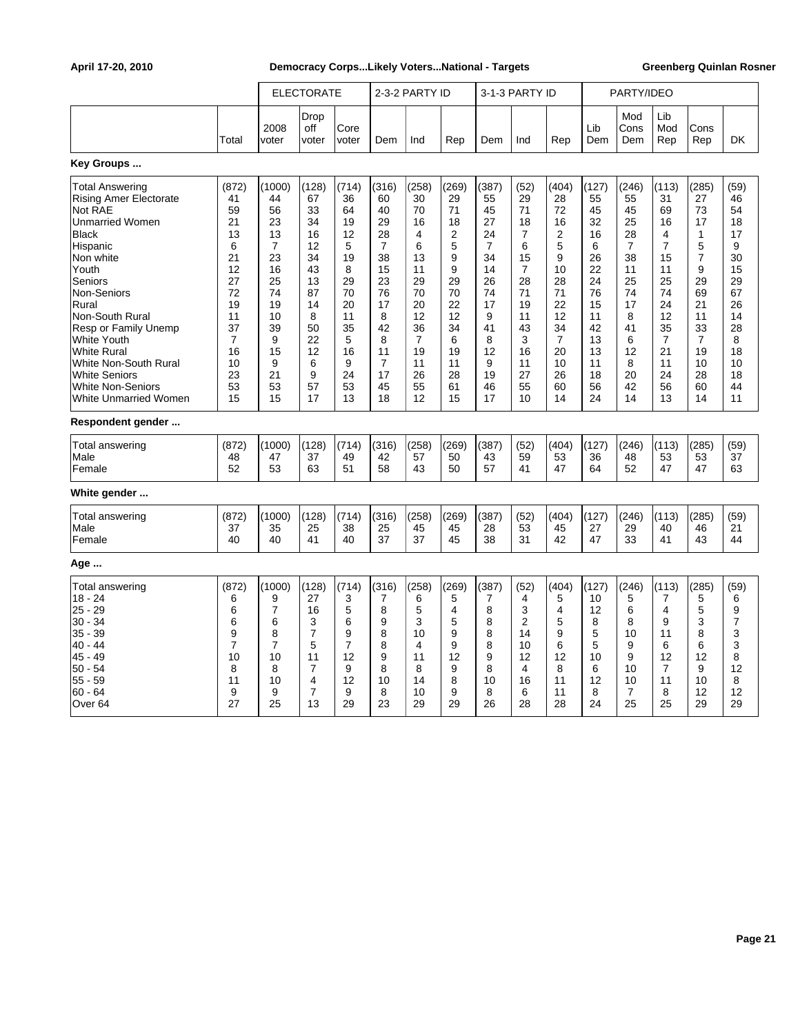|                                                                                                                                                                                                                                                                                                                                                       |                                                                                                                        |                                                                                                                        | <b>ELECTORATE</b>                                                                                        |                                                                                                         |                                                                                                                                   | 2-3-2 PARTY ID                                                                                                                     |                                                                                                                     |                                                                                                                      | 3-1-3 PARTY ID                                                                                         |                                                                                                                      |                                                                                                            | PARTY/IDEO                                                                                                           |                                                                                                                                    |                                                                                                                                |                                                                                                          |
|-------------------------------------------------------------------------------------------------------------------------------------------------------------------------------------------------------------------------------------------------------------------------------------------------------------------------------------------------------|------------------------------------------------------------------------------------------------------------------------|------------------------------------------------------------------------------------------------------------------------|----------------------------------------------------------------------------------------------------------|---------------------------------------------------------------------------------------------------------|-----------------------------------------------------------------------------------------------------------------------------------|------------------------------------------------------------------------------------------------------------------------------------|---------------------------------------------------------------------------------------------------------------------|----------------------------------------------------------------------------------------------------------------------|--------------------------------------------------------------------------------------------------------|----------------------------------------------------------------------------------------------------------------------|------------------------------------------------------------------------------------------------------------|----------------------------------------------------------------------------------------------------------------------|------------------------------------------------------------------------------------------------------------------------------------|--------------------------------------------------------------------------------------------------------------------------------|----------------------------------------------------------------------------------------------------------|
|                                                                                                                                                                                                                                                                                                                                                       | Total                                                                                                                  | 2008<br>voter                                                                                                          | Drop<br>off<br>voter                                                                                     | Core<br>voter                                                                                           | Dem                                                                                                                               | Ind                                                                                                                                | Rep                                                                                                                 | Dem                                                                                                                  | Ind                                                                                                    | Rep                                                                                                                  | Lib<br>Dem                                                                                                 | Mod<br>Cons<br>Dem                                                                                                   | Lib<br>Mod<br>Rep                                                                                                                  | Cons<br>Rep                                                                                                                    | <b>DK</b>                                                                                                |
| Key Groups                                                                                                                                                                                                                                                                                                                                            |                                                                                                                        |                                                                                                                        |                                                                                                          |                                                                                                         |                                                                                                                                   |                                                                                                                                    |                                                                                                                     |                                                                                                                      |                                                                                                        |                                                                                                                      |                                                                                                            |                                                                                                                      |                                                                                                                                    |                                                                                                                                |                                                                                                          |
| <b>Total Answering</b><br><b>Rising Amer Electorate</b><br>Not RAE<br><b>Unmarried Women</b><br><b>Black</b><br>Hispanic<br>Non white<br>Youth<br>Seniors<br>Non-Seniors<br>Rural<br>Non-South Rural<br>Resp or Family Unemp<br><b>White Youth</b><br><b>White Rural</b><br>White Non-South Rural<br><b>White Seniors</b><br><b>White Non-Seniors</b> | (872)<br>41<br>59<br>21<br>13<br>6<br>21<br>12<br>27<br>72<br>19<br>11<br>37<br>$\overline{7}$<br>16<br>10<br>23<br>53 | (1000)<br>44<br>56<br>23<br>13<br>$\overline{7}$<br>23<br>16<br>25<br>74<br>19<br>10<br>39<br>9<br>15<br>9<br>21<br>53 | (128)<br>67<br>33<br>34<br>16<br>12<br>34<br>43<br>13<br>87<br>14<br>8<br>50<br>22<br>12<br>6<br>9<br>57 | (714)<br>36<br>64<br>19<br>12<br>5<br>19<br>8<br>29<br>70<br>20<br>11<br>35<br>5<br>16<br>9<br>24<br>53 | (316)<br>60<br>40<br>29<br>28<br>$\overline{7}$<br>38<br>15<br>23<br>76<br>17<br>8<br>42<br>8<br>11<br>$\overline{7}$<br>17<br>45 | (258)<br>30<br>70<br>16<br>$\overline{4}$<br>6<br>13<br>11<br>29<br>70<br>20<br>12<br>36<br>$\overline{7}$<br>19<br>11<br>26<br>55 | (269)<br>29<br>71<br>18<br>$\overline{2}$<br>5<br>9<br>9<br>29<br>70<br>22<br>12<br>34<br>6<br>19<br>11<br>28<br>61 | (387)<br>55<br>45<br>27<br>24<br>$\overline{7}$<br>34<br>14<br>26<br>74<br>17<br>9<br>41<br>8<br>12<br>9<br>19<br>46 | (52)<br>29<br>71<br>18<br>7<br>6<br>15<br>7<br>28<br>71<br>19<br>11<br>43<br>3<br>16<br>11<br>27<br>55 | (404)<br>28<br>72<br>16<br>2<br>5<br>9<br>10<br>28<br>71<br>22<br>12<br>34<br>$\overline{7}$<br>20<br>10<br>26<br>60 | (127)<br>55<br>45<br>32<br>16<br>6<br>26<br>22<br>24<br>76<br>15<br>11<br>42<br>13<br>13<br>11<br>18<br>56 | (246)<br>55<br>45<br>25<br>28<br>$\overline{7}$<br>38<br>11<br>25<br>74<br>17<br>8<br>41<br>6<br>12<br>8<br>20<br>42 | (113)<br>31<br>69<br>16<br>4<br>$\overline{7}$<br>15<br>11<br>25<br>74<br>24<br>12<br>35<br>$\overline{7}$<br>21<br>11<br>24<br>56 | (285)<br>27<br>73<br>17<br>$\mathbf{1}$<br>5<br>7<br>9<br>29<br>69<br>21<br>11<br>33<br>$\overline{7}$<br>19<br>10<br>28<br>60 | (59)<br>46<br>54<br>18<br>17<br>9<br>30<br>15<br>29<br>67<br>26<br>14<br>28<br>8<br>18<br>10<br>18<br>44 |
| <b>White Unmarried Women</b><br>Respondent gender                                                                                                                                                                                                                                                                                                     | 15                                                                                                                     | 15                                                                                                                     | 17                                                                                                       | 13                                                                                                      | 18                                                                                                                                | 12                                                                                                                                 | 15                                                                                                                  | 17                                                                                                                   | 10                                                                                                     | 14                                                                                                                   | 24                                                                                                         | 14                                                                                                                   | 13                                                                                                                                 | 14                                                                                                                             | 11                                                                                                       |
| Total answering<br>Male<br>Female                                                                                                                                                                                                                                                                                                                     | (872)<br>48<br>52                                                                                                      | (1000)<br>47<br>53                                                                                                     | (128)<br>37<br>63                                                                                        | (714)<br>49<br>51                                                                                       | (316)<br>42<br>58                                                                                                                 | (258)<br>57<br>43                                                                                                                  | (269)<br>50<br>50                                                                                                   | (387)<br>43<br>57                                                                                                    | (52)<br>59<br>41                                                                                       | (404)<br>53<br>47                                                                                                    | (127)<br>36<br>64                                                                                          | (246)<br>48<br>52                                                                                                    | (113)<br>53<br>47                                                                                                                  | (285)<br>53<br>47                                                                                                              | (59)<br>37<br>63                                                                                         |
| White gender                                                                                                                                                                                                                                                                                                                                          |                                                                                                                        |                                                                                                                        |                                                                                                          |                                                                                                         |                                                                                                                                   |                                                                                                                                    |                                                                                                                     |                                                                                                                      |                                                                                                        |                                                                                                                      |                                                                                                            |                                                                                                                      |                                                                                                                                    |                                                                                                                                |                                                                                                          |
| Total answering<br>Male<br>Female                                                                                                                                                                                                                                                                                                                     | (872)<br>37<br>40                                                                                                      | (1000)<br>35<br>40                                                                                                     | (128)<br>25<br>41                                                                                        | (714)<br>38<br>40                                                                                       | (316)<br>25<br>37                                                                                                                 | (258)<br>45<br>37                                                                                                                  | (269)<br>45<br>45                                                                                                   | (387)<br>28<br>38                                                                                                    | (52)<br>53<br>31                                                                                       | (404)<br>45<br>42                                                                                                    | (127)<br>27<br>47                                                                                          | (246)<br>29<br>33                                                                                                    | (113)<br>40<br>41                                                                                                                  | (285)<br>46<br>43                                                                                                              | (59)<br>21<br>44                                                                                         |
| Age                                                                                                                                                                                                                                                                                                                                                   |                                                                                                                        |                                                                                                                        |                                                                                                          |                                                                                                         |                                                                                                                                   |                                                                                                                                    |                                                                                                                     |                                                                                                                      |                                                                                                        |                                                                                                                      |                                                                                                            |                                                                                                                      |                                                                                                                                    |                                                                                                                                |                                                                                                          |
| <b>Total answering</b><br>$18 - 24$<br>$25 - 29$<br>$30 - 34$<br>$35 - 39$<br>$40 - 44$<br>45 - 49<br>$50 - 54$<br>$55 - 59$<br>$60 - 64$<br>Over <sub>64</sub>                                                                                                                                                                                       | (872)<br>6<br>6<br>6<br>9<br>$\overline{7}$<br>10<br>8<br>11<br>9<br>27                                                | (1000)<br>9<br>7<br>6<br>8<br>$\overline{7}$<br>10<br>8<br>10<br>9<br>25                                               | (128)<br>27<br>16<br>3<br>$\overline{7}$<br>5<br>11<br>$\overline{7}$<br>4<br>$\overline{7}$<br>13       | (714)<br>3<br>$\mathbf 5$<br>6<br>9<br>$\overline{7}$<br>12<br>9<br>12<br>9<br>29                       | (316)<br>7<br>8<br>9<br>8<br>8<br>9<br>8<br>10<br>8<br>23                                                                         | (258)<br>6<br>5<br>3<br>10<br>4<br>11<br>8<br>14<br>10<br>29                                                                       | (269)<br>5<br>4<br>5<br>9<br>9<br>12<br>9<br>8<br>9<br>29                                                           | (387)<br>7<br>8<br>8<br>8<br>8<br>9<br>8<br>10<br>8<br>26                                                            | (52)<br>4<br>3<br>$\overline{2}$<br>14<br>10<br>12<br>4<br>16<br>6<br>28                               | (404)<br>5<br>4<br>5<br>9<br>6<br>12<br>8<br>11<br>11<br>28                                                          | (127)<br>10<br>12<br>8<br>5<br>5<br>10<br>6<br>12<br>8<br>24                                               | (246)<br>5<br>6<br>8<br>10<br>9<br>9<br>10<br>10<br>$\overline{7}$<br>25                                             | (113)<br>7<br>4<br>9<br>11<br>6<br>12<br>$\overline{7}$<br>11<br>8<br>25                                                           | (285)<br>5<br>5<br>3<br>8<br>6<br>12<br>9<br>10<br>12<br>29                                                                    | (59)<br>6<br>9<br>$\overline{7}$<br>3<br>3<br>8<br>12<br>8<br>12<br>29                                   |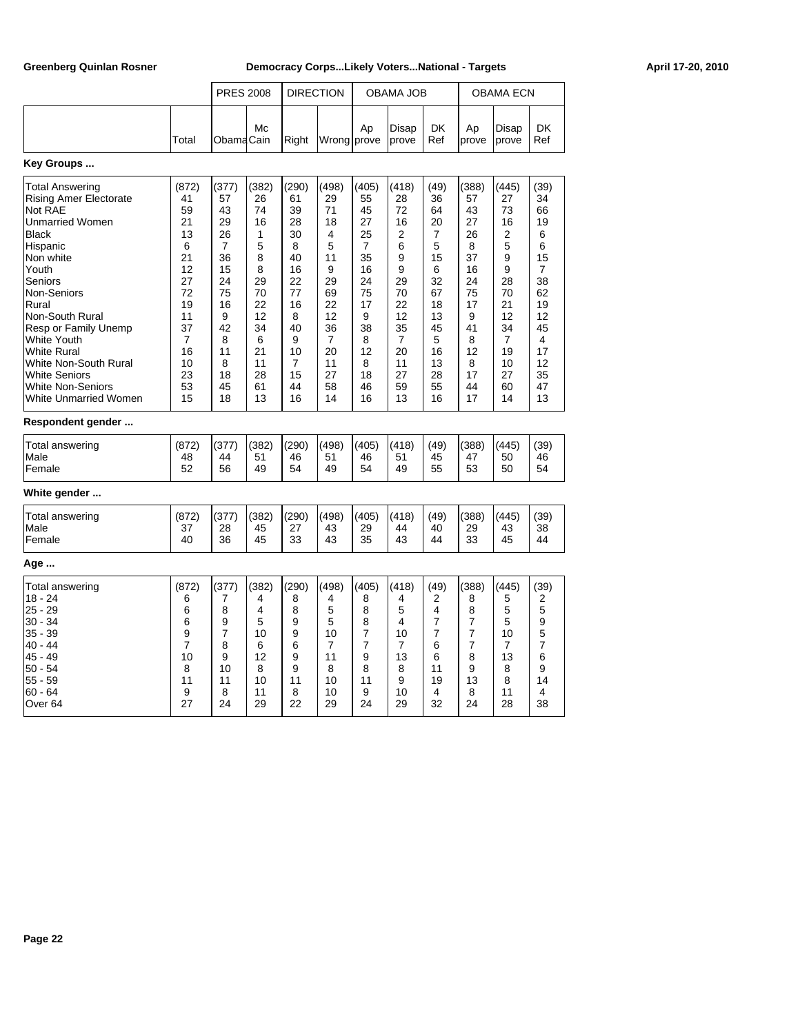|                                                                                                                                                                                                                                                                                                                                                    |                                                                                                                              | <b>PRES 2008</b>                                                                                                           |                                                                                                              | <b>DIRECTION</b>                                                                                              |                                                                                                                            |                                                                                                                            | OBAMA JOB                                                                                                    |                                                                                                                           |                                                                                                               | OBAMA ECN                                                                                                                 |                                                                                                              |
|----------------------------------------------------------------------------------------------------------------------------------------------------------------------------------------------------------------------------------------------------------------------------------------------------------------------------------------------------|------------------------------------------------------------------------------------------------------------------------------|----------------------------------------------------------------------------------------------------------------------------|--------------------------------------------------------------------------------------------------------------|---------------------------------------------------------------------------------------------------------------|----------------------------------------------------------------------------------------------------------------------------|----------------------------------------------------------------------------------------------------------------------------|--------------------------------------------------------------------------------------------------------------|---------------------------------------------------------------------------------------------------------------------------|---------------------------------------------------------------------------------------------------------------|---------------------------------------------------------------------------------------------------------------------------|--------------------------------------------------------------------------------------------------------------|
|                                                                                                                                                                                                                                                                                                                                                    | Total                                                                                                                        | ObamaCain                                                                                                                  | Мc                                                                                                           | Right                                                                                                         | Wrong prove                                                                                                                | Ap                                                                                                                         | Disap<br>prove                                                                                               | DK<br>Ref                                                                                                                 | Ap<br>prove                                                                                                   | Disap<br>prove                                                                                                            | DK<br>Ref                                                                                                    |
| Key Groups                                                                                                                                                                                                                                                                                                                                         |                                                                                                                              |                                                                                                                            |                                                                                                              |                                                                                                               |                                                                                                                            |                                                                                                                            |                                                                                                              |                                                                                                                           |                                                                                                               |                                                                                                                           |                                                                                                              |
| Total Answering<br><b>Rising Amer Electorate</b><br>Not RAE<br>Unmarried Women<br><b>Black</b><br>Hispanic<br>Non white<br>Youth<br>Seniors<br>Non-Seniors<br>Rural<br>Non-South Rural<br>Resp or Family Unemp<br>White Youth<br>White Rural<br>White Non-South Rural<br>White Seniors<br><b>White Non-Seniors</b><br><b>White Unmarried Women</b> | (872)<br>41<br>59<br>21<br>13<br>6<br>21<br>12<br>27<br>72<br>19<br>11<br>37<br>$\overline{7}$<br>16<br>10<br>23<br>53<br>15 | (377)<br>57<br>43<br>29<br>26<br>$\overline{7}$<br>36<br>15<br>24<br>75<br>16<br>9<br>42<br>8<br>11<br>8<br>18<br>45<br>18 | (382)<br>26<br>74<br>16<br>1<br>5<br>8<br>8<br>29<br>70<br>22<br>12<br>34<br>6<br>21<br>11<br>28<br>61<br>13 | (290)<br>61<br>39<br>28<br>30<br>8<br>40<br>16<br>22<br>77<br>16<br>8<br>40<br>9<br>10<br>7<br>15<br>44<br>16 | (498)<br>29<br>71<br>18<br>4<br>5<br>11<br>9<br>29<br>69<br>22<br>12<br>36<br>$\overline{7}$<br>20<br>11<br>27<br>58<br>14 | (405)<br>55<br>45<br>27<br>25<br>$\overline{7}$<br>35<br>16<br>24<br>75<br>17<br>9<br>38<br>8<br>12<br>8<br>18<br>46<br>16 | (418)<br>28<br>72<br>16<br>2<br>6<br>9<br>9<br>29<br>70<br>22<br>12<br>35<br>7<br>20<br>11<br>27<br>59<br>13 | (49)<br>36<br>64<br>20<br>$\overline{7}$<br>5<br>15<br>6<br>32<br>67<br>18<br>13<br>45<br>5<br>16<br>13<br>28<br>55<br>16 | (388)<br>57<br>43<br>27<br>26<br>8<br>37<br>16<br>24<br>75<br>17<br>9<br>41<br>8<br>12<br>8<br>17<br>44<br>17 | (445)<br>27<br>73<br>16<br>2<br>5<br>9<br>9<br>28<br>70<br>21<br>12<br>34<br>$\overline{7}$<br>19<br>10<br>27<br>60<br>14 | (39)<br>34<br>66<br>19<br>6<br>6<br>15<br>7<br>38<br>62<br>19<br>12<br>45<br>4<br>17<br>12<br>35<br>47<br>13 |
| Respondent gender                                                                                                                                                                                                                                                                                                                                  |                                                                                                                              |                                                                                                                            |                                                                                                              |                                                                                                               |                                                                                                                            |                                                                                                                            |                                                                                                              |                                                                                                                           |                                                                                                               |                                                                                                                           |                                                                                                              |
| Total answering<br>Male<br>Female                                                                                                                                                                                                                                                                                                                  | (872)<br>48<br>52                                                                                                            | (377)<br>44<br>56                                                                                                          | (382)<br>51<br>49                                                                                            | (290)<br>46<br>54                                                                                             | (498)<br>51<br>49                                                                                                          | (405)<br>46<br>54                                                                                                          | (418)<br>51<br>49                                                                                            | (49)<br>45<br>55                                                                                                          | (388)<br>47<br>53                                                                                             | (445)<br>50<br>50                                                                                                         | (39)<br>46<br>54                                                                                             |
| White gender                                                                                                                                                                                                                                                                                                                                       |                                                                                                                              |                                                                                                                            |                                                                                                              |                                                                                                               |                                                                                                                            |                                                                                                                            |                                                                                                              |                                                                                                                           |                                                                                                               |                                                                                                                           |                                                                                                              |
| Total answering<br>Male<br>Female                                                                                                                                                                                                                                                                                                                  | (872)<br>37<br>40                                                                                                            | (377)<br>28<br>36                                                                                                          | (382)<br>45<br>45                                                                                            | (290)<br>27<br>33                                                                                             | (498)<br>43<br>43                                                                                                          | (405)<br>29<br>35                                                                                                          | (418)<br>44<br>43                                                                                            | (49)<br>40<br>44                                                                                                          | (388)<br>29<br>33                                                                                             | (445)<br>43<br>45                                                                                                         | (39)<br>38<br>44                                                                                             |
| Age                                                                                                                                                                                                                                                                                                                                                |                                                                                                                              |                                                                                                                            |                                                                                                              |                                                                                                               |                                                                                                                            |                                                                                                                            |                                                                                                              |                                                                                                                           |                                                                                                               |                                                                                                                           |                                                                                                              |
| Total answering<br>18 - 24<br>$25 - 29$<br>$30 - 34$<br>35 - 39<br>40 - 44<br>45 - 49<br>$50 - 54$<br>$55 - 59$<br>$60 - 64$<br>Over <sub>64</sub>                                                                                                                                                                                                 | (872)<br>6<br>6<br>6<br>9<br>$\overline{7}$<br>10<br>8<br>11<br>9<br>27                                                      | (377)<br>7<br>8<br>9<br>7<br>8<br>9<br>10<br>11<br>8<br>24                                                                 | (382)<br>4<br>$\overline{4}$<br>5<br>10<br>6<br>12<br>8<br>10<br>11<br>29                                    | (290)<br>8<br>8<br>9<br>9<br>6<br>9<br>9<br>11<br>8<br>22                                                     | (498)<br>4<br>5<br>5<br>10<br>7<br>11<br>8<br>10<br>10<br>29                                                               | (405)<br>8<br>8<br>8<br>$\overline{7}$<br>7<br>9<br>8<br>11<br>9<br>24                                                     | (418)<br>4<br>5<br>4<br>10<br>7<br>13<br>8<br>9<br>10<br>29                                                  | (49)<br>2<br>4<br>$\overline{7}$<br>$\overline{7}$<br>6<br>6<br>11<br>19<br>4<br>32                                       | (388)<br>8<br>8<br>7<br>7<br>7<br>8<br>9<br>13<br>8<br>24                                                     | (445)<br>5<br>5<br>5<br>10<br>7<br>13<br>8<br>8<br>11<br>28                                                               | (39)<br>2<br>5<br>9<br>5<br>7<br>6<br>9<br>14<br>4<br>38                                                     |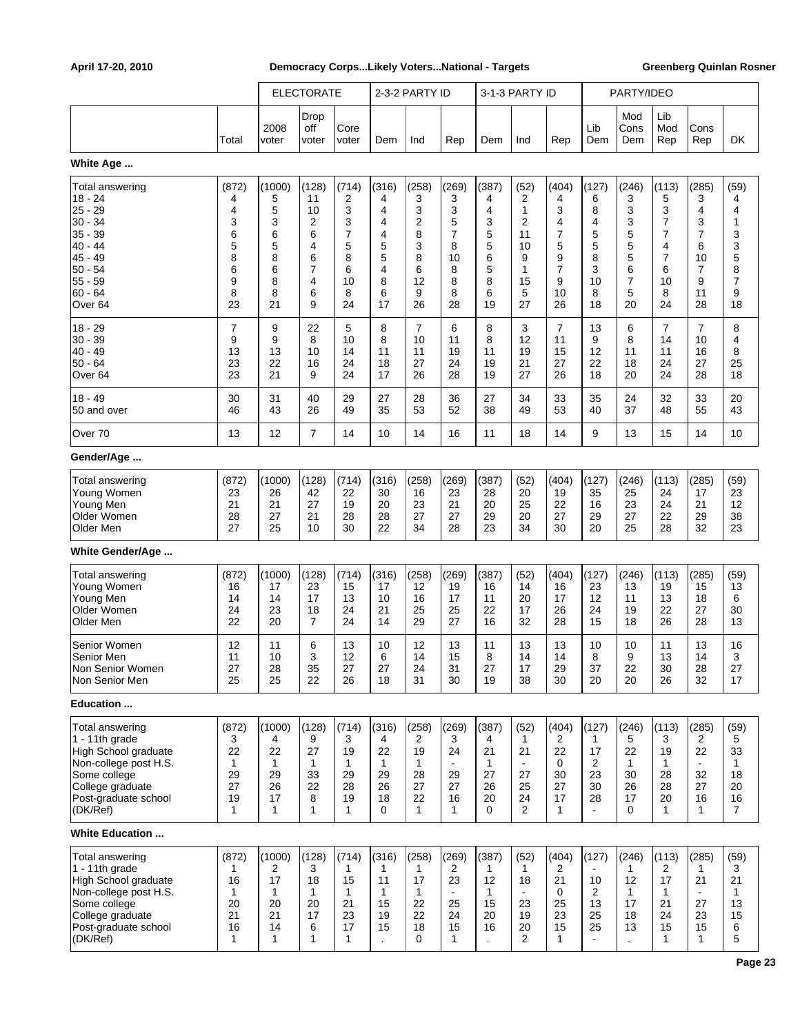|                                                                                                                                                                      |                                                          |                                                           | <b>ELECTORATE</b>                                                                   |                                                                        |                                                                                    | 2-3-2 PARTY ID                                            |                                                                        |                                                          | 3-1-3 PARTY ID                                                      |                                                                        |                                                           | PARTY/IDEO                                                            |                                                                                     |                                                                         |                                                                      |
|----------------------------------------------------------------------------------------------------------------------------------------------------------------------|----------------------------------------------------------|-----------------------------------------------------------|-------------------------------------------------------------------------------------|------------------------------------------------------------------------|------------------------------------------------------------------------------------|-----------------------------------------------------------|------------------------------------------------------------------------|----------------------------------------------------------|---------------------------------------------------------------------|------------------------------------------------------------------------|-----------------------------------------------------------|-----------------------------------------------------------------------|-------------------------------------------------------------------------------------|-------------------------------------------------------------------------|----------------------------------------------------------------------|
|                                                                                                                                                                      | Total                                                    | 2008<br>voter                                             | Drop<br>off<br>voter                                                                | Core<br>voter                                                          | Dem                                                                                | Ind                                                       | Rep                                                                    | Dem                                                      | Ind                                                                 | Rep                                                                    | Lib<br>Dem                                                | Mod<br>Cons<br>Dem                                                    | Lib<br>Mod<br>Rep                                                                   | Cons<br>Rep                                                             | DK                                                                   |
| White Age                                                                                                                                                            |                                                          |                                                           |                                                                                     |                                                                        |                                                                                    |                                                           |                                                                        |                                                          |                                                                     |                                                                        |                                                           |                                                                       |                                                                                     |                                                                         |                                                                      |
| Total answering<br>$18 - 24$<br>25 - 29<br>$30 - 34$<br>$35 - 39$<br>$40 - 44$<br>$45 - 49$<br>$ 50 - 54$<br>$55 - 59$<br>$60 - 64$<br>Over <sub>64</sub>            | (872)<br>4<br>4<br>3<br>6<br>5<br>8<br>6<br>9<br>8<br>23 | (1000)<br>5<br>5<br>3<br>6<br>5<br>8<br>6<br>8<br>8<br>21 | (128)<br>11<br>10<br>$\overline{2}$<br>6<br>4<br>6<br>$\overline{7}$<br>4<br>6<br>9 | (714)<br>2<br>3<br>3<br>$\overline{7}$<br>5<br>8<br>6<br>10<br>8<br>24 | (316)<br>4<br>4<br>4<br>$\overline{4}$<br>5<br>5<br>$\overline{4}$<br>8<br>6<br>17 | (258)<br>3<br>3<br>2<br>8<br>3<br>8<br>6<br>12<br>9<br>26 | (269)<br>3<br>3<br>5<br>$\overline{7}$<br>8<br>10<br>8<br>8<br>8<br>28 | (387)<br>4<br>4<br>3<br>5<br>5<br>6<br>5<br>8<br>6<br>19 | (52)<br>2<br>1<br>2<br>11<br>10<br>9<br>1<br>15<br>5<br>27          | (404)<br>4<br>3<br>4<br>7<br>5<br>9<br>$\overline{7}$<br>9<br>10<br>26 | (127)<br>6<br>8<br>4<br>5<br>5<br>8<br>3<br>10<br>8<br>18 | (246)<br>3<br>3<br>3<br>5<br>5<br>5<br>6<br>$\overline{7}$<br>5<br>20 | (113)<br>5<br>3<br>7<br>$\overline{7}$<br>4<br>$\overline{7}$<br>6<br>10<br>8<br>24 | (285)<br>3<br>4<br>3<br>$\overline{7}$<br>6<br>10<br>7<br>9<br>11<br>28 | (59)<br>4<br>4<br>1<br>3<br>3<br>5<br>8<br>$\overline{7}$<br>9<br>18 |
| $18 - 29$<br>$30 - 39$<br>$40 - 49$<br>50 - 64<br>Over <sub>64</sub>                                                                                                 | 7<br>9<br>13<br>23<br>23                                 | 9<br>9<br>13<br>22<br>21                                  | 22<br>8<br>10<br>16<br>9                                                            | 5<br>10<br>14<br>24<br>24                                              | 8<br>8<br>11<br>18<br>17                                                           | $\overline{7}$<br>10<br>11<br>27<br>26                    | 6<br>11<br>19<br>24<br>28                                              | 8<br>8<br>11<br>19<br>19                                 | 3<br>12<br>19<br>21<br>27                                           | $\overline{7}$<br>11<br>15<br>27<br>26                                 | 13<br>9<br>12<br>22<br>18                                 | 6<br>8<br>11<br>18<br>20                                              | $\overline{7}$<br>14<br>11<br>24<br>24                                              | $\overline{7}$<br>10<br>16<br>27<br>28                                  | 8<br>4<br>8<br>25<br>18                                              |
| $18 - 49$<br>50 and over                                                                                                                                             | 30<br>46                                                 | 31<br>43                                                  | 40<br>26                                                                            | 29<br>49                                                               | 27<br>35                                                                           | 28<br>53                                                  | 36<br>52                                                               | 27<br>38                                                 | 34<br>49                                                            | 33<br>53                                                               | 35<br>40                                                  | 24<br>37                                                              | 32<br>48                                                                            | 33<br>55                                                                | 20<br>43                                                             |
| Over 70                                                                                                                                                              | 13                                                       | 12                                                        | $\overline{7}$                                                                      | 14                                                                     | 10                                                                                 | 14                                                        | 16                                                                     | 11                                                       | 18                                                                  | 14                                                                     | 9                                                         | 13                                                                    | 15                                                                                  | 14                                                                      | 10                                                                   |
| Gender/Age                                                                                                                                                           |                                                          |                                                           |                                                                                     |                                                                        |                                                                                    |                                                           |                                                                        |                                                          |                                                                     |                                                                        |                                                           |                                                                       |                                                                                     |                                                                         |                                                                      |
| <b>Total answering</b><br>Young Women<br>Young Men<br>Older Women<br>Older Men                                                                                       | (872)<br>23<br>21<br>28<br>27                            | (1000)<br>26<br>21<br>27<br>25                            | (128)<br>42<br>27<br>21<br>10                                                       | (714)<br>22<br>19<br>28<br>30                                          | (316)<br>30<br>20<br>28<br>22                                                      | (258)<br>16<br>23<br>27<br>34                             | (269)<br>23<br>21<br>27<br>28                                          | (387)<br>28<br>20<br>29<br>23                            | (52)<br>20<br>25<br>20<br>34                                        | (404)<br>19<br>22<br>27<br>30                                          | (127)<br>35<br>16<br>29<br>20                             | (246)<br>25<br>23<br>27<br>25                                         | (113)<br>24<br>24<br>22<br>28                                                       | (285)<br>17<br>21<br>29<br>32                                           | (59)<br>23<br>12<br>38<br>23                                         |
| White Gender/Age                                                                                                                                                     |                                                          |                                                           |                                                                                     |                                                                        |                                                                                    |                                                           |                                                                        |                                                          |                                                                     |                                                                        |                                                           |                                                                       |                                                                                     |                                                                         |                                                                      |
| <b>Total answering</b><br>Young Women<br>Young Men<br>Older Women<br>Older Men<br>Senior Women                                                                       | (872)<br>16<br>14<br>24<br>22<br>12                      | (1000)<br>17<br>14<br>23<br>20<br>11                      | (128)<br>23<br>17<br>18<br>$\overline{7}$<br>6                                      | (714)<br>15<br>13<br>24<br>24<br>13                                    | (316)<br>17<br>10<br>21<br>14<br>10                                                | (258)<br>12<br>16<br>25<br>29<br>12                       | (269)<br>19<br>17<br>25<br>27<br>13                                    | (387)<br>16<br>11<br>22<br>16<br>11                      | (52)<br>14<br>20<br>17<br>32<br>13                                  | (404)<br>16<br>17<br>26<br>28<br>13                                    | (127)<br>23<br>12<br>24<br>15<br>10                       | (246)<br>13<br>11<br>19<br>18<br>10                                   | (113)<br>19<br>13<br>22<br>26<br>11                                                 | (285)<br>15<br>18<br>27<br>28<br>13                                     | (59)<br>13<br>6<br>30<br>13<br>16                                    |
| Senior Men<br>Non Senior Women<br>Non Senior Men                                                                                                                     | 11<br>27<br>25                                           | 10<br>28<br>25                                            | 3<br>35<br>22                                                                       | 12<br>27<br>26                                                         | 6<br>27<br>18                                                                      | 14<br>24<br>31                                            | 15<br>31<br>30                                                         | 8<br>27<br>19                                            | 14<br>17<br>38                                                      | 14<br>29<br>30                                                         | 8<br>37<br>20                                             | 9<br>22<br>20                                                         | 13<br>30<br>26                                                                      | 14<br>28<br>32                                                          | 3<br>27<br>17                                                        |
| Education                                                                                                                                                            |                                                          |                                                           |                                                                                     |                                                                        |                                                                                    |                                                           |                                                                        |                                                          |                                                                     |                                                                        |                                                           |                                                                       |                                                                                     |                                                                         |                                                                      |
| Total answering<br>1 - 11th grade<br><b>High School graduate</b><br>Non-college post H.S.<br>Some college<br>College graduate<br>Post-graduate school<br>(DK/Ref)    | (872)<br>3<br>22<br>1<br>29<br>27<br>19<br>1             | (1000)<br>4<br>22<br>$\mathbf{1}$<br>29<br>26<br>17<br>1  | (128)<br>9<br>27<br>$\mathbf{1}$<br>33<br>22<br>8<br>$\mathbf{1}$                   | (714)<br>3<br>19<br>1<br>29<br>28<br>19<br>$\mathbf{1}$                | (316)<br>4<br>22<br>1<br>29<br>26<br>18<br>0                                       | (258)<br>2<br>19<br>1<br>28<br>27<br>22<br>1              | (269)<br>3<br>24<br>$\blacksquare$<br>29<br>27<br>16<br>1              | (387)<br>4<br>21<br>$\mathbf{1}$<br>27<br>26<br>20<br>0  | (52)<br>$\mathbf{1}$<br>21<br>$\blacksquare$<br>27<br>25<br>24<br>2 | (404)<br>2<br>22<br>0<br>30<br>27<br>17<br>$\mathbf{1}$                | (127)<br>1<br>17<br>2<br>23<br>30<br>28                   | (246)<br>5<br>22<br>1<br>30<br>26<br>17<br>0                          | (113)<br>3<br>19<br>1<br>28<br>28<br>20<br>1                                        | (285)<br>2<br>22<br>$\blacksquare$<br>32<br>27<br>16<br>1               | (59)<br>5<br>33<br>$\mathbf 1$<br>18<br>20<br>16<br>$\overline{7}$   |
| <b>White Education </b>                                                                                                                                              |                                                          |                                                           |                                                                                     |                                                                        |                                                                                    |                                                           |                                                                        |                                                          |                                                                     |                                                                        |                                                           |                                                                       |                                                                                     |                                                                         |                                                                      |
| <b>Total answering</b><br>$1 - 11$ th grade<br>High School graduate<br>Non-college post H.S.<br>Some college<br>College graduate<br>Post-graduate school<br>(DK/Ref) | (872)<br>1<br>16<br>1<br>20<br>21<br>16<br>1             | (1000)<br>2<br>17<br>1<br>20<br>21<br>14<br>1             | (128)<br>3<br>18<br>1<br>20<br>17<br>6<br>$\mathbf{1}$                              | (714)<br>1<br>15<br>1<br>21<br>23<br>17<br>1                           | (316)<br>1<br>11<br>1<br>15<br>19<br>15                                            | (258)<br>1<br>17<br>1<br>22<br>22<br>18<br>0              | (269)<br>2<br>23<br>25<br>24<br>15<br>1                                | (387)<br>1<br>12<br>1<br>15<br>20<br>16                  | (52)<br>1<br>18<br>23<br>19<br>20<br>2                              | (404)<br>2<br>21<br>0<br>25<br>23<br>15<br>1                           | (127)<br>10<br>2<br>13<br>25<br>25                        | (246)<br>1<br>12<br>1<br>17<br>18<br>13                               | (113)<br>$\overline{c}$<br>17<br>1<br>21<br>24<br>15<br>1                           | (285)<br>1<br>21<br>27<br>23<br>15<br>1                                 | (59)<br>3<br>21<br>$\mathbf 1$<br>13<br>15<br>6<br>5                 |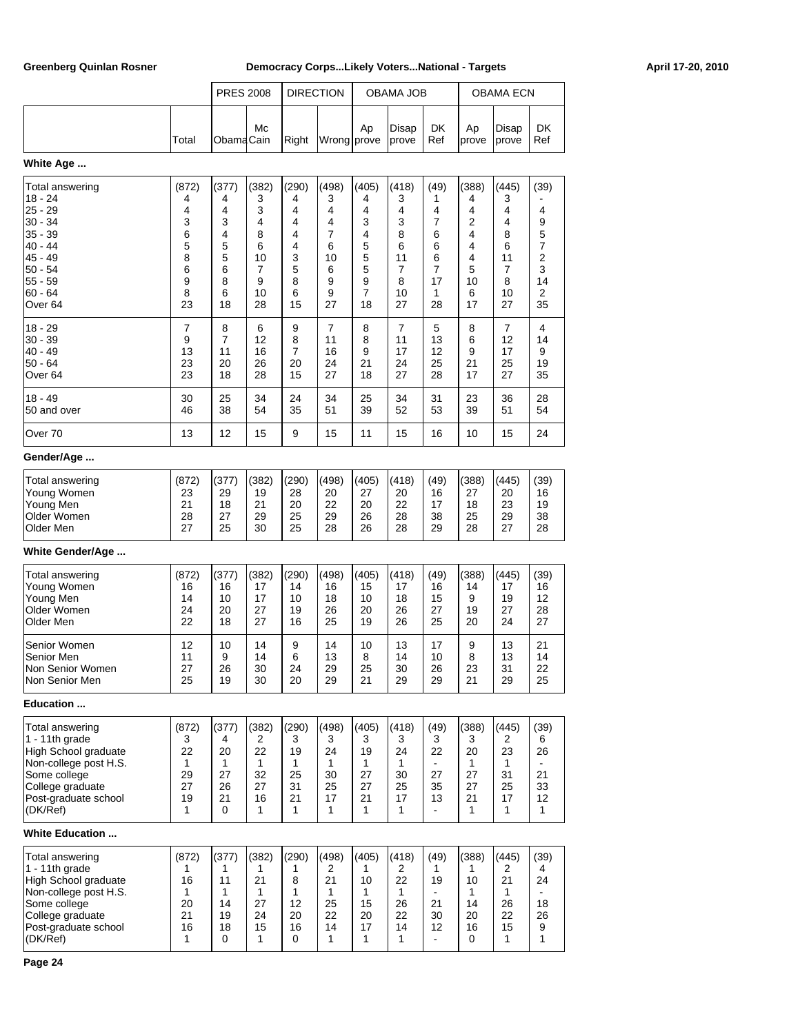|                                                                                                                                                               |                                                          | <b>PRES 2008</b>                                         |                                                            |                                                          | <b>DIRECTION</b>                                                       |                                                                    | OBAMA JOB                                                  |                                                          |                                                           | OBAMA ECN                                                  |                                                     |
|---------------------------------------------------------------------------------------------------------------------------------------------------------------|----------------------------------------------------------|----------------------------------------------------------|------------------------------------------------------------|----------------------------------------------------------|------------------------------------------------------------------------|--------------------------------------------------------------------|------------------------------------------------------------|----------------------------------------------------------|-----------------------------------------------------------|------------------------------------------------------------|-----------------------------------------------------|
|                                                                                                                                                               | Total                                                    | ObamaCain                                                | Mc                                                         | Right                                                    | Wrong prove                                                            | Ap                                                                 | Disap<br>prove                                             | DK<br>Ref                                                | Ap<br>prove                                               | Disap<br>prove                                             | DK<br>Ref                                           |
| White Age                                                                                                                                                     |                                                          |                                                          |                                                            |                                                          |                                                                        |                                                                    |                                                            |                                                          |                                                           |                                                            |                                                     |
| Total answering<br>18 - 24<br>25 - 29<br>30 - 34<br>35 - 39<br>40 - 44<br>45 - 49<br>50 - 54<br>55 - 59<br>$60 - 64$<br>Over 64                               | (872)<br>4<br>4<br>3<br>6<br>5<br>8<br>6<br>9<br>8<br>23 | (377)<br>4<br>4<br>3<br>4<br>5<br>5<br>6<br>8<br>6<br>18 | (382)<br>3<br>3<br>4<br>8<br>6<br>10<br>7<br>9<br>10<br>28 | (290)<br>4<br>4<br>4<br>4<br>4<br>3<br>5<br>8<br>6<br>15 | (498)<br>3<br>4<br>4<br>$\overline{7}$<br>6<br>10<br>6<br>9<br>9<br>27 | (405)<br>4<br>4<br>3<br>4<br>5<br>5<br>5<br>9<br>7<br>18           | (418)<br>3<br>4<br>3<br>8<br>6<br>11<br>7<br>8<br>10<br>27 | (49)<br>1<br>4<br>7<br>6<br>6<br>6<br>7<br>17<br>1<br>28 | (388)<br>4<br>4<br>2<br>4<br>4<br>4<br>5<br>10<br>6<br>17 | (445)<br>3<br>4<br>4<br>8<br>6<br>11<br>7<br>8<br>10<br>27 | (39)<br>4<br>9<br>5<br>7<br>2<br>3<br>14<br>2<br>35 |
| 18 - 29<br>30 - 39<br>40 - 49<br>$50 - 64$<br>Over 64                                                                                                         | $\overline{7}$<br>9<br>13<br>23<br>23                    | 8<br>7<br>11<br>20<br>18                                 | 6<br>12<br>16<br>26<br>28                                  | 9<br>8<br>7<br>20<br>15                                  | $\overline{7}$<br>11<br>16<br>24<br>27                                 | 8<br>8<br>9<br>21<br>18                                            | $\overline{7}$<br>11<br>17<br>24<br>27                     | 5<br>13<br>12<br>25<br>28                                | 8<br>6<br>9<br>21<br>17                                   | $\overline{7}$<br>12<br>17<br>25<br>27                     | 4<br>14<br>9<br>19<br>35                            |
| 18 - 49<br>50 and over                                                                                                                                        | 30<br>46                                                 | 25<br>38                                                 | 34<br>54                                                   | 24<br>35                                                 | 34<br>51                                                               | 25<br>39                                                           | 34<br>52                                                   | 31<br>53                                                 | 23<br>39                                                  | 36<br>51                                                   | 28<br>54                                            |
| Over 70                                                                                                                                                       | 13                                                       | 12                                                       | 15                                                         | 9                                                        | 15                                                                     | 11                                                                 | 15                                                         | 16                                                       | 10                                                        | 15                                                         | 24                                                  |
| Gender/Age                                                                                                                                                    |                                                          |                                                          |                                                            |                                                          |                                                                        |                                                                    |                                                            |                                                          |                                                           |                                                            |                                                     |
| <b>Total answering</b><br>Young Women<br>Young Men<br>Older Women<br>Older Men                                                                                | (872)<br>23<br>21<br>28<br>27                            | (377)<br>29<br>18<br>27<br>25                            | (382)<br>19<br>21<br>29<br>30                              | (290)<br>28<br>20<br>25<br>25                            | (498)<br>20<br>22<br>29<br>28                                          | (405)<br>27<br>20<br>26<br>26                                      | (418)<br>20<br>22<br>28<br>28                              | (49)<br>16<br>17<br>38<br>29                             | (388)<br>27<br>18<br>25<br>28                             | (445)<br>20<br>23<br>29<br>27                              | (39)<br>16<br>19<br>38<br>28                        |
| White Gender/Age                                                                                                                                              |                                                          |                                                          |                                                            |                                                          |                                                                        |                                                                    |                                                            |                                                          |                                                           |                                                            |                                                     |
| <b>Total answering</b><br>Young Women<br>Young Men<br>Older Women<br>Older Men<br>Senior Women                                                                | (872)<br>16<br>14<br>24<br>22<br>12                      | (377)<br>16<br>10<br>20<br>18<br>10                      | (382)<br>17<br>17<br>27<br>27<br>14                        | (290)<br>14<br>10<br>19<br>16<br>9                       | (498)<br>16<br>18<br>26<br>25<br>14                                    | (405)<br>15<br>10<br>20<br>19<br>10                                | (418)<br>17<br>18<br>26<br>26<br>13                        | (49)<br>16<br>15<br>27<br>25<br>17                       | (388)<br>14<br>9<br>19<br>20<br>9                         | (445)<br>17<br>19<br>27<br>24<br>13                        | (39)<br>16<br>12<br>28<br>27<br>21                  |
| Senior Men<br>Non Senior Women<br>Non Senior Men                                                                                                              | 11<br>27<br>25                                           | 9<br>26<br>19                                            | 14<br>30<br>30                                             | 6<br>24<br>20                                            | 13<br>29<br>29                                                         | 8<br>25<br>21                                                      | 14<br>30<br>29                                             | 10<br>26<br>29                                           | 8<br>23<br>21                                             | 13<br>31<br>29                                             | 14<br>22<br>25                                      |
| Education                                                                                                                                                     |                                                          |                                                          |                                                            |                                                          |                                                                        |                                                                    |                                                            |                                                          |                                                           |                                                            |                                                     |
| Total answering<br>$1 - 11$ th grade<br>High School graduate<br>Non-college post H.S.<br>Some college<br>College graduate<br>Post-graduate school<br>(DK/Ref) | (872)<br>3<br>22<br>1<br>29<br>27<br>19<br>1             | (377)<br>4<br>20<br>1<br>27<br>26<br>21<br>0             | (382)<br>2<br>22<br>1<br>32<br>27<br>16<br>1               | (290)<br>3<br>19<br>1<br>25<br>31<br>21<br>1             | (498)<br>3<br>24<br>1<br>30<br>25<br>17<br>$\mathbf{1}$                | (405)<br>3<br>19<br>1<br>27<br>27<br>21<br>$\mathbf{1}$            | (418)<br>3<br>24<br>1<br>30<br>25<br>17<br>$\mathbf{1}$    | (49)<br>3<br>22<br>27<br>35<br>13<br>$\blacksquare$      | (388)<br>3<br>20<br>1<br>27<br>27<br>21<br>$\mathbf{1}$   | (445)<br>2<br>23<br>$\mathbf{1}$<br>31<br>25<br>17<br>1    | (39)<br>6<br>26<br>21<br>33<br>12<br>1              |
| <b>White Education </b>                                                                                                                                       |                                                          |                                                          |                                                            |                                                          |                                                                        |                                                                    |                                                            |                                                          |                                                           |                                                            |                                                     |
| Total answering<br>1 - 11th grade<br>High School graduate<br>Non-college post H.S.<br>Some college<br>College graduate<br>Post-graduate school<br>(DK/Ref)    | (872)<br>1<br>16<br>1<br>20<br>21<br>16<br>1             | (377)<br>1<br>11<br>1<br>14<br>19<br>18<br>0             | (382)<br>1<br>21<br>1<br>27<br>24<br>15<br>1               | (290)<br>1<br>8<br>1<br>12<br>20<br>16<br>0              | (498)<br>2<br>21<br>$\mathbf{1}$<br>25<br>22<br>14<br>$\mathbf{1}$     | (405)<br>1<br>10<br>$\mathbf{1}$<br>15<br>20<br>17<br>$\mathbf{1}$ | (418)<br>2<br>22<br>1<br>26<br>22<br>14<br>1               | (49)<br>1<br>19<br>21<br>30<br>12                        | (388)<br>1<br>10<br>$\mathbf{1}$<br>14<br>20<br>16<br>0   | (445)<br>2<br>21<br>$\mathbf{1}$<br>26<br>22<br>15<br>1    | (39)<br>4<br>24<br>18<br>26<br>9<br>1               |

**Page 24**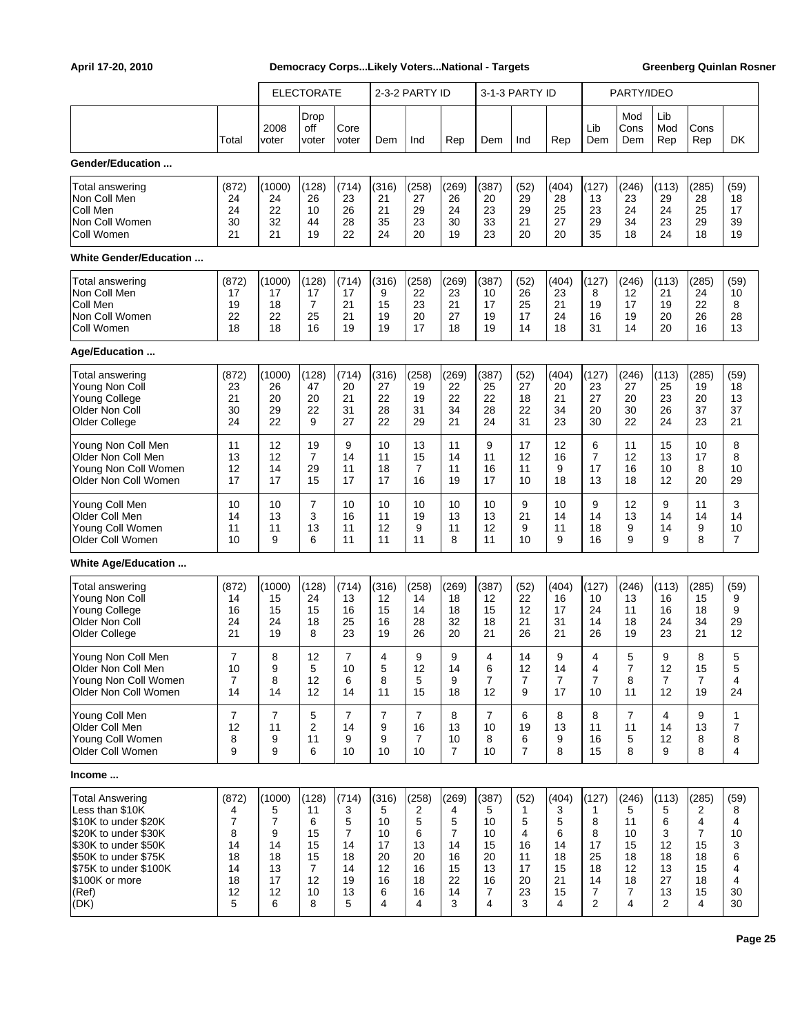|                        |                |               | <b>ELECTORATE</b>    |                |                | 2-3-2 PARTY ID |                |                | 3-1-3 PARTY ID |                |                | PARTY/IDEO         |                   |                |                |
|------------------------|----------------|---------------|----------------------|----------------|----------------|----------------|----------------|----------------|----------------|----------------|----------------|--------------------|-------------------|----------------|----------------|
|                        | Total          | 2008<br>voter | Drop<br>off<br>voter | Core<br>voter  | Dem            | Ind            | Rep            | Dem            | Ind            | Rep            | Lib<br>Dem     | Mod<br>Cons<br>Dem | Lib<br>Mod<br>Rep | Cons<br>Rep    | DK             |
| Gender/Education       |                |               |                      |                |                |                |                |                |                |                |                |                    |                   |                |                |
| Total answering        | (872)          | (1000)        | (128)                | (714)          | (316)          | (258)          | (269)          | (387)          | (52)           | (404)          | (127)          | (246)              | (113)             | (285)          | (59)           |
| Non Coll Men           | 24             | 24            | 26                   | 23             | 21             | 27             | 26             | 20             | 29             | 28             | 13             | 23                 | 29                | 28             | 18             |
| Coll Men               | 24             | 22            | 10                   | 26             | 21             | 29             | 24             | 23             | 29             | 25             | 23             | 24                 | 24                | 25             | 17             |
| Non Coll Women         | 30             | 32            | 44                   | 28             | 35             | 23             | 30             | 33             | 21             | 27             | 29             | 34                 | 23                | 29             | 39             |
| Coll Women             | 21             | 21            | 19                   | 22             | 24             | 20             | 19             | 23             | 20             | 20             | 35             | 18                 | 24                | 18             | 19             |
| White Gender/Education |                |               |                      |                |                |                |                |                |                |                |                |                    |                   |                |                |
| Total answering        | (872)          | (1000)        | (128)                | (714)          | (316)          | (258)          | (269)          | (387)          | (52)           | (404)          | (127)          | (246)              | (113)             | (285)          | (59)           |
| Non Coll Men           | 17             | 17            | 17                   | 17             | 9              | 22             | 23             | 10             | 26             | 23             | 8              | 12                 | 21                | 24             | 10             |
| Coll Men               | 19             | 18            | $\overline{7}$       | 21             | 15             | 23             | 21             | 17             | 25             | 21             | 19             | 17                 | 19                | 22             | 8              |
| Non Coll Women         | 22             | 22            | 25                   | 21             | 19             | 20             | 27             | 19             | 17             | 24             | 16             | 19                 | 20                | 26             | 28             |
| Coll Women             | 18             | 18            | 16                   | 19             | 19             | 17             | 18             | 19             | 14             | 18             | 31             | 14                 | 20                | 16             | 13             |
| Age/Education          |                |               |                      |                |                |                |                |                |                |                |                |                    |                   |                |                |
| Total answering        | (872)          | (1000)        | (128)                | (714)          | (316)          | (258)          | (269)          | (387)          | (52)           | (404)          | (127)          | (246)              | (113)             | (285)          | (59)           |
| Young Non Coll         | 23             | 26            | 47                   | 20             | 27             | 19             | 22             | 25             | 27             | 20             | 23             | 27                 | 25                | 19             | 18             |
| Young College          | 21             | 20            | 20                   | 21             | 22             | 19             | 22             | 22             | 18             | 21             | 27             | 20                 | 23                | 20             | 13             |
| Older Non Coll         | 30             | 29            | 22                   | 31             | 28             | 31             | 34             | 28             | 22             | 34             | 20             | 30                 | 26                | 37             | 37             |
| Older College          | 24             | 22            | 9                    | 27             | 22             | 29             | 21             | 24             | 31             | 23             | 30             | 22                 | 24                | 23             | 21             |
| Young Non Coll Men     | 11             | 12            | 19                   | 9              | 10             | 13             | 11             | 9              | 17             | 12             | 6              | 11                 | 15                | 10             | 8              |
| Older Non Coll Men     | 13             | 12            | $\overline{7}$       | 14             | 11             | 15             | 14             | 11             | 12             | 16             | $\overline{7}$ | 12                 | 13                | 17             | 8              |
| Young Non Coll Women   | 12             | 14            | 29                   | 11             | 18             | 7              | 11             | 16             | 11             | 9              | 17             | 16                 | 10                | 8              | 10             |
| Older Non Coll Women   | 17             | 17            | 15                   | 17             | 17             | 16             | 19             | 17             | 10             | 18             | 13             | 18                 | 12                | 20             | 29             |
| Young Coll Men         | 10             | 10            | $\overline{7}$       | 10             | 10             | 10             | 10             | 10             | 9              | 10             | 9              | 12                 | 9                 | 11             | 3              |
| Older Coll Men         | 14             | 13            | 3                    | 16             | 11             | 19             | 13             | 13             | 21             | 14             | 14             | 13                 | 14                | 14             | 14             |
| Young Coll Women       | 11             | 11            | 13                   | 11             | 12             | 9              | 11             | 12             | 9              | 11             | 18             | 9                  | 14                | 9              | 10             |
| Older Coll Women       | 10             | 9             | 6                    | 11             | 11             | 11             | 8              | 11             | 10             | 9              | 16             | 9                  | 9                 | 8              | $\overline{7}$ |
| White Age/Education    |                |               |                      |                |                |                |                |                |                |                |                |                    |                   |                |                |
| <b>Total answering</b> | (872)          | (1000)        | (128)                | (714)          | (316)          | (258)          | (269)          | (387)          | (52)           | (404)          | (127)          | (246)              | (113)             | (285)          | (59)           |
| Young Non Coll         | 14             | 15            | 24                   | 13             | 12             | 14             | 18             | 12             | 22             | 16             | 10             | 13                 | 16                | 15             | 9              |
| Young College          | 16             | 15            | 15                   | 16             | 15             | 14             | 18             | 15             | 12             | 17             | 24             | 11                 | 16                | 18             | 9              |
| Older Non Coll         | 24             | 24            | 18                   | 25             | 16             | 28             | 32             | 18             | 21             | 31             | 14             | 18                 | 24                | 34             | 29             |
| Older College          | 21             | 19            | 8                    | 23             | 19             | 26             | 20             | 21             | 26             | 21             | 26             | 19                 | 23                | 21             | 12             |
| Young Non Coll Men     | $\overline{7}$ | 8             | 12                   | $\overline{7}$ | 4              | 9              | 9              | 4              | 14             | 9              | 4              | 5                  | 9                 | 8              | 5              |
| Older Non Coll Men     | 10             | 9             | 5                    | 10             | 5              | 12             | 14             | 6              | 12             | 14             | 4              | 7                  | 12                | 15             | 5              |
| Young Non Coll Women   | $\overline{7}$ | 8             | 12                   | 6              | 8              | 5              | 9              | $\overline{7}$ | 7              | $\overline{7}$ | $\overline{7}$ | 8                  | $\overline{7}$    | $\overline{7}$ | 4              |
| Older Non Coll Women   | 14             | 14            | 12                   | 14             | 11             | 15             | 18             | 12             | 9              | 17             | 10             | 11                 | 12                | 19             | 24             |
| Young Coll Men         | 7              | 7             | 5                    | $\overline{7}$ | 7              | 7              | 8              | $\overline{7}$ | 6              | 8              | 8              | $\overline{7}$     | 4                 | 9              | $\mathbf{1}$   |
| Older Coll Men         | 12             | 11            | 2                    | 14             | 9              | 16             | 13             | 10             | 19             | 13             | 11             | 11                 | 14                | 13             | $\overline{7}$ |
| Young Coll Women       | 8              | 9             | 11                   | 9              | 9              | $\overline{7}$ | 10             | 8              | 6              | 9              | 16             | 5                  | 12                | 8              | 8              |
| Older Coll Women       | 9              | 9             | 6                    | 10             | 10             | 10             | $\overline{7}$ | 10             | 7              | 8              | 15             | 8                  | 9                 | 8              | 4              |
| Income                 |                |               |                      |                |                |                |                |                |                |                |                |                    |                   |                |                |
| <b>Total Answering</b> | (872)          | (1000)        | (128)                | (714)          | (316)          | (258)          | (269)          | (387)          | (52)           | (404)          | (127)          | (246)              | (113)             | (285)          | (59)           |
| Less than \$10K        | 4              | 5             | 11                   | 3              | 5              | 2              | 4              | 5              | $\mathbf{1}$   | 3              | 1              | 5                  | 5                 | 2              | 8              |
| \$10K to under \$20K   | 7              | 7             | 6                    | 5              | 10             | 5              | 5              | 10             | 5              | 5              | 8              | 11                 | 6                 | 4              | 4              |
| \$20K to under \$30K   | 8              | 9             | 15                   | $\overline{7}$ | 10             | 6              | $\overline{7}$ | 10             | 4              | 6              | 8              | 10                 | 3                 | $\overline{7}$ | 10             |
| \$30K to under \$50K   | 14             | 14            | 15                   | 14             | 17             | 13             | 14             | 15             | 16             | 14             | 17             | 15                 | 12                | 15             | 3              |
| \$50K to under \$75K   | 18             | 18            | 15                   | 18             | 20             | 20             | 16             | 20             | 11             | 18             | 25             | 18                 | 18                | 18             | 6              |
| \$75K to under \$100K  | 14             | 13            | $\overline{7}$       | 14             | 12             | 16             | 15             | 13             | 17             | 15             | 18             | 12                 | 13                | 15             | 4              |
| \$100K or more         | 18             | 17            | 12                   | 19             | 16             | 18             | 22             | 16             | 20             | 21             | 14             | 18                 | 27                | 18             | 4              |
| (Ref)                  | 12             | 12            | 10                   | 13             | 6              | 16             | 14             | $\overline{7}$ | 23             | 15             | $\overline{7}$ | 7                  | 13                | 15             | 30             |
| (DK)                   | 5              | 6             | 8                    | 5              | $\overline{4}$ | 4              | 3              | 4              | 3              | 4              | $\overline{2}$ | 4                  | $\overline{2}$    | 4              | 30             |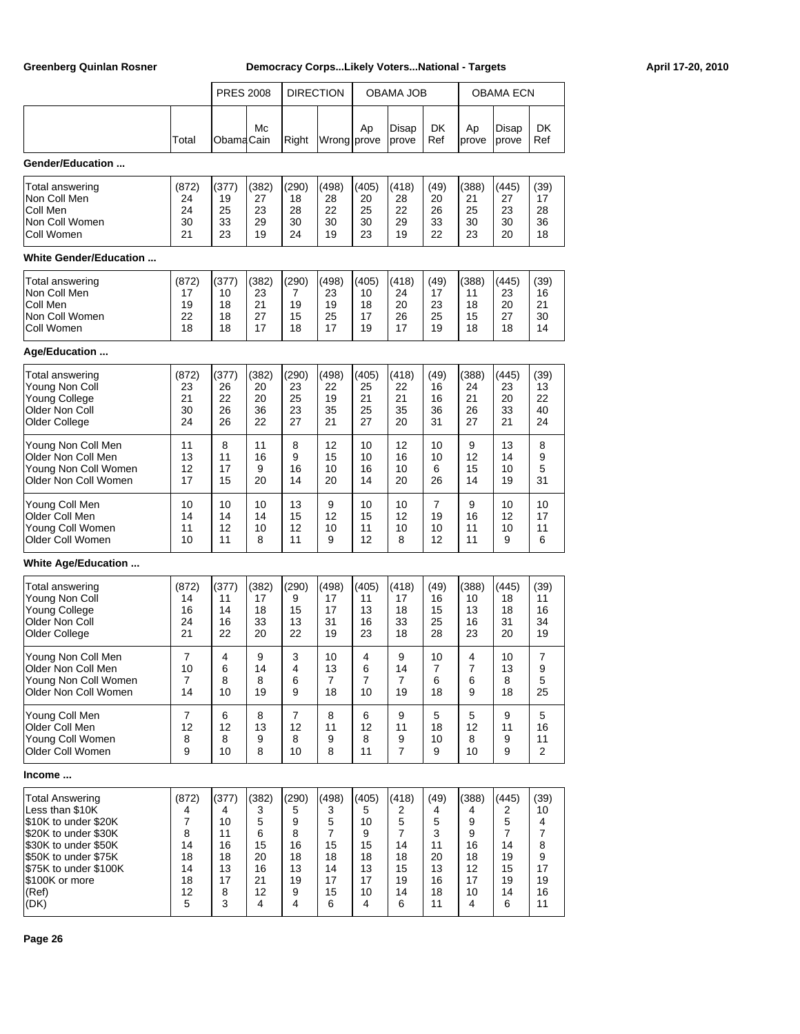|                        |       | <b>PRES 2008</b> |              |                | <b>DIRECTION</b> |       | OBAMA JOB      |                |             | <b>OBAMA ECN</b> |           |
|------------------------|-------|------------------|--------------|----------------|------------------|-------|----------------|----------------|-------------|------------------|-----------|
|                        | Total | <b>ObamaCain</b> | Mc           | Right          | Wrong prove      | Ap    | Disap<br>prove | DK<br>Ref      | Ap<br>prove | Disap<br>prove   | DK<br>Ref |
| Gender/Education       |       |                  |              |                |                  |       |                |                |             |                  |           |
| Total answering        | (872) | (377)            | (382)        | (290)          | (498)            | (405) | (418)          | (49)           | (388)       | (445)            | (39)      |
| Non Coll Men           | 24    | 19               | 27           | 18             | 28               | 20    | 28             | 20             | 21          | 27               | 17        |
| Coll Men               | 24    | 25               | 23           | 28             | 22               | 25    | 22             | 26             | 25          | 23               | 28        |
| Non Coll Women         | 30    | 33               | 29           | 30             | 30               | 30    | 29             | 33             | 30          | 30               | 36        |
| Coll Women             | 21    | 23               | 19           | 24             | 19               | 23    | 19             | 22             | 23          | 20               | 18        |
| White Gender/Education |       |                  |              |                |                  |       |                |                |             |                  |           |
| Total answering        | (872) | (377)            | (382)        | (290)          | (498)            | (405) | (418)          | (49)           | (388)       | (445)            | (39)      |
| Non Coll Men           | 17    | 10               | 23           | 7              | 23               | 10    | 24             | 17             | 11          | 23               | 16        |
| Coll Men               | 19    | 18               | 21           | 19             | 19               | 18    | 20             | 23             | 18          | 20               | 21        |
| Non Coll Women         | 22    | 18               | 27           | 15             | 25               | 17    | 26             | 25             | 15          | 27               | 30        |
| Coll Women             | 18    | 18               | 17           | 18             | 17               | 19    | 17             | 19             | 18          | 18               | 14        |
| Age/Education          |       |                  |              |                |                  |       |                |                |             |                  |           |
| Total answering        | (872) | (377)            | (382)        | (290)          | (498)            | (405) | (418)          | (49)           | (388)       | (445)            | (39)      |
| Young Non Coll         | 23    | 26               | 20           | 23             | 22               | 25    | 22             | 16             | 24          | 23               | 13        |
| Young College          | 21    | 22               | 20           | 25             | 19               | 21    | 21             | 16             | 21          | 20               | 22        |
| Older Non Coll         | 30    | 26               | 36           | 23             | 35               | 25    | 35             | 36             | 26          | 33               | 40        |
| Older College          | 24    | 26               | 22           | 27             | 21               | 27    | 20             | 31             | 27          | 21               | 24        |
| Young Non Coll Men     | 11    | 8                | 11           | 8              | 12               | 10    | 12             | 10             | 9           | 13               | 8         |
| Older Non Coll Men     | 13    | 11               | 16           | 9              | 15               | 10    | 16             | 10             | 12          | 14               | 9         |
| Young Non Coll Women   | 12    | 17               | 9            | 16             | 10               | 16    | 10             | 6              | 15          | 10               | 5         |
| Older Non Coll Women   | 17    | 15               | 20           | 14             | 20               | 14    | 20             | 26             | 14          | 19               | 31        |
| Young Coll Men         | 10    | 10               | 10           | 13             | 9                | 10    | 10             | $\overline{7}$ | 9           | 10               | 10        |
| Older Coll Men         | 14    | 14               | 14           | 15             | 12               | 15    | 12             | 19             | 16          | 12               | 17        |
| Young Coll Women       | 11    | 12               | 10           | 12             | 10               | 11    | 10             | 10             | 11          | 10               | 11        |
| Older Coll Women       | 10    | 11               | 8            | 11             | 9                | 12    | 8              | 12             | 11          | 9                | 6         |
| White Age/Education    |       |                  |              |                |                  |       |                |                |             |                  |           |
| Total answering        | (872) | (377)            | (382)        | (290)          | (498)            | (405) | (418)          | (49)           | (388)       | (445)            | (39)      |
| Young Non Coll         | 14    | 11               | 17           | 9              | 17               | 11    | 17             | 16             | 10          | 18               | 11        |
| Young College          | 16    | 14               | 18           | 15             | 17               | 13    | 18             | 15             | 13          | 18               | 16        |
| Older Non Coll         | 24    | 16               | 33           | 13             | 31               | 16    | 33             | 25             | 16          | 31               | 34        |
| Older College          | 21    | 22               | 20           | 22             | 19               | 23    | 18             | 28             | 23          | 20               | 19        |
| Young Non Coll Men     | 7     | 4                | $\mathbf{Q}$ | 3              | 10               | 4     | g              | 10             | 4           | 10               | 7         |
| Older Non Coll Men     | 10    | 6                | 14           | 4              | 13               | 6     | 14             | 7              | 7           | 13               | 9         |
| Young Non Coll Women   | 7     | 8                | 8            | 6              | $\overline{7}$   | 7     | 7              | 6              | 6           | 8                | 5         |
| Older Non Coll Women   | 14    | 10               | 19           | 9              | 18               | 10    | 19             | 18             | 9           | 18               | 25        |
| Young Coll Men         | 7     | 6                | 8            | $\overline{7}$ | 8                | 6     | 9              | 5              | 5           | 9                | 5         |
| Older Coll Men         | 12    | 12               | 13           | 12             | 11               | 12    | 11             | 18             | 12          | 11               | 16        |
| Young Coll Women       | 8     | 8                | 9            | 8              | 9                | 8     | 9              | 10             | 8           | 9                | 11        |
| Older Coll Women       | 9     | 10               | 8            | 10             | 8                | 11    | $\overline{7}$ | 9              | 10          | 9                | 2         |
| Income                 |       |                  |              |                |                  |       |                |                |             |                  |           |
| <b>Total Answering</b> | (872) | (377)            | (382)        | (290)          | (498)            | (405) | (418)          | (49)           | (388)       | (445)            | (39)      |
| Less than \$10K        | 4     | 4                | 3            | 5              | 3                | 5     | 2              | 4              | 4           | 2                | 10        |
| \$10K to under \$20K   | 7     | 10               | 5            | 9              | 5                | 10    | 5              | 5              | 9           | 5                | 4         |
| \$20K to under \$30K   | 8     | 11               | 6            | 8              | 7                | 9     | 7              | 3              | 9           | $\overline{7}$   | 7         |
| \$30K to under \$50K   | 14    | 16               | 15           | 16             | 15               | 15    | 14             | 11             | 16          | 14               | 8         |
| \$50K to under \$75K   | 18    | 18               | 20           | 18             | 18               | 18    | 18             | 20             | 18          | 19               | 9         |
| \$75K to under \$100K  | 14    | 13               | 16           | 13             | 14               | 13    | 15             | 13             | 12          | 15               | 17        |
| \$100K or more         | 18    | 17               | 21           | 19             | 17               | 17    | 19             | 16             | 17          | 19               | 19        |
| (Ref)                  | 12    | 8                | 12           | 9              | 15               | 10    | 14             | 18             | 10          | 14               | 16        |
| (DK)                   | 5     | 3                | 4            | 4              | 6                | 4     | 6              | 11             | 4           | 6                | 11        |

**Page 26**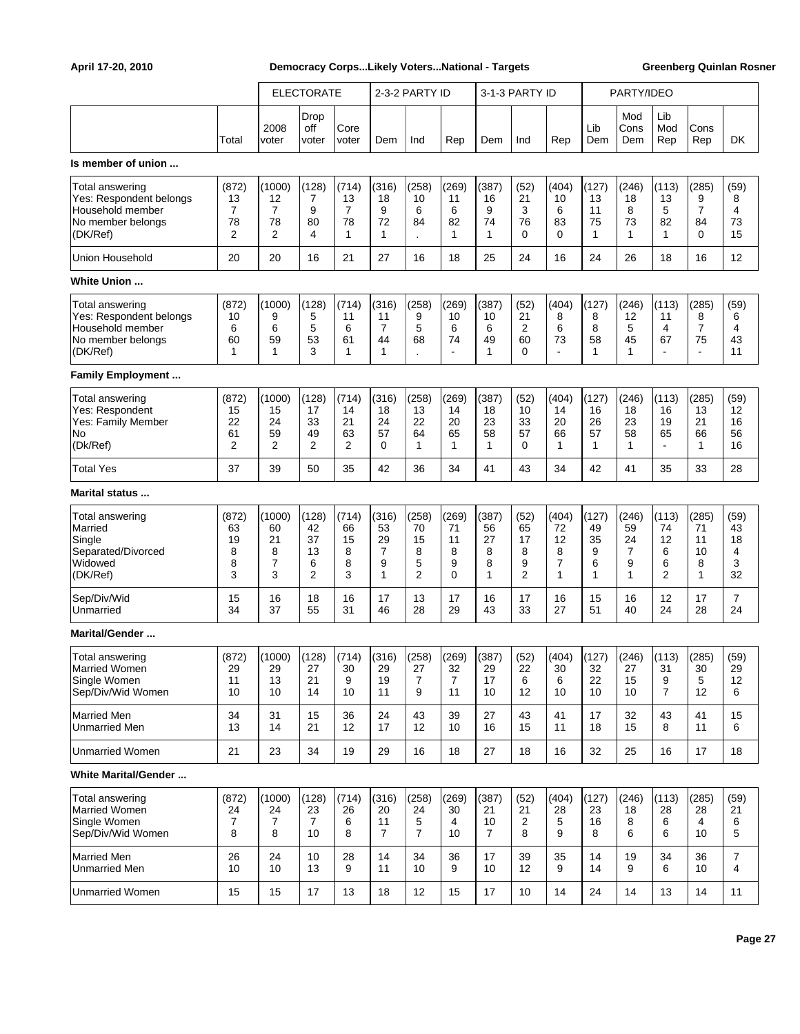|                                                                                                 |                                  |                                                | <b>ELECTORATE</b>                       |                                          |                                          | 2-3-2 PARTY ID                     |                                            |                                     | 3-1-3 PARTY ID                       |                                               |                                  | PARTY/IDEO                       |                                           |                                                      |                                  |
|-------------------------------------------------------------------------------------------------|----------------------------------|------------------------------------------------|-----------------------------------------|------------------------------------------|------------------------------------------|------------------------------------|--------------------------------------------|-------------------------------------|--------------------------------------|-----------------------------------------------|----------------------------------|----------------------------------|-------------------------------------------|------------------------------------------------------|----------------------------------|
|                                                                                                 | Total                            | 2008<br>voter                                  | Drop<br>off<br>voter                    | Core<br>voter                            | Dem                                      | Ind                                | Rep                                        | Dem                                 | Ind                                  | Rep                                           | Lib<br>Dem                       | Mod<br>Cons<br>Dem               | Lib<br>Mod<br>Rep                         | Cons<br>Rep                                          | DK                               |
| Is member of union                                                                              |                                  |                                                |                                         |                                          |                                          |                                    |                                            |                                     |                                      |                                               |                                  |                                  |                                           |                                                      |                                  |
| Total answering<br>Yes: Respondent belongs<br>Household member<br>No member belongs<br>(DK/Ref) | (872)<br>13<br>7<br>78<br>2      | (1000)<br>12<br>7<br>78<br>2                   | (128)<br>$\overline{7}$<br>9<br>80<br>4 | (714)<br>13<br>$\overline{7}$<br>78<br>1 | (316)<br>18<br>9<br>72<br>1              | (258)<br>10<br>6<br>84             | (269)<br>11<br>6<br>82<br>1                | (387)<br>16<br>9<br>74<br>1         | (52)<br>21<br>3<br>76<br>$\Omega$    | (404)<br>10<br>6<br>83<br>0                   | (127)<br>13<br>11<br>75<br>1     | (246)<br>18<br>8<br>73<br>1      | (113)<br>13<br>5<br>82<br>1               | (285)<br>9<br>$\overline{7}$<br>84<br>$\mathbf 0$    | (59)<br>8<br>4<br>73<br>15       |
| Union Household                                                                                 | 20                               | 20                                             | 16                                      | 21                                       | 27                                       | 16                                 | 18                                         | 25                                  | 24                                   | 16                                            | 24                               | 26                               | 18                                        | 16                                                   | 12                               |
| White Union                                                                                     |                                  |                                                |                                         |                                          |                                          |                                    |                                            |                                     |                                      |                                               |                                  |                                  |                                           |                                                      |                                  |
| Total answering<br>Yes: Respondent belongs<br>Household member<br>No member belongs<br>(DK/Ref) | (872)<br>10<br>6<br>60<br>1      | (1000)<br>9<br>6<br>59<br>1                    | (128)<br>5<br>5<br>53<br>3              | (714)<br>11<br>6<br>61<br>1              | (316)<br>11<br>$\overline{7}$<br>44<br>1 | (258)<br>9<br>5<br>68              | (269)<br>10<br>6<br>74<br>$\blacksquare$   | (387)<br>10<br>6<br>49<br>1         | (52)<br>21<br>2<br>60<br>0           | (404)<br>8<br>6<br>73<br>$\sim$               | (127)<br>8<br>8<br>58<br>1       | (246)<br>12<br>5<br>45<br>1      | (113)<br>11<br>4<br>67<br>$\overline{a}$  | (285)<br>8<br>$\overline{7}$<br>75<br>$\blacksquare$ | (59)<br>6<br>4<br>43<br>11       |
| <b>Family Employment</b>                                                                        |                                  |                                                |                                         |                                          |                                          |                                    |                                            |                                     |                                      |                                               |                                  |                                  |                                           |                                                      |                                  |
| Total answering<br>Yes: Respondent<br>Yes: Family Member<br>No<br>(Dk/Ref)                      | (872)<br>15<br>22<br>61<br>2     | (1000)<br>15<br>24<br>59<br>$\overline{2}$     | (128)<br>17<br>33<br>49<br>2            | (714)<br>14<br>21<br>63<br>2             | (316)<br>18<br>24<br>57<br>0             | (258)<br>13<br>22<br>64<br>1       | (269)<br>14<br>20<br>65<br>1               | (387)<br>18<br>23<br>58<br>1        | (52)<br>10<br>33<br>57<br>0          | (404)<br>14<br>20<br>66<br>1                  | (127)<br>16<br>26<br>57<br>1     | (246)<br>18<br>23<br>58<br>1     | (113)<br>16<br>19<br>65<br>$\blacksquare$ | (285)<br>13<br>21<br>66<br>1                         | (59)<br>12<br>16<br>56<br>16     |
| <b>Total Yes</b>                                                                                | 37                               | 39                                             | 50                                      | 35                                       | 42                                       | 36                                 | 34                                         | 41                                  | 43                                   | 34                                            | 42                               | 41                               | 35                                        | 33                                                   | 28                               |
| Marital status                                                                                  |                                  |                                                |                                         |                                          |                                          |                                    |                                            |                                     |                                      |                                               |                                  |                                  |                                           |                                                      |                                  |
| Total answering<br>Married<br>Single<br>Separated/Divorced<br>Widowed<br>(DK/Ref)               | (872)<br>63<br>19<br>8<br>8<br>3 | (1000)<br>60<br>21<br>8<br>$\overline{7}$<br>3 | (128)<br>42<br>37<br>13<br>6<br>2       | (714)<br>66<br>15<br>8<br>8<br>3         | (316)<br>53<br>29<br>7<br>9<br>1         | (258)<br>70<br>15<br>8<br>5<br>2   | (269)<br>71<br>11<br>8<br>9<br>$\mathbf 0$ | (387)<br>56<br>27<br>8<br>8<br>1    | (52)<br>65<br>17<br>8<br>9<br>2      | (404)<br>72<br>12<br>8<br>$\overline{7}$<br>1 | (127)<br>49<br>35<br>9<br>6<br>1 | (246)<br>59<br>24<br>7<br>9<br>1 | (113)<br>74<br>12<br>6<br>6<br>2          | (285)<br>71<br>11<br>10<br>8<br>1                    | (59)<br>43<br>18<br>4<br>3<br>32 |
| Sep/Div/Wid<br>Unmarried                                                                        | 15<br>34                         | 16<br>37                                       | 18<br>55                                | 16<br>31                                 | 17<br>46                                 | 13<br>28                           | 17<br>29                                   | 16<br>43                            | 17<br>33                             | 16<br>27                                      | 15<br>51                         | 16<br>40                         | 12<br>24                                  | 17<br>28                                             | $\overline{7}$<br>24             |
| <b>Marital/Gender </b>                                                                          |                                  |                                                |                                         |                                          |                                          |                                    |                                            |                                     |                                      |                                               |                                  |                                  |                                           |                                                      |                                  |
| Total answering<br><b>Married Women</b><br>Single Women<br>Sep/Div/Wid Women                    | (872)<br>29<br>11<br>10          | (1000)<br>29<br>13<br>10                       | (128)<br>27<br>21<br>14                 | (714)<br>30<br>9<br>10                   | (316)<br>29<br>19<br>11                  | (258)<br>27<br>7<br>9              | (269)<br>32<br>7<br>11                     | (387)<br>29<br>17<br>10             | (52)<br>22<br>6<br>$12 \overline{ }$ | (404)<br>30<br>6<br>10                        | (127)<br>32<br>22<br>10          | (246)<br>27<br>15<br>10          | (113)<br>31<br>9<br>$\overline{7}$        | (285)<br>30<br>5<br>12                               | (59)<br>29<br>12<br>6            |
| <b>Married Men</b><br><b>Unmarried Men</b>                                                      | 34<br>13                         | 31<br>14                                       | 15<br>21                                | 36<br>12                                 | 24<br>17                                 | 43<br>12                           | 39<br>10                                   | 27<br>16                            | 43<br>15                             | 41<br>11                                      | 17<br>18                         | 32<br>15                         | 43<br>8                                   | 41<br>11                                             | 15<br>6                          |
| <b>Unmarried Women</b>                                                                          | 21                               | 23                                             | 34                                      | 19                                       | 29                                       | 16                                 | 18                                         | 27                                  | 18                                   | 16                                            | 32                               | 25                               | 16                                        | 17                                                   | 18                               |
| White Marital/Gender                                                                            |                                  |                                                |                                         |                                          |                                          |                                    |                                            |                                     |                                      |                                               |                                  |                                  |                                           |                                                      |                                  |
| Total answering<br><b>Married Women</b><br>Single Women<br>Sep/Div/Wid Women                    | (872)<br>24<br>7<br>8            | (1000)<br>24<br>$\overline{7}$<br>8            | (128)<br>23<br>$\overline{7}$<br>10     | (714)<br>26<br>6<br>8                    | (316)<br>20<br>11<br>$\overline{7}$      | (258)<br>24<br>5<br>$\overline{7}$ | (269)<br>30<br>4<br>10                     | (387)<br>21<br>10<br>$\overline{7}$ | (52)<br>21<br>2<br>8                 | (404)<br>28<br>5<br>9                         | (127)<br>23<br>16<br>8           | (246)<br>18<br>8<br>6            | (113)<br>28<br>6<br>6                     | (285)<br>28<br>4<br>10                               | (59)<br>21<br>6<br>5             |
| <b>Married Men</b><br><b>Unmarried Men</b>                                                      | 26<br>10                         | 24<br>10                                       | 10<br>13                                | 28<br>9                                  | 14<br>11                                 | 34<br>10                           | 36<br>9                                    | 17<br>10                            | 39<br>$12 \overline{ }$              | 35<br>9                                       | 14<br>14                         | 19<br>9                          | 34<br>6                                   | 36<br>10                                             | $\overline{7}$<br>4              |
| <b>Unmarried Women</b>                                                                          | 15                               | 15                                             | 17                                      | 13                                       | 18                                       | 12                                 | 15                                         | 17                                  | 10                                   | 14                                            | 24                               | 14                               | 13                                        | 14                                                   | 11                               |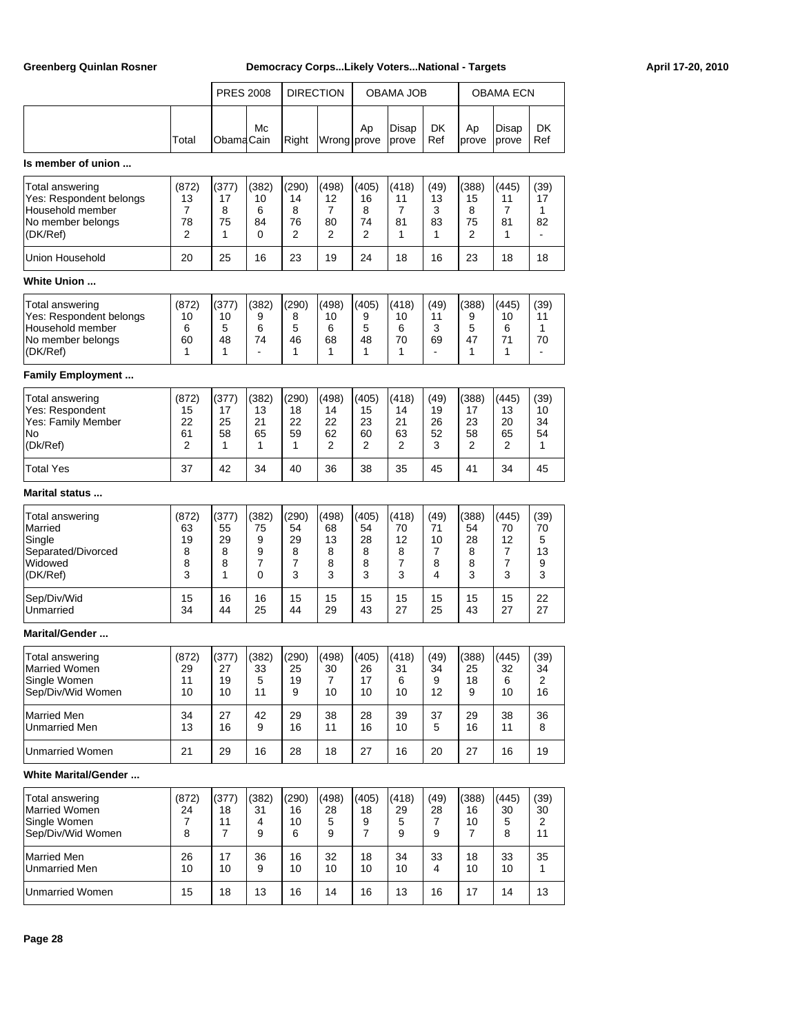|                                                                                                 |                                  | <b>PRES 2008</b>                       |                                           | <b>DIRECTION</b>                 |                                  |                                    | OBAMA JOB                        |                                 |                                     | OBAMA ECN                                |                                    |
|-------------------------------------------------------------------------------------------------|----------------------------------|----------------------------------------|-------------------------------------------|----------------------------------|----------------------------------|------------------------------------|----------------------------------|---------------------------------|-------------------------------------|------------------------------------------|------------------------------------|
|                                                                                                 | Total                            | ObamaCain                              | Mc                                        | Right                            | Wrong prove                      | Ap                                 | Disap<br>prove                   | <b>DK</b><br>Ref                | Ap<br>prove                         | Disap<br>prove                           | <b>DK</b><br>Ref                   |
| Is member of union                                                                              |                                  |                                        |                                           |                                  |                                  |                                    |                                  |                                 |                                     |                                          |                                    |
| Total answering<br>Yes: Respondent belongs<br>Household member<br>No member belongs<br>(DK/Ref) | (872)<br>13<br>7<br>78<br>2      | (377)<br>17<br>8<br>75<br>1            | (382)<br>10<br>6<br>84<br>$\Omega$        | (290)<br>14<br>8<br>76<br>2      | (498)<br>12<br>7<br>80<br>2      | (405)<br>16<br>8<br>74<br>2        | (418)<br>11<br>7<br>81<br>1      | (49)<br>13<br>3<br>83<br>1      | (388)<br>15<br>8<br>75<br>2         | (445)<br>11<br>$\overline{7}$<br>81<br>1 | (39)<br>17<br>1<br>82<br>٠         |
| Union Household                                                                                 | 20                               | 25                                     | 16                                        | 23                               | 19                               | 24                                 | 18                               | 16                              | 23                                  | 18                                       | 18                                 |
| <b>White Union </b>                                                                             |                                  |                                        |                                           |                                  |                                  |                                    |                                  |                                 |                                     |                                          |                                    |
| Total answering<br>Yes: Respondent belongs<br>Household member<br>No member belongs<br>(DK/Ref) | (872)<br>10<br>6<br>60<br>1      | (377)<br>10<br>5<br>48<br>$\mathbf{1}$ | (382)<br>9<br>6<br>74<br>$\blacksquare$   | (290)<br>8<br>5<br>46<br>1       | (498)<br>10<br>6<br>68<br>1      | (405)<br>9<br>5<br>48<br>1         | (418)<br>10<br>6<br>70<br>1      | (49)<br>11<br>3<br>69           | (388)<br>9<br>5<br>47<br>1          | (445)<br>10<br>6<br>71<br>1              | (39)<br>11<br>1<br>70<br>÷,        |
| <b>Family Employment</b>                                                                        |                                  |                                        |                                           |                                  |                                  |                                    |                                  |                                 |                                     |                                          |                                    |
| Total answering<br>Yes: Respondent<br>Yes: Family Member<br>No<br>(Dk/Ref)                      | (872)<br>15<br>22<br>61<br>2     | (377)<br>17<br>25<br>58<br>1           | (382)<br>13<br>21<br>65<br>1              | (290)<br>18<br>22<br>59<br>1     | (498)<br>14<br>22<br>62<br>2     | (405)<br>15<br>23<br>60<br>2       | (418)<br>14<br>21<br>63<br>2     | (49)<br>19<br>26<br>52<br>3     | (388)<br>17<br>23<br>58<br>2        | (445)<br>13<br>20<br>65<br>2             | (39)<br>10<br>34<br>54<br>1        |
| Total Yes                                                                                       | 37                               | 42                                     | 34                                        | 40                               | 36                               | 38                                 | 35                               | 45                              | 41                                  | 34                                       | 45                                 |
| <b>Marital status </b>                                                                          |                                  |                                        |                                           |                                  |                                  |                                    |                                  |                                 |                                     |                                          |                                    |
| Total answering<br>Married<br>Single<br>Separated/Divorced<br>Widowed<br>(DK/Ref)               | (872)<br>63<br>19<br>8<br>8<br>3 | (377)<br>55<br>29<br>8<br>8<br>1       | (382)<br>75<br>9<br>9<br>7<br>$\mathbf 0$ | (290)<br>54<br>29<br>8<br>7<br>3 | (498)<br>68<br>13<br>8<br>8<br>3 | (405)<br>54<br>28<br>8<br>8<br>3   | (418)<br>70<br>12<br>8<br>7<br>3 | (49)<br>71<br>10<br>7<br>8<br>4 | (388)<br>54<br>28<br>8<br>8<br>3    | (445)<br>70<br>12<br>7<br>7<br>3         | (39)<br>70<br>5<br>13<br>9<br>3    |
| Sep/Div/Wid<br>Unmarried                                                                        | 15<br>34                         | 16<br>44                               | 16<br>25                                  | 15<br>44                         | 15<br>29                         | 15<br>43                           | 15<br>27                         | 15<br>25                        | 15<br>43                            | 15<br>27                                 | 22<br>27                           |
| <b>Marital/Gender </b>                                                                          |                                  |                                        |                                           |                                  |                                  |                                    |                                  |                                 |                                     |                                          |                                    |
| Total answering<br>Married Women<br>Single Women<br>Sep/Div/Wid Women                           | (872)<br>29<br>11<br>10          | (377)<br>27<br>19<br>10                | (382)<br>33<br>5<br>11                    | (290)<br>25<br>19<br>9           | (498)<br>30<br>7<br>10           | (405)<br>26<br>17<br>10            | (418)<br>31<br>6<br>10           | (49)<br>34<br>9<br>12           | (388)<br>25<br>18<br>9              | (445)<br>32<br>6<br>10                   | (39)<br>34<br>2<br>16              |
| <b>Married Men</b><br><b>Unmarried Men</b>                                                      | 34<br>13                         | 27<br>16                               | 42<br>9                                   | 29<br>16                         | 38<br>11                         | 28<br>16                           | 39<br>10                         | 37<br>5                         | 29<br>16                            | 38<br>11                                 | 36<br>8                            |
| Unmarried Women                                                                                 | 21                               | 29                                     | 16                                        | 28                               | 18                               | 27                                 | 16                               | 20                              | 27                                  | 16                                       | 19                                 |
| <b>White Marital/Gender</b>                                                                     |                                  |                                        |                                           |                                  |                                  |                                    |                                  |                                 |                                     |                                          |                                    |
| Total answering<br>Married Women<br>Single Women<br>Sep/Div/Wid Women                           | (872)<br>24<br>7<br>8            | (377)<br>18<br>11<br>7                 | (382)<br>31<br>4<br>9                     | (290)<br>16<br>10<br>6           | (498)<br>28<br>5<br>9            | (405)<br>18<br>9<br>$\overline{7}$ | (418)<br>29<br>5<br>9            | (49)<br>28<br>7<br>9            | (388)<br>16<br>10<br>$\overline{7}$ | (445)<br>30<br>5<br>8                    | (39)<br>30<br>$\overline{2}$<br>11 |
| <b>Married Men</b><br>Unmarried Men                                                             | 26<br>10                         | 17<br>10                               | 36<br>9                                   | 16<br>10                         | 32<br>10                         | 18<br>10                           | 34<br>10                         | 33<br>4                         | 18<br>10                            | 33<br>10                                 | 35<br>$\mathbf{1}$                 |
| Unmarried Women                                                                                 | 15                               | 18                                     | 13                                        | 16                               | 14                               | 16                                 | 13                               | 16                              | 17                                  | 14                                       | 13                                 |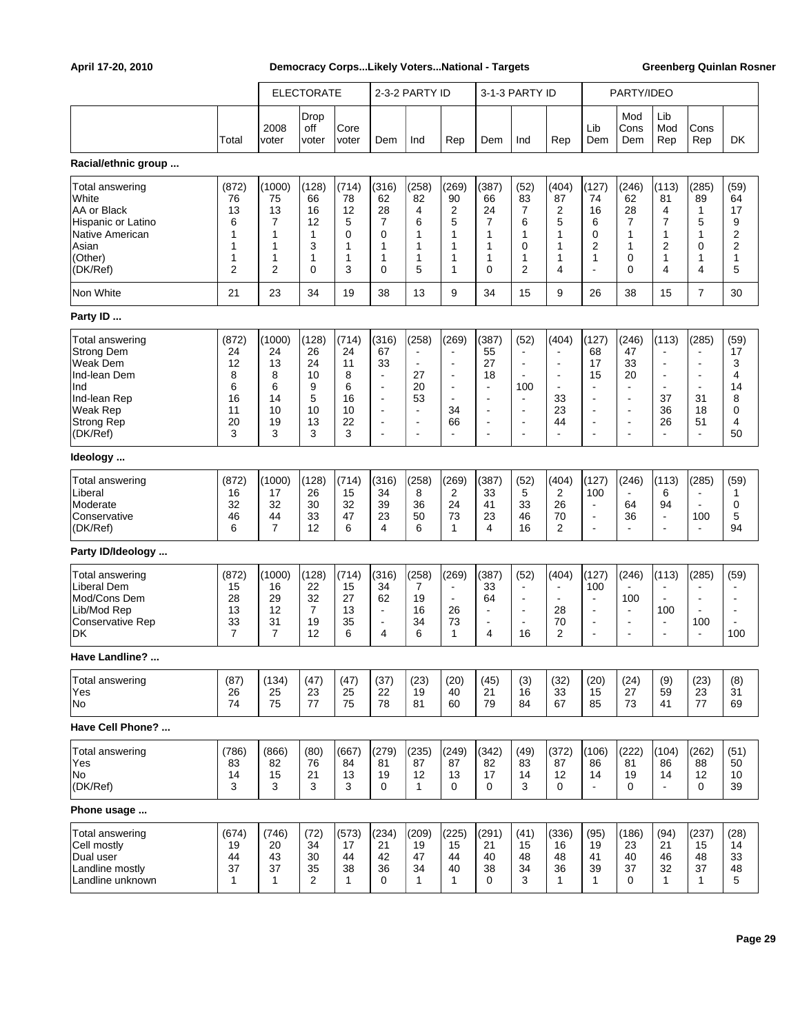|                                                                                                                                             |                                                         |                                                          | <b>ELECTORATE</b>                                      |                                                                  |                                                                                                                                         | 2-3-2 PARTY ID                                                                                  |                                                                                           |                                                                              | 3-1-3 PARTY ID                                                                                                                            |                                                                                                 |                                                                                                        | PARTY/IDEO                                                                                                        |                                                                                         |                                                                                                                   |                                                                     |
|---------------------------------------------------------------------------------------------------------------------------------------------|---------------------------------------------------------|----------------------------------------------------------|--------------------------------------------------------|------------------------------------------------------------------|-----------------------------------------------------------------------------------------------------------------------------------------|-------------------------------------------------------------------------------------------------|-------------------------------------------------------------------------------------------|------------------------------------------------------------------------------|-------------------------------------------------------------------------------------------------------------------------------------------|-------------------------------------------------------------------------------------------------|--------------------------------------------------------------------------------------------------------|-------------------------------------------------------------------------------------------------------------------|-----------------------------------------------------------------------------------------|-------------------------------------------------------------------------------------------------------------------|---------------------------------------------------------------------|
|                                                                                                                                             |                                                         |                                                          | Drop                                                   |                                                                  |                                                                                                                                         |                                                                                                 |                                                                                           |                                                                              |                                                                                                                                           |                                                                                                 |                                                                                                        | Mod                                                                                                               | Lib                                                                                     |                                                                                                                   |                                                                     |
|                                                                                                                                             | Total                                                   | 2008<br>voter                                            | off<br>voter                                           | Core<br>voter                                                    | Dem                                                                                                                                     | Ind                                                                                             | Rep                                                                                       | Dem                                                                          | Ind                                                                                                                                       | Rep                                                                                             | Lib<br>Dem                                                                                             | Cons<br>Dem                                                                                                       | Mod<br>Rep                                                                              | Cons<br>Rep                                                                                                       | DK                                                                  |
| Racial/ethnic group                                                                                                                         |                                                         |                                                          |                                                        |                                                                  |                                                                                                                                         |                                                                                                 |                                                                                           |                                                                              |                                                                                                                                           |                                                                                                 |                                                                                                        |                                                                                                                   |                                                                                         |                                                                                                                   |                                                                     |
| Total answering<br>White<br>AA or Black<br>Hispanic or Latino<br>Native American<br>Asian<br>(Other)<br>(DK/Ref)                            | (872)<br>76<br>13<br>6<br>1<br>1<br>1<br>$\overline{2}$ | (1000)<br>75<br>13<br>7<br>1<br>1<br>1<br>$\overline{2}$ | (128)<br>66<br>16<br>12<br>$\mathbf{1}$<br>3<br>1<br>0 | (714)<br>78<br>12<br>5<br>0<br>$\mathbf{1}$<br>$\mathbf{1}$<br>3 | (316)<br>62<br>28<br>$\overline{7}$<br>$\mathbf 0$<br>1<br>1<br>$\mathbf 0$                                                             | (258)<br>82<br>4<br>6<br>1<br>1<br>1<br>5                                                       | (269)<br>90<br>$\overline{2}$<br>5<br>1<br>1<br>$\mathbf{1}$<br>1                         | (387)<br>66<br>24<br>$\overline{7}$<br>1<br>$\mathbf{1}$<br>1<br>$\mathbf 0$ | (52)<br>83<br>7<br>6<br>1<br>$\mathbf 0$<br>1<br>$\overline{2}$                                                                           | (404)<br>87<br>2<br>5<br>1<br>1<br>1<br>4                                                       | (127)<br>74<br>16<br>6<br>0<br>2<br>1<br>ä,                                                            | (246)<br>62<br>28<br>7<br>1<br>1<br>0<br>$\Omega$                                                                 | (113)<br>81<br>4<br>7<br>1<br>2<br>1<br>4                                               | (285)<br>89<br>1<br>5<br>1<br>0<br>1<br>4                                                                         | (59)<br>64<br>17<br>9<br>$\overline{2}$<br>$\overline{2}$<br>1<br>5 |
| Non White                                                                                                                                   | 21                                                      | 23                                                       | 34                                                     | 19                                                               | 38                                                                                                                                      | 13                                                                                              | 9                                                                                         | 34                                                                           | 15                                                                                                                                        | 9                                                                                               | 26                                                                                                     | 38                                                                                                                | 15                                                                                      | $\overline{7}$                                                                                                    | 30                                                                  |
| Party ID                                                                                                                                    |                                                         |                                                          |                                                        |                                                                  |                                                                                                                                         |                                                                                                 |                                                                                           |                                                                              |                                                                                                                                           |                                                                                                 |                                                                                                        |                                                                                                                   |                                                                                         |                                                                                                                   |                                                                     |
| <b>Total answering</b><br><b>Strong Dem</b><br>Weak Dem<br>Ind-lean Dem<br>Ind<br>Ind-lean Rep<br>Weak Rep<br><b>Strong Rep</b><br>(DK/Ref) | (872)<br>24<br>12<br>8<br>6<br>16<br>11<br>20<br>3      | (1000)<br>24<br>13<br>8<br>6<br>14<br>10<br>19<br>3      | (128)<br>26<br>24<br>10<br>9<br>5<br>10<br>13<br>3     | (714)<br>24<br>11<br>8<br>6<br>16<br>10<br>22<br>3               | (316)<br>67<br>33<br>$\blacksquare$<br>$\blacksquare$<br>$\overline{\phantom{a}}$<br>$\blacksquare$<br>$\blacksquare$<br>$\blacksquare$ | (258)<br>$\blacksquare$<br>27<br>20<br>53<br>$\blacksquare$<br>$\blacksquare$<br>$\blacksquare$ | (269)<br>$\blacksquare$<br>$\blacksquare$<br>$\blacksquare$<br>34<br>66<br>$\blacksquare$ | (387)<br>55<br>27<br>18<br>$\blacksquare$<br>$\blacksquare$                  | (52)<br>$\blacksquare$<br>$\blacksquare$<br>$\blacksquare$<br>100<br>$\blacksquare$<br>$\blacksquare$<br>$\blacksquare$<br>$\blacksquare$ | (404)<br>$\blacksquare$<br>$\blacksquare$<br>$\blacksquare$<br>33<br>23<br>44<br>$\blacksquare$ | (127)<br>68<br>17<br>15<br>÷<br>$\overline{\phantom{a}}$<br>$\overline{\phantom{a}}$<br>$\overline{a}$ | (246)<br>47<br>33<br>20<br>$\blacksquare$<br>$\blacksquare$<br>$\blacksquare$<br>$\blacksquare$<br>$\blacksquare$ | (113)<br>$\blacksquare$<br>$\blacksquare$<br>$\sim$<br>37<br>36<br>26<br>$\blacksquare$ | (285)<br>$\blacksquare$<br>$\blacksquare$<br>$\blacksquare$<br>$\blacksquare$<br>31<br>18<br>51<br>$\blacksquare$ | (59)<br>17<br>3<br>4<br>14<br>8<br>0<br>4<br>50                     |
| Ideology                                                                                                                                    |                                                         |                                                          |                                                        |                                                                  |                                                                                                                                         |                                                                                                 |                                                                                           |                                                                              |                                                                                                                                           |                                                                                                 |                                                                                                        |                                                                                                                   |                                                                                         |                                                                                                                   |                                                                     |
| <b>Total answering</b><br>Liberal<br>Moderate<br>Conservative<br>(DK/Ref)                                                                   | (872)<br>16<br>32<br>46<br>6                            | (1000)<br>17<br>32<br>44<br>$\overline{7}$               | (128)<br>26<br>30<br>33<br>12                          | (714)<br>15<br>32<br>47<br>6                                     | (316)<br>34<br>39<br>23<br>4                                                                                                            | (258)<br>8<br>36<br>50<br>6                                                                     | (269)<br>2<br>24<br>73<br>$\mathbf{1}$                                                    | (387)<br>33<br>41<br>23<br>4                                                 | (52)<br>5<br>33<br>46<br>16                                                                                                               | (404)<br>2<br>26<br>70<br>2                                                                     | (127)<br>100<br>$\blacksquare$<br>$\blacksquare$<br>$\blacksquare$                                     | (246)<br>64<br>36<br>$\blacksquare$                                                                               | (113)<br>6<br>94<br>$\blacksquare$<br>$\sim$                                            | (285)<br>$\blacksquare$<br>$\blacksquare$<br>100<br>$\blacksquare$                                                | (59)<br>1<br>0<br>5<br>94                                           |
| Party ID/Ideology                                                                                                                           |                                                         |                                                          |                                                        |                                                                  |                                                                                                                                         |                                                                                                 |                                                                                           |                                                                              |                                                                                                                                           |                                                                                                 |                                                                                                        |                                                                                                                   |                                                                                         |                                                                                                                   |                                                                     |
| <b>Total answering</b><br><b>Liberal Dem</b><br>Mod/Cons Dem<br>Lib/Mod Rep<br><b>Conservative Rep</b><br>DK                                | (872)<br>15<br>28<br>13<br>33<br>$\overline{7}$         | (1000)<br>16<br>29<br>12<br>31<br>$\overline{7}$         | (128)<br>22<br>32<br>$\overline{7}$<br>19<br>12        | (714)<br>15<br>27<br>13<br>35<br>6                               | (316)<br>34<br>62<br>$\blacksquare$<br>$\blacksquare$<br>4                                                                              | (258)<br>7<br>19<br>16<br>34<br>6                                                               | (269)<br>$\blacksquare$<br>26<br>73<br>$\mathbf{1}$                                       | (387)<br>33<br>64<br>$\blacksquare$<br>$\blacksquare$<br>4                   | (52)<br>$\blacksquare$<br>$\blacksquare$<br>$\blacksquare$<br>16                                                                          | (404)<br>$\blacksquare$<br>$\blacksquare$<br>28<br>70<br>2                                      | (127)<br>100<br>$\blacksquare$<br>$\blacksquare$<br>$\blacksquare$<br>÷                                | (246)<br>100<br>$\blacksquare$<br>$\overline{\phantom{a}}$<br>$\blacksquare$                                      | (113)<br>$\blacksquare$<br>100<br>$\blacksquare$<br>$\sim$                              | (285)<br>$\overline{\phantom{a}}$<br>$\blacksquare$<br>$\blacksquare$<br>100<br>$\blacksquare$                    | (59)<br>÷<br>$\blacksquare$<br>$\blacksquare$<br>100                |
| Have Landline?                                                                                                                              |                                                         |                                                          |                                                        |                                                                  |                                                                                                                                         |                                                                                                 |                                                                                           |                                                                              |                                                                                                                                           |                                                                                                 |                                                                                                        |                                                                                                                   |                                                                                         |                                                                                                                   |                                                                     |
| <b>Total answering</b><br>Yes<br>No                                                                                                         | (87)<br>26<br>74                                        | (134)<br>25<br>75                                        | (47)<br>23<br>77                                       | (47)<br>25<br>75                                                 | (37)<br>22<br>78                                                                                                                        | (23)<br>19<br>81                                                                                | (20)<br>40<br>60                                                                          | (45)<br>21<br>79                                                             | (3)<br>16<br>84                                                                                                                           | (32)<br>33<br>67                                                                                | (20)<br>15<br>85                                                                                       | (24)<br>27<br>73                                                                                                  | (9)<br>59<br>41                                                                         | (23)<br>23<br>77                                                                                                  | (8)<br>31<br>69                                                     |
| Have Cell Phone?                                                                                                                            |                                                         |                                                          |                                                        |                                                                  |                                                                                                                                         |                                                                                                 |                                                                                           |                                                                              |                                                                                                                                           |                                                                                                 |                                                                                                        |                                                                                                                   |                                                                                         |                                                                                                                   |                                                                     |
| <b>Total answering</b><br>Yes<br>No.<br>(DK/Ref)                                                                                            | (786)<br>83<br>14<br>3                                  | (866)<br>82<br>15<br>3                                   | (80)<br>76<br>21<br>3                                  | (667)<br>84<br>13<br>3                                           | (279)<br>81<br>19<br>0                                                                                                                  | (235)<br>87<br>12<br>$\mathbf{1}$                                                               | (249)<br>87<br>13<br>0                                                                    | (342)<br>82<br>17<br>0                                                       | (49)<br>83<br>14<br>3                                                                                                                     | (372)<br>87<br>12<br>0                                                                          | (106)<br>86<br>14<br>$\blacksquare$                                                                    | (222)<br>81<br>19<br>0                                                                                            | (104)<br>86<br>14<br>$\blacksquare$                                                     | (262)<br>88<br>12<br>0                                                                                            | (51)<br>50<br>10<br>39                                              |
| Phone usage                                                                                                                                 |                                                         |                                                          |                                                        |                                                                  |                                                                                                                                         |                                                                                                 |                                                                                           |                                                                              |                                                                                                                                           |                                                                                                 |                                                                                                        |                                                                                                                   |                                                                                         |                                                                                                                   |                                                                     |
| <b>Total answering</b><br>Cell mostly<br>Dual user<br>Landline mostly<br>Landline unknown                                                   | (674)<br>19<br>44<br>37<br>$\mathbf{1}$                 | (746)<br>20<br>43<br>37<br>$\mathbf{1}$                  | (72)<br>34<br>30<br>35<br>$\overline{2}$               | (573)<br>17<br>44<br>38<br>$\mathbf{1}$                          | (234)<br>21<br>42<br>36<br>0                                                                                                            | (209)<br>19<br>47<br>34<br>$\mathbf{1}$                                                         | (225)<br>15<br>44<br>40<br>$\mathbf{1}$                                                   | (291)<br>21<br>40<br>38<br>0                                                 | (41)<br>15<br>48<br>34<br>3                                                                                                               | (336)<br>16<br>48<br>36<br>$\mathbf{1}$                                                         | (95)<br>19<br>41<br>39<br>1                                                                            | (186)<br>23<br>40<br>37<br>0                                                                                      | (94)<br>21<br>46<br>32<br>$\mathbf{1}$                                                  | (237)<br>15<br>48<br>37<br>$\mathbf{1}$                                                                           | (28)<br>14<br>33<br>48<br>5                                         |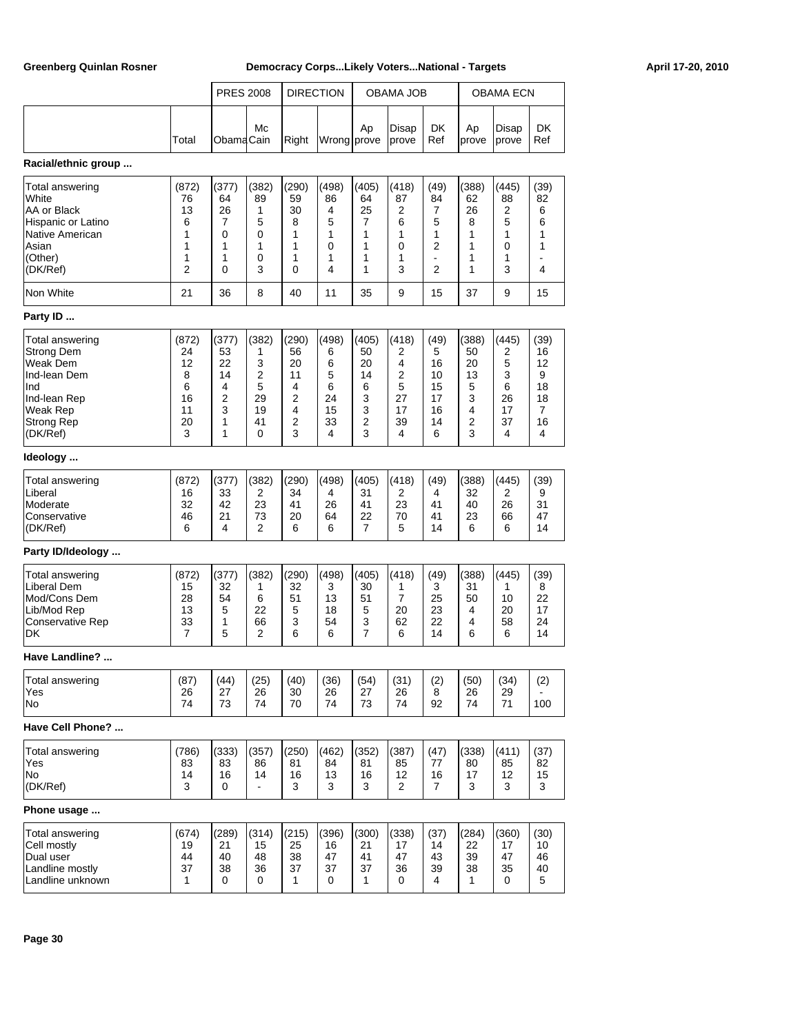|                                                                                                                               |                                                    | <b>PRES 2008</b>                                 |                                                  |                                                  | <b>DIRECTION</b>                                 |                                                               | OBAMA JOB                                        |                                                    |                                                  | <b>OBAMA ECN</b>                                 |                                                   |
|-------------------------------------------------------------------------------------------------------------------------------|----------------------------------------------------|--------------------------------------------------|--------------------------------------------------|--------------------------------------------------|--------------------------------------------------|---------------------------------------------------------------|--------------------------------------------------|----------------------------------------------------|--------------------------------------------------|--------------------------------------------------|---------------------------------------------------|
|                                                                                                                               |                                                    |                                                  |                                                  |                                                  |                                                  |                                                               |                                                  |                                                    |                                                  |                                                  |                                                   |
|                                                                                                                               | Total                                              | ObamaCain                                        | Mc                                               | Right                                            | Wrong prove                                      | Ap                                                            | Disap<br>prove                                   | <b>DK</b><br>Ref                                   | Ap<br>prove                                      | Disap<br>prove                                   | <b>DK</b><br>Ref                                  |
| Racial/ethnic group                                                                                                           |                                                    |                                                  |                                                  |                                                  |                                                  |                                                               |                                                  |                                                    |                                                  |                                                  |                                                   |
| Total answering<br>White<br>AA or Black<br>Hispanic or Latino<br>Native American<br>Asian<br>(Other)<br>(DK/Ref)              | (872)<br>76<br>13<br>6<br>1<br>1<br>1<br>2         | (377)<br>64<br>26<br>7<br>0<br>1<br>1<br>0       | (382)<br>89<br>1<br>5<br>0<br>1<br>0<br>3        | (290)<br>59<br>30<br>8<br>1<br>1<br>1<br>0       | (498)<br>86<br>4<br>5<br>1<br>0<br>1<br>4        | (405)<br>64<br>25<br>$\overline{7}$<br>1<br>1<br>1<br>1       | (418)<br>87<br>2<br>6<br>1<br>0<br>1<br>3        | (49)<br>84<br>7<br>5<br>1<br>2<br>$\overline{2}$   | (388)<br>62<br>26<br>8<br>1<br>1<br>1<br>1       | (445)<br>88<br>2<br>5<br>1<br>0<br>1<br>3        | (39)<br>82<br>6<br>6<br>1<br>1<br>4               |
| Non White                                                                                                                     | 21                                                 | 36                                               | 8                                                | 40                                               | 11                                               | 35                                                            | 9                                                | 15                                                 | 37                                               | 9                                                | 15                                                |
| Party ID                                                                                                                      |                                                    |                                                  |                                                  |                                                  |                                                  |                                                               |                                                  |                                                    |                                                  |                                                  |                                                   |
| Total answering<br><b>Strong Dem</b><br>Weak Dem<br>Ind-lean Dem<br>Ind<br>Ind-lean Rep<br>Weak Rep<br>Strong Rep<br>(DK/Ref) | (872)<br>24<br>12<br>8<br>6<br>16<br>11<br>20<br>3 | (377)<br>53<br>22<br>14<br>4<br>2<br>3<br>1<br>1 | (382)<br>1<br>3<br>2<br>5<br>29<br>19<br>41<br>0 | (290)<br>56<br>20<br>11<br>4<br>2<br>4<br>2<br>3 | (498)<br>6<br>6<br>5<br>6<br>24<br>15<br>33<br>4 | (405)<br>50<br>20<br>14<br>6<br>3<br>3<br>$\overline{2}$<br>3 | (418)<br>2<br>4<br>2<br>5<br>27<br>17<br>39<br>4 | (49)<br>5<br>16<br>10<br>15<br>17<br>16<br>14<br>6 | (388)<br>50<br>20<br>13<br>5<br>3<br>4<br>2<br>3 | (445)<br>2<br>5<br>3<br>6<br>26<br>17<br>37<br>4 | (39)<br>16<br>12<br>9<br>18<br>18<br>7<br>16<br>4 |
| Ideology                                                                                                                      |                                                    |                                                  |                                                  |                                                  |                                                  |                                                               |                                                  |                                                    |                                                  |                                                  |                                                   |
| Total answering<br>Liberal<br>Moderate<br>Conservative<br>(DK/Ref)                                                            | (872)<br>16<br>32<br>46<br>6                       | (377)<br>33<br>42<br>21<br>4                     | (382)<br>2<br>23<br>73<br>2                      | (290)<br>34<br>41<br>20<br>6                     | (498)<br>4<br>26<br>64<br>6                      | (405)<br>31<br>41<br>22<br>$\overline{7}$                     | (418)<br>2<br>23<br>70<br>5                      | (49)<br>4<br>41<br>41<br>14                        | (388)<br>32<br>40<br>23<br>6                     | (445)<br>2<br>26<br>66<br>6                      | (39)<br>9<br>31<br>47<br>14                       |
| Party ID/Ideology                                                                                                             |                                                    |                                                  |                                                  |                                                  |                                                  |                                                               |                                                  |                                                    |                                                  |                                                  |                                                   |
| Total answering<br>Liberal Dem<br>Mod/Cons Dem<br>Lib/Mod Rep<br><b>Conservative Rep</b><br>DK                                | (872)<br>15<br>28<br>13<br>33<br>$\overline{7}$    | (377)<br>32<br>54<br>5<br>1<br>5                 | (382)<br>1<br>6<br>22<br>66<br>2                 | (290)<br>32<br>51<br>5<br>3<br>6                 | (498)<br>3<br>13<br>18<br>54<br>6                | (405)<br>30<br>51<br>5<br>3<br>$\overline{7}$                 | (418)<br>1<br>7<br>20<br>62<br>6                 | (49)<br>3<br>25<br>23<br>22<br>14                  | (388)<br>31<br>50<br>4<br>4<br>6                 | (445)<br>1<br>10<br>20<br>58<br>6                | (39)<br>8<br>22<br>17<br>24<br>14                 |
| Have Landline?                                                                                                                |                                                    |                                                  |                                                  |                                                  |                                                  |                                                               |                                                  |                                                    |                                                  |                                                  |                                                   |
| Total answering<br>Yes<br>No                                                                                                  | (87)<br>26<br>74                                   | (44)<br>27<br>73                                 | (25)<br>26<br>74                                 | (40)<br>30<br>70                                 | (36)<br>26<br>74                                 | (54)<br>27<br>73                                              | (31)<br>26<br>74                                 | (2)<br>8<br>92                                     | (50)<br>26<br>74                                 | (34)<br>29<br>71                                 | (2)<br>100                                        |
| Have Cell Phone?                                                                                                              |                                                    |                                                  |                                                  |                                                  |                                                  |                                                               |                                                  |                                                    |                                                  |                                                  |                                                   |
| Total answering<br>Yes<br>No<br>(DK/Ref)                                                                                      | (786)<br>83<br>14<br>3                             | (333)<br>83<br>16<br>0                           | (357)<br>86<br>14<br>$\blacksquare$              | (250)<br>81<br>16<br>3                           | (462)<br>84<br>13<br>3                           | (352)<br>81<br>16<br>3                                        | (387)<br>85<br>12<br>2                           | (47)<br>77<br>16<br>$\overline{7}$                 | (338)<br>80<br>17<br>3                           | (411)<br>85<br>12<br>3                           | (37)<br>82<br>15<br>3                             |
| Phone usage                                                                                                                   |                                                    |                                                  |                                                  |                                                  |                                                  |                                                               |                                                  |                                                    |                                                  |                                                  |                                                   |
| Total answering<br>Cell mostly<br>Dual user<br>Landline mostly<br>Landline unknown                                            | (674)<br>19<br>44<br>37<br>1                       | (289)<br>21<br>40<br>38<br>0                     | (314)<br>15<br>48<br>36<br>0                     | (215)<br>25<br>38<br>37<br>1                     | (396)<br>16<br>47<br>37<br>0                     | (300)<br>21<br>41<br>37<br>1                                  | (338)<br>17<br>47<br>36<br>0                     | (37)<br>14<br>43<br>39<br>4                        | (284)<br>22<br>39<br>38<br>1                     | (360)<br>17<br>47<br>35<br>0                     | (30)<br>10<br>46<br>40<br>5                       |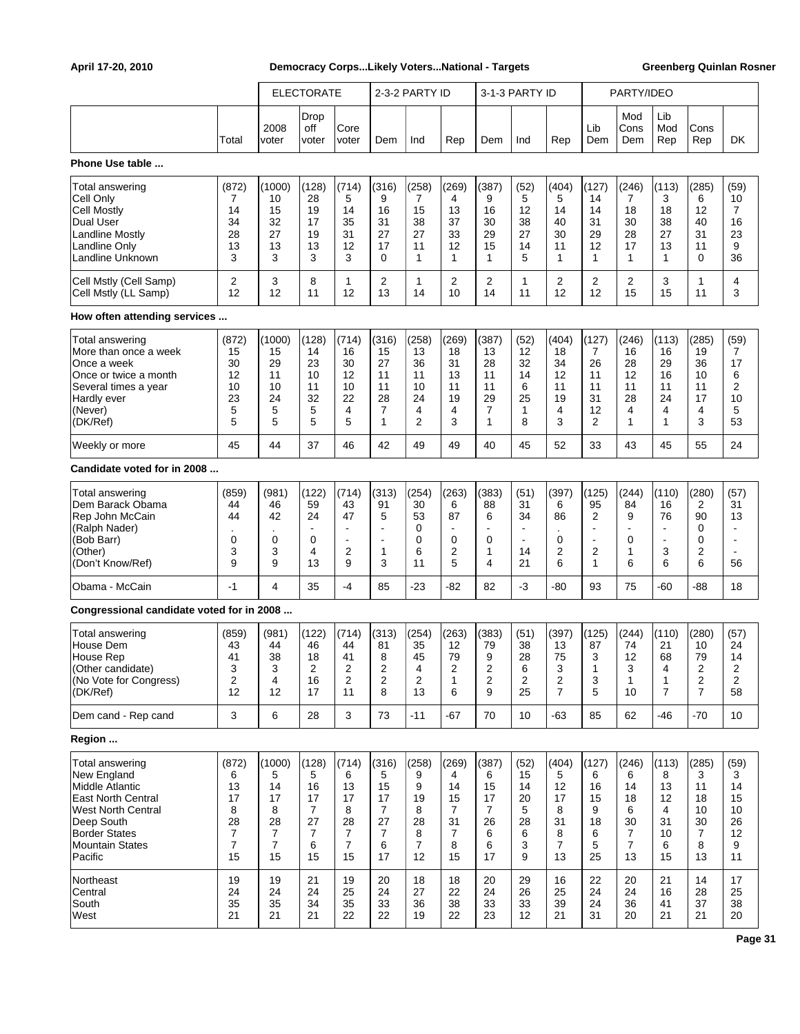|                                                                                                                                                                                 |                                                   |                                                                              | <b>ELECTORATE</b>                                                           |                                                                |                                                                             | 2-3-2 PARTY ID                                                |                                                                             |                                                            | 3-1-3 PARTY ID                                         |                                                                |                                                                 | PARTY/IDEO                                                                  |                                                                                     |                                                    |                                                    |
|---------------------------------------------------------------------------------------------------------------------------------------------------------------------------------|---------------------------------------------------|------------------------------------------------------------------------------|-----------------------------------------------------------------------------|----------------------------------------------------------------|-----------------------------------------------------------------------------|---------------------------------------------------------------|-----------------------------------------------------------------------------|------------------------------------------------------------|--------------------------------------------------------|----------------------------------------------------------------|-----------------------------------------------------------------|-----------------------------------------------------------------------------|-------------------------------------------------------------------------------------|----------------------------------------------------|----------------------------------------------------|
|                                                                                                                                                                                 | Total                                             | 2008<br>voter                                                                | Drop<br>off<br>voter                                                        | Core<br>voter                                                  | Dem                                                                         | Ind                                                           | Rep                                                                         | Dem                                                        | Ind                                                    | Rep                                                            | Lib<br>Dem                                                      | Mod<br>Cons<br>Dem                                                          | Lib<br>Mod<br>Rep                                                                   | Cons<br>Rep                                        | DK.                                                |
| Phone Use table                                                                                                                                                                 |                                                   |                                                                              |                                                                             |                                                                |                                                                             |                                                               |                                                                             |                                                            |                                                        |                                                                |                                                                 |                                                                             |                                                                                     |                                                    |                                                    |
| Total answering<br>Cell Only<br>Cell Mostly<br>Dual User<br><b>Landline Mostly</b><br>Landline Only<br>Landline Unknown                                                         | (872)<br>7<br>14<br>34<br>28<br>13<br>3           | (1000)<br>10<br>15<br>32<br>27<br>13<br>3                                    | (128)<br>28<br>19<br>17<br>19<br>13<br>3                                    | (714)<br>5<br>14<br>35<br>31<br>12<br>3                        | (316)<br>9<br>16<br>31<br>27<br>17<br>0                                     | (258)<br>7<br>15<br>38<br>27<br>11<br>1                       | (269)<br>4<br>13<br>37<br>33<br>12<br>1                                     | (387)<br>9<br>16<br>30<br>29<br>15<br>1                    | (52)<br>5<br>12<br>38<br>27<br>14<br>5                 | (404)<br>5<br>14<br>40<br>30<br>11<br>1                        | (127)<br>14<br>14<br>31<br>29<br>12<br>1                        | (246)<br>7<br>18<br>30<br>28<br>17<br>1                                     | (113)<br>3<br>18<br>38<br>27<br>13<br>1                                             | (285)<br>6<br>12<br>40<br>31<br>11<br>0            | (59)<br>10<br>7<br>16<br>23<br>9<br>36             |
| Cell Mstly (Cell Samp)<br>Cell Mstly (LL Samp)                                                                                                                                  | 2<br>12                                           | 3<br>12                                                                      | 8<br>11                                                                     | 1<br>12                                                        | 2<br>13                                                                     | 1<br>14                                                       | 2<br>10                                                                     | 2<br>14                                                    | 1<br>11                                                | 2<br>12                                                        | 2<br>12                                                         | 2<br>15                                                                     | 3<br>15                                                                             | 1<br>11                                            | 4<br>3                                             |
| How often attending services                                                                                                                                                    |                                                   |                                                                              |                                                                             |                                                                |                                                                             |                                                               |                                                                             |                                                            |                                                        |                                                                |                                                                 |                                                                             |                                                                                     |                                                    |                                                    |
| Total answering<br>More than once a week<br>Once a week<br>Once or twice a month<br>Several times a year<br>Hardly ever<br>(Never)<br>(DK/Ref)                                  | (872)<br>15<br>30<br>12<br>10<br>23<br>5<br>5     | (1000)<br>15<br>29<br>11<br>10<br>24<br>5<br>5                               | (128)<br>14<br>23<br>10<br>11<br>32<br>5<br>5                               | (714)<br>16<br>30<br>12<br>10<br>22<br>4<br>5                  | (316)<br>15<br>27<br>11<br>11<br>28<br>$\overline{7}$<br>1                  | (258)<br>13<br>36<br>11<br>10<br>24<br>4<br>2                 | (269)<br>18<br>31<br>13<br>11<br>19<br>4<br>3                               | (387)<br>13<br>28<br>11<br>11<br>29<br>$\overline{7}$<br>1 | (52)<br>12<br>32<br>14<br>6<br>25<br>1<br>8            | (404)<br>18<br>34<br>12<br>11<br>19<br>4<br>3                  | (127)<br>7<br>26<br>11<br>11<br>31<br>12<br>$\overline{2}$      | (246)<br>16<br>28<br>12<br>11<br>28<br>4<br>$\mathbf{1}$                    | (113)<br>16<br>29<br>16<br>11<br>24<br>4<br>1                                       | (285)<br>19<br>36<br>10<br>11<br>17<br>4<br>3      | (59)<br>7<br>17<br>6<br>2<br>10<br>5<br>53         |
| Weekly or more                                                                                                                                                                  | 45                                                | 44                                                                           | 37                                                                          | 46                                                             | 42                                                                          | 49                                                            | 49                                                                          | 40                                                         | 45                                                     | 52                                                             | 33                                                              | 43                                                                          | 45                                                                                  | 55                                                 | 24                                                 |
| Candidate voted for in 2008                                                                                                                                                     |                                                   |                                                                              |                                                                             |                                                                |                                                                             |                                                               |                                                                             |                                                            |                                                        |                                                                |                                                                 |                                                                             |                                                                                     |                                                    |                                                    |
| Total answering<br>Dem Barack Obama<br>Rep John McCain<br>(Ralph Nader)<br>(Bob Barr)<br>(Other)<br>(Don't Know/Ref)                                                            | (859)<br>44<br>44<br>0<br>3<br>9                  | (981)<br>46<br>42<br>0<br>3<br>9                                             | (122)<br>59<br>24<br>$\blacksquare$<br>0<br>4<br>13                         | (714)<br>43<br>47<br>ä,<br>$\overline{a}$<br>2<br>9            | (313)<br>91<br>5<br>$\blacksquare$<br>ä,<br>1<br>3                          | (254)<br>30<br>53<br>0<br>0<br>6<br>11                        | (263)<br>6<br>87<br>0<br>$\overline{2}$<br>5                                | (383)<br>88<br>6<br>0<br>1<br>4                            | (51)<br>31<br>34<br>14<br>21                           | (397)<br>6<br>86<br>0<br>2<br>6                                | (125)<br>95<br>2<br>ä,<br>$\overline{a}$<br>$\overline{2}$<br>1 | (244)<br>84<br>9<br>0<br>$\mathbf{1}$<br>6                                  | (110)<br>16<br>76<br>$\overline{\phantom{a}}$<br>$\overline{\phantom{a}}$<br>3<br>6 | (280)<br>2<br>90<br>0<br>0<br>$\overline{2}$<br>6  | (57)<br>31<br>13<br>$\overline{\phantom{a}}$<br>56 |
| Obama - McCain                                                                                                                                                                  | -1                                                | 4                                                                            | 35                                                                          | $-4$                                                           | 85                                                                          | $-23$                                                         | $-82$                                                                       | 82                                                         | -3                                                     | -80                                                            | 93                                                              | 75                                                                          | -60                                                                                 | -88                                                | 18                                                 |
| Congressional candidate voted for in 2008                                                                                                                                       |                                                   |                                                                              |                                                                             |                                                                |                                                                             |                                                               |                                                                             |                                                            |                                                        |                                                                |                                                                 |                                                                             |                                                                                     |                                                    |                                                    |
| Total answering<br>House Dem<br>House Rep<br>(Other candidate)<br>(No Vote for Congress)<br>(DK/Ref)                                                                            | (859)<br>43<br>41<br>3<br>2<br>12                 | (981)<br>44<br>38<br>З<br>4<br>12                                            | (122)<br>46<br>18<br>2<br>16<br>17                                          | (714)<br>44<br>41<br>2<br>2<br>11                              | (313)<br>81<br>8<br>2<br>$\overline{c}$<br>8                                | (254)<br>35<br>45<br>4<br>2<br>13                             | (263)<br>12<br>79<br>2<br>$\mathbf{1}$<br>6                                 | (383)<br>79<br>9<br>2<br>2<br>9                            | (51)<br>38<br>28<br>6<br>$\overline{\mathbf{c}}$<br>25 | (397)<br>13<br>75<br>3<br>2<br>$\overline{7}$                  | (125)<br>87<br>3<br>1<br>3<br>5                                 | (244)<br>74<br>12<br>3<br>1<br>10                                           | (110)<br>21<br>68<br>4<br>1<br>$\overline{7}$                                       | (280)<br>10<br>79<br>2<br>2<br>$\overline{7}$      | (57)<br>24<br>14<br>2<br>2<br>58                   |
| Dem cand - Rep cand                                                                                                                                                             | 3                                                 | 6                                                                            | 28                                                                          | 3                                                              | 73                                                                          | $-11$                                                         | $-67$                                                                       | 70                                                         | 10                                                     | -63                                                            | 85                                                              | 62                                                                          | -46                                                                                 | $-70$                                              | 10                                                 |
| Region                                                                                                                                                                          |                                                   |                                                                              |                                                                             |                                                                |                                                                             |                                                               |                                                                             |                                                            |                                                        |                                                                |                                                                 |                                                                             |                                                                                     |                                                    |                                                    |
| Total answering<br>New England<br>Middle Atlantic<br><b>East North Central</b><br><b>West North Central</b><br>Deep South<br><b>Border States</b><br>Mountain States<br>Pacific | (872)<br>6<br>13<br>17<br>8<br>28<br>7<br>7<br>15 | (1000)<br>5<br>14<br>17<br>8<br>28<br>$\overline{7}$<br>$\overline{7}$<br>15 | (128)<br>5<br>16<br>17<br>$\overline{7}$<br>27<br>$\overline{7}$<br>6<br>15 | (714)<br>6<br>13<br>17<br>8<br>28<br>$\overline{7}$<br>7<br>15 | (316)<br>5<br>15<br>17<br>$\overline{7}$<br>27<br>$\overline{7}$<br>6<br>17 | (258)<br>9<br>9<br>19<br>8<br>28<br>8<br>$\overline{7}$<br>12 | (269)<br>4<br>14<br>15<br>$\overline{7}$<br>31<br>$\overline{7}$<br>8<br>15 | (387)<br>6<br>15<br>17<br>7<br>26<br>6<br>6<br>17          | (52)<br>15<br>14<br>20<br>5<br>28<br>6<br>3<br>9       | (404)<br>5<br>12<br>17<br>8<br>31<br>8<br>$\overline{7}$<br>13 | (127)<br>6<br>16<br>15<br>9<br>18<br>6<br>5<br>25               | (246)<br>6<br>14<br>18<br>6<br>30<br>$\overline{7}$<br>$\overline{7}$<br>13 | (113)<br>8<br>13<br>12<br>4<br>31<br>10<br>6<br>15                                  | (285)<br>3<br>11<br>18<br>10<br>30<br>7<br>8<br>13 | (59)<br>3<br>14<br>15<br>10<br>26<br>12<br>9<br>11 |
| Northeast<br>Central<br>South<br>West                                                                                                                                           | 19<br>24<br>35<br>21                              | 19<br>24<br>35<br>21                                                         | 21<br>24<br>34<br>21                                                        | 19<br>25<br>35<br>22                                           | 20<br>24<br>33<br>22                                                        | 18<br>27<br>36<br>19                                          | 18<br>22<br>38<br>22                                                        | 20<br>24<br>33<br>23                                       | 29<br>26<br>33<br>12                                   | 16<br>25<br>39<br>21                                           | 22<br>24<br>24<br>31                                            | 20<br>24<br>36<br>20                                                        | 21<br>16<br>41<br>21                                                                | 14<br>28<br>37<br>21                               | 17<br>25<br>38<br>20                               |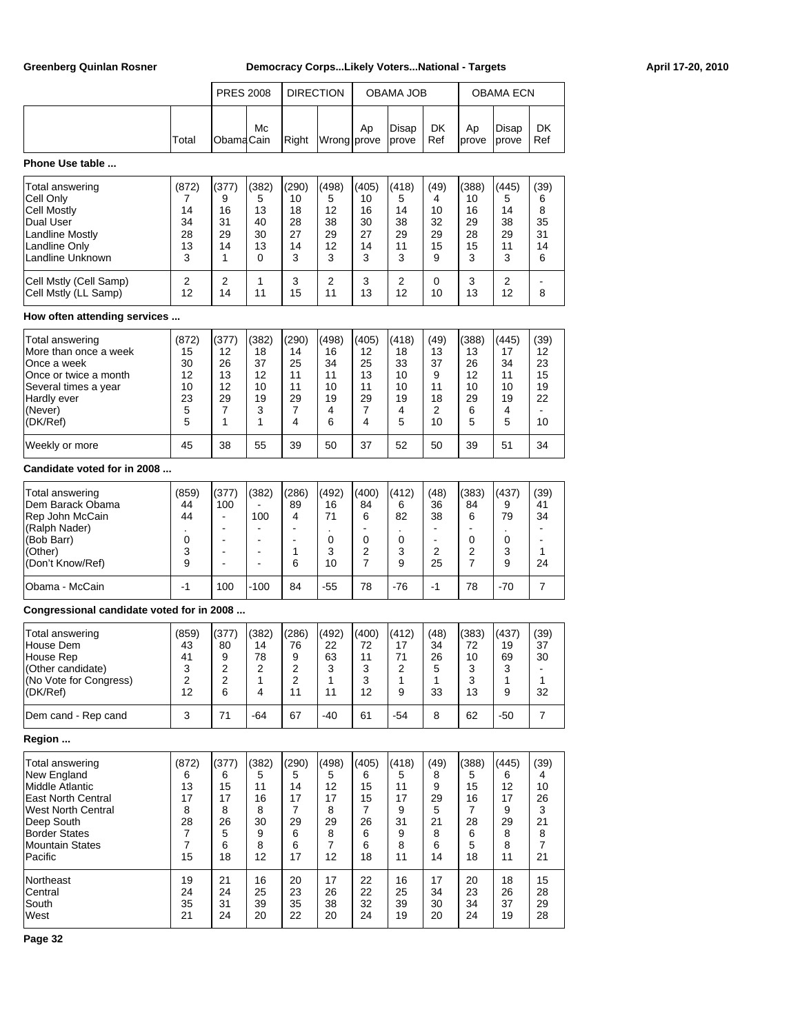| <b>Greenberg Quinlan Rosner</b>                |                |                          |                                  |                | Democracy CorpsLikely VotersNational - Targets |                     |                      |                |                     |                |                      | April 17-20, 2010 |
|------------------------------------------------|----------------|--------------------------|----------------------------------|----------------|------------------------------------------------|---------------------|----------------------|----------------|---------------------|----------------|----------------------|-------------------|
|                                                |                |                          | <b>PRES 2008</b>                 |                | <b>DIRECTION</b>                               |                     | OBAMA JOB            |                |                     | OBAMA ECN      |                      |                   |
|                                                | Total          | Obama <sup>Cain</sup>    | Mc                               | Right          | Wrong prove                                    | Ap                  | Disap<br>prove       | DK<br>Ref      | Ap<br>prove         | Disap<br>prove | DK<br>Ref            |                   |
| Phone Use table                                |                |                          |                                  |                |                                                |                     |                      |                |                     |                |                      |                   |
| Total answering                                | (872)          | (377)                    | (382)                            | (290)          | (498)                                          | (405)               | (418)                | (49)<br>4      | (388)               | (445)          | (39)                 |                   |
| Cell Only<br><b>Cell Mostly</b>                | 7<br>14        | 9<br>16                  | 5<br>13                          | 10<br>18       | 5<br>12                                        | 10<br>16            | 5<br>14              | 10             | 10<br>16            | 5<br>14        | 6<br>8               |                   |
| Dual User                                      | 34             | 31                       | 40                               | 28             | 38                                             | 30                  | 38                   | 32             | 29                  | 38             | 35                   |                   |
| Landline Mostly                                | 28             | 29                       | 30                               | 27             | 29                                             | 27                  | 29                   | 29             | 28                  | 29             | 31                   |                   |
| Landline Only                                  | 13             | 14                       | 13                               | 14             | 12                                             | 14                  | 11                   | 15             | 15                  | 11             | 14                   |                   |
| Landline Unknown                               | 3              | 1                        | 0                                | 3              | 3                                              | 3                   | 3                    | 9              | 3                   | 3              | 6                    |                   |
| Cell Mstly (Cell Samp)<br>Cell Mstly (LL Samp) | 2<br>12        | 2<br>14                  | 1<br>11                          | 3<br>15        | 2<br>11                                        | 3<br>13             | 2<br>12              | 0<br>10        | 3<br>13             | 2<br>12        | 8                    |                   |
| How often attending services                   |                |                          |                                  |                |                                                |                     |                      |                |                     |                |                      |                   |
| Total answering                                | (872)          | (377)                    | (382)                            | (290)          | (498)                                          | (405)               | (418)                | (49)           | (388)               | (445)          | (39)                 |                   |
| More than once a week                          | 15             | 12                       | 18                               | 14             | 16                                             | 12                  | 18                   | 13             | 13                  | 17             | 12                   |                   |
| Once a week                                    | 30<br>12       | 26<br>13                 | 37<br>12                         | 25<br>11       | 34<br>11                                       | 25<br>13            | 33                   | 37<br>9        | 26<br>12            | 34             | 23<br>15             |                   |
| Once or twice a month<br>Several times a year  | 10             | 12                       | 10                               | 11             | 10                                             | 11                  | 10<br>10             | 11             | 10                  | 11<br>10       | 19                   |                   |
| Hardly ever                                    | 23             | 29                       | 19                               | 29             | 19                                             | 29                  | 19                   | 18             | 29                  | 19             | 22                   |                   |
| (Never)                                        | 5              | 7                        | 3                                | 7              | 4                                              | 7                   | 4                    | 2              | 6                   | 4              |                      |                   |
| (DK/Ref)                                       | 5              | 1                        | 1                                | 4              | 6                                              | 4                   | 5                    | 10             | 5                   | 5              | 10                   |                   |
| Weekly or more                                 | 45             | 38                       | 55                               | 39             | 50                                             | 37                  | 52                   | 50             | 39                  | 51             | 34                   |                   |
| Candidate voted for in 2008                    |                |                          |                                  |                |                                                |                     |                      |                |                     |                |                      |                   |
| Total answering                                | (859)          | (377)                    | (382)                            | (286)          | (492)                                          | (400)               | (412)                | (48)           | (383)               | (437)          | (39)                 |                   |
| Dem Barack Obama                               | 44             | 100                      |                                  | 89             | 16                                             | 84                  | 6                    | 36             | 84                  | 9              | 41                   |                   |
| Rep John McCain                                | 44             | $\blacksquare$           | 100                              | 4              | 71                                             | 6                   | 82                   | 38             | 6                   | 79             | 34                   |                   |
| (Ralph Nader)                                  |                |                          | $\overline{\phantom{a}}$         |                |                                                |                     |                      |                |                     |                | $\blacksquare$       |                   |
| (Bob Barr)                                     | 0              | $\blacksquare$           | $\overline{a}$                   | $\blacksquare$ | $\mathbf 0$                                    | 0                   | 0                    | $\blacksquare$ | $\mathbf 0$         | 0              | $\blacksquare$       |                   |
| (Other)<br>(Don't Know/Ref)                    | 3<br>9         | $\overline{\phantom{a}}$ | $\blacksquare$<br>$\blacksquare$ | 1<br>6         | 3<br>10                                        | 2<br>$\overline{7}$ | 3<br>9               | 2<br>25        | 2<br>$\overline{7}$ | 3<br>9         | 1<br>24              |                   |
| Obama - McCain                                 | $-1$           | 100                      | $-100$                           | 84             | $-55$                                          | 78                  | $-76$                | $-1$           | 78                  | $-70$          | 7                    |                   |
| Congressional candidate voted for in 2008      |                |                          |                                  |                |                                                |                     |                      |                |                     |                |                      |                   |
|                                                |                |                          |                                  |                |                                                |                     |                      |                |                     |                |                      |                   |
| Total answering                                | (859)          | (377)                    | (382)                            | (286)          | (492)                                          | (400)               | (412)                | (48)           | (383)               | (437)          | (39)                 |                   |
| House Dem                                      | 43             | 80                       | 14<br>78                         | 76             | 22                                             | 72                  | 17                   | 34             | 72                  | 19             | 37<br>30             |                   |
| House Rep<br>(Other candidate)                 | 41<br>3        | 9<br>$\overline{c}$      | 2                                | 9<br>2         | 63<br>3                                        | 11<br>3             | 71<br>$\overline{2}$ | 26<br>5        | 10<br>3             | 69<br>3        |                      |                   |
| (No Vote for Congress)                         | 2              | $\overline{2}$           | 1                                | 2              | 1                                              | 3                   | 1                    | 1              | 3                   | 1              | 1                    |                   |
| (DK/Ref)                                       | 12             | 6                        | 4                                | 11             | 11                                             | 12                  | 9                    | 33             | 13                  | 9              | 32                   |                   |
| Dem cand - Rep cand                            | 3              | 71                       | -64                              | 67             | -40                                            | 61                  | $-54$                | 8              | 62                  | $-50$          | $\overline{7}$       |                   |
| Region                                         |                |                          |                                  |                |                                                |                     |                      |                |                     |                |                      |                   |
| Total answering                                | (872)          | (377)                    | (382)                            | (290)          | (498)                                          | (405)               | (418)                | (49)           | (388)               | (445)          | (39)                 |                   |
| New England                                    | 6              | 6                        | 5                                | 5              | 5                                              | 6                   | 5                    | 8              | 5                   | 6              | 4                    |                   |
| Middle Atlantic                                | 13             | 15                       | 11                               | 14             | 12                                             | 15                  | 11                   | 9              | 15                  | 12             | 10                   |                   |
| <b>East North Central</b>                      | 17             | 17                       | 16                               | 17             | 17                                             | 15                  | 17                   | 29             | 16                  | 17             | 26                   |                   |
| <b>West North Central</b>                      | 8              | 8                        | 8                                | $\overline{7}$ | 8                                              | $\overline{7}$      | 9                    | 5              | $\overline{7}$      | 9              | 3                    |                   |
| Deep South                                     | 28             | 26                       | 30                               | 29             | 29                                             | 26                  | 31                   | 21             | 28                  | 29             | 21                   |                   |
| <b>Border States</b>                           | $\overline{7}$ | 5                        | 9                                | 6              | 8                                              | 6                   | 9                    | 8              | 6                   | 8              | 8                    |                   |
| <b>Mountain States</b><br>Pacific              | 7<br>15        | 6                        | 8<br>12                          | 6<br>17        | $\overline{7}$                                 | 6<br>18             | 8<br>11              | 6<br>14        | 5                   | 8<br>11        | $\overline{7}$<br>21 |                   |
|                                                |                | 18                       |                                  |                | 12                                             |                     |                      |                | 18                  |                |                      |                   |
| Northeast<br>Central                           | 19<br>24       | 21<br>24                 | 16<br>25                         | 20<br>23       | 17<br>26                                       | 22<br>22            | 16<br>25             | 17<br>34       | 20<br>23            | 18<br>26       | 15<br>28             |                   |
| South                                          | 35             | 31                       | 39                               | 35             | 38                                             | 32                  | 39                   | 30             | 34                  | 37             | 29                   |                   |
|                                                |                |                          |                                  |                |                                                |                     |                      |                |                     |                |                      |                   |

West 21 24 20 22 20 24 19 20 24 19 28

**Page 32**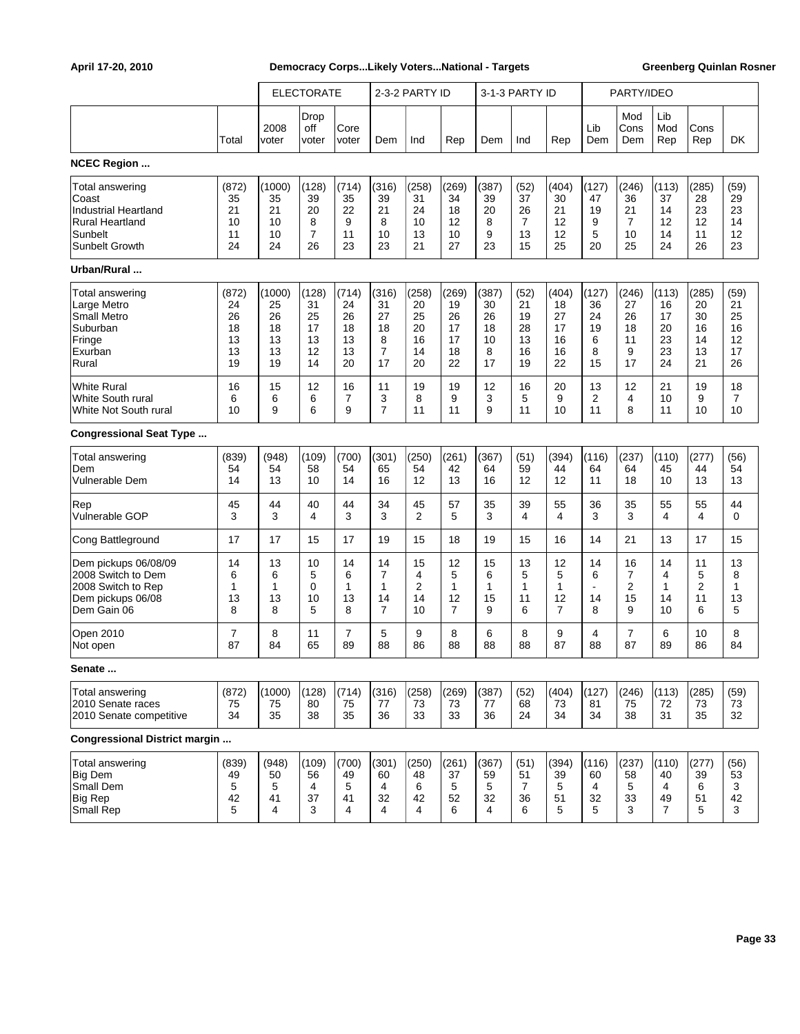|                                                                                                                |                                           |                                            | <b>ELECTORATE</b>                         |                                           |                                                      | 2-3-2 PARTY ID                            |                                                 |                                          | 3-1-3 PARTY ID                                 |                                           |                                         | PARTY/IDEO                               |                                           |                                           |                                          |
|----------------------------------------------------------------------------------------------------------------|-------------------------------------------|--------------------------------------------|-------------------------------------------|-------------------------------------------|------------------------------------------------------|-------------------------------------------|-------------------------------------------------|------------------------------------------|------------------------------------------------|-------------------------------------------|-----------------------------------------|------------------------------------------|-------------------------------------------|-------------------------------------------|------------------------------------------|
|                                                                                                                | Total                                     | 2008<br>voter                              | Drop<br>off<br>voter                      | Core<br>voter                             | Dem                                                  | Ind                                       | Rep                                             | Dem                                      | Ind                                            | Rep                                       | Lib<br>Dem                              | Mod<br>Cons<br>Dem                       | Lib<br>Mod<br>Rep                         | Cons<br>Rep                               | DK                                       |
| <b>NCEC Region </b>                                                                                            |                                           |                                            |                                           |                                           |                                                      |                                           |                                                 |                                          |                                                |                                           |                                         |                                          |                                           |                                           |                                          |
| Total answering<br>Coast<br><b>Industrial Heartland</b><br><b>Rural Heartland</b><br>Sunbelt<br>Sunbelt Growth | (872)<br>35<br>21<br>10<br>11<br>24       | (1000)<br>35<br>21<br>10<br>10<br>24       | (128)<br>39<br>20<br>8<br>7<br>26         | (714)<br>35<br>22<br>9<br>11<br>23        | (316)<br>39<br>21<br>8<br>10<br>23                   | (258)<br>31<br>24<br>10<br>13<br>21       | (269)<br>34<br>18<br>12<br>10<br>27             | (387)<br>39<br>20<br>8<br>9<br>23        | (52)<br>37<br>26<br>$\overline{7}$<br>13<br>15 | (404)<br>30<br>21<br>12<br>12<br>25       | (127)<br>47<br>19<br>9<br>5<br>20       | (246)<br>36<br>21<br>7<br>10<br>25       | (113)<br>37<br>14<br>12<br>14<br>24       | (285)<br>28<br>23<br>12<br>11<br>26       | (59)<br>29<br>23<br>14<br>12<br>23       |
| Urban/Rural                                                                                                    |                                           |                                            |                                           |                                           |                                                      |                                           |                                                 |                                          |                                                |                                           |                                         |                                          |                                           |                                           |                                          |
| Total answering<br>Large Metro<br><b>Small Metro</b><br>Suburban<br>Fringe<br>Exurban<br>Rural                 | (872)<br>24<br>26<br>18<br>13<br>13<br>19 | (1000)<br>25<br>26<br>18<br>13<br>13<br>19 | (128)<br>31<br>25<br>17<br>13<br>12<br>14 | (714)<br>24<br>26<br>18<br>13<br>13<br>20 | (316)<br>31<br>27<br>18<br>8<br>$\overline{7}$<br>17 | (258)<br>20<br>25<br>20<br>16<br>14<br>20 | (269)<br>19<br>26<br>17<br>17<br>18<br>22       | (387)<br>30<br>26<br>18<br>10<br>8<br>17 | (52)<br>21<br>19<br>28<br>13<br>16<br>19       | (404)<br>18<br>27<br>17<br>16<br>16<br>22 | (127)<br>36<br>24<br>19<br>6<br>8<br>15 | (246)<br>27<br>26<br>18<br>11<br>9<br>17 | (113)<br>16<br>17<br>20<br>23<br>23<br>24 | (285)<br>20<br>30<br>16<br>14<br>13<br>21 | (59)<br>21<br>25<br>16<br>12<br>17<br>26 |
| <b>White Rural</b><br>White South rural<br>White Not South rural                                               | 16<br>6<br>10                             | 15<br>6<br>9                               | 12<br>6<br>6                              | 16<br>7<br>9                              | 11<br>3<br>$\overline{7}$                            | 19<br>8<br>11                             | 19<br>9<br>11                                   | 12<br>3<br>9                             | 16<br>5<br>11                                  | 20<br>9<br>10                             | 13<br>2<br>11                           | 12<br>4<br>8                             | 21<br>10<br>11                            | 19<br>9<br>10                             | 18<br>7<br>10                            |
| <b>Congressional Seat Type </b>                                                                                |                                           |                                            |                                           |                                           |                                                      |                                           |                                                 |                                          |                                                |                                           |                                         |                                          |                                           |                                           |                                          |
| <b>Total answering</b><br>Dem<br><b>Vulnerable Dem</b>                                                         | (839)<br>54<br>14                         | (948)<br>54<br>13                          | (109)<br>58<br>10                         | (700)<br>54<br>14                         | (301)<br>65<br>16                                    | (250)<br>54<br>12                         | (261)<br>42<br>13                               | (367)<br>64<br>16                        | (51)<br>59<br>12                               | (394)<br>44<br>12                         | (116)<br>64<br>11                       | (237)<br>64<br>18                        | (110)<br>45<br>10                         | (277)<br>44<br>13                         | (56)<br>54<br>13                         |
| Rep<br>Vulnerable GOP                                                                                          | 45<br>3                                   | 44<br>3                                    | 40<br>4                                   | 44<br>3                                   | 34<br>3                                              | 45<br>2                                   | 57<br>5                                         | 35<br>3                                  | 39<br>4                                        | 55<br>4                                   | 36<br>3                                 | 35<br>3                                  | 55<br>4                                   | 55<br>4                                   | 44<br>$\mathbf 0$                        |
| Cong Battleground                                                                                              | 17                                        | 17                                         | 15                                        | 17                                        | 19                                                   | 15                                        | 18                                              | 19                                       | 15                                             | 16                                        | 14                                      | 21                                       | 13                                        | 17                                        | 15                                       |
| Dem pickups 06/08/09<br>2008 Switch to Dem<br>2008 Switch to Rep<br>Dem pickups 06/08<br>Dem Gain 06           | 14<br>6<br>1<br>13<br>8                   | 13<br>6<br>1<br>13<br>8                    | 10<br>5<br>0<br>10<br>5                   | 14<br>6<br>$\mathbf{1}$<br>13<br>8        | 14<br>7<br>1<br>14<br>$\overline{7}$                 | 15<br>4<br>2<br>14<br>10                  | 12<br>5<br>$\mathbf{1}$<br>12<br>$\overline{7}$ | 15<br>6<br>1<br>15<br>9                  | 13<br>5<br>1<br>11<br>6                        | 12<br>5<br>1<br>12<br>$\overline{7}$      | 14<br>6<br>14<br>8                      | 16<br>7<br>2<br>15<br>9                  | 14<br>4<br>1<br>14<br>10                  | 11<br>5<br>$\overline{c}$<br>11<br>6      | 13<br>8<br>$\mathbf{1}$<br>13<br>5       |
| Open 2010<br>Not open                                                                                          | 7<br>87                                   | 8<br>84                                    | 11<br>65                                  | $\overline{7}$<br>89                      | 5<br>88                                              | 9<br>86                                   | 8<br>88                                         | 6<br>88                                  | 8<br>88                                        | 9<br>87                                   | 4<br>88                                 | 7<br>87                                  | 6<br>89                                   | 10<br>86                                  | 8<br>84                                  |
| Senate                                                                                                         |                                           |                                            |                                           |                                           |                                                      |                                           |                                                 |                                          |                                                |                                           |                                         |                                          |                                           |                                           |                                          |
| <b>Total answering</b><br>2010 Senate races<br>2010 Senate competitive                                         | (872)<br>75<br>34                         | (1000)<br>75<br>35                         | (128)<br>80<br>38                         | (714)<br>75<br>35                         | (316)<br>77<br>36                                    | (258)<br>73<br>33                         | (269)<br>73<br>33                               | (387)<br>77<br>36                        | (52)<br>68<br>24                               | (404)<br>73<br>34                         | (127)<br>81<br>34                       | (246)<br>75<br>38                        | (113)<br>72<br>31                         | (285)<br>73<br>35                         | (59)<br>73<br>32                         |
| Congressional District margin                                                                                  |                                           |                                            |                                           |                                           |                                                      |                                           |                                                 |                                          |                                                |                                           |                                         |                                          |                                           |                                           |                                          |
| <b>Total answering</b><br><b>Big Dem</b><br>Small Dem<br>Big Rep                                               | (839)<br>49<br>5<br>42                    | (948)<br>50<br>5<br>41                     | (109)<br>56<br>4<br>37                    | (700)<br>49<br>5<br>41                    | (301)<br>60<br>4<br>32                               | (250)<br>48<br>6<br>42                    | (261)<br>37<br>5<br>52                          | (367)<br>59<br>5<br>32                   | (51)<br>51<br>7<br>36                          | (394)<br>39<br>5<br>51                    | (116)<br>60<br>4<br>32                  | (237)<br>58<br>5<br>33                   | (110)<br>40<br>4<br>49                    | (277)<br>39<br>6<br>51                    | (56)<br>53<br>3<br>42                    |

Small Rep 6 4 5 4 4 4 4 4 6 4 6 5 6 7 8 7 8 3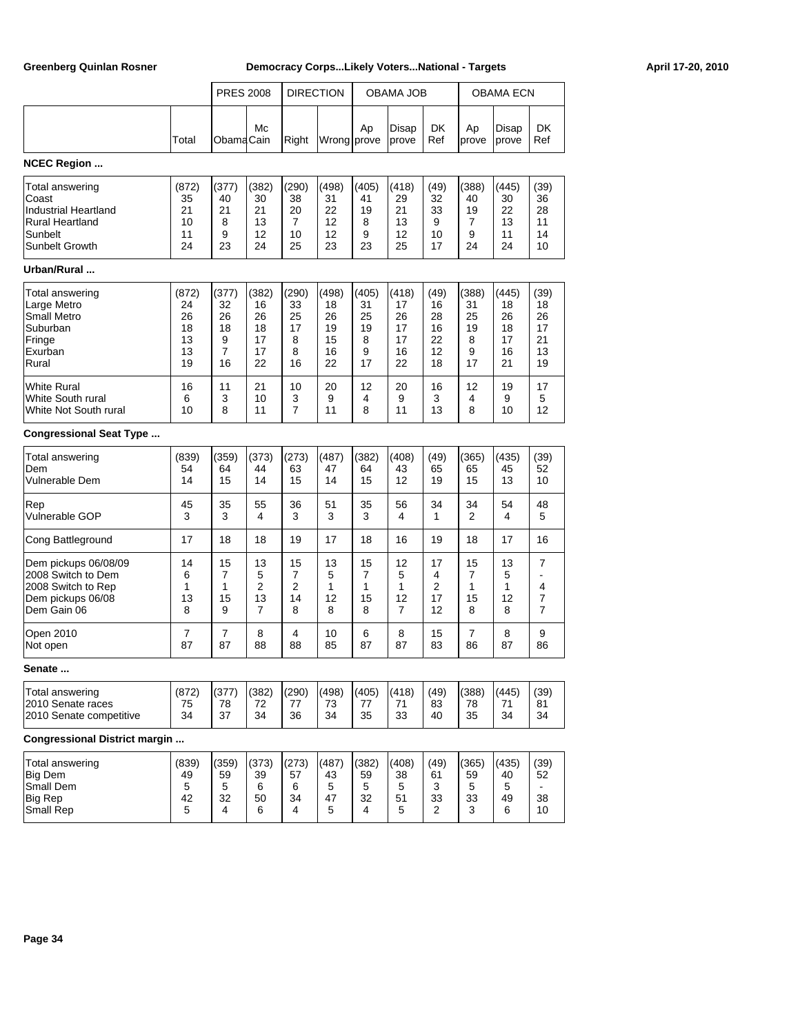|                                                                                                         |                                           | <b>PRES 2008</b>                        |                                                   |                                         | <b>DIRECTION</b>                          |                                         | OBAMA JOB                                 |                                          |                                         | <b>OBAMA ECN</b>                          |                                          |
|---------------------------------------------------------------------------------------------------------|-------------------------------------------|-----------------------------------------|---------------------------------------------------|-----------------------------------------|-------------------------------------------|-----------------------------------------|-------------------------------------------|------------------------------------------|-----------------------------------------|-------------------------------------------|------------------------------------------|
|                                                                                                         | Total                                     | ObamaCain                               | Mc                                                | Right                                   | Wrong prove                               | Ap                                      | Disap<br>prove                            | <b>DK</b><br>Ref                         | Ap<br>prove                             | Disap<br>prove                            | DK<br>Ref                                |
| <b>NCEC Region </b>                                                                                     |                                           |                                         |                                                   |                                         |                                           |                                         |                                           |                                          |                                         |                                           |                                          |
| Total answering<br>Coast<br><b>Industrial Heartland</b><br>Rural Heartland<br>Sunbelt<br>Sunbelt Growth | (872)<br>35<br>21<br>10<br>11<br>24       | (377)<br>40<br>21<br>8<br>9<br>23       | (382)<br>30<br>21<br>13<br>12<br>24               | (290)<br>38<br>20<br>7<br>10<br>25      | (498)<br>31<br>22<br>12<br>12<br>23       | (405)<br>41<br>19<br>8<br>9<br>23       | (418)<br>29<br>21<br>13<br>12<br>25       | (49)<br>32<br>33<br>9<br>10<br>17        | (388)<br>40<br>19<br>7<br>9<br>24       | (445)<br>30<br>22<br>13<br>11<br>24       | (39)<br>36<br>28<br>11<br>14<br>10       |
| Urban/Rural                                                                                             |                                           |                                         |                                                   |                                         |                                           |                                         |                                           |                                          |                                         |                                           |                                          |
| Total answering<br>Large Metro<br>Small Metro<br>Suburban<br>Fringe<br>Exurban<br>Rural                 | (872)<br>24<br>26<br>18<br>13<br>13<br>19 | (377)<br>32<br>26<br>18<br>9<br>7<br>16 | (382)<br>16<br>26<br>18<br>17<br>17<br>22         | (290)<br>33<br>25<br>17<br>8<br>8<br>16 | (498)<br>18<br>26<br>19<br>15<br>16<br>22 | (405)<br>31<br>25<br>19<br>8<br>9<br>17 | (418)<br>17<br>26<br>17<br>17<br>16<br>22 | (49)<br>16<br>28<br>16<br>22<br>12<br>18 | (388)<br>31<br>25<br>19<br>8<br>9<br>17 | (445)<br>18<br>26<br>18<br>17<br>16<br>21 | (39)<br>18<br>26<br>17<br>21<br>13<br>19 |
| White Rural<br>White South rural<br>White Not South rural                                               | 16<br>6<br>10                             | 11<br>3<br>8                            | 21<br>10<br>11                                    | 10<br>3<br>7                            | 20<br>9<br>11                             | 12<br>4<br>8                            | 20<br>9<br>11                             | 16<br>3<br>13                            | 12<br>4<br>8                            | 19<br>9<br>10                             | 17<br>5<br>12                            |
| <b>Congressional Seat Type </b>                                                                         |                                           |                                         |                                                   |                                         |                                           |                                         |                                           |                                          |                                         |                                           |                                          |
| Total answering<br>Dem<br>Vulnerable Dem                                                                | (839)<br>54<br>14                         | (359)<br>64<br>15                       | (373)<br>44<br>14                                 | (273)<br>63<br>15                       | (487)<br>47<br>14                         | (382)<br>64<br>15                       | (408)<br>43<br>12                         | (49)<br>65<br>19                         | (365)<br>65<br>15                       | (435)<br>45<br>13                         | (39)<br>52<br>10                         |
| Rep<br>Vulnerable GOP                                                                                   | 45<br>3                                   | 35<br>3                                 | 55<br>4                                           | 36<br>3                                 | 51<br>3                                   | 35<br>3                                 | 56<br>4                                   | 34<br>1                                  | 34<br>2                                 | 54<br>4                                   | 48<br>5                                  |
| Cong Battleground                                                                                       | 17                                        | 18                                      | 18                                                | 19                                      | 17                                        | 18                                      | 16                                        | 19                                       | 18                                      | 17                                        | 16                                       |
| Dem pickups 06/08/09<br>2008 Switch to Dem<br>2008 Switch to Rep<br>Dem pickups 06/08<br>Dem Gain 06    | 14<br>6<br>1<br>13<br>8                   | 15<br>7<br>1<br>15<br>9                 | 13<br>5<br>$\overline{2}$<br>13<br>$\overline{7}$ | 15<br>7<br>2<br>14<br>8                 | 13<br>5<br>1<br>12<br>8                   | 15<br>7<br>1<br>15<br>8                 | 12<br>5<br>1<br>12<br>7                   | 17<br>4<br>2<br>17<br>12                 | 15<br>7<br>1<br>15<br>8                 | 13<br>5<br>1<br>12<br>8                   | 7<br>L.<br>4<br>7<br>7                   |
| Open 2010<br>Not open                                                                                   | 7<br>87                                   | 7<br>87                                 | 8<br>88                                           | 4<br>88                                 | 10<br>85                                  | 6<br>87                                 | 8<br>87                                   | 15<br>83                                 | 7<br>86                                 | 8<br>87                                   | 9<br>86                                  |
| Senate                                                                                                  |                                           |                                         |                                                   |                                         |                                           |                                         |                                           |                                          |                                         |                                           |                                          |
| Total answering<br>2010 Senate races<br>2010 Senate competitive                                         | (872)<br>75<br>34                         | (377)<br>78<br>37                       | (382)<br>72<br>34                                 | (290)<br>77<br>36                       | (498)<br>73<br>34                         | (405)<br>77<br>35                       | (418)<br>71<br>33                         | (49)<br>83<br>40                         | (388)<br>78<br>35                       | (445)<br>71<br>34                         | (39)<br>81<br>34                         |
| <b>Congressional District margin </b>                                                                   |                                           |                                         |                                                   |                                         |                                           |                                         |                                           |                                          |                                         |                                           |                                          |
| Total answering<br><b>Big Dem</b><br>Small Dem<br>Big Rep                                               | (839)<br>49<br>5<br>42                    | (359)<br>59<br>5<br>32                  | (373)<br>39<br>6<br>50                            | (273)<br>57<br>6<br>34                  | (487)<br>43<br>5<br>47                    | (382)<br>59<br>5<br>32                  | (408)<br>38<br>5<br>51                    | (49)<br>61<br>3<br>33                    | (365)<br>59<br>5<br>33                  | (435)<br>40<br>5<br>49                    | (39)<br>52<br>38                         |

Small Rep 6 4 6 4 5 4 5 4 5 2 3 6 10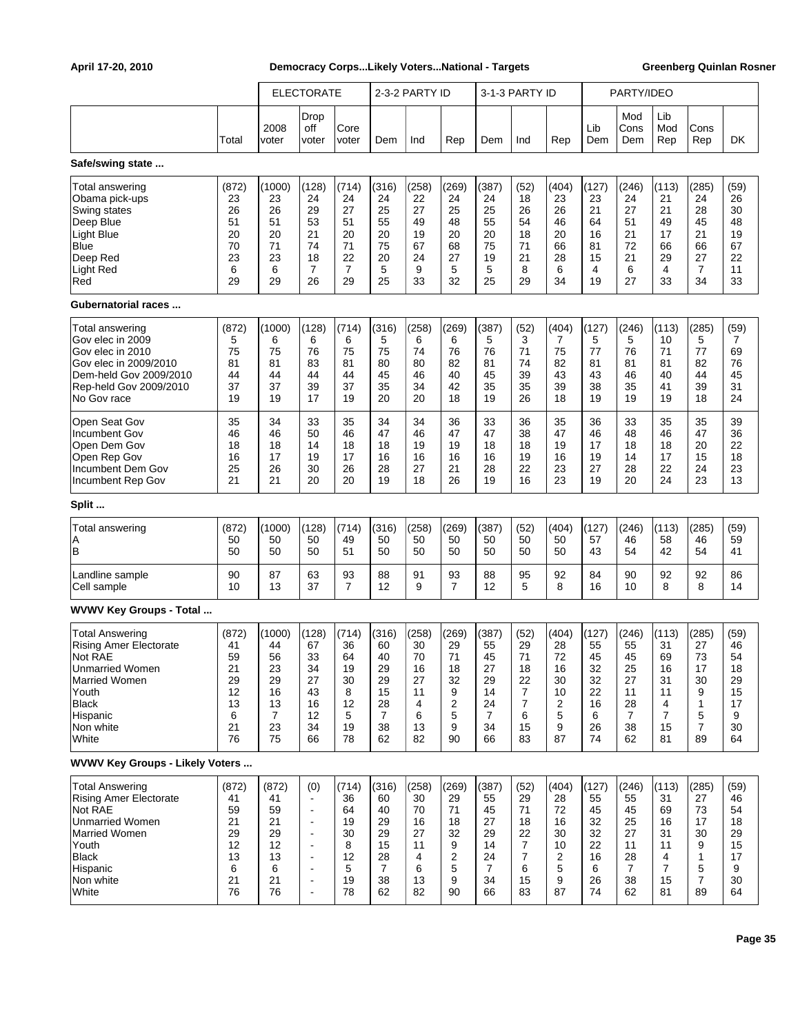|                                         |       |               | <b>ELECTORATE</b>        |                |                | 2-3-2 PARTY ID |                |                | 3-1-3 PARTY ID |       |            | PARTY/IDEO         |                   |                |      |
|-----------------------------------------|-------|---------------|--------------------------|----------------|----------------|----------------|----------------|----------------|----------------|-------|------------|--------------------|-------------------|----------------|------|
|                                         | Total | 2008<br>voter | Drop<br>off<br>voter     | Core<br>voter  | Dem            | Ind            | Rep            | Dem            | Ind            | Rep   | Lib<br>Dem | Mod<br>Cons<br>Dem | Lib<br>Mod<br>Rep | Cons<br>Rep    | DK   |
| Safe/swing state                        |       |               |                          |                |                |                |                |                |                |       |            |                    |                   |                |      |
| Total answering                         | (872) | (1000)        | (128)                    | (714)          | (316)          | (258)          | (269)          | (387)          | (52)           | (404) | (127)      | (246)              | (113)             | (285)          | (59) |
| Obama pick-ups                          | 23    | 23            | 24                       | 24             | 24             | 22             | 24             | 24             | 18             | 23    | 23         | 24                 | 21                | 24             | 26   |
| Swing states                            | 26    | 26            | 29                       | 27             | 25             | 27             | 25             | 25             | 26             | 26    | 21         | 27                 | 21                | 28             | 30   |
| Deep Blue                               | 51    | 51            | 53                       | 51             | 55             | 49             | 48             | 55             | 54             | 46    | 64         | 51                 | 49                | 45             | 48   |
| Light Blue                              | 20    | 20            | 21                       | 20             | 20             | 19             | 20             | 20             | 18             | 20    | 16         | 21                 | 17                | 21             | 19   |
| Blue                                    | 70    | 71            | 74                       | 71             | 75             | 67             | 68             | 75             | 71             | 66    | 81         | 72                 | 66                | 66             | 67   |
| Deep Red                                | 23    | 23            | 18                       | 22             | 20             | 24             | 27             | 19             | 21             | 28    | 15         | 21                 | 29                | 27             | 22   |
| Light Red                               | 6     | 6             | $\overline{7}$           | $\overline{7}$ | 5              | 9              | 5              | 5              | 8              | 6     | 4          | 6                  | 4                 | 7              | 11   |
| Red                                     | 29    | 29            | 26                       | 29             | 25             | 33             | 32             | 25             | 29             | 34    | 19         | 27                 | 33                | 34             | 33   |
| Gubernatorial races                     |       |               |                          |                |                |                |                |                |                |       |            |                    |                   |                |      |
| Total answering                         | (872) | (1000)        | (128)                    | (714)          | (316)          | (258)          | (269)          | (387)          | (52)           | (404) | (127)      | (246)              | (113)             | (285)          | (59) |
| Gov elec in 2009                        | 5     | 6             | 6                        | 6              | 5              | 6              | 6              | 5              | 3              | 7     | 5          | 5                  | 10                | 5              | 7    |
| Gov elec in 2010                        | 75    | 75            | 76                       | 75             | 75             | 74             | 76             | 76             | 71             | 75    | 77         | 76                 | 71                | 77             | 69   |
| Gov elec in 2009/2010                   | 81    | 81            | 83                       | 81             | 80             | 80             | 82             | 81             | 74             | 82    | 81         | 81                 | 81                | 82             | 76   |
| Dem-held Gov 2009/2010                  | 44    | 44            | 44                       | 44             | 45             | 46             | 40             | 45             | 39             | 43    | 43         | 46                 | 40                | 44             | 45   |
| Rep-held Gov 2009/2010                  | 37    | 37            | 39                       | 37             | 35             | 34             | 42             | 35             | 35             | 39    | 38         | 35                 | 41                | 39             | 31   |
| No Gov race                             | 19    | 19            | 17                       | 19             | 20             | 20             | 18             | 19             | 26             | 18    | 19         | 19                 | 19                | 18             | 24   |
| Open Seat Gov                           | 35    | 34            | 33                       | 35             | 34             | 34             | 36             | 33             | 36             | 35    | 36         | 33                 | 35                | 35             | 39   |
| Incumbent Gov                           | 46    | 46            | 50                       | 46             | 47             | 46             | 47             | 47             | 38             | 47    | 46         | 48                 | 46                | 47             | 36   |
| Open Dem Gov                            | 18    | 18            | 14                       | 18             | 18             | 19             | 19             | 18             | 18             | 19    | 17         | 18                 | 18                | 20             | 22   |
| Open Rep Gov                            | 16    | 17            | 19                       | 17             | 16             | 16             | 16             | 16             | 19             | 16    | 19         | 14                 | 17                | 15             | 18   |
| Incumbent Dem Gov                       | 25    | 26            | 30                       | 26             | 28             | 27             | 21             | 28             | 22             | 23    | 27         | 28                 | 22                | 24             | 23   |
| Incumbent Rep Gov                       | 21    | 21            | 20                       | 20             | 19             | 18             | 26             | 19             | 16             | 23    | 19         | 20                 | 24                | 23             | 13   |
| Split                                   |       |               |                          |                |                |                |                |                |                |       |            |                    |                   |                |      |
| Total answering                         | (872) | (1000)        | (128)                    | (714)          | (316)          | (258)          | (269)          | (387)          | (52)           | (404) | (127)      | (246)              | (113)             | (285)          | (59) |
| ΙA                                      | 50    | 50            | 50                       | 49             | 50             | 50             | 50             | 50             | 50             | 50    | 57         | 46                 | 58                | 46             | 59   |
| İΒ                                      | 50    | 50            | 50                       | 51             | 50             | 50             | 50             | 50             | 50             | 50    | 43         | 54                 | 42                | 54             | 41   |
| Landline sample                         | 90    | 87            | 63                       | 93             | 88             | 91             | 93             | 88             | 95             | 92    | 84         | 90                 | 92                | 92             | 86   |
| Cell sample                             | 10    | 13            | 37                       | $\overline{7}$ | 12             | 9              | $\overline{7}$ | 12             | 5              | 8     | 16         | 10                 | 8                 | 8              | 14   |
| WVWV Key Groups - Total                 |       |               |                          |                |                |                |                |                |                |       |            |                    |                   |                |      |
| Total Answering                         | (872) | (1000)        | (128)                    | (714)          | (316)          | (258)          | (269)          | (387)          | (52)           | (404) | (127)      | (246)              | (113)             | (285)          | (59) |
| <b>Rising Amer Electorate</b>           | 41    | 44            | 67                       | 36             | 60             | 30             | 29             | 55             | 29             | 28    | 55         | 55                 | 31                | 27             | 46   |
| Not RAE                                 | 59    | 56            | 33                       | 64             | 40             | 70             | 71             | 45             | 71             | 72    | 45         | 45                 | 69                | 73             | 54   |
| <b>Unmarried Women</b>                  | 21    | 23            | 34                       | 19             | 29             | 16             | 18             | 27             | 18             | 16    | 32         | 25                 | 16                | 17             | 18   |
| Married Women                           | 29    | 29            | 27                       | 30             | 29             | 27             | 32             | 29             | 22             | 30    | 32         | 27                 | 31                | 30             | 29   |
| Youth                                   | 12    | 16            | 43                       | 8              | 15             | 11             | 9              | 14             | $\overline{7}$ | 10    | 22         | 11                 | 11                | 9              | 15   |
| <b>Black</b>                            | 13    | 13            | 16                       | 12             | 28             | 4              | $\overline{2}$ | 24             | 7              | 2     | 16         | 28                 | 4                 | 1              | 17   |
| Hispanic                                | 6     | 7             | 12                       | 5              | $\overline{7}$ | 6              | 5              | 7              | 6              | 5     | 6          | $\overline{7}$     | 7                 | 5              | 9    |
| Non white                               | 21    | 23            | 34                       | 19             | 38             | 13             | 9              | 34             | 15             | 9     | 26         | 38                 | 15                | $\overline{7}$ | 30   |
| White                                   | 76    | 75            | 66                       | 78             | 62             | 82             | 90             | 66             | 83             | 87    | 74         | 62                 | 81                | 89             | 64   |
| <b>WVWV Key Groups - Likely Voters </b> |       |               |                          |                |                |                |                |                |                |       |            |                    |                   |                |      |
| <b>Total Answering</b>                  | (872) | (872)         | (0)                      | (714)          | (316)          | (258)          | (269)          | (387)          | (52)           | (404) | (127)      | (246)              | (113)             | (285)          | (59) |
| <b>Rising Amer Electorate</b>           | 41    | 41            | $\blacksquare$           | 36             | 60             | 30             | 29             | 55             | 29             | 28    | 55         | 55                 | 31                | 27             | 46   |
| Not RAE                                 | 59    | 59            | $\sim$                   | 64             | 40             | 70             | 71             | 45             | 71             | 72    | 45         | 45                 | 69                | 73             | 54   |
| <b>Unmarried Women</b>                  | 21    | 21            | $\sim$                   | 19             | 29             | 16             | 18             | 27             | 18             | 16    | 32         | 25                 | 16                | 17             | 18   |
| Married Women                           | 29    | 29            | $\overline{\phantom{a}}$ | 30             | 29             | 27             | 32             | 29             | 22             | 30    | 32         | 27                 | 31                | 30             | 29   |
| Youth                                   | 12    | 12            | $\sim$                   | 8              | 15             | 11             | 9              | 14             | 7              | 10    | 22         | 11                 | 11                | 9              | 15   |
| <b>Black</b>                            | 13    | 13            | $\sim$                   | 12             | 28             | 4              | $\overline{2}$ | 24             | 7              | 2     | 16         | 28                 | 4                 | 1              | 17   |
| Hispanic                                | 6     | 6             | $\overline{\phantom{a}}$ | 5              | $\overline{7}$ | 6              | 5              | $\overline{7}$ | 6              | 5     | 6          | $\overline{7}$     | $\overline{7}$    | 5              | 9    |
| Non white                               | 21    | 21            | $\blacksquare$           | 19             | 38             | 13             | 9              | 34             | 15             | 9     | 26         | 38                 | 15                | $\overline{7}$ | 30   |
| White                                   | 76    | 76            | $\overline{\phantom{a}}$ | 78             | 62             | 82             | 90             | 66             | 83             | 87    | 74         | 62                 | 81                | 89             | 64   |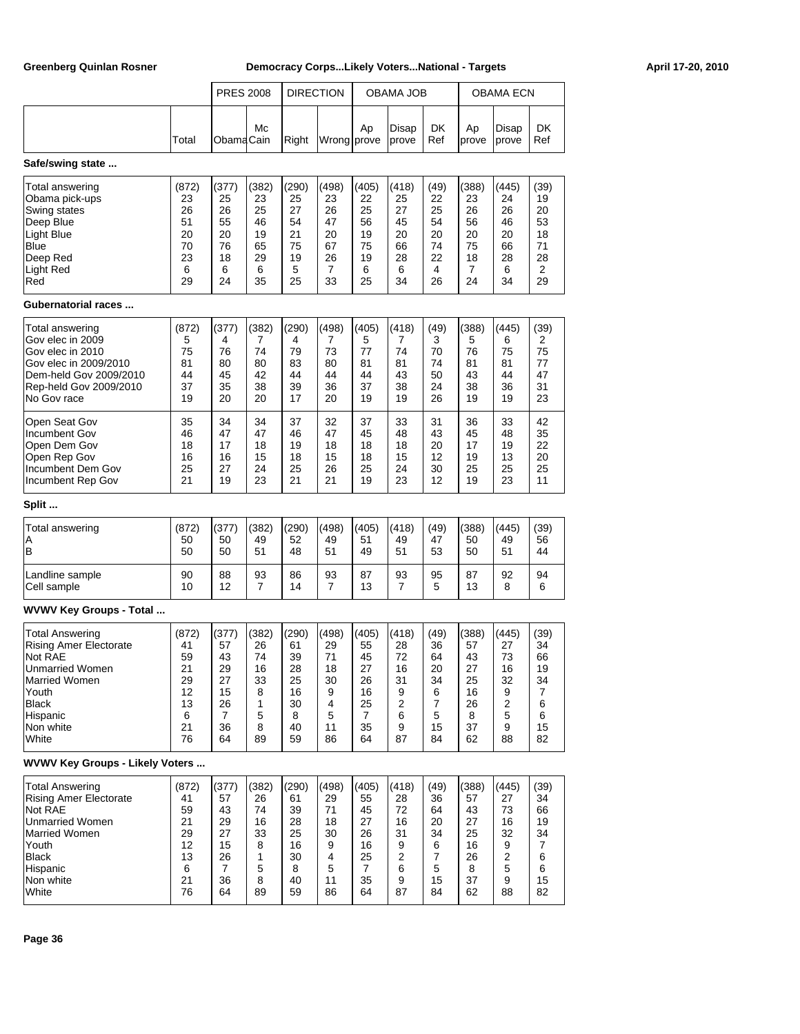|                                        |       | <b>PRES 2008</b> |       |       | <b>DIRECTION</b> |       | OBAMA JOB      |           | OBAMA ECN   |                |           |
|----------------------------------------|-------|------------------|-------|-------|------------------|-------|----------------|-----------|-------------|----------------|-----------|
|                                        | Total | ObamaCain        | Mc    | Right | Wrong prove      | Ap    | Disap<br>prove | DK<br>Ref | Ap<br>prove | Disap<br>prove | DK<br>Ref |
| Safe/swing state                       |       |                  |       |       |                  |       |                |           |             |                |           |
| Total answering                        | (872) | (377)            | (382) | (290) | (498)            | (405) | (418)          | (49)      | (388)       | (445)          | (39)      |
| Obama pick-ups                         | 23    | 25               | 23    | 25    | 23               | 22    | 25             | 22        | 23          | 24             | 19        |
| Swing states                           | 26    | 26               | 25    | 27    | 26               | 25    | 27             | 25        | 26          | 26             | 20        |
| Deep Blue                              | 51    | 55               | 46    | 54    | 47               | 56    | 45             | 54        | 56          | 46             | 53        |
| Light Blue                             | 20    | 20               | 19    | 21    | 20               | 19    | 20             | 20        | 20          | 20             | 18        |
| Blue                                   | 70    | 76               | 65    | 75    | 67               | 75    | 66             | 74        | 75          | 66             | 71        |
| Deep Red                               | 23    | 18               | 29    | 19    | 26               | 19    | 28             | 22        | 18          | 28             | 28        |
| Light Red                              | 6     | 6                | 6     | 5     | 7                | 6     | 6              | 4         | 7           | 6              | 2         |
| Red                                    | 29    | 24               | 35    | 25    | 33               | 25    | 34             | 26        | 24          | 34             | 29        |
| Gubernatorial races                    |       |                  |       |       |                  |       |                |           |             |                |           |
| Total answering                        | (872) | (377)            | (382) | (290) | (498)            | (405) | (418)          | (49)      | (388)       | (445)          | (39)      |
| Gov elec in 2009                       | 5     | 4                | 7     | 4     | 7                | 5     | 7              | 3         | 5           | 6              | 2         |
| Gov elec in 2010                       | 75    | 76               | 74    | 79    | 73               | 77    | 74             | 70        | 76          | 75             | 75        |
| Gov elec in 2009/2010                  | 81    | 80               | 80    | 83    | 80               | 81    | 81             | 74        | 81          | 81             | 77        |
| Dem-held Gov 2009/2010                 | 44    | 45               | 42    | 44    | 44               | 44    | 43             | 50        | 43          | 44             | 47        |
| Rep-held Gov 2009/2010                 | 37    | 35               | 38    | 39    | 36               | 37    | 38             | 24        | 38          | 36             | 31        |
| No Gov race                            | 19    | 20               | 20    | 17    | 20               | 19    | 19             | 26        | 19          | 19             | 23        |
| Open Seat Gov                          | 35    | 34               | 34    | 37    | 32               | 37    | 33             | 31        | 36          | 33             | 42        |
| Incumbent Gov                          | 46    | 47               | 47    | 46    | 47               | 45    | 48             | 43        | 45          | 48             | 35        |
| Open Dem Gov                           | 18    | 17               | 18    | 19    | 18               | 18    | 18             | 20        | 17          | 19             | 22        |
| Open Rep Gov                           | 16    | 16               | 15    | 18    | 15               | 18    | 15             | 12        | 19          | 13             | 20        |
| Incumbent Dem Gov                      | 25    | 27               | 24    | 25    | 26               | 25    | 24             | 30        | 25          | 25             | 25        |
| Incumbent Rep Gov                      | 21    | 19               | 23    | 21    | 21               | 19    | 23             | 12        | 19          | 23             | 11        |
| Split                                  |       |                  |       |       |                  |       |                |           |             |                |           |
| <b>Total answering</b>                 | (872) | (377)            | (382) | (290) | (498)            | (405) | (418)          | (49)      | (388)       | (445)          | (39)      |
| Α                                      | 50    | 50               | 49    | 52    | 49               | 51    | 49             | 47        | 50          | 49             | 56        |
| B                                      | 50    | 50               | 51    | 48    | 51               | 49    | 51             | 53        | 50          | 51             | 44        |
| Landline sample                        | 90    | 88               | 93    | 86    | 93               | 87    | 93             | 95        | 87          | 92             | 94        |
| Cell sample                            | 10    | 12               | 7     | 14    | 7                | 13    | 7              | 5         | 13          | 8              | 6         |
| WVWV Key Groups - Total                |       |                  |       |       |                  |       |                |           |             |                |           |
| Total Answering                        | (872) | (377)            | (382) | (290) | (498)            | (405) | (418)          | (49)      | (388)       | (445)          | (39)      |
| <b>Rising Amer Electorate</b>          | 41    | 57               | 26    | 61    | 29               | 55    | 28             | 36        | 57          | 27             | 34        |
| Not RAE                                | 59    | 43               | 74    | 39    | 71               | 45    | 72             | 64        | 43          | 73             | 66        |
| Unmarried Women                        | 21    | 29               | 16    | 28    | 18               | 27    | 16             | 20        | 27          | 16             | 19        |
| Married Women                          | 29    | 27               | 33    | 25    | 30               | 26    | 31             | 34        | 25          | 32             | 34        |
| Youth                                  | 12    | 15               | 8     | 16    | 9                | 16    | 9              | 6         | 16          | 9              | 7         |
| <b>Black</b>                           | 13    | 26               | 1     | 30    | 4                | 25    | 2              | 7         | 26          | 2              | 6         |
| Hispanic                               | 6     | 7                | 5     | 8     | 5                | 7     | 6              | 5         | 8           | 5              | 6         |
| Non white                              | 21    | 36               | 8     | 40    | 11               | 35    | 9              | 15        | 37          | 9              | 15        |
| White                                  | 76    | 64               | 89    | 59    | 86               | 64    | 87             | 84        | 62          | 88             | 82        |
| <b>WVWV Key Groups - Likely Voters</b> |       |                  |       |       |                  |       |                |           |             |                |           |
| <b>Total Answering</b>                 | (872) | (377)            | (382) | (290) | (498)            | (405) | (418)          | (49)      | (388)       | (445)          | (39)      |
| <b>Rising Amer Electorate</b>          | 41    | 57               | 26    | 61    | 29               | 55    | 28             | 36        | 57          | 27             | 34        |
| Not RAE                                | 59    | 43               | 74    | 39    | 71               | 45    | 72             | 64        | 43          | 73             | 66        |
| <b>Unmarried Women</b>                 | 21    | 29               | 16    | 28    | 18               | 27    | 16             | 20        | 27          | 16             | 19        |
| <b>Married Women</b>                   | 29    | 27               | 33    | 25    | 30               | 26    | 31             | 34        | 25          | 32             | 34        |
| Youth                                  | 12    | 15               | 8     | 16    | 9                | 16    | 9              | 6         | 16          | 9              | 7         |
| <b>Black</b>                           | 13    | 26               | 1     | 30    | 4                | 25    | $\overline{2}$ | 7         | 26          | 2              | 6         |
| Hispanic                               | 6     | 7                | 5     | 8     | 5                | 7     | 6              | 5         | 8           | 5              | 6         |
| Non white                              | 21    | 36               | 8     | 40    | 11               | 35    | 9              | 15        | 37          | 9              | 15        |
| White                                  | 76    | 64               | 89    | 59    | 86               | 64    | 87             | 84        | 62          | 88             | 82        |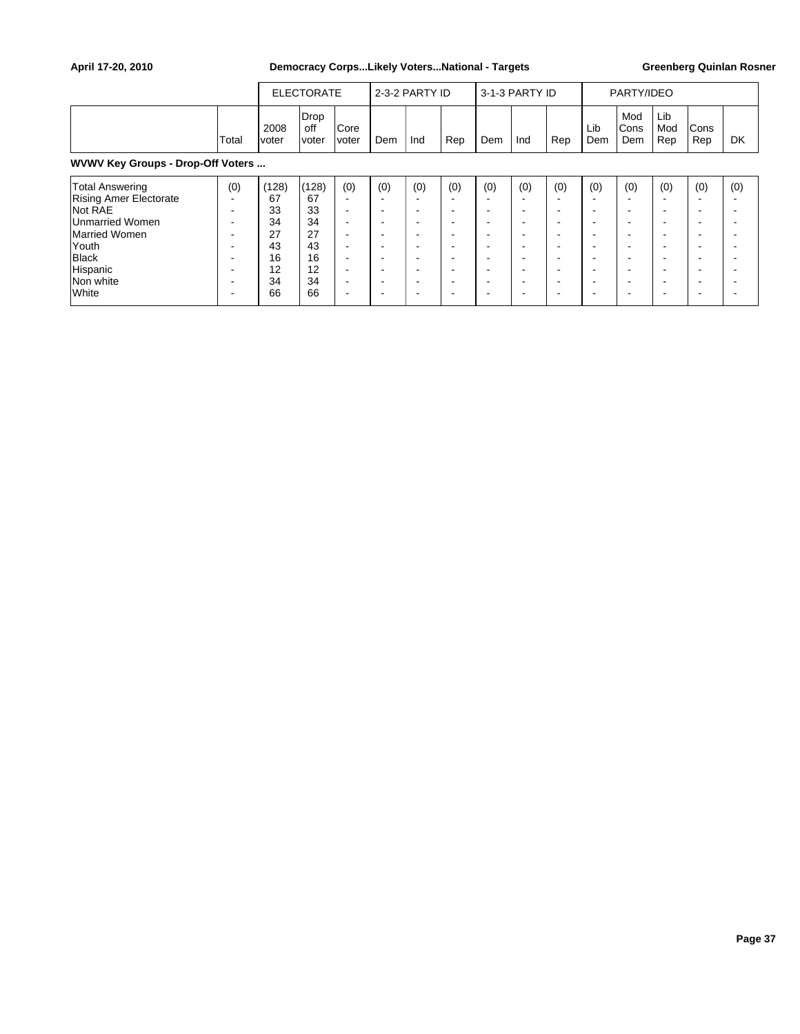|                                                                                                                                                      |          |                                                             | <b>ELECTORATE</b>                                           |                                                  |                                                                                                                                                           | 2-3-2 PARTY ID                                                |                                                                    |                                             | 3-1-3 PARTY ID                                                             |                                                                                                                  |                                             | PARTY/IDEO                                                                                     |                                                                   |                                                                                                                                                                                                                                     |                                                                                                                               |
|------------------------------------------------------------------------------------------------------------------------------------------------------|----------|-------------------------------------------------------------|-------------------------------------------------------------|--------------------------------------------------|-----------------------------------------------------------------------------------------------------------------------------------------------------------|---------------------------------------------------------------|--------------------------------------------------------------------|---------------------------------------------|----------------------------------------------------------------------------|------------------------------------------------------------------------------------------------------------------|---------------------------------------------|------------------------------------------------------------------------------------------------|-------------------------------------------------------------------|-------------------------------------------------------------------------------------------------------------------------------------------------------------------------------------------------------------------------------------|-------------------------------------------------------------------------------------------------------------------------------|
|                                                                                                                                                      | Total    | 2008<br>voter                                               | <b>Drop</b><br>off<br>voter                                 | Core<br>voter                                    | Dem                                                                                                                                                       | Ind                                                           | Rep                                                                | <b>Dem</b>                                  | Ind                                                                        | Rep                                                                                                              | Lib<br>Dem                                  | Mod<br><b>Cons</b><br>Dem                                                                      | Lib<br>Mod<br>Rep                                                 | Cons<br>Rep                                                                                                                                                                                                                         | DK                                                                                                                            |
| WVWV Key Groups - Drop-Off Voters                                                                                                                    |          |                                                             |                                                             |                                                  |                                                                                                                                                           |                                                               |                                                                    |                                             |                                                                            |                                                                                                                  |                                             |                                                                                                |                                                                   |                                                                                                                                                                                                                                     |                                                                                                                               |
| Total Answering<br><b>Rising Amer Electorate</b><br>Not RAE<br>Unmarried Women<br>Married Women<br>lYouth<br>Black<br>Hispanic<br>Non white<br>White | (0)<br>- | (128)<br>67<br>33<br>34<br>27<br>43<br>16<br>12<br>34<br>66 | (128)<br>67<br>33<br>34<br>27<br>43<br>16<br>12<br>34<br>66 | (0)<br>۰<br>۰<br>۰<br>۰<br>۰<br>۰<br>۰<br>۰<br>۰ | (0)<br>$\overline{\phantom{a}}$<br>$\overline{\phantom{a}}$<br>۰<br>-<br>$\overline{\phantom{a}}$<br>$\overline{\phantom{a}}$<br>$\overline{\phantom{a}}$ | (0)<br>$\,$<br><b>.</b><br>-<br>-<br>$\overline{\phantom{a}}$ | (0)<br>-<br>-<br>$\overline{\phantom{a}}$<br>-<br>-<br>-<br>-<br>- | (0)<br>-<br>-<br>-<br>-<br>-<br>-<br>-<br>- | (0)<br>$\overline{\phantom{a}}$<br>-<br>$\overline{\phantom{0}}$<br>-<br>- | (0)<br>$\overline{\phantom{0}}$<br>$\overline{\phantom{a}}$<br>-<br>$\overline{\phantom{0}}$<br>-<br>-<br>-<br>- | (0)<br>$\overline{\phantom{a}}$<br><b>1</b> | (0)<br>-<br>-<br>-<br>$\overline{\phantom{a}}$<br>-<br>-<br>-<br>-<br>$\overline{\phantom{a}}$ | (0)<br>-<br>$\,$<br>$\,$<br>$\overline{\phantom{0}}$<br>-<br>$\,$ | (0)<br>$\overline{\phantom{0}}$<br>$\overline{\phantom{a}}$<br>$\overline{\phantom{0}}$<br>$\overline{\phantom{a}}$<br>$\overline{\phantom{0}}$<br>$\overline{\phantom{a}}$<br>$\overline{\phantom{0}}$<br>$\overline{\phantom{0}}$ | (0)<br>-<br>$\overline{\phantom{a}}$<br>-<br>$\overline{\phantom{a}}$<br>$\overline{\phantom{0}}$<br>$\overline{\phantom{0}}$ |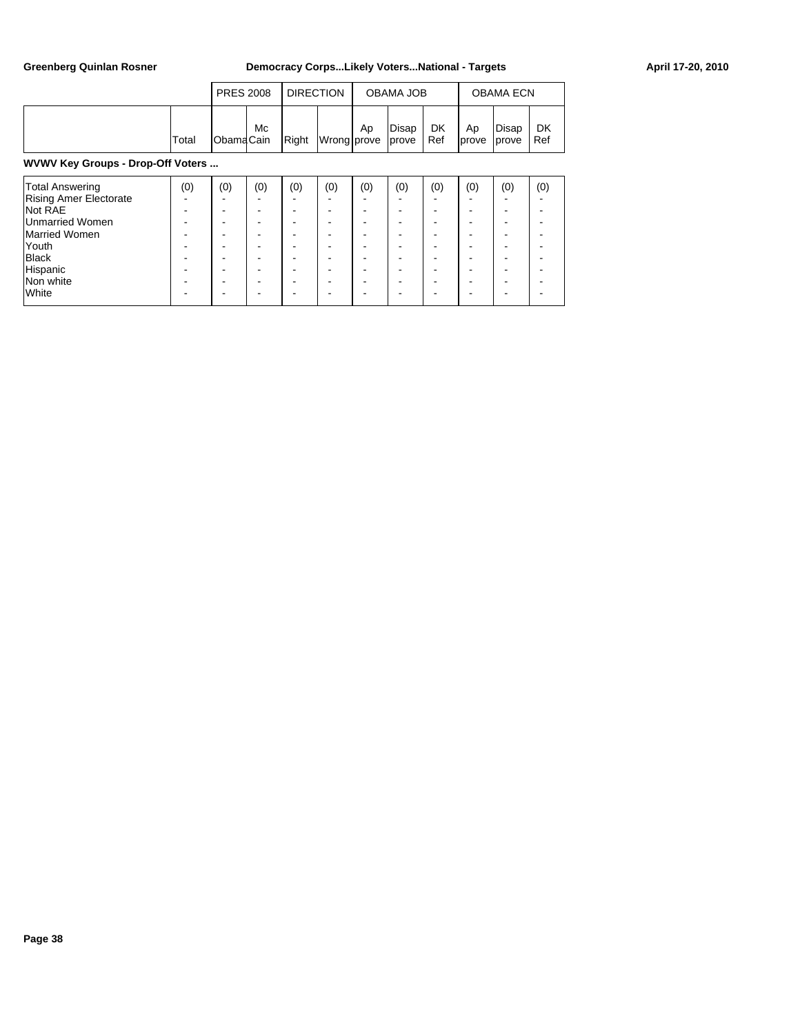|                                                                                                                                                                   |       | <b>PRES 2008</b> |                              | <b>DIRECTION</b>   |                                                                  |                    | <b>OBAMA JOB</b> |                    | <b>OBAMA ECN</b> |                    |                  |  |  |
|-------------------------------------------------------------------------------------------------------------------------------------------------------------------|-------|------------------|------------------------------|--------------------|------------------------------------------------------------------|--------------------|------------------|--------------------|------------------|--------------------|------------------|--|--|
|                                                                                                                                                                   | Total | ObamaCain        | Мc                           | Right              | Wrong prove                                                      | Ap                 | Disap<br>prove   | <b>DK</b><br>Ref   | Ap<br>prove      | Disap<br>prove     | <b>DK</b><br>Ref |  |  |
| WVWV Key Groups - Drop-Off Voters                                                                                                                                 |       |                  |                              |                    |                                                                  |                    |                  |                    |                  |                    |                  |  |  |
| <b>Total Answering</b><br><b>Rising Amer Electorate</b><br>Not RAE<br><b>Unmarried Women</b><br>Married Women<br>Youth<br>Black<br>Hispanic<br>Non white<br>White | (0)   | (0)              | (0)<br>-<br>-<br>-<br>-<br>- | (0)<br>-<br>-<br>- | (0)<br>$\overline{\phantom{a}}$<br>٠<br>-<br>-<br>$\blacksquare$ | (0)<br>-<br>-<br>- | (0)              | (0)<br>-<br>-<br>- | (0)              | (0)<br>-<br>-<br>- | (0)<br>-<br>۰    |  |  |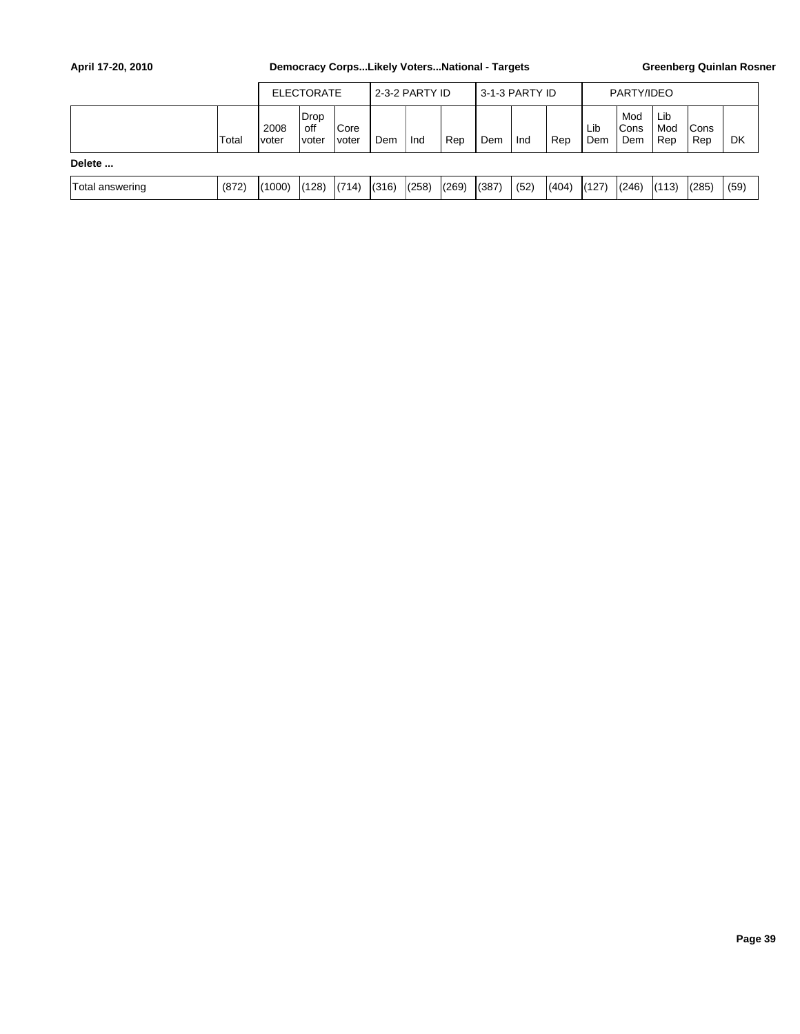|                 |       | <b>ELECTORATE</b> |                             |                       | l 2-3-2 PARTY ID |       |       | 3-1-3 PARTY ID |      |       | PARTY/IDEO |                     |                   |                    |      |
|-----------------|-------|-------------------|-----------------------------|-----------------------|------------------|-------|-------|----------------|------|-------|------------|---------------------|-------------------|--------------------|------|
|                 | Total | 2008<br>voter     | Drop<br>off<br><i>voter</i> | <b>Core</b><br>Ivoter | Dem              | Ind   | Rep   | Dem            | Ind  | Rep   | Lib<br>Dem | Mod<br>lCons<br>Dem | Lib<br>Mod<br>Rep | <b>Cons</b><br>Rep | DK   |
| Delete          |       |                   |                             |                       |                  |       |       |                |      |       |            |                     |                   |                    |      |
| Total answering | (872) | (1000)            | (128)                       | (714)                 | (316)            | (258) | (269) | (387)          | (52) | (404) | (127)      | (246)               | (113)             | (285)              | (59) |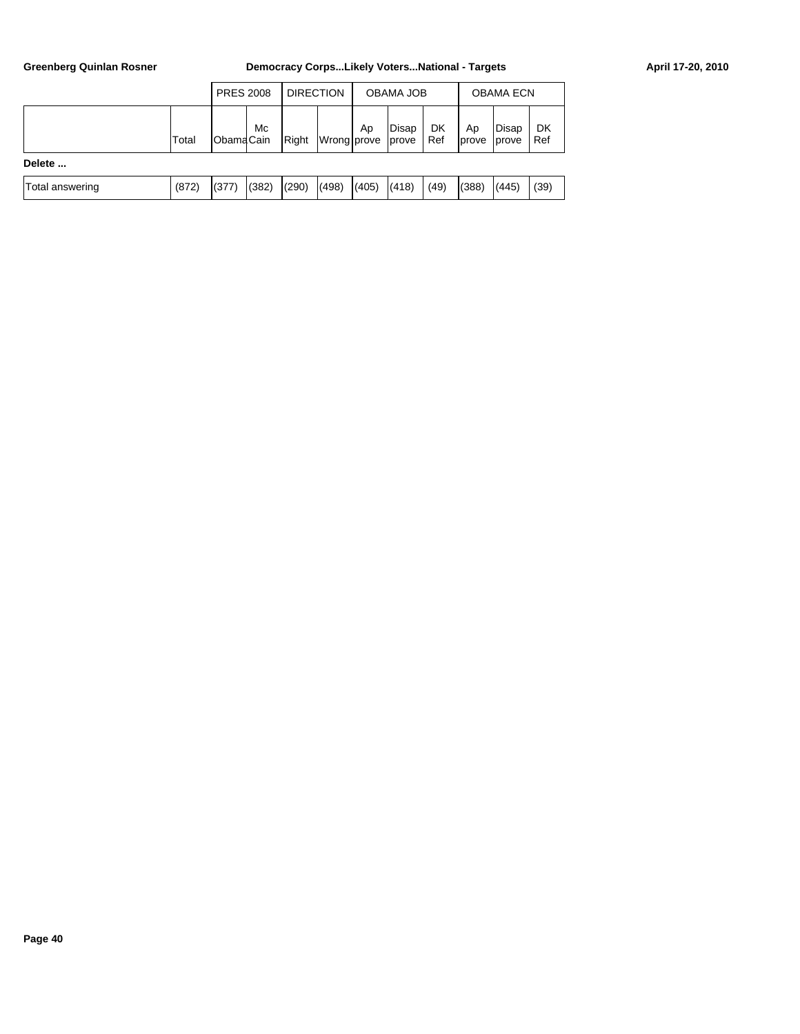|                 |       |                  | <b>PRES 2008</b> |       | <b>DIRECTION</b> |       | OBAMA JOB      |           | <b>OBAMA ECN</b> |                |           |
|-----------------|-------|------------------|------------------|-------|------------------|-------|----------------|-----------|------------------|----------------|-----------|
|                 | Total | <b>ObamaCain</b> | Mc               | Right | Wrong prove      | Ap    | Disap<br>prove | DK<br>Ref | Ap<br>Iprove     | Disap<br>prove | DK<br>Ref |
| Delete          |       |                  |                  |       |                  |       |                |           |                  |                |           |
| Total answering | (872) | (377)            | (382)            | (290) | (498)            | (405) | (418)          | (49)      | (388)            | (445)          | (39)      |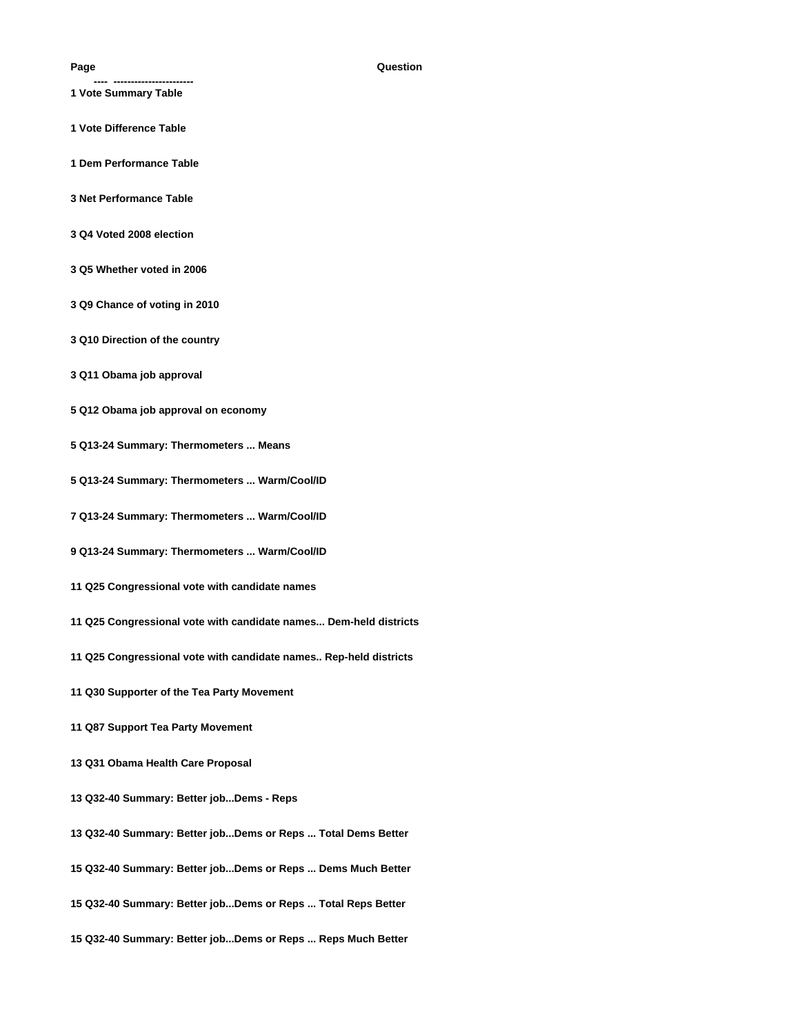- **---- -----------------------**
- **1 Vote Summary Table**
- **1 Vote Difference Table**
- **1 Dem Performance Table**
- **3 Net Performance Table**
- **3 Q4 Voted 2008 election**
- **3 Q5 Whether voted in 2006**
- **3 Q9 Chance of voting in 2010**
- **3 Q10 Direction of the country**
- **3 Q11 Obama job approval**
- **5 Q12 Obama job approval on economy**
- **5 Q13-24 Summary: Thermometers ... Means**
- **5 Q13-24 Summary: Thermometers ... Warm/Cool/ID**
- **7 Q13-24 Summary: Thermometers ... Warm/Cool/ID**
- **9 Q13-24 Summary: Thermometers ... Warm/Cool/ID**
- **11 Q25 Congressional vote with candidate names**
- **11 Q25 Congressional vote with candidate names... Dem-held districts**
- **11 Q25 Congressional vote with candidate names.. Rep-held districts**
- **11 Q30 Supporter of the Tea Party Movement**
- **11 Q87 Support Tea Party Movement**
- **13 Q31 Obama Health Care Proposal**
- **13 Q32-40 Summary: Better job...Dems Reps**
- **13 Q32-40 Summary: Better job...Dems or Reps ... Total Dems Better**
- **15 Q32-40 Summary: Better job...Dems or Reps ... Dems Much Better**
- **15 Q32-40 Summary: Better job...Dems or Reps ... Total Reps Better**
- **15 Q32-40 Summary: Better job...Dems or Reps ... Reps Much Better**

#### **Page Question**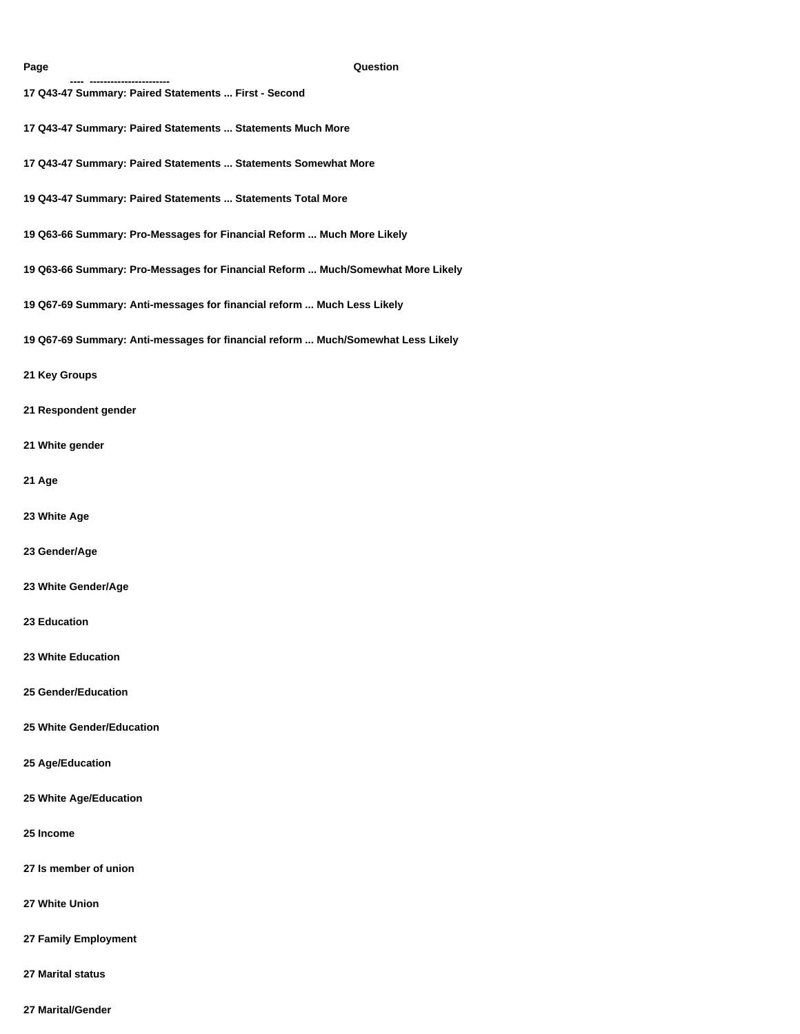**---- -----------------------** 

#### **Page Question**

- **17 Q43-47 Summary: Paired Statements ... First Second**
- **17 Q43-47 Summary: Paired Statements ... Statements Much More**
- **17 Q43-47 Summary: Paired Statements ... Statements Somewhat More**
- **19 Q43-47 Summary: Paired Statements ... Statements Total More**
- **19 Q63-66 Summary: Pro-Messages for Financial Reform ... Much More Likely**
- **19 Q63-66 Summary: Pro-Messages for Financial Reform ... Much/Somewhat More Likely**
- **19 Q67-69 Summary: Anti-messages for financial reform ... Much Less Likely**
- **19 Q67-69 Summary: Anti-messages for financial reform ... Much/Somewhat Less Likely**
- **21 Key Groups**
- **21 Respondent gender**
- **21 White gender**
- **21 Age**
- **23 White Age**
- **23 Gender/Age**
- **23 White Gender/Age**
- **23 Education**
- **23 White Education**
- **25 Gender/Education**
- **25 White Gender/Education**
- **25 Age/Education**
- **25 White Age/Education**
- **25 Income**
- **27 Is member of union**
- **27 White Union**
- **27 Family Employment**
- **27 Marital status**
- **27 Marital/Gender**